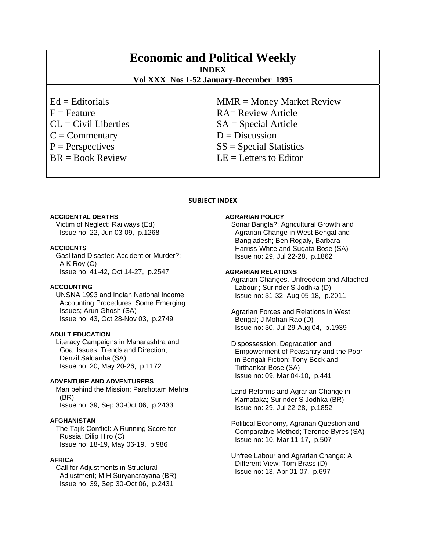| <b>Economic and Political Weekly</b><br><b>INDEX</b><br>Vol XXX Nos 1-52 January-December 1995                               |                                                                                                                                                                 |
|------------------------------------------------------------------------------------------------------------------------------|-----------------------------------------------------------------------------------------------------------------------------------------------------------------|
|                                                                                                                              |                                                                                                                                                                 |
| $Ed =$ Editorials<br>$F =$ Feature<br>$CL = Civil$ Liberties<br>$C =$ Commentary<br>$P =$ Perspectives<br>$BR = Book Review$ | $MMR = Money Market Review$<br><b>RA= Review Article</b><br>$SA = Special Article$<br>$D = Discussion$<br>$SS = Special Statistics$<br>$LE = Letters to Editor$ |

# **SUBJECT INDEX**

#### **ACCIDENTAL DEATHS**

 Victim of Neglect: Railways (Ed) Issue no: 22, Jun 03-09, p.1268

### **ACCIDENTS**

 Gaslitand Disaster: Accident or Murder?; A K Roy (C) Issue no: 41-42, Oct 14-27, p.2547

### **ACCOUNTING**

 UNSNA 1993 and Indian National Income Accounting Procedures: Some Emerging Issues; Arun Ghosh (SA) Issue no: 43, Oct 28-Nov 03, p.2749

#### **ADULT EDUCATION**

 Literacy Campaigns in Maharashtra and Goa: Issues, Trends and Direction; Denzil Saldanha (SA) Issue no: 20, May 20-26, p.1172

#### **ADVENTURE AND ADVENTURERS**

 Man behind the Mission; Parshotam Mehra (BR) Issue no: 39, Sep 30-Oct 06, p.2433

## **AFGHANISTAN**

 The Tajik Conflict: A Running Score for Russia; Dilip Hiro (C) Issue no: 18-19, May 06-19, p.986

# **AFRICA**

 Call for Adjustments in Structural Adjustment; M H Suryanarayana (BR) Issue no: 39, Sep 30-Oct 06, p.2431

#### **AGRARIAN POLICY**

 Sonar Bangla?: Agricultural Growth and Agrarian Change in West Bengal and Bangladesh; Ben Rogaly, Barbara Harriss-White and Sugata Bose (SA) Issue no: 29, Jul 22-28, p.1862

# **AGRARIAN RELATIONS**

 Agrarian Changes, Unfreedom and Attached Labour ; Surinder S Jodhka (D) Issue no: 31-32, Aug 05-18, p.2011

 Agrarian Forces and Relations in West Bengal; J Mohan Rao (D) Issue no: 30, Jul 29-Aug 04, p.1939

 Dispossession, Degradation and Empowerment of Peasantry and the Poor in Bengali Fiction; Tony Beck and Tirthankar Bose (SA) Issue no: 09, Mar 04-10, p.441

 Land Reforms and Agrarian Change in Karnataka; Surinder S Jodhka (BR) Issue no: 29, Jul 22-28, p.1852

 Political Economy, Agrarian Question and Comparative Method; Terence Byres (SA) Issue no: 10, Mar 11-17, p.507

 Unfree Labour and Agrarian Change: A Different View; Tom Brass (D) Issue no: 13, Apr 01-07, p.697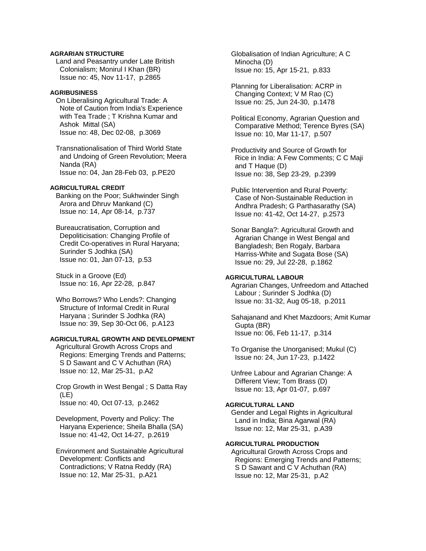# **AGRARIAN STRUCTURE**

 Land and Peasantry under Late British Colonialism; Monirul I Khan (BR) Issue no: 45, Nov 11-17, p.2865

## **AGRIBUSINESS**

 On Liberalising Agricultural Trade: A Note of Caution from India's Experience with Tea Trade ; T Krishna Kumar and Ashok Mittal (SA) Issue no: 48, Dec 02-08, p.3069

 Transnationalisation of Third World State and Undoing of Green Revolution; Meera Nanda (RA) Issue no: 04, Jan 28-Feb 03, p.PE20

# **AGRICULTURAL CREDIT**

 Banking on the Poor; Sukhwinder Singh Arora and Dhruv Mankand (C) Issue no: 14, Apr 08-14, p.737

 Bureaucratisation, Corruption and Depoliticisation: Changing Profile of Credit Co-operatives in Rural Haryana; Surinder S Jodhka (SA) Issue no: 01, Jan 07-13, p.53

 Stuck in a Groove (Ed) Issue no: 16, Apr 22-28, p.847

Who Borrows? Who Lends?: Changing Structure of Informal Credit in Rural Haryana ; Surinder S Jodhka (RA) Issue no: 39, Sep 30-Oct 06, p.A123

# **AGRICULTURAL GROWTH AND DEVELOPMENT**

 Agricultural Growth Across Crops and Regions: Emerging Trends and Patterns; S D Sawant and C V Achuthan (RA) Issue no: 12, Mar 25-31, p.A2

 Crop Growth in West Bengal ; S Datta Ray (LE) Issue no: 40, Oct 07-13, p.2462

 Development, Poverty and Policy: The Haryana Experience; Sheila Bhalla (SA) Issue no: 41-42, Oct 14-27, p.2619

 Environment and Sustainable Agricultural Development: Conflicts and Contradictions; V Ratna Reddy (RA) Issue no: 12, Mar 25-31, p.A21

 Globalisation of Indian Agriculture; A C Minocha (D) Issue no: 15, Apr 15-21, p.833

 Planning for Liberalisation: ACRP in Changing Context; V M Rao (C) Issue no: 25, Jun 24-30, p.1478

 Political Economy, Agrarian Question and Comparative Method; Terence Byres (SA) Issue no: 10, Mar 11-17, p.507

 Productivity and Source of Growth for Rice in India: A Few Comments; C C Maji and T Haque (D) Issue no: 38, Sep 23-29, p.2399

 Public Intervention and Rural Poverty: Case of Non-Sustainable Reduction in Andhra Pradesh; G Parthasarathy (SA) Issue no: 41-42, Oct 14-27, p.2573

 Sonar Bangla?: Agricultural Growth and Agrarian Change in West Bengal and Bangladesh; Ben Rogaly, Barbara Harriss-White and Sugata Bose (SA) Issue no: 29, Jul 22-28, p.1862

#### **AGRICULTURAL LABOUR**

 Agrarian Changes, Unfreedom and Attached Labour ; Surinder S Jodhka (D) Issue no: 31-32, Aug 05-18, p.2011

 Sahajanand and Khet Mazdoors; Amit Kumar Gupta (BR) Issue no: 06, Feb 11-17, p.314

 To Organise the Unorganised; Mukul (C) Issue no: 24, Jun 17-23, p.1422

 Unfree Labour and Agrarian Change: A Different View; Tom Brass (D) Issue no: 13, Apr 01-07, p.697

# **AGRICULTURAL LAND**

 Gender and Legal Rights in Agricultural Land in India; Bina Agarwal (RA) Issue no: 12, Mar 25-31, p.A39

# **AGRICULTURAL PRODUCTION**

 Agricultural Growth Across Crops and Regions: Emerging Trends and Patterns; S D Sawant and C V Achuthan (RA) Issue no: 12, Mar 25-31, p.A2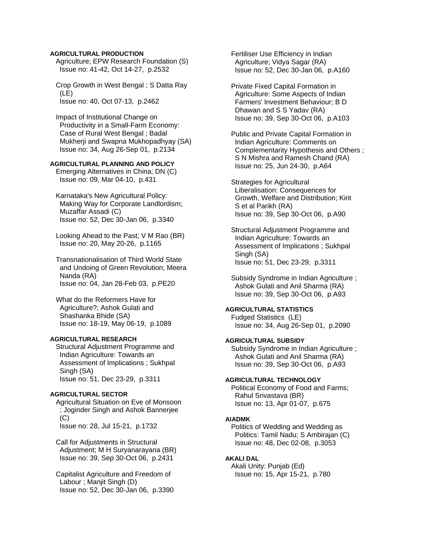## **AGRICULTURAL PRODUCTION**

 Agriculture; EPW Research Foundation (S) Issue no: 41-42, Oct 14-27, p.2532

 Crop Growth in West Bengal ; S Datta Ray (LE) Issue no: 40, Oct 07-13, p.2462

 Impact of Institutional Change on Productivity in a Small-Farm Economy: Case of Rural West Bengal ; Badal Mukherji and Swapna Mukhopadhyay (SA) Issue no: 34, Aug 26-Sep 01, p.2134

# **AGRICULTURAL PLANNING AND POLICY**

 Emerging Alternatives in China; DN (C) Issue no: 09, Mar 04-10, p.431

 Karnataka's New Agricultural Policy: Making Way for Corporate Landlordism; Muzaffar Assadi (C) Issue no: 52, Dec 30-Jan 06, p.3340

 Looking Ahead to the Past; V M Rao (BR) Issue no: 20, May 20-26, p.1165

 Transnationalisation of Third World State and Undoing of Green Revolution; Meera Nanda (RA) Issue no: 04, Jan 28-Feb 03, p.PE20

 What do the Reformers Have for Agriculture?; Ashok Gulati and Shashanka Bhide (SA) Issue no: 18-19, May 06-19, p.1089

# **AGRICULTURAL RESEARCH**

 Structural Adjustment Programme and Indian Agriculture: Towards an Assessment of Implications ; Sukhpal Singh (SA) Issue no: 51, Dec 23-29, p.3311

## **AGRICULTURAL SECTOR**

 Agricultural Situation on Eve of Monsoon ; Joginder Singh and Ashok Bannerjee (C) Issue no: 28, Jul 15-21, p.1732

 Call for Adjustments in Structural Adjustment; M H Suryanarayana (BR) Issue no: 39, Sep 30-Oct 06, p.2431

 Capitalist Agriculture and Freedom of Labour ; Manjit Singh (D) Issue no: 52, Dec 30-Jan 06, p.3390  Fertiliser Use Efficiency in Indian Agriculture; Vidya Sagar (RA) Issue no: 52, Dec 30-Jan 06, p.A160

 Private Fixed Capital Formation in Agriculture: Some Aspects of Indian Farmers' Investment Behaviour; B D Dhawan and S S Yadav (RA) Issue no: 39, Sep 30-Oct 06, p.A103

 Public and Private Capital Formation in Indian Agriculture: Comments on Complementarity Hypothesis and Others ; S N Mishra and Ramesh Chand (RA) Issue no: 25, Jun 24-30, p.A64

 Strategies for Agricultural Liberalisation: Consequences for Growth, Welfare and Distribution; Kirit S et al Parikh (RA) Issue no: 39, Sep 30-Oct 06, p.A90

 Structural Adjustment Programme and Indian Agriculture: Towards an Assessment of Implications ; Sukhpal Singh (SA) Issue no: 51, Dec 23-29, p.3311

 Subsidy Syndrome in Indian Agriculture ; Ashok Gulati and Anil Sharma (RA) Issue no: 39, Sep 30-Oct 06, p.A93

## **AGRICULTURAL STATISTICS**

 Fudged Statistics (LE) Issue no: 34, Aug 26-Sep 01, p.2090

# **AGRICULTURAL SUBSIDY**

 Subsidy Syndrome in Indian Agriculture ; Ashok Gulati and Anil Sharma (RA) Issue no: 39, Sep 30-Oct 06, p.A93

#### **AGRICULTURAL TECHNOLOGY**

 Political Economy of Food and Farms; Rahul Srivastava (BR) Issue no: 13, Apr 01-07, p.675

#### **AIADMK**

 Politics of Wedding and Wedding as Politics: Tamil Nadu; S Ambirajan (C) Issue no: 48, Dec 02-08, p.3053

#### **AKALI DAL**

 Akali Unity: Punjab (Ed) Issue no: 15, Apr 15-21, p.780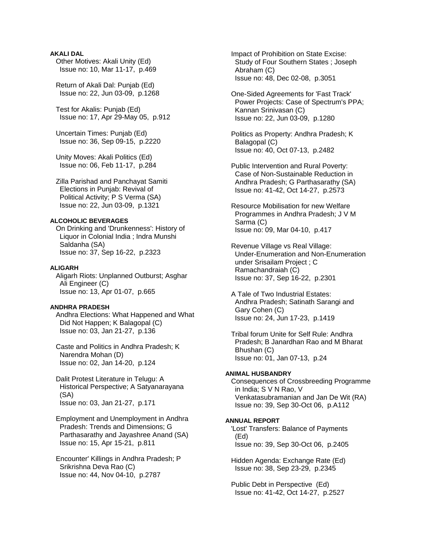# **AKALI DAL**

 Other Motives: Akali Unity (Ed) Issue no: 10, Mar 11-17, p.469

 Return of Akali Dal: Punjab (Ed) Issue no: 22, Jun 03-09, p.1268

 Test for Akalis: Punjab (Ed) Issue no: 17, Apr 29-May 05, p.912

 Uncertain Times: Punjab (Ed) Issue no: 36, Sep 09-15, p.2220

 Unity Moves: Akali Politics (Ed) Issue no: 06, Feb 11-17, p.284

 Zilla Parishad and Panchayat Samiti Elections in Punjab: Revival of Political Activity; P S Verma (SA) Issue no: 22, Jun 03-09, p.1321

# **ALCOHOLIC BEVERAGES**

 On Drinking and 'Drunkenness': History of Liquor in Colonial India ; Indra Munshi Saldanha (SA) Issue no: 37, Sep 16-22, p.2323

#### **ALIGARH**

 Aligarh Riots: Unplanned Outburst; Asghar Ali Engineer (C) Issue no: 13, Apr 01-07, p.665

# **ANDHRA PRADESH**

 Andhra Elections: What Happened and What Did Not Happen; K Balagopal (C) Issue no: 03, Jan 21-27, p.136

 Caste and Politics in Andhra Pradesh; K Narendra Mohan (D) Issue no: 02, Jan 14-20, p.124

 Dalit Protest Literature in Telugu: A Historical Perspective; A Satyanarayana (SA) Issue no: 03, Jan 21-27, p.171

 Employment and Unemployment in Andhra Pradesh: Trends and Dimensions; G Parthasarathy and Jayashree Anand (SA) Issue no: 15, Apr 15-21, p.811

 Encounter' Killings in Andhra Pradesh; P Srikrishna Deva Rao (C) Issue no: 44, Nov 04-10, p.2787

 Impact of Prohibition on State Excise: Study of Four Southern States ; Joseph Abraham (C) Issue no: 48, Dec 02-08, p.3051

 One-Sided Agreements for 'Fast Track' Power Projects: Case of Spectrum's PPA; Kannan Srinivasan (C) Issue no: 22, Jun 03-09, p.1280

 Politics as Property: Andhra Pradesh; K Balagopal (C) Issue no: 40, Oct 07-13, p.2482

 Public Intervention and Rural Poverty: Case of Non-Sustainable Reduction in Andhra Pradesh; G Parthasarathy (SA) Issue no: 41-42, Oct 14-27, p.2573

 Resource Mobilisation for new Welfare Programmes in Andhra Pradesh; J V M Sarma (C) Issue no: 09, Mar 04-10, p.417

 Revenue Village vs Real Village: Under-Enumeration and Non-Enumeration under Srisailam Project ; C Ramachandraiah (C) Issue no: 37, Sep 16-22, p.2301

 A Tale of Two Industrial Estates: Andhra Pradesh; Satinath Sarangi and Gary Cohen (C) Issue no: 24, Jun 17-23, p.1419

 Tribal forum Unite for Self Rule: Andhra Pradesh; B Janardhan Rao and M Bharat Bhushan (C) Issue no: 01, Jan 07-13, p.24

# **ANIMAL HUSBANDRY**

 Consequences of Crossbreeding Programme in India; S V N Rao, V Venkatasubramanian and Jan De Wit (RA) Issue no: 39, Sep 30-Oct 06, p.A112

## **ANNUAL REPORT**

 'Lost' Transfers: Balance of Payments (Ed) Issue no: 39, Sep 30-Oct 06, p.2405

 Hidden Agenda: Exchange Rate (Ed) Issue no: 38, Sep 23-29, p.2345

 Public Debt in Perspective (Ed) Issue no: 41-42, Oct 14-27, p.2527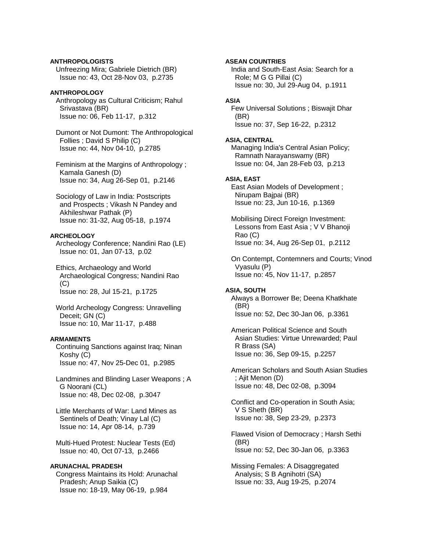# **ANTHROPOLOGISTS**  Unfreezing Mira; Gabriele Dietrich (BR)

Issue no: 43, Oct 28-Nov 03, p.2735

# **ANTHROPOLOGY**

 Anthropology as Cultural Criticism; Rahul Srivastava (BR) Issue no: 06, Feb 11-17, p.312

 Dumont or Not Dumont: The Anthropological Follies ; David S Philip (C) Issue no: 44, Nov 04-10, p.2785

 Feminism at the Margins of Anthropology ; Kamala Ganesh (D) Issue no: 34, Aug 26-Sep 01, p.2146

 Sociology of Law in India: Postscripts and Prospects ; Vikash N Pandey and Akhileshwar Pathak (P) Issue no: 31-32, Aug 05-18, p.1974

# **ARCHEOLOGY**

 Archeology Conference; Nandini Rao (LE) Issue no: 01, Jan 07-13, p.02

 Ethics, Archaeology and World Archaeological Congress; Nandini Rao (C) Issue no: 28, Jul 15-21, p.1725

 World Archeology Congress: Unravelling Deceit; GN (C) Issue no: 10, Mar 11-17, p.488

# **ARMAMENTS**

 Continuing Sanctions against Iraq; Ninan Koshy (C) Issue no: 47, Nov 25-Dec 01, p.2985

 Landmines and Blinding Laser Weapons ; A G Noorani (CL) Issue no: 48, Dec 02-08, p.3047

 Little Merchants of War: Land Mines as Sentinels of Death; Vinay Lal (C) Issue no: 14, Apr 08-14, p.739

 Multi-Hued Protest: Nuclear Tests (Ed) Issue no: 40, Oct 07-13, p.2466

# **ARUNACHAL PRADESH**

 Congress Maintains its Hold: Arunachal Pradesh; Anup Saikia (C) Issue no: 18-19, May 06-19, p.984

# **ASEAN COUNTRIES**

 India and South-East Asia: Search for a Role; M G G Pillai (C) Issue no: 30, Jul 29-Aug 04, p.1911

# **ASIA**

 Few Universal Solutions ; Biswajit Dhar (BR) Issue no: 37, Sep 16-22, p.2312

# **ASIA, CENTRAL**

 Managing India's Central Asian Policy; Ramnath Narayanswamy (BR) Issue no: 04, Jan 28-Feb 03, p.213

# **ASIA, EAST**

 East Asian Models of Development ; Nirupam Bajpai (BR) Issue no: 23, Jun 10-16, p.1369

 Mobilising Direct Foreign Investment: Lessons from East Asia ; V V Bhanoji Rao (C) Issue no: 34, Aug 26-Sep 01, p.2112

 On Contempt, Contemners and Courts; Vinod Vyasulu (P) Issue no: 45, Nov 11-17, p.2857

# **ASIA, SOUTH**

 Always a Borrower Be; Deena Khatkhate (BR) Issue no: 52, Dec 30-Jan 06, p.3361

 American Political Science and South Asian Studies: Virtue Unrewarded; Paul R Brass (SA) Issue no: 36, Sep 09-15, p.2257

 American Scholars and South Asian Studies ; Ajit Menon (D) Issue no: 48, Dec 02-08, p.3094

 Conflict and Co-operation in South Asia; V S Sheth (BR) Issue no: 38, Sep 23-29, p.2373

 Flawed Vision of Democracy ; Harsh Sethi (BR) Issue no: 52, Dec 30-Jan 06, p.3363

 Missing Females: A Disaggregated Analysis; S B Agnihotri (SA) Issue no: 33, Aug 19-25, p.2074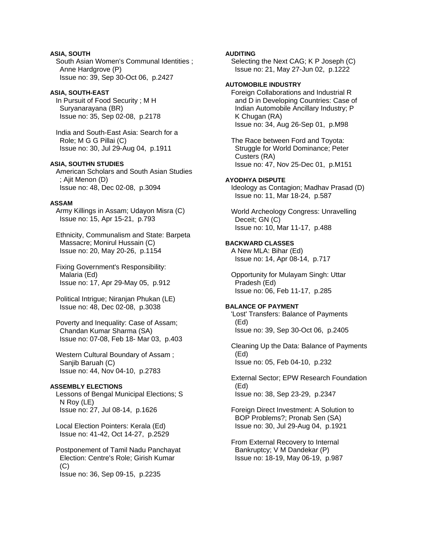# **ASIA, SOUTH**

 South Asian Women's Communal Identities ; Anne Hardgrove (P) Issue no: 39, Sep 30-Oct 06, p.2427

## **ASIA, SOUTH-EAST**

 In Pursuit of Food Security ; M H Suryanarayana (BR) Issue no: 35, Sep 02-08, p.2178

 India and South-East Asia: Search for a Role; M G G Pillai (C) Issue no: 30, Jul 29-Aug 04, p.1911

# **ASIA, SOUTHN STUDIES**

 American Scholars and South Asian Studies ; Ajit Menon (D) Issue no: 48, Dec 02-08, p.3094

# **ASSAM**

 Army Killings in Assam; Udayon Misra (C) Issue no: 15, Apr 15-21, p.793

 Ethnicity, Communalism and State: Barpeta Massacre; Monirul Hussain (C) Issue no: 20, May 20-26, p.1154

 Fixing Government's Responsibility: Malaria (Ed) Issue no: 17, Apr 29-May 05, p.912

 Political Intrigue; Niranjan Phukan (LE) Issue no: 48, Dec 02-08, p.3038

 Poverty and Inequality: Case of Assam; Chandan Kumar Sharma (SA) Issue no: 07-08, Feb 18- Mar 03, p.403

 Western Cultural Boundary of Assam ; Sanjib Baruah (C) Issue no: 44, Nov 04-10, p.2783

# **ASSEMBLY ELECTIONS**

 Lessons of Bengal Municipal Elections; S N Roy (LE) Issue no: 27, Jul 08-14, p.1626

 Local Election Pointers: Kerala (Ed) Issue no: 41-42, Oct 14-27, p.2529

 Postponement of Tamil Nadu Panchayat Election: Centre's Role; Girish Kumar (C) Issue no: 36, Sep 09-15, p.2235

### **AUDITING**

 Selecting the Next CAG; K P Joseph (C) Issue no: 21, May 27-Jun 02, p.1222

# **AUTOMOBILE INDUSTRY**

 Foreign Collaborations and Industrial R and D in Developing Countries: Case of Indian Automobile Ancillary Industry; P K Chugan (RA) Issue no: 34, Aug 26-Sep 01, p.M98

 The Race between Ford and Toyota: Struggle for World Dominance; Peter Custers (RA) Issue no: 47, Nov 25-Dec 01, p.M151

### **AYODHYA DISPUTE**

 Ideology as Contagion; Madhav Prasad (D) Issue no: 11, Mar 18-24, p.587

 World Archeology Congress: Unravelling Deceit; GN (C) Issue no: 10, Mar 11-17, p.488

# **BACKWARD CLASSES**

 A New MLA: Bihar (Ed) Issue no: 14, Apr 08-14, p.717

 Opportunity for Mulayam Singh: Uttar Pradesh (Ed) Issue no: 06, Feb 11-17, p.285

# **BALANCE OF PAYMENT**

 'Lost' Transfers: Balance of Payments (Ed) Issue no: 39, Sep 30-Oct 06, p.2405

 Cleaning Up the Data: Balance of Payments (Ed) Issue no: 05, Feb 04-10, p.232

 External Sector; EPW Research Foundation (Ed) Issue no: 38, Sep 23-29, p.2347

 Foreign Direct Investment: A Solution to BOP Problems?; Pronab Sen (SA) Issue no: 30, Jul 29-Aug 04, p.1921

 From External Recovery to Internal Bankruptcy; V M Dandekar (P) Issue no: 18-19, May 06-19, p.987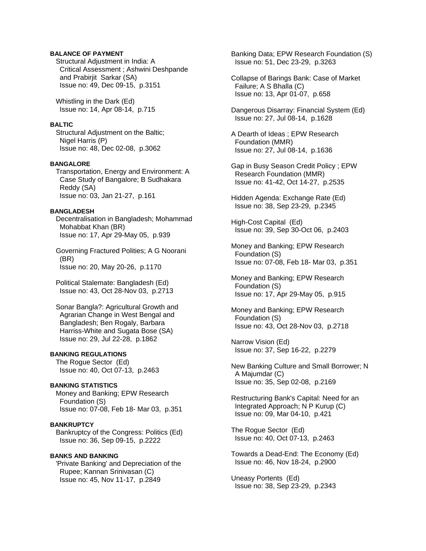# **BALANCE OF PAYMENT**

 Structural Adjustment in India: A Critical Assessment ; Ashwini Deshpande and Prabirjit Sarkar (SA) Issue no: 49, Dec 09-15, p.3151

 Whistling in the Dark (Ed) Issue no: 14, Apr 08-14, p.715

#### **BALTIC**

 Structural Adjustment on the Baltic; Nigel Harris (P) Issue no: 48, Dec 02-08, p.3062

# **BANGALORE**

 Transportation, Energy and Environment: A Case Study of Bangalore; B Sudhakara Reddy (SA) Issue no: 03, Jan 21-27, p.161

#### **BANGLADESH**

 Decentralisation in Bangladesh; Mohammad Mohabbat Khan (BR) Issue no: 17, Apr 29-May 05, p.939

 Governing Fractured Polities; A G Noorani (BR) Issue no: 20, May 20-26, p.1170

 Political Stalemate: Bangladesh (Ed) Issue no: 43, Oct 28-Nov 03, p.2713

 Sonar Bangla?: Agricultural Growth and Agrarian Change in West Bengal and Bangladesh; Ben Rogaly, Barbara Harriss-White and Sugata Bose (SA) Issue no: 29, Jul 22-28, p.1862

# **BANKING REGULATIONS**

 The Rogue Sector (Ed) Issue no: 40, Oct 07-13, p.2463

## **BANKING STATISTICS**

 Money and Banking; EPW Research Foundation (S) Issue no: 07-08, Feb 18- Mar 03, p.351

# **BANKRUPTCY**

 Bankruptcy of the Congress: Politics (Ed) Issue no: 36, Sep 09-15, p.2222

# **BANKS AND BANKING**

 'Private Banking' and Depreciation of the Rupee; Kannan Srinivasan (C) Issue no: 45, Nov 11-17, p.2849

 Banking Data; EPW Research Foundation (S) Issue no: 51, Dec 23-29, p.3263

 Collapse of Barings Bank: Case of Market Failure; A S Bhalla (C) Issue no: 13, Apr 01-07, p.658

 Dangerous Disarray: Financial System (Ed) Issue no: 27, Jul 08-14, p.1628

 A Dearth of Ideas ; EPW Research Foundation (MMR) Issue no: 27, Jul 08-14, p.1636

 Gap in Busy Season Credit Policy ; EPW Research Foundation (MMR) Issue no: 41-42, Oct 14-27, p.2535

 Hidden Agenda: Exchange Rate (Ed) Issue no: 38, Sep 23-29, p.2345

 High-Cost Capital (Ed) Issue no: 39, Sep 30-Oct 06, p.2403

 Money and Banking; EPW Research Foundation (S) Issue no: 07-08, Feb 18- Mar 03, p.351

 Money and Banking; EPW Research Foundation (S) Issue no: 17, Apr 29-May 05, p.915

 Money and Banking; EPW Research Foundation (S) Issue no: 43, Oct 28-Nov 03, p.2718

 Narrow Vision (Ed) Issue no: 37, Sep 16-22, p.2279

 New Banking Culture and Small Borrower; N A Majumdar (C) Issue no: 35, Sep 02-08, p.2169

 Restructuring Bank's Capital: Need for an Integrated Approach; N P Kurup (C) Issue no: 09, Mar 04-10, p.421

 The Rogue Sector (Ed) Issue no: 40, Oct 07-13, p.2463

 Towards a Dead-End: The Economy (Ed) Issue no: 46, Nov 18-24, p.2900

 Uneasy Portents (Ed) Issue no: 38, Sep 23-29, p.2343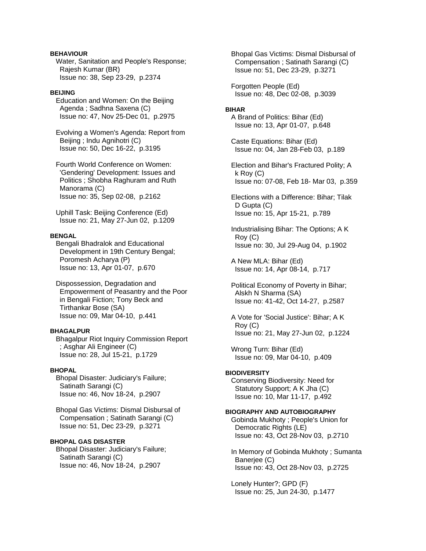# **BEHAVIOUR**

 Water, Sanitation and People's Response; Rajesh Kumar (BR) Issue no: 38, Sep 23-29, p.2374

# **BEIJING**

 Education and Women: On the Beijing Agenda ; Sadhna Saxena (C) Issue no: 47, Nov 25-Dec 01, p.2975

 Evolving a Women's Agenda: Report from Beijing ; Indu Agnihotri (C) Issue no: 50, Dec 16-22, p.3195

 Fourth World Conference on Women: 'Gendering' Development: Issues and Politics ; Shobha Raghuram and Ruth Manorama (C) Issue no: 35, Sep 02-08, p.2162

 Uphill Task: Beijing Conference (Ed) Issue no: 21, May 27-Jun 02, p.1209

#### **BENGAL**

 Bengali Bhadralok and Educational Development in 19th Century Bengal; Poromesh Acharya (P) Issue no: 13, Apr 01-07, p.670

 Dispossession, Degradation and Empowerment of Peasantry and the Poor in Bengali Fiction; Tony Beck and Tirthankar Bose (SA) Issue no: 09, Mar 04-10, p.441

## **BHAGALPUR**

 Bhagalpur Riot Inquiry Commission Report ; Asghar Ali Engineer (C) Issue no: 28, Jul 15-21, p.1729

## **BHOPAL**

 Bhopal Disaster: Judiciary's Failure; Satinath Sarangi (C) Issue no: 46, Nov 18-24, p.2907

 Bhopal Gas Victims: Dismal Disbursal of Compensation ; Satinath Sarangi (C) Issue no: 51, Dec 23-29, p.3271

# **BHOPAL GAS DISASTER**

 Bhopal Disaster: Judiciary's Failure; Satinath Sarangi (C) Issue no: 46, Nov 18-24, p.2907

 Bhopal Gas Victims: Dismal Disbursal of Compensation ; Satinath Sarangi (C) Issue no: 51, Dec 23-29, p.3271

 Forgotten People (Ed) Issue no: 48, Dec 02-08, p.3039

#### **BIHAR**

 A Brand of Politics: Bihar (Ed) Issue no: 13, Apr 01-07, p.648

 Caste Equations: Bihar (Ed) Issue no: 04, Jan 28-Feb 03, p.189

 Election and Bihar's Fractured Polity; A k Roy (C) Issue no: 07-08, Feb 18- Mar 03, p.359

 Elections with a Difference: Bihar; Tilak D Gupta (C) Issue no: 15, Apr 15-21, p.789

 Industrialising Bihar: The Options; A K Roy (C) Issue no: 30, Jul 29-Aug 04, p.1902

 A New MLA: Bihar (Ed) Issue no: 14, Apr 08-14, p.717

 Political Economy of Poverty in Bihar; Alskh N Sharma (SA) Issue no: 41-42, Oct 14-27, p.2587

 A Vote for 'Social Justice': Bihar; A K Roy (C) Issue no: 21, May 27-Jun 02, p.1224

 Wrong Turn: Bihar (Ed) Issue no: 09, Mar 04-10, p.409

# **BIODIVERSITY**

 Conserving Biodiversity: Need for Statutory Support; A K Jha (C) Issue no: 10, Mar 11-17, p.492

# **BIOGRAPHY AND AUTOBIOGRAPHY**

 Gobinda Mukhoty ; People's Union for Democratic Rights (LE) Issue no: 43, Oct 28-Nov 03, p.2710

 In Memory of Gobinda Mukhoty ; Sumanta Banerjee (C) Issue no: 43, Oct 28-Nov 03, p.2725

 Lonely Hunter?; GPD (F) Issue no: 25, Jun 24-30, p.1477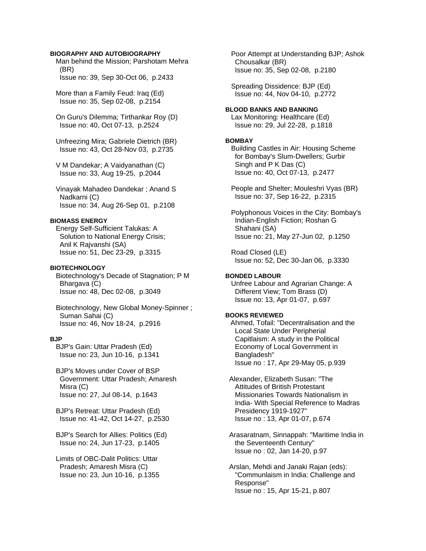## **BIOGRAPHY AND AUTOBIOGRAPHY**

 Man behind the Mission; Parshotam Mehra (BR) Issue no: 39, Sep 30-Oct 06, p.2433

 More than a Family Feud: Iraq (Ed) Issue no: 35, Sep 02-08, p.2154

 On Guru's Dilemma; Tirthankar Roy (D) Issue no: 40, Oct 07-13, p.2524

 Unfreezing Mira; Gabriele Dietrich (BR) Issue no: 43, Oct 28-Nov 03, p.2735

 V M Dandekar; A Vaidyanathan (C) Issue no: 33, Aug 19-25, p.2044

 Vinayak Mahadeo Dandekar ; Anand S Nadkarni (C) Issue no: 34, Aug 26-Sep 01, p.2108

#### **BIOMASS ENERGY**

 Energy Self-Sufficient Talukas: A Solution to National Energy Crisis; Anil K Rajvanshi (SA) Issue no: 51, Dec 23-29, p.3315

#### **BIOTECHNOLOGY**

 Biotechnology's Decade of Stagnation; P M Bhargava (C) Issue no: 48, Dec 02-08, p.3049

 Biotechnology, New Global Money-Spinner ; Suman Sahai (C) Issue no: 46, Nov 18-24, p.2916

#### **BJP**

 BJP's Gain: Uttar Pradesh (Ed) Issue no: 23, Jun 10-16, p.1341

 BJP's Moves under Cover of BSP Government: Uttar Pradesh; Amaresh Misra (C) Issue no: 27, Jul 08-14, p.1643

 BJP's Retreat: Uttar Pradesh (Ed) Issue no: 41-42, Oct 14-27, p.2530

 BJP's Search for Allies: Politics (Ed) Issue no: 24, Jun 17-23, p.1405

 Limits of OBC-Dalit Politics: Uttar Pradesh; Amaresh Misra (C) Issue no: 23, Jun 10-16, p.1355  Poor Attempt at Understanding BJP; Ashok Chousalkar (BR) Issue no: 35, Sep 02-08, p.2180

 Spreading Dissidence: BJP (Ed) Issue no: 44, Nov 04-10, p.2772

## **BLOOD BANKS AND BANKING**

 Lax Monitoring: Healthcare (Ed) Issue no: 29, Jul 22-28, p.1818

### **BOMBAY**

 Building Castles in Air: Housing Scheme for Bombay's Slum-Dwellers; Gurbir Singh and P K Das (C) Issue no: 40, Oct 07-13, p.2477

 People and Shelter; Mouleshri Vyas (BR) Issue no: 37, Sep 16-22, p.2315

 Polyphonous Voices in the City: Bombay's Indian-English Fiction; Roshan G Shahani (SA) Issue no: 21, May 27-Jun 02, p.1250

 Road Closed (LE) Issue no: 52, Dec 30-Jan 06, p.3330

# **BONDED LABOUR**

 Unfree Labour and Agrarian Change: A Different View; Tom Brass (D) Issue no: 13, Apr 01-07, p.697

## **BOOKS REVIEWED**

Ahmed, Tofail: "Decentralisation and the Local State Under Peripherial Capitlaism: A study in the Political Economy of Local Government in Bangladesh" Issue no : 17, Apr 29-May 05, p.939

 Alexander, Elizabeth Susan: "The Attitudes of British Protestant Missionaries Towards Nationalism in India- With Special Reference to Madras Presidency 1919-1927" Issue no : 13, Apr 01-07, p.674

 Arasaratnam, Sinnappah: "Maritime India in the Seventeenth Century" Issue no : 02, Jan 14-20, p.97

 Arslan, Mehdi and Janaki Rajan (eds): "Communlaism in India: Challenge and Response" Issue no : 15, Apr 15-21, p.807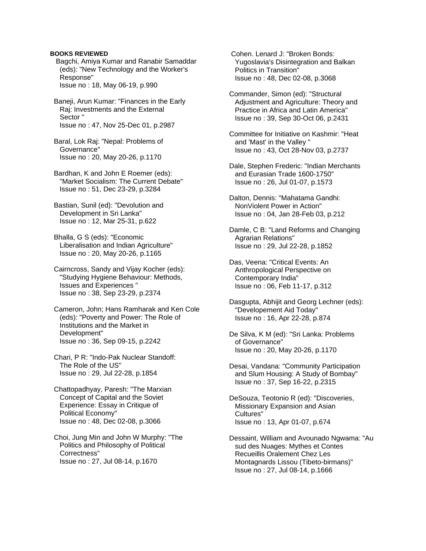Bagchi, Amiya Kumar and Ranabir Samaddar (eds): "New Technology and the Worker's Response" Issue no : 18, May 06-19, p.990

 Baneji, Arun Kumar: "Finances in the Early Raj: Investments and the External Sector " Issue no : 47, Nov 25-Dec 01, p.2987

 Baral, Lok Raj: "Nepal: Problems of Governance" Issue no : 20, May 20-26, p.1170

 Bardhan, K and John E Roemer (eds): "Market Socialism: The Current Debate" Issue no : 51, Dec 23-29, p.3284

 Bastian, Sunil (ed): "Devolution and Development in Sri Lanka" Issue no : 12, Mar 25-31, p.622

 Bhalla, G S (eds): "Economic Liberalisation and Indian Agriculture" Issue no : 20, May 20-26, p.1165

 Cairncross, Sandy and Vijay Kocher (eds): "Studying Hygiene Behaviour: Methods, Issues and Experiences " Issue no : 38, Sep 23-29, p.2374

 Cameron, John; Hans Ramharak and Ken Cole (eds): "Poverty and Power: The Role of Institutions and the Market in Development" Issue no : 36, Sep 09-15, p.2242

 Chari, P R: "Indo-Pak Nuclear Standoff: The Role of the US" Issue no : 29, Jul 22-28, p.1854

 Chattopadhyay, Paresh: "The Marxian Concept of Capital and the Soviet Experience: Essay in Critique of Political Economy" Issue no : 48, Dec 02-08, p.3066

 Choi, Jung Min and John W Murphy: "The Politics and Philosophy of Political Correctness" Issue no : 27, Jul 08-14, p.1670

 Cohen. Lenard J: "Broken Bonds: Yugoslavia's Disintegration and Balkan Politics in Transition" Issue no : 48, Dec 02-08, p.3068

 Commander, Simon (ed): "Structural Adjustment and Agriculture: Theory and Practice in Africa and Latin America" Issue no : 39, Sep 30-Oct 06, p.2431

 Committee for Initiative on Kashmir: "Heat and 'Mast' in the Valley " Issue no : 43, Oct 28-Nov 03, p.2737

 Dale, Stephen Frederic: "Indian Merchants and Eurasian Trade 1600-1750" Issue no : 26, Jul 01-07, p.1573

 Dalton, Dennis: "Mahatama Gandhi: NonViolent Power in Action" Issue no : 04, Jan 28-Feb 03, p.212

 Damle, C B: "Land Reforms and Changing Agrarian Relations" Issue no : 29, Jul 22-28, p.1852

 Das, Veena: "Critical Events: An Anthropological Perspective on Contemporary India" Issue no : 06, Feb 11-17, p.312

 Dasgupta, Abhijit and Georg Lechner (eds): "Developement Aid Today" Issue no : 16, Apr 22-28, p.874

 De Silva, K M (ed): "Sri Lanka: Problems of Governance" Issue no : 20, May 20-26, p.1170

 Desai, Vandana: "Community Participation and Slum Housing: A Study of Bombay" Issue no : 37, Sep 16-22, p.2315

 DeSouza, Teotonio R (ed): "Discoveries, Missionary Expansion and Asian Cultures" Issue no : 13, Apr 01-07, p.674

 Dessaint, William and Avounado Ngwama: "Au sud des Nuages: Mythes et Contes Recueillis Oralement Chez Les Montagnards Lissou (Tibeto-birmans)" Issue no : 27, Jul 08-14, p.1666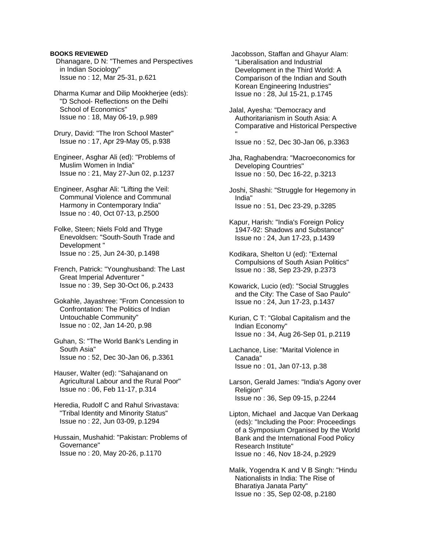Dhanagare, D N: "Themes and Perspectives in Indian Sociology" Issue no : 12, Mar 25-31, p.621

 Dharma Kumar and Dilip Mookherjee (eds): "D School- Reflections on the Delhi School of Economics" Issue no : 18, May 06-19, p.989

 Drury, David: "The Iron School Master" Issue no : 17, Apr 29-May 05, p.938

 Engineer, Asghar Ali (ed): "Problems of Muslim Women in India" Issue no : 21, May 27-Jun 02, p.1237

 Engineer, Asghar Ali: "Lifting the Veil: Communal Violence and Communal Harmony in Contemporary India" Issue no : 40, Oct 07-13, p.2500

 Folke, Steen; Niels Fold and Thyge Enevoldsen: "South-South Trade and Development " Issue no : 25, Jun 24-30, p.1498

 French, Patrick: "Younghusband: The Last Great Imperial Adventurer " Issue no : 39, Sep 30-Oct 06, p.2433

- Gokahle, Jayashree: "From Concession to Confrontation: The Politics of Indian Untouchable Community" Issue no : 02, Jan 14-20, p.98
- Guhan, S: "The World Bank's Lending in South Asia" Issue no : 52, Dec 30-Jan 06, p.3361

 Hauser, Walter (ed): "Sahajanand on Agricultural Labour and the Rural Poor" Issue no : 06, Feb 11-17, p.314

 Heredia, Rudolf C and Rahul Srivastava: "Tribal Identity and Minority Status" Issue no : 22, Jun 03-09, p.1294

 Hussain, Mushahid: "Pakistan: Problems of Governance" Issue no : 20, May 20-26, p.1170

 Jacobsson, Staffan and Ghayur Alam: "Liberalisation and Industrial Development in the Third World: A Comparison of the Indian and South Korean Engineering Industries" Issue no : 28, Jul 15-21, p.1745

 Jalal, Ayesha: "Democracy and Authoritarianism in South Asia: A Comparative and Historical Perspective "

Issue no : 52, Dec 30-Jan 06, p.3363

 Jha, Raghabendra: "Macroeconomics for Developing Countries" Issue no : 50, Dec 16-22, p.3213

 Joshi, Shashi: "Struggle for Hegemony in India" Issue no : 51, Dec 23-29, p.3285

- Kapur, Harish: "India's Foreign Policy 1947-92: Shadows and Substance" Issue no : 24, Jun 17-23, p.1439
- Kodikara, Shelton U (ed): "External Compulsions of South Asian Politics" Issue no : 38, Sep 23-29, p.2373
- Kowarick, Lucio (ed): "Social Struggles and the City: The Case of Sao Paulo" Issue no : 24, Jun 17-23, p.1437
- Kurian, C T: "Global Capitalism and the Indian Economy" Issue no : 34, Aug 26-Sep 01, p.2119
- Lachance, Lise: "Marital Violence in Canada" Issue no : 01, Jan 07-13, p.38
- Larson, Gerald James: "India's Agony over Religion" Issue no : 36, Sep 09-15, p.2244

 Lipton, Michael and Jacque Van Derkaag (eds): "Including the Poor: Proceedings of a Symposium Organised by the World Bank and the International Food Policy Research Institute" Issue no : 46, Nov 18-24, p.2929

 Malik, Yogendra K and V B Singh: "Hindu Nationalists in India: The Rise of Bharatiya Janata Party" Issue no : 35, Sep 02-08, p.2180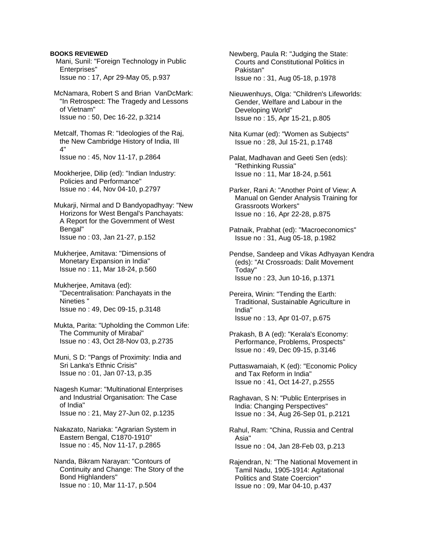Mani, Sunil: "Foreign Technology in Public Enterprises" Issue no : 17, Apr 29-May 05, p.937

 McNamara, Robert S and Brian VanDcMark: "In Retrospect: The Tragedy and Lessons of Vietnam" Issue no : 50, Dec 16-22, p.3214

 Metcalf, Thomas R: "Ideologies of the Raj, the New Cambridge History of India, III 4" Issue no : 45, Nov 11-17, p.2864

 Mookherjee, Dilip (ed): "Indian Industry: Policies and Performance" Issue no : 44, Nov 04-10, p.2797

 Mukarji, Nirmal and D Bandyopadhyay: "New Horizons for West Bengal's Panchayats: A Report for the Government of West Bengal" Issue no : 03, Jan 21-27, p.152

 Mukherjee, Amitava: "Dimensions of Monetary Expansion in India" Issue no : 11, Mar 18-24, p.560

 Mukherjee, Amitava (ed): "Decentralisation: Panchayats in the Nineties " Issue no : 49, Dec 09-15, p.3148

 Mukta, Parita: "Upholding the Common Life: The Community of Mirabai" Issue no : 43, Oct 28-Nov 03, p.2735

 Muni, S D: "Pangs of Proximity: India and Sri Lanka's Ethnic Crisis" Issue no : 01, Jan 07-13, p.35

 Nagesh Kumar: "Multinational Enterprises and Industrial Organisation: The Case of India" Issue no : 21, May 27-Jun 02, p.1235

 Nakazato, Nariaka: "Agrarian System in Eastern Bengal, C1870-1910" Issue no : 45, Nov 11-17, p.2865

 Nanda, Bikram Narayan: "Contours of Continuity and Change: The Story of the Bond Highlanders" Issue no : 10, Mar 11-17, p.504

 Newberg, Paula R: "Judging the State: Courts and Constitutional Politics in Pakistan" Issue no : 31, Aug 05-18, p.1978

 Nieuwenhuys, Olga: "Children's Lifeworlds: Gender, Welfare and Labour in the Developing World" Issue no : 15, Apr 15-21, p.805

 Nita Kumar (ed): "Women as Subjects" Issue no : 28, Jul 15-21, p.1748

 Palat, Madhavan and Geeti Sen (eds): "Rethinking Russia" Issue no : 11, Mar 18-24, p.561

 Parker, Rani A: "Another Point of View: A Manual on Gender Analysis Training for Grassroots Workers" Issue no : 16, Apr 22-28, p.875

 Patnaik, Prabhat (ed): "Macroeconomics" Issue no : 31, Aug 05-18, p.1982

 Pendse, Sandeep and Vikas Adhyayan Kendra (eds): "At Crossroads: Dalit Movement Today" Issue no : 23, Jun 10-16, p.1371

 Pereira, Winin: "Tending the Earth: Traditional, Sustainable Agriculture in India" Issue no : 13, Apr 01-07, p.675

 Prakash, B A (ed): "Kerala's Economy: Performance, Problems, Prospects" Issue no : 49, Dec 09-15, p.3146

 Puttaswamaiah, K (ed): "Economic Policy and Tax Reform in India" Issue no : 41, Oct 14-27, p.2555

 Raghavan, S N: "Public Enterprises in India: Changing Perspectives" Issue no : 34, Aug 26-Sep 01, p.2121

 Rahul, Ram: "China, Russia and Central Asia" Issue no : 04, Jan 28-Feb 03, p.213

 Rajendran, N: "The National Movement in Tamil Nadu, 1905-1914: Agitational Politics and State Coercion" Issue no : 09, Mar 04-10, p.437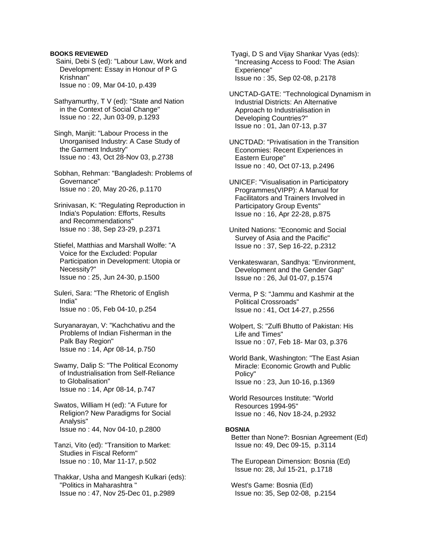- Saini, Debi S (ed): "Labour Law, Work and Development: Essay in Honour of P G Krishnan" Issue no : 09, Mar 04-10, p.439
- Sathyamurthy, T V (ed): "State and Nation in the Context of Social Change" Issue no : 22, Jun 03-09, p.1293
- Singh, Manjit: "Labour Process in the Unorganised Industry: A Case Study of the Garment Industry" Issue no : 43, Oct 28-Nov 03, p.2738
- Sobhan, Rehman: "Bangladesh: Problems of Governance" Issue no : 20, May 20-26, p.1170
- Srinivasan, K: "Regulating Reproduction in India's Population: Efforts, Results and Recommendations" Issue no : 38, Sep 23-29, p.2371
- Stiefel, Matthias and Marshall Wolfe: "A Voice for the Excluded: Popular Participation in Development: Utopia or Necessity?" Issue no : 25, Jun 24-30, p.1500
- Suleri, Sara: "The Rhetoric of English India" Issue no : 05, Feb 04-10, p.254
- Suryanarayan, V: "Kachchativu and the Problems of Indian Fisherman in the Palk Bay Region" Issue no : 14, Apr 08-14, p.750
- Swamy, Dalip S: "The Political Economy of Industrialisation from Self-Reliance to Globalisation" Issue no : 14, Apr 08-14, p.747
- Swatos, William H (ed): "A Future for Religion? New Paradigms for Social Analysis" Issue no : 44, Nov 04-10, p.2800
- Tanzi, Vito (ed): "Transition to Market: Studies in Fiscal Reform" Issue no : 10, Mar 11-17, p.502
- Thakkar, Usha and Mangesh Kulkari (eds): "Politics in Maharashtra " Issue no : 47, Nov 25-Dec 01, p.2989

 Tyagi, D S and Vijay Shankar Vyas (eds): "Increasing Access to Food: The Asian Experience" Issue no : 35, Sep 02-08, p.2178

- UNCTAD-GATE: "Technological Dynamism in Industrial Districts: An Alternative Approach to Industrialisation in Developing Countries?" Issue no : 01, Jan 07-13, p.37
- UNCTDAD: "Privatisation in the Transition Economies: Recent Experiences in Eastern Europe" Issue no : 40, Oct 07-13, p.2496
- UNICEF: "Visualisation in Participatory Programmes(VIPP): A Manual for Facilitators and Trainers Involved in Participatory Group Events" Issue no : 16, Apr 22-28, p.875
- United Nations: "Economic and Social Survey of Asia and the Pacific" Issue no : 37, Sep 16-22, p.2312
- Venkateswaran, Sandhya: "Environment, Development and the Gender Gap" Issue no : 26, Jul 01-07, p.1574
- Verma, P S: "Jammu and Kashmir at the Political Crossroads" Issue no : 41, Oct 14-27, p.2556
- Wolpert, S: "Zulfi Bhutto of Pakistan: His Life and Times" Issue no : 07, Feb 18- Mar 03, p.376
- World Bank, Washington: "The East Asian Miracle: Economic Growth and Public Policy" Issue no : 23, Jun 10-16, p.1369
- World Resources Institute: "World Resources 1994-95" Issue no : 46, Nov 18-24, p.2932

## **BOSNIA**

 Better than None?: Bosnian Agreement (Ed) Issue no: 49, Dec 09-15, p.3114

 The European Dimension: Bosnia (Ed) Issue no: 28, Jul 15-21, p.1718

 West's Game: Bosnia (Ed) Issue no: 35, Sep 02-08, p.2154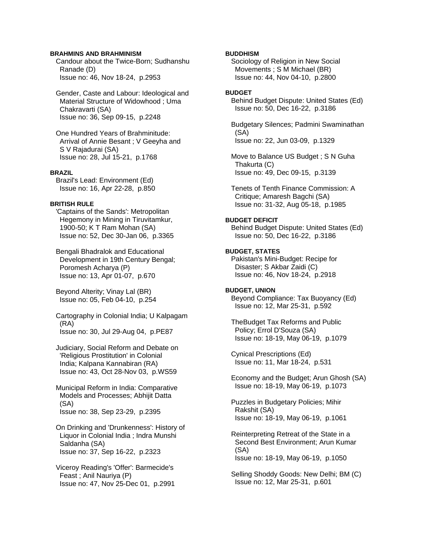## **BRAHMINS AND BRAHMINISM**

 Candour about the Twice-Born; Sudhanshu Ranade (D) Issue no: 46, Nov 18-24, p.2953

 Gender, Caste and Labour: Ideological and Material Structure of Widowhood ; Uma Chakravarti (SA) Issue no: 36, Sep 09-15, p.2248

 One Hundred Years of Brahminitude: Arrival of Annie Besant ; V Geeyha and S V Rajadurai (SA) Issue no: 28, Jul 15-21, p.1768

# **BRAZIL**

 Brazil's Lead: Environment (Ed) Issue no: 16, Apr 22-28, p.850

#### **BRITISH RULE**

 'Captains of the Sands': Metropolitan Hegemony in Mining in Tiruvitamkur, 1900-50; K T Ram Mohan (SA) Issue no: 52, Dec 30-Jan 06, p.3365

 Bengali Bhadralok and Educational Development in 19th Century Bengal; Poromesh Acharya (P) Issue no: 13, Apr 01-07, p.670

 Beyond Alterity; Vinay Lal (BR) Issue no: 05, Feb 04-10, p.254

 Cartography in Colonial India; U Kalpagam (RA) Issue no: 30, Jul 29-Aug 04, p.PE87

 Judiciary, Social Reform and Debate on 'Religious Prostitution' in Colonial India; Kalpana Kannabiran (RA) Issue no: 43, Oct 28-Nov 03, p.WS59

 Municipal Reform in India: Comparative Models and Processes; Abhijit Datta (SA) Issue no: 38, Sep 23-29, p.2395

 On Drinking and 'Drunkenness': History of Liquor in Colonial India ; Indra Munshi Saldanha (SA) Issue no: 37, Sep 16-22, p.2323

 Viceroy Reading's 'Offer': Barmecide's Feast ; Anil Nauriya (P) Issue no: 47, Nov 25-Dec 01, p.2991

#### **BUDDHISM**

 Sociology of Religion in New Social Movements ; S M Michael (BR) Issue no: 44, Nov 04-10, p.2800

# **BUDGET**

 Behind Budget Dispute: United States (Ed) Issue no: 50, Dec 16-22, p.3186

 Budgetary Silences; Padmini Swaminathan (SA) Issue no: 22, Jun 03-09, p.1329

 Move to Balance US Budget ; S N Guha Thakurta (C) Issue no: 49, Dec 09-15, p.3139

 Tenets of Tenth Finance Commission: A Critique; Amaresh Bagchi (SA) Issue no: 31-32, Aug 05-18, p.1985

#### **BUDGET DEFICIT**

 Behind Budget Dispute: United States (Ed) Issue no: 50, Dec 16-22, p.3186

#### **BUDGET, STATES**

 Pakistan's Mini-Budget: Recipe for Disaster; S Akbar Zaidi (C) Issue no: 46, Nov 18-24, p.2918

# **BUDGET, UNION**

 Beyond Compliance: Tax Buoyancy (Ed) Issue no: 12, Mar 25-31, p.592

 TheBudget Tax Reforms and Public Policy; Errol D'Souza (SA) Issue no: 18-19, May 06-19, p.1079

 Cynical Prescriptions (Ed) Issue no: 11, Mar 18-24, p.531

 Economy and the Budget; Arun Ghosh (SA) Issue no: 18-19, May 06-19, p.1073

 Puzzles in Budgetary Policies; Mihir Rakshit (SA) Issue no: 18-19, May 06-19, p.1061

 Reinterpreting Retreat of the State in a Second Best Environment; Arun Kumar (SA) Issue no: 18-19, May 06-19, p.1050

 Selling Shoddy Goods: New Delhi; BM (C) Issue no: 12, Mar 25-31, p.601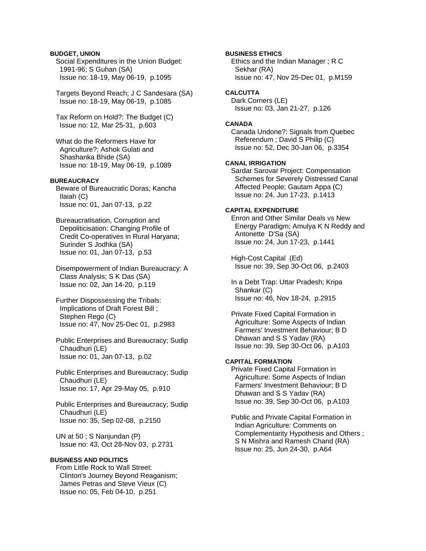# **BUDGET, UNION**

 Social Expenditures in the Union Budget: 1991-96; S Guhan (SA) Issue no: 18-19, May 06-19, p.1095

 Targets Beyond Reach; J C Sandesara (SA) Issue no: 18-19, May 06-19, p.1085

 Tax Reform on Hold?: The Budget (C) Issue no: 12, Mar 25-31, p.603

 What do the Reformers Have for Agriculture?; Ashok Gulati and Shashanka Bhide (SA) Issue no: 18-19, May 06-19, p.1089

# **BUREAUCRACY**

 Beware of Bureaucratic Doras; Kancha Ilaiah (C) Issue no: 01, Jan 07-13, p.22

 Bureaucratisation, Corruption and Depoliticisation: Changing Profile of Credit Co-operatives in Rural Haryana; Surinder S Jodhka (SA) Issue no: 01, Jan 07-13, p.53

 Disempowerment of Indian Bureaucracy: A Class Analysis; S K Das (SA) Issue no: 02, Jan 14-20, p.119

 Further Dispossessing the Tribals: Implications of Draft Forest Bill ; Stephen Rego (C) Issue no: 47, Nov 25-Dec 01, p.2983

 Public Enterprises and Bureaucracy; Sudip Chaudhuri (LE) Issue no: 01, Jan 07-13, p.02

 Public Enterprises and Bureaucracy; Sudip Chaudhuri (LE) Issue no: 17, Apr 29-May 05, p.910

 Public Enterprises and Bureaucracy; Sudip Chaudhuri (LE) Issue no: 35, Sep 02-08, p.2150

 UN at 50 ; S Nanjundan (P) Issue no: 43, Oct 28-Nov 03, p.2731

# **BUSINESS AND POLITICS**

 From Little Rock to Wall Street: Clinton's Journey Beyond Reaganism; James Petras and Steve Vieux (C) Issue no: 05, Feb 04-10, p.251

**BUSINESS ETHICS** 

 Ethics and the Indian Manager ; R C Sekhar (RA) Issue no: 47, Nov 25-Dec 01, p.M159

**CALCUTTA**  Dark Corners (LE) Issue no: 03, Jan 21-27, p.126

#### **CANADA**

 Canada Undone?: Signals from Quebec Referendum ; David S Philip (C) Issue no: 52, Dec 30-Jan 06, p.3354

## **CANAL IRRIGATION**

 Sardar Sarovar Project: Compensation Schemes for Severely Distressed Canal Affected People; Gautam Appa (C) Issue no: 24, Jun 17-23, p.1413

# **CAPITAL EXPENDITURE**

 Enron and Other Similar Deals vs New Energy Paradigm; Amulya K N Reddy and Antonette D'Sa (SA) Issue no: 24, Jun 17-23, p.1441

 High-Cost Capital (Ed) Issue no: 39, Sep 30-Oct 06, p.2403

 In a Debt Trap: Uttar Pradesh; Kripa Shankar (C) Issue no: 46, Nov 18-24, p.2915

 Private Fixed Capital Formation in Agriculture: Some Aspects of Indian Farmers' Investment Behaviour; B D Dhawan and S S Yadav (RA) Issue no: 39, Sep 30-Oct 06, p.A103

# **CAPITAL FORMATION**

 Private Fixed Capital Formation in Agriculture: Some Aspects of Indian Farmers' Investment Behaviour; B D Dhawan and S S Yadav (RA) Issue no: 39, Sep 30-Oct 06, p.A103

 Public and Private Capital Formation in Indian Agriculture: Comments on Complementarity Hypothesis and Others ; S N Mishra and Ramesh Chand (RA) Issue no: 25, Jun 24-30, p.A64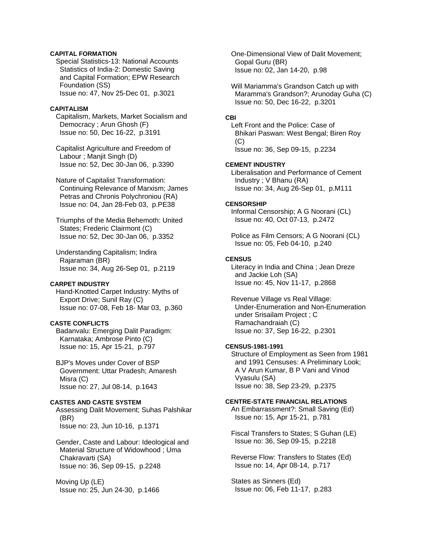# **CAPITAL FORMATION**

 Special Statistics-13: National Accounts Statistics of India-2: Domestic Saving and Capital Formation; EPW Research Foundation (SS) Issue no: 47, Nov 25-Dec 01, p.3021

# **CAPITALISM**

 Capitalism, Markets, Market Socialism and Democracy ; Arun Ghosh (F) Issue no: 50, Dec 16-22, p.3191

 Capitalist Agriculture and Freedom of Labour ; Manjit Singh (D) Issue no: 52, Dec 30-Jan 06, p.3390

 Nature of Capitalist Transformation: Continuing Relevance of Marxism; James Petras and Chronis Polychroniou (RA) Issue no: 04, Jan 28-Feb 03, p.PE38

 Triumphs of the Media Behemoth: United States; Frederic Clairmont (C) Issue no: 52, Dec 30-Jan 06, p.3352

 Understanding Capitalism; Indira Rajaraman (BR) Issue no: 34, Aug 26-Sep 01, p.2119

## **CARPET INDUSTRY**

 Hand-Knotted Carpet Industry: Myths of Export Drive; Sunil Ray (C) Issue no: 07-08, Feb 18- Mar 03, p.360

#### **CASTE CONFLICTS**

 Badanvalu: Emerging Dalit Paradigm: Karnataka; Ambrose Pinto (C) Issue no: 15, Apr 15-21, p.797

 BJP's Moves under Cover of BSP Government: Uttar Pradesh; Amaresh Misra (C) Issue no: 27, Jul 08-14, p.1643

**CASTES AND CASTE SYSTEM**  Assessing Dalit Movement; Suhas Palshikar (BR) Issue no: 23, Jun 10-16, p.1371

 Gender, Caste and Labour: Ideological and Material Structure of Widowhood ; Uma Chakravarti (SA) Issue no: 36, Sep 09-15, p.2248

 Moving Up (LE) Issue no: 25, Jun 24-30, p.1466  One-Dimensional View of Dalit Movement; Gopal Guru (BR) Issue no: 02, Jan 14-20, p.98

 Will Mariamma's Grandson Catch up with Maramma's Grandson?; Arunoday Guha (C) Issue no: 50, Dec 16-22, p.3201

#### **CBI**

 Left Front and the Police: Case of Bhikari Paswan: West Bengal; Biren Roy  $(C)$ Issue no: 36, Sep 09-15, p.2234

## **CEMENT INDUSTRY**

 Liberalisation and Performance of Cement Industry ; V Bhanu (RA) Issue no: 34, Aug 26-Sep 01, p.M111

#### **CENSORSHIP**

 Informal Censorship; A G Noorani (CL) Issue no: 40, Oct 07-13, p.2472

 Police as Film Censors; A G Noorani (CL) Issue no: 05, Feb 04-10, p.240

#### **CENSUS**

 Literacy in India and China ; Jean Dreze and Jackie Loh (SA) Issue no: 45, Nov 11-17, p.2868

 Revenue Village vs Real Village: Under-Enumeration and Non-Enumeration under Srisailam Project ; C Ramachandraiah (C) Issue no: 37, Sep 16-22, p.2301

# **CENSUS-1981-1991**

 Structure of Employment as Seen from 1981 and 1991 Censuses: A Preliminary Look; A V Arun Kumar, B P Vani and Vinod Vyasulu (SA) Issue no: 38, Sep 23-29, p.2375

# **CENTRE-STATE FINANCIAL RELATIONS**

 An Embarrassment?: Small Saving (Ed) Issue no: 15, Apr 15-21, p.781

 Fiscal Transfers to States; S Guhan (LE) Issue no: 36, Sep 09-15, p.2218

 Reverse Flow: Transfers to States (Ed) Issue no: 14, Apr 08-14, p.717

 States as Sinners (Ed) Issue no: 06, Feb 11-17, p.283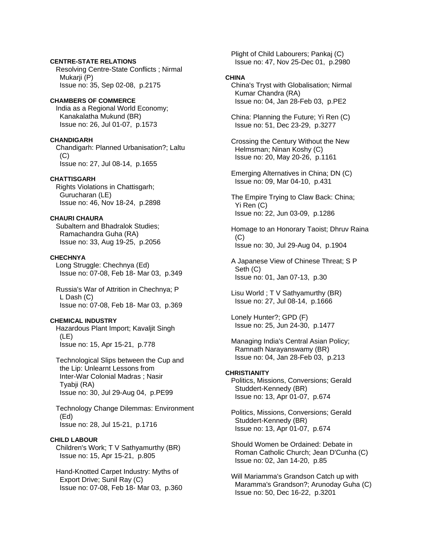# **CENTRE-STATE RELATIONS**

 Resolving Centre-State Conflicts ; Nirmal Mukarji (P) Issue no: 35, Sep 02-08, p.2175

**CHAMBERS OF COMMERCE**  India as a Regional World Economy; Kanakalatha Mukund (BR) Issue no: 26, Jul 01-07, p.1573

**CHANDIGARH** 

 Chandigarh: Planned Urbanisation?; Laltu (C) Issue no: 27, Jul 08-14, p.1655

**CHATTISGARH** 

 Rights Violations in Chattisgarh; Gurucharan (LE) Issue no: 46, Nov 18-24, p.2898

**CHAURI CHAURA**  Subaltern and Bhadralok Studies; Ramachandra Guha (RA) Issue no: 33, Aug 19-25, p.2056

# **CHECHNYA**

 Long Struggle: Chechnya (Ed) Issue no: 07-08, Feb 18- Mar 03, p.349

 Russia's War of Attrition in Chechnya; P L Dash (C) Issue no: 07-08, Feb 18- Mar 03, p.369

## **CHEMICAL INDUSTRY**

 Hazardous Plant Import; Kavaljit Singh (LE) Issue no: 15, Apr 15-21, p.778

 Technological Slips between the Cup and the Lip: Unlearnt Lessons from Inter-War Colonial Madras ; Nasir Tyabji (RA) Issue no: 30, Jul 29-Aug 04, p.PE99

 Technology Change Dilemmas: Environment (Ed) Issue no: 28, Jul 15-21, p.1716

## **CHILD LABOUR**

 Children's Work; T V Sathyamurthy (BR) Issue no: 15, Apr 15-21, p.805

 Hand-Knotted Carpet Industry: Myths of Export Drive; Sunil Ray (C) Issue no: 07-08, Feb 18- Mar 03, p.360  Plight of Child Labourers; Pankaj (C) Issue no: 47, Nov 25-Dec 01, p.2980

#### **CHINA**

 China's Tryst with Globalisation; Nirmal Kumar Chandra (RA) Issue no: 04, Jan 28-Feb 03, p.PE2

 China: Planning the Future; Yi Ren (C) Issue no: 51, Dec 23-29, p.3277

 Crossing the Century Without the New Helmsman; Ninan Koshy (C) Issue no: 20, May 20-26, p.1161

 Emerging Alternatives in China; DN (C) Issue no: 09, Mar 04-10, p.431

 The Empire Trying to Claw Back: China; Yi Ren (C) Issue no: 22, Jun 03-09, p.1286

 Homage to an Honorary Taoist; Dhruv Raina  $(C)$ Issue no: 30, Jul 29-Aug 04, p.1904

 A Japanese View of Chinese Threat; S P Seth (C) Issue no: 01, Jan 07-13, p.30

 Lisu World ; T V Sathyamurthy (BR) Issue no: 27, Jul 08-14, p.1666

 Lonely Hunter?; GPD (F) Issue no: 25, Jun 24-30, p.1477

 Managing India's Central Asian Policy; Ramnath Narayanswamy (BR) Issue no: 04, Jan 28-Feb 03, p.213

## **CHRISTIANITY**

 Politics, Missions, Conversions; Gerald Studdert-Kennedy (BR) Issue no: 13, Apr 01-07, p.674

 Politics, Missions, Conversions; Gerald Studdert-Kennedy (BR) Issue no: 13, Apr 01-07, p.674

 Should Women be Ordained: Debate in Roman Catholic Church; Jean D'Cunha (C) Issue no: 02, Jan 14-20, p.85

 Will Mariamma's Grandson Catch up with Maramma's Grandson?; Arunoday Guha (C) Issue no: 50, Dec 16-22, p.3201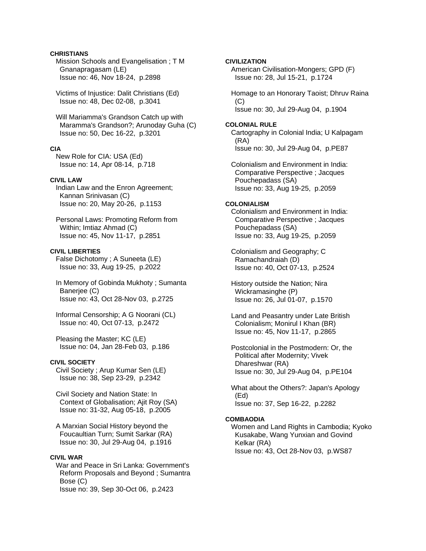# **CHRISTIANS**

 Mission Schools and Evangelisation ; T M Gnanapragasam (LE) Issue no: 46, Nov 18-24, p.2898

 Victims of Injustice: Dalit Christians (Ed) Issue no: 48, Dec 02-08, p.3041

 Will Mariamma's Grandson Catch up with Maramma's Grandson?; Arunoday Guha (C) Issue no: 50, Dec 16-22, p.3201

# **CIA**

 New Role for CIA: USA (Ed) Issue no: 14, Apr 08-14, p.718

# **CIVIL LAW**

 Indian Law and the Enron Agreement; Kannan Srinivasan (C) Issue no: 20, May 20-26, p.1153

 Personal Laws: Promoting Reform from Within; Imtiaz Ahmad (C) Issue no: 45, Nov 11-17, p.2851

#### **CIVIL LIBERTIES**

 False Dichotomy ; A Suneeta (LE) Issue no: 33, Aug 19-25, p.2022

 In Memory of Gobinda Mukhoty ; Sumanta Banerjee (C) Issue no: 43, Oct 28-Nov 03, p.2725

 Informal Censorship; A G Noorani (CL) Issue no: 40, Oct 07-13, p.2472

 Pleasing the Master; KC (LE) Issue no: 04, Jan 28-Feb 03, p.186

# **CIVIL SOCIETY**

 Civil Society ; Arup Kumar Sen (LE) Issue no: 38, Sep 23-29, p.2342

 Civil Society and Nation State: In Context of Globalisation; Ajit Roy (SA) Issue no: 31-32, Aug 05-18, p.2005

 A Marxian Social History beyond the Foucaultian Turn; Sumit Sarkar (RA) Issue no: 30, Jul 29-Aug 04, p.1916

# **CIVIL WAR**

 War and Peace in Sri Lanka: Government's Reform Proposals and Beyond ; Sumantra Bose (C) Issue no: 39, Sep 30-Oct 06, p.2423

**CIVILIZATION** American Civilisation-Mongers; GPD (F) Issue no: 28, Jul 15-21, p.1724 Homage to an Honorary Taoist; Dhruv Raina  $(C)$  Issue no: 30, Jul 29-Aug 04, p.1904 **COLONIAL RULE**  Cartography in Colonial India; U Kalpagam (RA) Issue no: 30, Jul 29-Aug 04, p.PE87 Colonialism and Environment in India:

 Comparative Perspective ; Jacques Pouchepadass (SA) Issue no: 33, Aug 19-25, p.2059

#### **COLONIALISM**

 Colonialism and Environment in India: Comparative Perspective ; Jacques Pouchepadass (SA) Issue no: 33, Aug 19-25, p.2059

 Colonialism and Geography; C Ramachandraiah (D) Issue no: 40, Oct 07-13, p.2524

 History outside the Nation; Nira Wickramasinghe (P) Issue no: 26, Jul 01-07, p.1570

 Land and Peasantry under Late British Colonialism; Monirul I Khan (BR) Issue no: 45, Nov 11-17, p.2865

 Postcolonial in the Postmodern: Or, the Political after Modernity; Vivek Dhareshwar (RA) Issue no: 30, Jul 29-Aug 04, p.PE104

 What about the Others?: Japan's Apology (Ed) Issue no: 37, Sep 16-22, p.2282

#### **COMBAODIA**

 Women and Land Rights in Cambodia; Kyoko Kusakabe, Wang Yunxian and Govind Kelkar (RA) Issue no: 43, Oct 28-Nov 03, p.WS87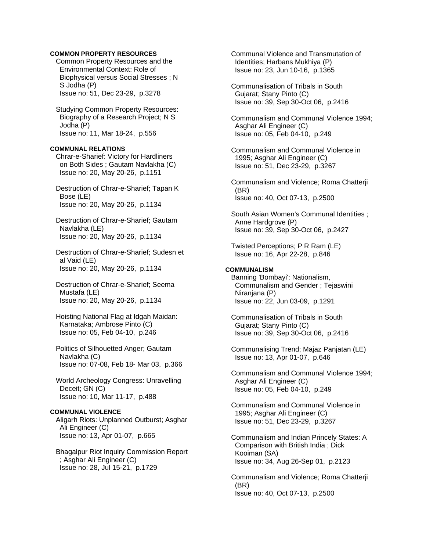# **COMMON PROPERTY RESOURCES**

 Common Property Resources and the Environmental Context: Role of Biophysical versus Social Stresses ; N S Jodha (P) Issue no: 51, Dec 23-29, p.3278

 Studying Common Property Resources: Biography of a Research Project; N S Jodha (P) Issue no: 11, Mar 18-24, p.556

#### **COMMUNAL RELATIONS**

 Chrar-e-Sharief: Victory for Hardliners on Both Sides ; Gautam Navlakha (C) Issue no: 20, May 20-26, p.1151

 Destruction of Chrar-e-Sharief; Tapan K Bose (LE) Issue no: 20, May 20-26, p.1134

 Destruction of Chrar-e-Sharief; Gautam Navlakha (LE) Issue no: 20, May 20-26, p.1134

 Destruction of Chrar-e-Sharief; Sudesn et al Vaid (LE) Issue no: 20, May 20-26, p.1134

 Destruction of Chrar-e-Sharief; Seema Mustafa (LE) Issue no: 20, May 20-26, p.1134

 Hoisting National Flag at Idgah Maidan: Karnataka; Ambrose Pinto (C) Issue no: 05, Feb 04-10, p.246

 Politics of Silhouetted Anger; Gautam Navlakha (C) Issue no: 07-08, Feb 18- Mar 03, p.366

 World Archeology Congress: Unravelling Deceit; GN (C) Issue no: 10, Mar 11-17, p.488

# **COMMUNAL VIOLENCE**

 Aligarh Riots: Unplanned Outburst; Asghar Ali Engineer (C) Issue no: 13, Apr 01-07, p.665

 Bhagalpur Riot Inquiry Commission Report ; Asghar Ali Engineer (C) Issue no: 28, Jul 15-21, p.1729

 Communal Violence and Transmutation of Identities; Harbans Mukhiya (P) Issue no: 23, Jun 10-16, p.1365

 Communalisation of Tribals in South Gujarat; Stany Pinto (C) Issue no: 39, Sep 30-Oct 06, p.2416

 Communalism and Communal Violence 1994; Asghar Ali Engineer (C) Issue no: 05, Feb 04-10, p.249

 Communalism and Communal Violence in 1995; Asghar Ali Engineer (C) Issue no: 51, Dec 23-29, p.3267

 Communalism and Violence; Roma Chatterji (BR) Issue no: 40, Oct 07-13, p.2500

 South Asian Women's Communal Identities ; Anne Hardgrove (P) Issue no: 39, Sep 30-Oct 06, p.2427

 Twisted Perceptions; P R Ram (LE) Issue no: 16, Apr 22-28, p.846

# **COMMUNALISM**

 Banning 'Bombayi': Nationalism, Communalism and Gender ; Tejaswini Niranjana (P) Issue no: 22, Jun 03-09, p.1291

 Communalisation of Tribals in South Gujarat; Stany Pinto (C) Issue no: 39, Sep 30-Oct 06, p.2416

 Communalising Trend; Majaz Panjatan (LE) Issue no: 13, Apr 01-07, p.646

 Communalism and Communal Violence 1994; Asghar Ali Engineer (C) Issue no: 05, Feb 04-10, p.249

 Communalism and Communal Violence in 1995; Asghar Ali Engineer (C) Issue no: 51, Dec 23-29, p.3267

 Communalism and Indian Princely States: A Comparison with British India ; Dick Kooiman (SA) Issue no: 34, Aug 26-Sep 01, p.2123

 Communalism and Violence; Roma Chatterji (BR) Issue no: 40, Oct 07-13, p.2500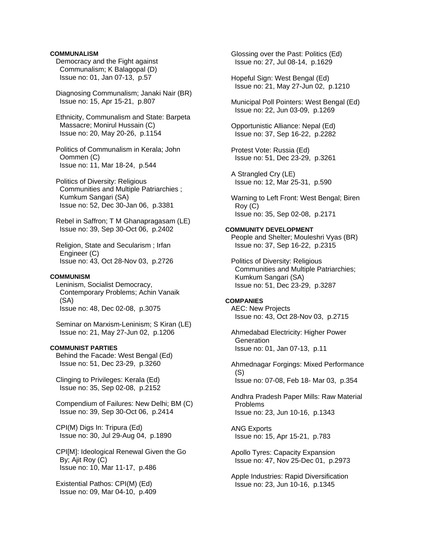## **COMMUNALISM**

- Democracy and the Fight against Communalism; K Balagopal (D) Issue no: 01, Jan 07-13, p.57
- Diagnosing Communalism; Janaki Nair (BR) Issue no: 15, Apr 15-21, p.807
- Ethnicity, Communalism and State: Barpeta Massacre; Monirul Hussain (C) Issue no: 20, May 20-26, p.1154
- Politics of Communalism in Kerala; John Oommen (C) Issue no: 11, Mar 18-24, p.544
- Politics of Diversity: Religious Communities and Multiple Patriarchies ; Kumkum Sangari (SA) Issue no: 52, Dec 30-Jan 06, p.3381
- Rebel in Saffron; T M Ghanapragasam (LE) Issue no: 39, Sep 30-Oct 06, p.2402
- Religion, State and Secularism ; Irfan Engineer (C) Issue no: 43, Oct 28-Nov 03, p.2726

#### **COMMUNISM**

- Leninism, Socialist Democracy, Contemporary Problems; Achin Vanaik (SA) Issue no: 48, Dec 02-08, p.3075
- Seminar on Marxism-Leninism; S Kiran (LE) Issue no: 21, May 27-Jun 02, p.1206

### **COMMUNIST PARTIES**

 Behind the Facade: West Bengal (Ed) Issue no: 51, Dec 23-29, p.3260

 Clinging to Privileges: Kerala (Ed) Issue no: 35, Sep 02-08, p.2152

 Compendium of Failures: New Delhi; BM (C) Issue no: 39, Sep 30-Oct 06, p.2414

 CPI(M) Digs In: Tripura (Ed) Issue no: 30, Jul 29-Aug 04, p.1890

 CPI[M]: Ideological Renewal Given the Go By; Ajit Roy (C) Issue no: 10, Mar 11-17, p.486

 Existential Pathos: CPI(M) (Ed) Issue no: 09, Mar 04-10, p.409  Glossing over the Past: Politics (Ed) Issue no: 27, Jul 08-14, p.1629

 Hopeful Sign: West Bengal (Ed) Issue no: 21, May 27-Jun 02, p.1210

 Municipal Poll Pointers: West Bengal (Ed) Issue no: 22, Jun 03-09, p.1269

 Opportunistic Alliance: Nepal (Ed) Issue no: 37, Sep 16-22, p.2282

- Protest Vote: Russia (Ed) Issue no: 51, Dec 23-29, p.3261
- A Strangled Cry (LE) Issue no: 12, Mar 25-31, p.590
- Warning to Left Front: West Bengal; Biren Roy (C) Issue no: 35, Sep 02-08, p.2171
- **COMMUNITY DEVELOPMENT**  People and Shelter; Mouleshri Vyas (BR) Issue no: 37, Sep 16-22, p.2315
	- Politics of Diversity: Religious Communities and Multiple Patriarchies; Kumkum Sangari (SA) Issue no: 51, Dec 23-29, p.3287

**COMPANIES**  AEC: New Projects Issue no: 43, Oct 28-Nov 03, p.2715

- Ahmedabad Electricity: Higher Power **Generation** Issue no: 01, Jan 07-13, p.11
- Ahmednagar Forgings: Mixed Performance (S) Issue no: 07-08, Feb 18- Mar 03, p.354

 Andhra Pradesh Paper Mills: Raw Material Problems Issue no: 23, Jun 10-16, p.1343

 ANG Exports Issue no: 15, Apr 15-21, p.783

 Apollo Tyres: Capacity Expansion Issue no: 47, Nov 25-Dec 01, p.2973

 Apple Industries: Rapid Diversification Issue no: 23, Jun 10-16, p.1345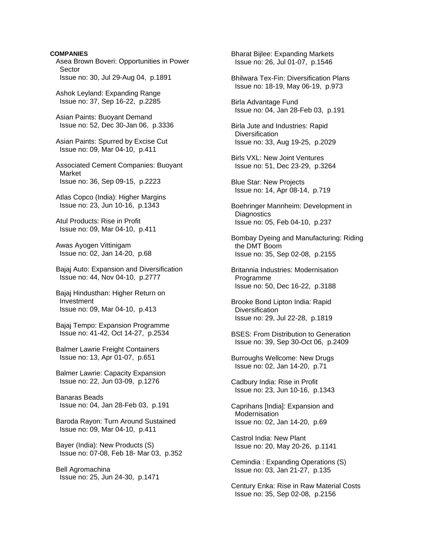# **COMPANIES**  Asea Brown Boveri: Opportunities in Power Sector Issue no: 30, Jul 29-Aug 04, p.1891 Ashok Leyland: Expanding Range Issue no: 37, Sep 16-22, p.2285 Asian Paints: Buoyant Demand Issue no: 52, Dec 30-Jan 06, p.3336 Asian Paints: Spurred by Excise Cut Issue no: 09, Mar 04-10, p.411 Associated Cement Companies: Buoyant Market Issue no: 36, Sep 09-15, p.2223 Atlas Copco (India): Higher Margins Issue no: 23, Jun 10-16, p.1343 Atul Products: Rise in Profit Issue no: 09, Mar 04-10, p.411 Awas Ayogen Vittinigam Issue no: 02, Jan 14-20, p.68 Bajaj Auto: Expansion and Diversification Issue no: 44, Nov 04-10, p.2777 Bajaj Hindusthan: Higher Return on Investment Issue no: 09, Mar 04-10, p.413 Bajaj Tempo: Expansion Programme Issue no: 41-42, Oct 14-27, p.2534 Balmer Lawrie Freight Containers Issue no: 13, Apr 01-07, p.651 Balmer Lawrie: Capacity Expansion Issue no: 22, Jun 03-09, p.1276 Banaras Beads Issue no: 04, Jan 28-Feb 03, p.191 Baroda Rayon: Turn Around Sustained Issue no: 09, Mar 04-10, p.411 Bayer (India): New Products (S) Issue no: 07-08, Feb 18- Mar 03, p.352 Bell Agromachina Issue no: 25, Jun 24-30, p.1471

 Bharat Bijlee: Expanding Markets Issue no: 26, Jul 01-07, p.1546 Bhilwara Tex-Fin: Diversification Plans Issue no: 18-19, May 06-19, p.973 Birla Advantage Fund Issue no: 04, Jan 28-Feb 03, p.191 Birla Jute and Industries: Rapid **Diversification**  Issue no: 33, Aug 19-25, p.2029 Birls VXL: New Joint Ventures Issue no: 51, Dec 23-29, p.3264 Blue Star: New Projects Issue no: 14, Apr 08-14, p.719 Boehringer Mannheim: Development in **Diagnostics**  Issue no: 05, Feb 04-10, p.237 Bombay Dyeing and Manufacturing: Riding the DMT Boom Issue no: 35, Sep 02-08, p.2155 Britannia Industries: Modernisation Programme Issue no: 50, Dec 16-22, p.3188 Brooke Bond Lipton India: Rapid **Diversification**  Issue no: 29, Jul 22-28, p.1819 BSES: From Distribution to Generation Issue no: 39, Sep 30-Oct 06, p.2409 Burroughs Wellcome: New Drugs Issue no: 02, Jan 14-20, p.71 Cadbury India: Rise in Profit Issue no: 23, Jun 10-16, p.1343 Caprihans [India]: Expansion and Modernisation Issue no: 02, Jan 14-20, p.69 Castrol India: New Plant Issue no: 20, May 20-26, p.1141 Cemindia : Expanding Operations (S) Issue no: 03, Jan 21-27, p.135 Century Enka: Rise in Raw Material Costs Issue no: 35, Sep 02-08, p.2156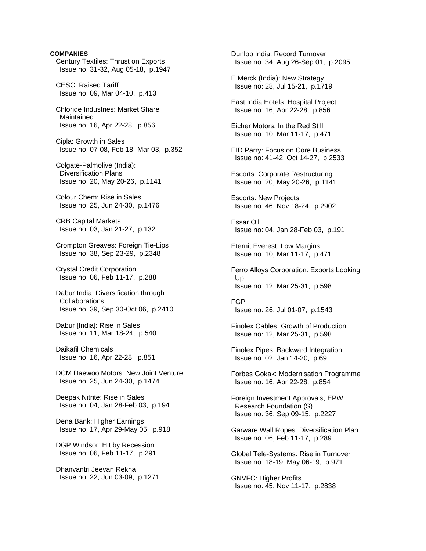# **COMPANIES**  Century Textiles: Thrust on Exports Issue no: 31-32, Aug 05-18, p.1947 CESC: Raised Tariff Issue no: 09, Mar 04-10, p.413 Chloride Industries: Market Share Maintained Issue no: 16, Apr 22-28, p.856 Cipla: Growth in Sales Issue no: 07-08, Feb 18- Mar 03, p.352 Colgate-Palmolive (India): Diversification Plans Issue no: 20, May 20-26, p.1141 Colour Chem: Rise in Sales Issue no: 25, Jun 24-30, p.1476 CRB Capital Markets Issue no: 03, Jan 21-27, p.132 Crompton Greaves: Foreign Tie-Lips Issue no: 38, Sep 23-29, p.2348 Crystal Credit Corporation Issue no: 06, Feb 11-17, p.288 Dabur India: Diversification through **Collaborations**  Issue no: 39, Sep 30-Oct 06, p.2410 Dabur [India]: Rise in Sales Issue no: 11, Mar 18-24, p.540 Daikafil Chemicals Issue no: 16, Apr 22-28, p.851 DCM Daewoo Motors: New Joint Venture Issue no: 25, Jun 24-30, p.1474

 Deepak Nitrite: Rise in Sales Issue no: 04, Jan 28-Feb 03, p.194

 Dena Bank: Higher Earnings Issue no: 17, Apr 29-May 05, p.918

 DGP Windsor: Hit by Recession Issue no: 06, Feb 11-17, p.291

 Dhanvantri Jeevan Rekha Issue no: 22, Jun 03-09, p.1271

 Dunlop India: Record Turnover Issue no: 34, Aug 26-Sep 01, p.2095 E Merck (India): New Strategy Issue no: 28, Jul 15-21, p.1719 East India Hotels: Hospital Project Issue no: 16, Apr 22-28, p.856 Eicher Motors: In the Red Still Issue no: 10, Mar 11-17, p.471 EID Parry: Focus on Core Business Issue no: 41-42, Oct 14-27, p.2533

 Escorts: Corporate Restructuring Issue no: 20, May 20-26, p.1141

 Escorts: New Projects Issue no: 46, Nov 18-24, p.2902

 Essar Oil Issue no: 04, Jan 28-Feb 03, p.191

 Eternit Everest: Low Margins Issue no: 10, Mar 11-17, p.471

 Ferro Alloys Corporation: Exports Looking Up Issue no: 12, Mar 25-31, p.598

 FGP Issue no: 26, Jul 01-07, p.1543

 Finolex Cables: Growth of Production Issue no: 12, Mar 25-31, p.598

 Finolex Pipes: Backward Integration Issue no: 02, Jan 14-20, p.69

 Forbes Gokak: Modernisation Programme Issue no: 16, Apr 22-28, p.854

 Foreign Investment Approvals; EPW Research Foundation (S) Issue no: 36, Sep 09-15, p.2227

 Garware Wall Ropes: Diversification Plan Issue no: 06, Feb 11-17, p.289

 Global Tele-Systems: Rise in Turnover Issue no: 18-19, May 06-19, p.971

 GNVFC: Higher Profits Issue no: 45, Nov 11-17, p.2838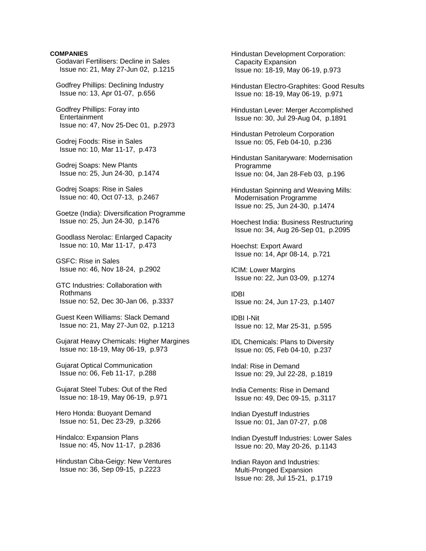### **COMPANIES**

 Godavari Fertilisers: Decline in Sales Issue no: 21, May 27-Jun 02, p.1215

 Godfrey Phillips: Declining Industry Issue no: 13, Apr 01-07, p.656

 Godfrey Phillips: Foray into **Entertainment** Issue no: 47, Nov 25-Dec 01, p.2973

 Godrej Foods: Rise in Sales Issue no: 10, Mar 11-17, p.473

 Godrej Soaps: New Plants Issue no: 25, Jun 24-30, p.1474

 Godrej Soaps: Rise in Sales Issue no: 40, Oct 07-13, p.2467

 Goetze (India): Diversification Programme Issue no: 25, Jun 24-30, p.1476

 Goodlass Nerolac: Enlarged Capacity Issue no: 10, Mar 11-17, p.473

 GSFC: Rise in Sales Issue no: 46, Nov 18-24, p.2902

 GTC Industries: Collaboration with Rothmans Issue no: 52, Dec 30-Jan 06, p.3337

 Guest Keen Williams: Slack Demand Issue no: 21, May 27-Jun 02, p.1213

 Gujarat Heavy Chemicals: Higher Margines Issue no: 18-19, May 06-19, p.973

 Gujarat Optical Communication Issue no: 06, Feb 11-17, p.288

 Gujarat Steel Tubes: Out of the Red Issue no: 18-19, May 06-19, p.971

 Hero Honda: Buoyant Demand Issue no: 51, Dec 23-29, p.3266

 Hindalco: Expansion Plans Issue no: 45, Nov 11-17, p.2836

 Hindustan Ciba-Geigy: New Ventures Issue no: 36, Sep 09-15, p.2223

 Hindustan Development Corporation: Capacity Expansion Issue no: 18-19, May 06-19, p.973

 Hindustan Electro-Graphites: Good Results Issue no: 18-19, May 06-19, p.971

 Hindustan Lever: Merger Accomplished Issue no: 30, Jul 29-Aug 04, p.1891

 Hindustan Petroleum Corporation Issue no: 05, Feb 04-10, p.236

 Hindustan Sanitaryware: Modernisation Programme Issue no: 04, Jan 28-Feb 03, p.196

 Hindustan Spinning and Weaving Mills: Modernisation Programme Issue no: 25, Jun 24-30, p.1474

 Hoechest India: Business Restructuring Issue no: 34, Aug 26-Sep 01, p.2095

 Hoechst: Export Award Issue no: 14, Apr 08-14, p.721

 ICIM: Lower Margins Issue no: 22, Jun 03-09, p.1274

 IDBI Issue no: 24, Jun 17-23, p.1407

 IDBI I-Nit Issue no: 12, Mar 25-31, p.595

 IDL Chemicals: Plans to Diversity Issue no: 05, Feb 04-10, p.237

 Indal: Rise in Demand Issue no: 29, Jul 22-28, p.1819

 India Cements: Rise in Demand Issue no: 49, Dec 09-15, p.3117

 Indian Dyestuff Industries Issue no: 01, Jan 07-27, p.08

 Indian Dyestuff Industries: Lower Sales Issue no: 20, May 20-26, p.1143

 Indian Rayon and Industries: Multi-Pronged Expansion Issue no: 28, Jul 15-21, p.1719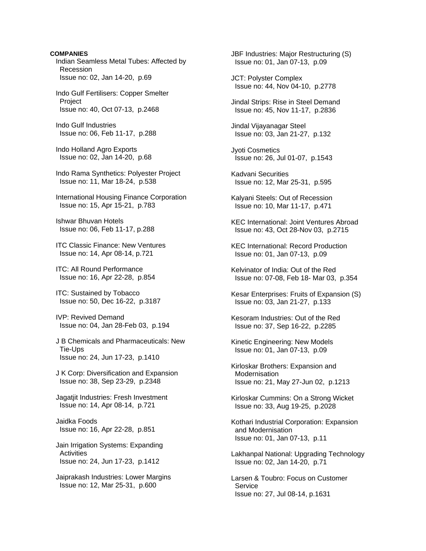**COMPANIES**  Indian Seamless Metal Tubes: Affected by Recession Issue no: 02, Jan 14-20, p.69

 Indo Gulf Fertilisers: Copper Smelter **Project** Issue no: 40, Oct 07-13, p.2468

 Indo Gulf Industries Issue no: 06, Feb 11-17, p.288

 Indo Holland Agro Exports Issue no: 02, Jan 14-20, p.68

 Indo Rama Synthetics: Polyester Project Issue no: 11, Mar 18-24, p.538

 International Housing Finance Corporation Issue no: 15, Apr 15-21, p.783

 Ishwar Bhuvan Hotels Issue no: 06, Feb 11-17, p.288

 ITC Classic Finance: New Ventures Issue no: 14, Apr 08-14, p.721

 ITC: All Round Performance Issue no: 16, Apr 22-28, p.854

 ITC: Sustained by Tobacco Issue no: 50, Dec 16-22, p.3187

 IVP: Revived Demand Issue no: 04, Jan 28-Feb 03, p.194

 J B Chemicals and Pharmaceuticals: New Tie-Ups Issue no: 24, Jun 17-23, p.1410

 J K Corp: Diversification and Expansion Issue no: 38, Sep 23-29, p.2348

 Jagatjit Industries: Fresh Investment Issue no: 14, Apr 08-14, p.721

 Jaidka Foods Issue no: 16, Apr 22-28, p.851

 Jain Irrigation Systems: Expanding **Activities** Issue no: 24, Jun 17-23, p.1412

 Jaiprakash Industries: Lower Margins Issue no: 12, Mar 25-31, p.600

 JBF Industries: Major Restructuring (S) Issue no: 01, Jan 07-13, p.09

 JCT: Polyster Complex Issue no: 44, Nov 04-10, p.2778

 Jindal Strips: Rise in Steel Demand Issue no: 45, Nov 11-17, p.2836

 Jindal Vijayanagar Steel Issue no: 03, Jan 21-27, p.132

 Jyoti Cosmetics Issue no: 26, Jul 01-07, p.1543

 Kadvani Securities Issue no: 12, Mar 25-31, p.595

 Kalyani Steels: Out of Recession Issue no: 10, Mar 11-17, p.471

 KEC International: Joint Ventures Abroad Issue no: 43, Oct 28-Nov 03, p.2715

 KEC International: Record Production Issue no: 01, Jan 07-13, p.09

 Kelvinator of India: Out of the Red Issue no: 07-08, Feb 18- Mar 03, p.354

 Kesar Enterprises: Fruits of Expansion (S) Issue no: 03, Jan 21-27, p.133

 Kesoram Industries: Out of the Red Issue no: 37, Sep 16-22, p.2285

 Kinetic Engineering: New Models Issue no: 01, Jan 07-13, p.09

 Kirloskar Brothers: Expansion and Modernisation Issue no: 21, May 27-Jun 02, p.1213

 Kirloskar Cummins: On a Strong Wicket Issue no: 33, Aug 19-25, p.2028

 Kothari Industrial Corporation: Expansion and Modernisation Issue no: 01, Jan 07-13, p.11

 Lakhanpal National: Upgrading Technology Issue no: 02, Jan 14-20, p.71

 Larsen & Toubro: Focus on Customer **Service** Issue no: 27, Jul 08-14, p.1631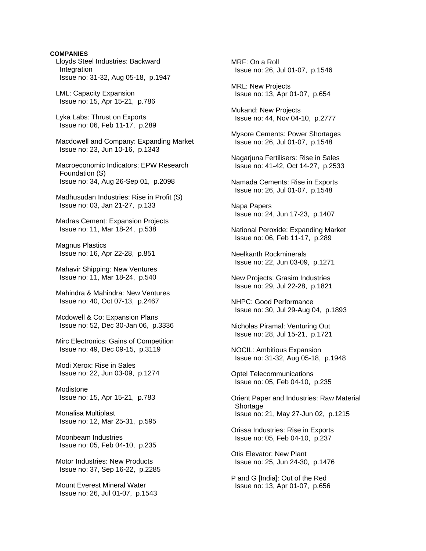#### **COMPANIES**

 Lloyds Steel Industries: Backward Integration Issue no: 31-32, Aug 05-18, p.1947

 LML: Capacity Expansion Issue no: 15, Apr 15-21, p.786

 Lyka Labs: Thrust on Exports Issue no: 06, Feb 11-17, p.289

 Macdowell and Company: Expanding Market Issue no: 23, Jun 10-16, p.1343

 Macroeconomic Indicators; EPW Research Foundation (S) Issue no: 34, Aug 26-Sep 01, p.2098

 Madhusudan Industries: Rise in Profit (S) Issue no: 03, Jan 21-27, p.133

 Madras Cement: Expansion Projects Issue no: 11, Mar 18-24, p.538

 Magnus Plastics Issue no: 16, Apr 22-28, p.851

 Mahavir Shipping: New Ventures Issue no: 11, Mar 18-24, p.540

 Mahindra & Mahindra: New Ventures Issue no: 40, Oct 07-13, p.2467

 Mcdowell & Co: Expansion Plans Issue no: 52, Dec 30-Jan 06, p.3336

 Mirc Electronics: Gains of Competition Issue no: 49, Dec 09-15, p.3119

 Modi Xerox: Rise in Sales Issue no: 22, Jun 03-09, p.1274

 Modistone Issue no: 15, Apr 15-21, p.783

 Monalisa Multiplast Issue no: 12, Mar 25-31, p.595

 Moonbeam Industries Issue no: 05, Feb 04-10, p.235

 Motor Industries: New Products Issue no: 37, Sep 16-22, p.2285

 Mount Everest Mineral Water Issue no: 26, Jul 01-07, p.1543  MRF: On a Roll Issue no: 26, Jul 01-07, p.1546

 MRL: New Projects Issue no: 13, Apr 01-07, p.654

 Mukand: New Projects Issue no: 44, Nov 04-10, p.2777

 Mysore Cements: Power Shortages Issue no: 26, Jul 01-07, p.1548

 Nagarjuna Fertilisers: Rise in Sales Issue no: 41-42, Oct 14-27, p.2533

 Namada Cements: Rise in Exports Issue no: 26, Jul 01-07, p.1548

 Napa Papers Issue no: 24, Jun 17-23, p.1407

 National Peroxide: Expanding Market Issue no: 06, Feb 11-17, p.289

 Neelkanth Rockminerals Issue no: 22, Jun 03-09, p.1271

 New Projects: Grasim Industries Issue no: 29, Jul 22-28, p.1821

 NHPC: Good Performance Issue no: 30, Jul 29-Aug 04, p.1893

 Nicholas Piramal: Venturing Out Issue no: 28, Jul 15-21, p.1721

 NOCIL: Ambitious Expansion Issue no: 31-32, Aug 05-18, p.1948

 Optel Telecommunications Issue no: 05, Feb 04-10, p.235

 Orient Paper and Industries: Raw Material Shortage Issue no: 21, May 27-Jun 02, p.1215

 Orissa Industries: Rise in Exports Issue no: 05, Feb 04-10, p.237

 Otis Elevator: New Plant Issue no: 25, Jun 24-30, p.1476

 P and G [India]: Out of the Red Issue no: 13, Apr 01-07, p.656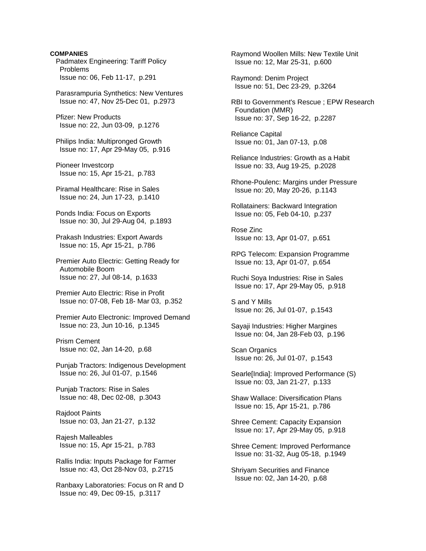**COMPANIES**  Padmatex Engineering: Tariff Policy Problems Issue no: 06, Feb 11-17, p.291

 Parasrampuria Synthetics: New Ventures Issue no: 47, Nov 25-Dec 01, p.2973

 Pfizer: New Products Issue no: 22, Jun 03-09, p.1276

 Philips India: Multipronged Growth Issue no: 17, Apr 29-May 05, p.916

 Pioneer Investcorp Issue no: 15, Apr 15-21, p.783

 Piramal Healthcare: Rise in Sales Issue no: 24, Jun 17-23, p.1410

 Ponds India: Focus on Exports Issue no: 30, Jul 29-Aug 04, p.1893

 Prakash Industries: Export Awards Issue no: 15, Apr 15-21, p.786

 Premier Auto Electric: Getting Ready for Automobile Boom Issue no: 27, Jul 08-14, p.1633

 Premier Auto Electric: Rise in Profit Issue no: 07-08, Feb 18- Mar 03, p.352

 Premier Auto Electronic: Improved Demand Issue no: 23, Jun 10-16, p.1345

 Prism Cement Issue no: 02, Jan 14-20, p.68

 Punjab Tractors: Indigenous Development Issue no: 26, Jul 01-07, p.1546

 Punjab Tractors: Rise in Sales Issue no: 48, Dec 02-08, p.3043

 Rajdoot Paints Issue no: 03, Jan 21-27, p.132

 Rajesh Malleables Issue no: 15, Apr 15-21, p.783

 Rallis India: Inputs Package for Farmer Issue no: 43, Oct 28-Nov 03, p.2715

 Ranbaxy Laboratories: Focus on R and D Issue no: 49, Dec 09-15, p.3117

 Raymond Woollen Mills: New Textile Unit Issue no: 12, Mar 25-31, p.600

 Raymond: Denim Project Issue no: 51, Dec 23-29, p.3264

 RBI to Government's Rescue ; EPW Research Foundation (MMR) Issue no: 37, Sep 16-22, p.2287

 Reliance Capital Issue no: 01, Jan 07-13, p.08

 Reliance Industries: Growth as a Habit Issue no: 33, Aug 19-25, p.2028

 Rhone-Poulenc: Margins under Pressure Issue no: 20, May 20-26, p.1143

 Rollatainers: Backward Integration Issue no: 05, Feb 04-10, p.237

 Rose Zinc Issue no: 13, Apr 01-07, p.651

 RPG Telecom: Expansion Programme Issue no: 13, Apr 01-07, p.654

 Ruchi Soya Industries: Rise in Sales Issue no: 17, Apr 29-May 05, p.918

 S and Y Mills Issue no: 26, Jul 01-07, p.1543

 Sayaji Industries: Higher Margines Issue no: 04, Jan 28-Feb 03, p.196

 Scan Organics Issue no: 26, Jul 01-07, p.1543

 Searle[India]: Improved Performance (S) Issue no: 03, Jan 21-27, p.133

 Shaw Wallace: Diversification Plans Issue no: 15, Apr 15-21, p.786

 Shree Cement: Capacity Expansion Issue no: 17, Apr 29-May 05, p.918

 Shree Cement: Improved Performance Issue no: 31-32, Aug 05-18, p.1949

 Shriyam Securities and Finance Issue no: 02, Jan 14-20, p.68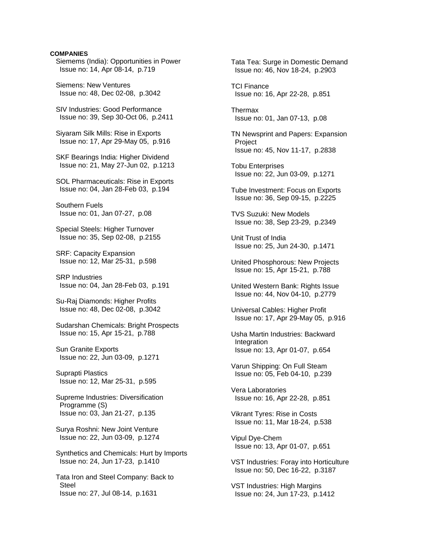## **COMPANIES**

 Siemems (India): Opportunities in Power Issue no: 14, Apr 08-14, p.719

 Siemens: New Ventures Issue no: 48, Dec 02-08, p.3042

 SIV Industries: Good Performance Issue no: 39, Sep 30-Oct 06, p.2411

 Siyaram Silk Mills: Rise in Exports Issue no: 17, Apr 29-May 05, p.916

 SKF Bearings India: Higher Dividend Issue no: 21, May 27-Jun 02, p.1213

 SOL Pharmaceuticals: Rise in Exports Issue no: 04, Jan 28-Feb 03, p.194

 Southern Fuels Issue no: 01, Jan 07-27, p.08

 Special Steels: Higher Turnover Issue no: 35, Sep 02-08, p.2155

 SRF: Capacity Expansion Issue no: 12, Mar 25-31, p.598

 SRP Industries Issue no: 04, Jan 28-Feb 03, p.191

 Su-Raj Diamonds: Higher Profits Issue no: 48, Dec 02-08, p.3042

 Sudarshan Chemicals: Bright Prospects Issue no: 15, Apr 15-21, p.788

 Sun Granite Exports Issue no: 22, Jun 03-09, p.1271

 Suprapti Plastics Issue no: 12, Mar 25-31, p.595

 Supreme Industries: Diversification Programme (S) Issue no: 03, Jan 21-27, p.135

 Surya Roshni: New Joint Venture Issue no: 22, Jun 03-09, p.1274

 Synthetics and Chemicals: Hurt by Imports Issue no: 24, Jun 17-23, p.1410

 Tata Iron and Steel Company: Back to Steel Issue no: 27, Jul 08-14, p.1631

 Tata Tea: Surge in Domestic Demand Issue no: 46, Nov 18-24, p.2903 TCI Finance Issue no: 16, Apr 22-28, p.851 Thermax Issue no: 01, Jan 07-13, p.08 TN Newsprint and Papers: Expansion Project Issue no: 45, Nov 11-17, p.2838 Tobu Enterprises Issue no: 22, Jun 03-09, p.1271 Tube Investment: Focus on Exports Issue no: 36, Sep 09-15, p.2225 TVS Suzuki: New Models Issue no: 38, Sep 23-29, p.2349 Unit Trust of India Issue no: 25, Jun 24-30, p.1471 United Phosphorous: New Projects Issue no: 15, Apr 15-21, p.788 United Western Bank: Rights Issue Issue no: 44, Nov 04-10, p.2779 Universal Cables: Higher Profit Issue no: 17, Apr 29-May 05, p.916 Usha Martin Industries: Backward **Integration**  Issue no: 13, Apr 01-07, p.654 Varun Shipping: On Full Steam Issue no: 05, Feb 04-10, p.239 Vera Laboratories Issue no: 16, Apr 22-28, p.851 Vikrant Tyres: Rise in Costs Issue no: 11, Mar 18-24, p.538 Vipul Dye-Chem Issue no: 13, Apr 01-07, p.651 VST Industries: Foray into Horticulture Issue no: 50, Dec 16-22, p.3187 VST Industries: High Margins Issue no: 24, Jun 17-23, p.1412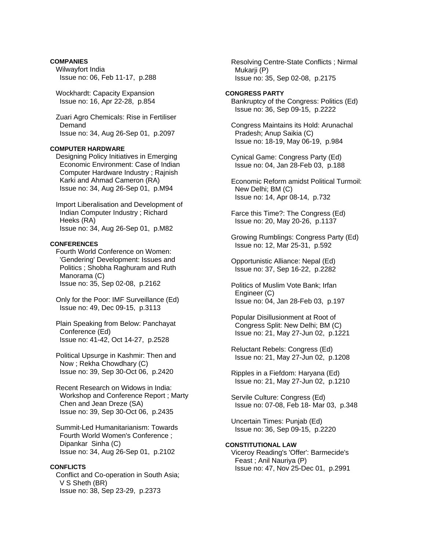# **COMPANIES**  Wilwayfort India Issue no: 06, Feb 11-17, p.288

 Wockhardt: Capacity Expansion Issue no: 16, Apr 22-28, p.854

 Zuari Agro Chemicals: Rise in Fertiliser Demand Issue no: 34, Aug 26-Sep 01, p.2097

## **COMPUTER HARDWARE**

 Designing Policy Initiatives in Emerging Economic Environment: Case of Indian Computer Hardware Industry ; Rajnish Karki and Ahmad Cameron (RA) Issue no: 34, Aug 26-Sep 01, p.M94

 Import Liberalisation and Development of Indian Computer Industry ; Richard Heeks (RA) Issue no: 34, Aug 26-Sep 01, p.M82

## **CONFERENCES**

 Fourth World Conference on Women: 'Gendering' Development: Issues and Politics ; Shobha Raghuram and Ruth Manorama (C) Issue no: 35, Sep 02-08, p.2162

 Only for the Poor: IMF Surveillance (Ed) Issue no: 49, Dec 09-15, p.3113

 Plain Speaking from Below: Panchayat Conference (Ed) Issue no: 41-42, Oct 14-27, p.2528

 Political Upsurge in Kashmir: Then and Now ; Rekha Chowdhary (C) Issue no: 39, Sep 30-Oct 06, p.2420

 Recent Research on Widows in India: Workshop and Conference Report ; Marty Chen and Jean Dreze (SA) Issue no: 39, Sep 30-Oct 06, p.2435

 Summit-Led Humanitarianism: Towards Fourth World Women's Conference ; Dipankar Sinha (C) Issue no: 34, Aug 26-Sep 01, p.2102

### **CONFLICTS**

 Conflict and Co-operation in South Asia; V S Sheth (BR) Issue no: 38, Sep 23-29, p.2373

 Resolving Centre-State Conflicts ; Nirmal Mukarii (P) Issue no: 35, Sep 02-08, p.2175

#### **CONGRESS PARTY**

 Bankruptcy of the Congress: Politics (Ed) Issue no: 36, Sep 09-15, p.2222

 Congress Maintains its Hold: Arunachal Pradesh; Anup Saikia (C) Issue no: 18-19, May 06-19, p.984

 Cynical Game: Congress Party (Ed) Issue no: 04, Jan 28-Feb 03, p.188

 Economic Reform amidst Political Turmoil: New Delhi; BM (C) Issue no: 14, Apr 08-14, p.732

 Farce this Time?: The Congress (Ed) Issue no: 20, May 20-26, p.1137

 Growing Rumblings: Congress Party (Ed) Issue no: 12, Mar 25-31, p.592

 Opportunistic Alliance: Nepal (Ed) Issue no: 37, Sep 16-22, p.2282

 Politics of Muslim Vote Bank; Irfan Engineer (C) Issue no: 04, Jan 28-Feb 03, p.197

 Popular Disillusionment at Root of Congress Split: New Delhi; BM (C) Issue no: 21, May 27-Jun 02, p.1221

 Reluctant Rebels: Congress (Ed) Issue no: 21, May 27-Jun 02, p.1208

 Ripples in a Fiefdom: Haryana (Ed) Issue no: 21, May 27-Jun 02, p.1210

 Servile Culture: Congress (Ed) Issue no: 07-08, Feb 18- Mar 03, p.348

 Uncertain Times: Punjab (Ed) Issue no: 36, Sep 09-15, p.2220

# **CONSTITUTIONAL LAW**

 Viceroy Reading's 'Offer': Barmecide's Feast ; Anil Nauriya (P) Issue no: 47, Nov 25-Dec 01, p.2991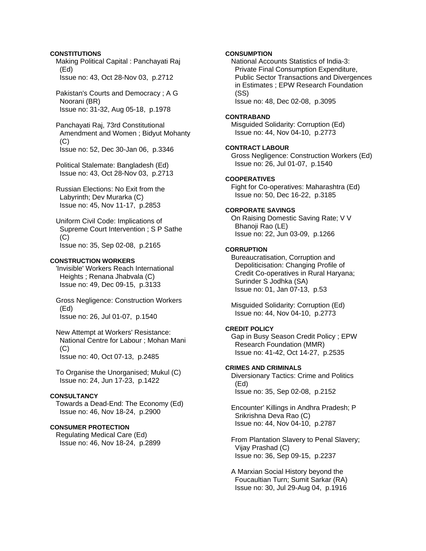# **CONSTITUTIONS**

 Making Political Capital : Panchayati Raj (Ed) Issue no: 43, Oct 28-Nov 03, p.2712

 Pakistan's Courts and Democracy ; A G Noorani (BR) Issue no: 31-32, Aug 05-18, p.1978

 Panchayati Raj, 73rd Constitutional Amendment and Women ; Bidyut Mohanty  $(C)$ Issue no: 52, Dec 30-Jan 06, p.3346

 Political Stalemate: Bangladesh (Ed) Issue no: 43, Oct 28-Nov 03, p.2713

 Russian Elections: No Exit from the Labyrinth; Dev Murarka (C) Issue no: 45, Nov 11-17, p.2853

 Uniform Civil Code: Implications of Supreme Court Intervention ; S P Sathe  $(C)$ Issue no: 35, Sep 02-08, p.2165

## **CONSTRUCTION WORKERS**

 'Invisible' Workers Reach International Heights ; Renana Jhabvala (C) Issue no: 49, Dec 09-15, p.3133

 Gross Negligence: Construction Workers (Ed) Issue no: 26, Jul 01-07, p.1540

 New Attempt at Workers' Resistance: National Centre for Labour ; Mohan Mani (C)

Issue no: 40, Oct 07-13, p.2485

 To Organise the Unorganised; Mukul (C) Issue no: 24, Jun 17-23, p.1422

#### **CONSULTANCY**

 Towards a Dead-End: The Economy (Ed) Issue no: 46, Nov 18-24, p.2900

# **CONSUMER PROTECTION**

 Regulating Medical Care (Ed) Issue no: 46, Nov 18-24, p.2899

## **CONSUMPTION**

 National Accounts Statistics of India-3: Private Final Consumption Expenditure, Public Sector Transactions and Divergences in Estimates ; EPW Research Foundation (SS) Issue no: 48, Dec 02-08, p.3095

#### **CONTRABAND**

 Misguided Solidarity: Corruption (Ed) Issue no: 44, Nov 04-10, p.2773

#### **CONTRACT LABOUR**

 Gross Negligence: Construction Workers (Ed) Issue no: 26, Jul 01-07, p.1540

# **COOPERATIVES**

 Fight for Co-operatives: Maharashtra (Ed) Issue no: 50, Dec 16-22, p.3185

# **CORPORATE SAVINGS**

 On Raising Domestic Saving Rate; V V Bhanoji Rao (LE) Issue no: 22, Jun 03-09, p.1266

#### **CORRUPTION**

 Bureaucratisation, Corruption and Depoliticisation: Changing Profile of Credit Co-operatives in Rural Haryana; Surinder S Jodhka (SA) Issue no: 01, Jan 07-13, p.53

 Misguided Solidarity: Corruption (Ed) Issue no: 44, Nov 04-10, p.2773

# **CREDIT POLICY**

 Gap in Busy Season Credit Policy ; EPW Research Foundation (MMR) Issue no: 41-42, Oct 14-27, p.2535

# **CRIMES AND CRIMINALS**

 Diversionary Tactics: Crime and Politics (Ed) Issue no: 35, Sep 02-08, p.2152

 Encounter' Killings in Andhra Pradesh; P Srikrishna Deva Rao (C) Issue no: 44, Nov 04-10, p.2787

 From Plantation Slavery to Penal Slavery; Vijay Prashad (C) Issue no: 36, Sep 09-15, p.2237

 A Marxian Social History beyond the Foucaultian Turn; Sumit Sarkar (RA) Issue no: 30, Jul 29-Aug 04, p.1916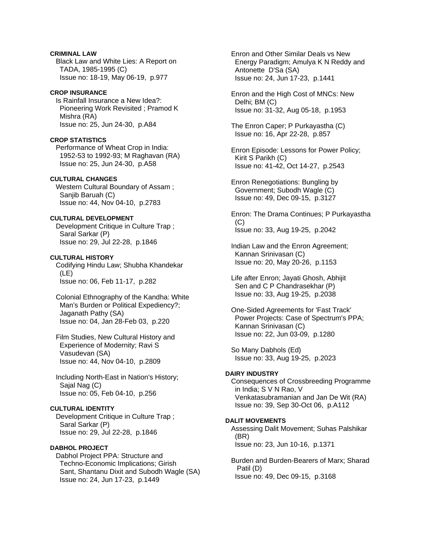**CRIMINAL LAW**  Black Law and White Lies: A Report on TADA, 1985-1995 (C) Issue no: 18-19, May 06-19, p.977

#### **CROP INSURANCE**

 Is Rainfall Insurance a New Idea?: Pioneering Work Revisited ; Pramod K Mishra (RA) Issue no: 25, Jun 24-30, p.A84

#### **CROP STATISTICS**

 Performance of Wheat Crop in India: 1952-53 to 1992-93; M Raghavan (RA) Issue no: 25, Jun 24-30, p.A58

# **CULTURAL CHANGES**

 Western Cultural Boundary of Assam ; Sanjib Baruah (C) Issue no: 44, Nov 04-10, p.2783

# **CULTURAL DEVELOPMENT**

 Development Critique in Culture Trap ; Saral Sarkar (P) Issue no: 29, Jul 22-28, p.1846

# **CULTURAL HISTORY**

 Codifying Hindu Law; Shubha Khandekar (LE) Issue no: 06, Feb 11-17, p.282

 Colonial Ethnography of the Kandha: White Man's Burden or Political Expediency?; Jaganath Pathy (SA) Issue no: 04, Jan 28-Feb 03, p.220

 Film Studies, New Cultural History and Experience of Modernity; Ravi S Vasudevan (SA) Issue no: 44, Nov 04-10, p.2809

 Including North-East in Nation's History; Sajal Nag (C) Issue no: 05, Feb 04-10, p.256

# **CULTURAL IDENTITY**

 Development Critique in Culture Trap ; Saral Sarkar (P) Issue no: 29, Jul 22-28, p.1846

# **DABHOL PROJECT**

 Dabhol Project PPA: Structure and Techno-Economic Implications; Girish Sant, Shantanu Dixit and Subodh Wagle (SA) Issue no: 24, Jun 17-23, p.1449

 Enron and Other Similar Deals vs New Energy Paradigm; Amulya K N Reddy and Antonette D'Sa (SA) Issue no: 24, Jun 17-23, p.1441

 Enron and the High Cost of MNCs: New Delhi; BM (C) Issue no: 31-32, Aug 05-18, p.1953

 The Enron Caper; P Purkayastha (C) Issue no: 16, Apr 22-28, p.857

 Enron Episode: Lessons for Power Policy; Kirit S Parikh (C) Issue no: 41-42, Oct 14-27, p.2543

 Enron Renegotiations: Bungling by Government; Subodh Wagle (C) Issue no: 49, Dec 09-15, p.3127

 Enron: The Drama Continues; P Purkayastha  $(C)$ Issue no: 33, Aug 19-25, p.2042

 Indian Law and the Enron Agreement; Kannan Srinivasan (C) Issue no: 20, May 20-26, p.1153

 Life after Enron; Jayati Ghosh, Abhijit Sen and C P Chandrasekhar (P) Issue no: 33, Aug 19-25, p.2038

 One-Sided Agreements for 'Fast Track' Power Projects: Case of Spectrum's PPA; Kannan Srinivasan (C) Issue no: 22, Jun 03-09, p.1280

 So Many Dabhols (Ed) Issue no: 33, Aug 19-25, p.2023

# **DAIRY INDUSTRY**

 Consequences of Crossbreeding Programme in India; S V N Rao, V Venkatasubramanian and Jan De Wit (RA) Issue no: 39, Sep 30-Oct 06, p.A112

# **DALIT MOVEMENTS**

 Assessing Dalit Movement; Suhas Palshikar (BR) Issue no: 23, Jun 10-16, p.1371

 Burden and Burden-Bearers of Marx; Sharad Patil (D) Issue no: 49, Dec 09-15, p.3168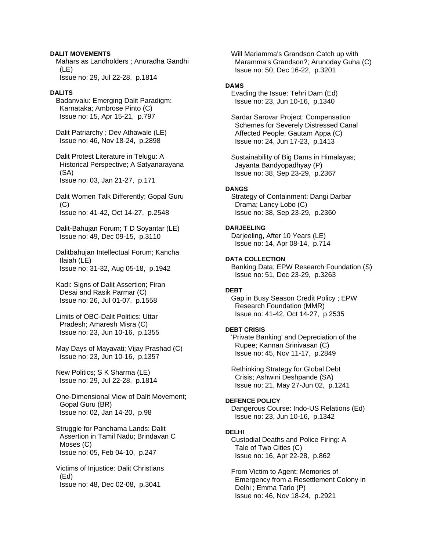# **DALIT MOVEMENTS**

 Mahars as Landholders ; Anuradha Gandhi (LE) Issue no: 29, Jul 22-28, p.1814

## **DALITS**

 Badanvalu: Emerging Dalit Paradigm: Karnataka; Ambrose Pinto (C) Issue no: 15, Apr 15-21, p.797

 Dalit Patriarchy ; Dev Athawale (LE) Issue no: 46, Nov 18-24, p.2898

 Dalit Protest Literature in Telugu: A Historical Perspective; A Satyanarayana (SA) Issue no: 03, Jan 21-27, p.171

- Dalit Women Talk Differently; Gopal Guru (C) Issue no: 41-42, Oct 14-27, p.2548
- Dalit-Bahujan Forum; T D Soyantar (LE) Issue no: 49, Dec 09-15, p.3110
- Dalitbahujan Intellectual Forum; Kancha Ilaiah (LE) Issue no: 31-32, Aug 05-18, p.1942
- Kadi: Signs of Dalit Assertion: Firan Desai and Rasik Parmar (C) Issue no: 26, Jul 01-07, p.1558
- Limits of OBC-Dalit Politics: Uttar Pradesh; Amaresh Misra (C) Issue no: 23, Jun 10-16, p.1355
- May Days of Mayavati; Vijay Prashad (C) Issue no: 23, Jun 10-16, p.1357

 New Politics; S K Sharma (LE) Issue no: 29, Jul 22-28, p.1814

 One-Dimensional View of Dalit Movement; Gopal Guru (BR) Issue no: 02, Jan 14-20, p.98

 Struggle for Panchama Lands: Dalit Assertion in Tamil Nadu; Brindavan C Moses (C) Issue no: 05, Feb 04-10, p.247

 Victims of Injustice: Dalit Christians (Ed) Issue no: 48, Dec 02-08, p.3041

 Will Mariamma's Grandson Catch up with Maramma's Grandson?; Arunoday Guha (C) Issue no: 50, Dec 16-22, p.3201

# **DAMS**

 Evading the Issue: Tehri Dam (Ed) Issue no: 23, Jun 10-16, p.1340

 Sardar Sarovar Project: Compensation Schemes for Severely Distressed Canal Affected People; Gautam Appa (C) Issue no: 24, Jun 17-23, p.1413

 Sustainability of Big Dams in Himalayas; Jayanta Bandyopadhyay (P) Issue no: 38, Sep 23-29, p.2367

#### **DANGS**

 Strategy of Containment: Dangi Darbar Drama; Lancy Lobo (C) Issue no: 38, Sep 23-29, p.2360

# **DARJEELING**

 Darjeeling, After 10 Years (LE) Issue no: 14, Apr 08-14, p.714

**DATA COLLECTION** 

 Banking Data; EPW Research Foundation (S) Issue no: 51, Dec 23-29, p.3263

# **DEBT**

 Gap in Busy Season Credit Policy ; EPW Research Foundation (MMR) Issue no: 41-42, Oct 14-27, p.2535

# **DEBT CRISIS**

 'Private Banking' and Depreciation of the Rupee; Kannan Srinivasan (C) Issue no: 45, Nov 11-17, p.2849

 Rethinking Strategy for Global Debt Crisis; Ashwini Deshpande (SA) Issue no: 21, May 27-Jun 02, p.1241

#### **DEFENCE POLICY**

 Dangerous Course: Indo-US Relations (Ed) Issue no: 23, Jun 10-16, p.1342

#### **DELHI**

 Custodial Deaths and Police Firing: A Tale of Two Cities (C) Issue no: 16, Apr 22-28, p.862

 From Victim to Agent: Memories of Emergency from a Resettlement Colony in Delhi ; Emma Tarlo (P) Issue no: 46, Nov 18-24, p.2921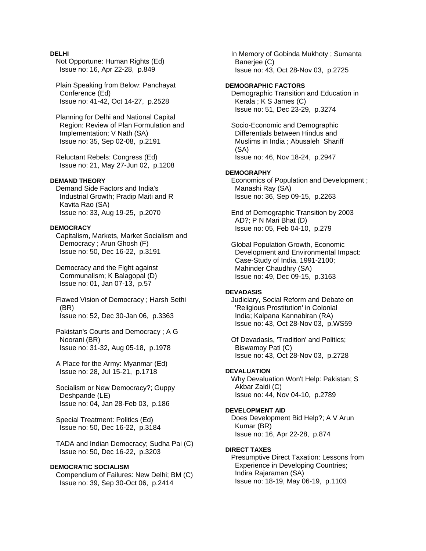# **DELHI**

 Not Opportune: Human Rights (Ed) Issue no: 16, Apr 22-28, p.849

 Plain Speaking from Below: Panchayat Conference (Ed) Issue no: 41-42, Oct 14-27, p.2528

 Planning for Delhi and National Capital Region: Review of Plan Formulation and Implementation; V Nath (SA) Issue no: 35, Sep 02-08, p.2191

 Reluctant Rebels: Congress (Ed) Issue no: 21, May 27-Jun 02, p.1208

# **DEMAND THEORY**

 Demand Side Factors and India's Industrial Growth; Pradip Maiti and R Kavita Rao (SA) Issue no: 33, Aug 19-25, p.2070

## **DEMOCRACY**

 Capitalism, Markets, Market Socialism and Democracy ; Arun Ghosh (F) Issue no: 50, Dec 16-22, p.3191

 Democracy and the Fight against Communalism; K Balagopal (D) Issue no: 01, Jan 07-13, p.57

 Flawed Vision of Democracy ; Harsh Sethi (BR) Issue no: 52, Dec 30-Jan 06, p.3363

 Pakistan's Courts and Democracy ; A G Noorani (BR) Issue no: 31-32, Aug 05-18, p.1978

 A Place for the Army: Myanmar (Ed) Issue no: 28, Jul 15-21, p.1718

 Socialism or New Democracy?; Guppy Deshpande (LE) Issue no: 04, Jan 28-Feb 03, p.186

 Special Treatment: Politics (Ed) Issue no: 50, Dec 16-22, p.3184

 TADA and Indian Democracy; Sudha Pai (C) Issue no: 50, Dec 16-22, p.3203

# **DEMOCRATIC SOCIALISM**

 Compendium of Failures: New Delhi; BM (C) Issue no: 39, Sep 30-Oct 06, p.2414

 In Memory of Gobinda Mukhoty ; Sumanta Banerjee (C) Issue no: 43, Oct 28-Nov 03, p.2725

# **DEMOGRAPHIC FACTORS**

 Demographic Transition and Education in Kerala ; K S James (C) Issue no: 51, Dec 23-29, p.3274

 Socio-Economic and Demographic Differentials between Hindus and Muslims in India ; Abusaleh Shariff (SA) Issue no: 46, Nov 18-24, p.2947

#### **DEMOGRAPHY**

 Economics of Population and Development ; Manashi Ray (SA) Issue no: 36, Sep 09-15, p.2263

 End of Demographic Transition by 2003 AD?; P N Mari Bhat (D) Issue no: 05, Feb 04-10, p.279

 Global Population Growth, Economic Development and Environmental Impact: Case-Study of India, 1991-2100; Mahinder Chaudhry (SA) Issue no: 49, Dec 09-15, p.3163

#### **DEVADASIS**

 Judiciary, Social Reform and Debate on 'Religious Prostitution' in Colonial India; Kalpana Kannabiran (RA) Issue no: 43, Oct 28-Nov 03, p.WS59

 Of Devadasis, 'Tradition' and Politics; Biswamoy Pati (C) Issue no: 43, Oct 28-Nov 03, p.2728

# **DEVALUATION**

 Why Devaluation Won't Help: Pakistan; S Akbar Zaidi (C) Issue no: 44, Nov 04-10, p.2789

## **DEVELOPMENT AID**

 Does Development Bid Help?; A V Arun Kumar (BR) Issue no: 16, Apr 22-28, p.874

#### **DIRECT TAXES**

 Presumptive Direct Taxation: Lessons from Experience in Developing Countries; Indira Rajaraman (SA) Issue no: 18-19, May 06-19, p.1103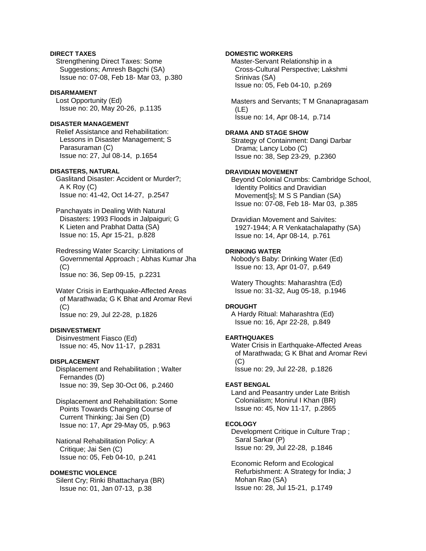# **DIRECT TAXES**

 Strengthening Direct Taxes: Some Suggestions; Amresh Bagchi (SA) Issue no: 07-08, Feb 18- Mar 03, p.380

#### **DISARMAMENT**

 Lost Opportunity (Ed) Issue no: 20, May 20-26, p.1135

# **DISASTER MANAGEMENT**

 Relief Assistance and Rehabilitation: Lessons in Disaster Management; S Parasuraman (C) Issue no: 27, Jul 08-14, p.1654

# **DISASTERS, NATURAL**

 Gaslitand Disaster: Accident or Murder?; A K Roy (C) Issue no: 41-42, Oct 14-27, p.2547

 Panchayats in Dealing With Natural Disasters: 1993 Floods in Jalpaiguri; G K Lieten and Prabhat Datta (SA) Issue no: 15, Apr 15-21, p.828

 Redressing Water Scarcity: Limitations of Governmental Approach ; Abhas Kumar Jha  $(C)$ Issue no: 36, Sep 09-15, p.2231

 Water Crisis in Earthquake-Affected Areas of Marathwada; G K Bhat and Aromar Revi  $(C)$ Issue no: 29, Jul 22-28, p.1826

# **DISINVESTMENT**

 Disinvestment Fiasco (Ed) Issue no: 45, Nov 11-17, p.2831

## **DISPLACEMENT**

 Displacement and Rehabilitation ; Walter Fernandes (D) Issue no: 39, Sep 30-Oct 06, p.2460

 Displacement and Rehabilitation: Some Points Towards Changing Course of Current Thinking; Jai Sen (D) Issue no: 17, Apr 29-May 05, p.963

 National Rehabilitation Policy: A Critique; Jai Sen (C) Issue no: 05, Feb 04-10, p.241

# **DOMESTIC VIOLENCE**

 Silent Cry; Rinki Bhattacharya (BR) Issue no: 01, Jan 07-13, p.38

# **DOMESTIC WORKERS**

 Master-Servant Relationship in a Cross-Cultural Perspective; Lakshmi Srinivas (SA) Issue no: 05, Feb 04-10, p.269

 Masters and Servants; T M Gnanapragasam (LE) Issue no: 14, Apr 08-14, p.714

#### **DRAMA AND STAGE SHOW**

 Strategy of Containment: Dangi Darbar Drama; Lancy Lobo (C) Issue no: 38, Sep 23-29, p.2360

# **DRAVIDIAN MOVEMENT**

 Beyond Colonial Crumbs: Cambridge School, Identity Politics and Dravidian Movement[s]; M S S Pandian (SA) Issue no: 07-08, Feb 18- Mar 03, p.385

 Dravidian Movement and Saivites: 1927-1944; A R Venkatachalapathy (SA) Issue no: 14, Apr 08-14, p.761

#### **DRINKING WATER**

 Nobody's Baby: Drinking Water (Ed) Issue no: 13, Apr 01-07, p.649

 Watery Thoughts: Maharashtra (Ed) Issue no: 31-32, Aug 05-18, p.1946

#### **DROUGHT**

 A Hardy Ritual: Maharashtra (Ed) Issue no: 16, Apr 22-28, p.849

#### **EARTHQUAKES**

 Water Crisis in Earthquake-Affected Areas of Marathwada; G K Bhat and Aromar Revi (C) Issue no: 29, Jul 22-28, p.1826

# **EAST BENGAL**

 Land and Peasantry under Late British Colonialism; Monirul I Khan (BR) Issue no: 45, Nov 11-17, p.2865

## **ECOLOGY**

 Development Critique in Culture Trap ; Saral Sarkar (P) Issue no: 29, Jul 22-28, p.1846

 Economic Reform and Ecological Refurbishment: A Strategy for India; J Mohan Rao (SA) Issue no: 28, Jul 15-21, p.1749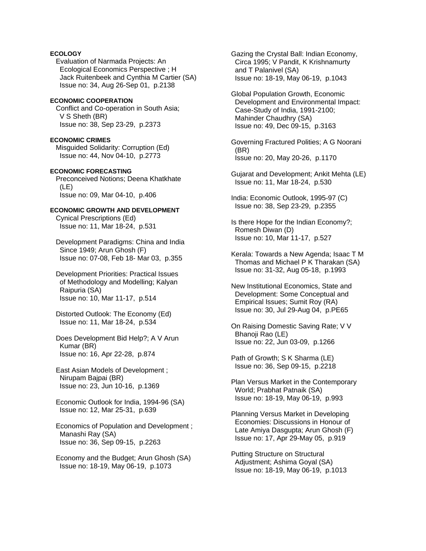# **ECOLOGY**

 Evaluation of Narmada Projects: An Ecological Economics Perspective ; H Jack Ruitenbeek and Cynthia M Cartier (SA) Issue no: 34, Aug 26-Sep 01, p.2138

# **ECONOMIC COOPERATION**

 Conflict and Co-operation in South Asia; V S Sheth (BR) Issue no: 38, Sep 23-29, p.2373

## **ECONOMIC CRIMES**

 Misguided Solidarity: Corruption (Ed) Issue no: 44, Nov 04-10, p.2773

### **ECONOMIC FORECASTING**

 Preconceived Notions; Deena Khatkhate (LE) Issue no: 09, Mar 04-10, p.406

# **ECONOMIC GROWTH AND DEVELOPMENT**

 Cynical Prescriptions (Ed) Issue no: 11, Mar 18-24, p.531

 Development Paradigms: China and India Since 1949; Arun Ghosh (F) Issue no: 07-08, Feb 18- Mar 03, p.355

 Development Priorities: Practical Issues of Methodology and Modelling; Kalyan Raipuria (SA) Issue no: 10, Mar 11-17, p.514

- Distorted Outlook: The Economy (Ed) Issue no: 11, Mar 18-24, p.534
- Does Development Bid Help?; A V Arun Kumar (BR) Issue no: 16, Apr 22-28, p.874
- East Asian Models of Development ; Nirupam Bajpai (BR) Issue no: 23, Jun 10-16, p.1369

 Economic Outlook for India, 1994-96 (SA) Issue no: 12, Mar 25-31, p.639

- Economics of Population and Development ; Manashi Ray (SA) Issue no: 36, Sep 09-15, p.2263
- Economy and the Budget; Arun Ghosh (SA) Issue no: 18-19, May 06-19, p.1073

 Gazing the Crystal Ball: Indian Economy, Circa 1995; V Pandit, K Krishnamurty and T Palanivel (SA) Issue no: 18-19, May 06-19, p.1043

 Global Population Growth, Economic Development and Environmental Impact: Case-Study of India, 1991-2100; Mahinder Chaudhry (SA) Issue no: 49, Dec 09-15, p.3163

 Governing Fractured Polities; A G Noorani (BR) Issue no: 20, May 20-26, p.1170

- Gujarat and Development; Ankit Mehta (LE) Issue no: 11, Mar 18-24, p.530
- India: Economic Outlook, 1995-97 (C) Issue no: 38, Sep 23-29, p.2355
- Is there Hope for the Indian Economy?; Romesh Diwan (D) Issue no: 10, Mar 11-17, p.527
- Kerala: Towards a New Agenda; Isaac T M Thomas and Michael P K Tharakan (SA) Issue no: 31-32, Aug 05-18, p.1993
- New Institutional Economics, State and Development: Some Conceptual and Empirical Issues; Sumit Roy (RA) Issue no: 30, Jul 29-Aug 04, p.PE65
- On Raising Domestic Saving Rate; V V Bhanoji Rao (LE) Issue no: 22, Jun 03-09, p.1266

 Path of Growth; S K Sharma (LE) Issue no: 36, Sep 09-15, p.2218

- Plan Versus Market in the Contemporary World; Prabhat Patnaik (SA) Issue no: 18-19, May 06-19, p.993
- Planning Versus Market in Developing Economies: Discussions in Honour of Late Amiya Dasgupta; Arun Ghosh (F) Issue no: 17, Apr 29-May 05, p.919
- Putting Structure on Structural Adjustment; Ashima Goyal (SA) Issue no: 18-19, May 06-19, p.1013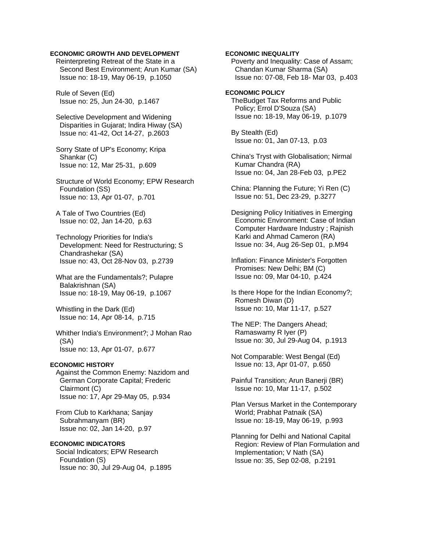# **ECONOMIC GROWTH AND DEVELOPMENT**

 Reinterpreting Retreat of the State in a Second Best Environment; Arun Kumar (SA) Issue no: 18-19, May 06-19, p.1050

 Rule of Seven (Ed) Issue no: 25, Jun 24-30, p.1467

 Selective Development and Widening Disparities in Gujarat; Indira Hiway (SA) Issue no: 41-42, Oct 14-27, p.2603

 Sorry State of UP's Economy; Kripa Shankar (C) Issue no: 12, Mar 25-31, p.609

 Structure of World Economy; EPW Research Foundation (SS) Issue no: 13, Apr 01-07, p.701

 A Tale of Two Countries (Ed) Issue no: 02, Jan 14-20, p.63

 Technology Priorities for India's Development: Need for Restructuring; S Chandrashekar (SA) Issue no: 43, Oct 28-Nov 03, p.2739

 What are the Fundamentals?; Pulapre Balakrishnan (SA) Issue no: 18-19, May 06-19, p.1067

 Whistling in the Dark (Ed) Issue no: 14, Apr 08-14, p.715

 Whither India's Environment?; J Mohan Rao (SA) Issue no: 13, Apr 01-07, p.677

#### **ECONOMIC HISTORY**

 Against the Common Enemy: Nazidom and German Corporate Capital; Frederic Clairmont (C) Issue no: 17, Apr 29-May 05, p.934

 From Club to Karkhana; Sanjay Subrahmanyam (BR) Issue no: 02, Jan 14-20, p.97

# **ECONOMIC INDICATORS**  Social Indicators; EPW Research Foundation (S) Issue no: 30, Jul 29-Aug 04, p.1895

 Poverty and Inequality: Case of Assam; Chandan Kumar Sharma (SA) Issue no: 07-08, Feb 18- Mar 03, p.403 **ECONOMIC POLICY**  TheBudget Tax Reforms and Public Policy; Errol D'Souza (SA) Issue no: 18-19, May 06-19, p.1079 By Stealth (Ed) Issue no: 01, Jan 07-13, p.03 China's Tryst with Globalisation; Nirmal Kumar Chandra (RA) Issue no: 04, Jan 28-Feb 03, p.PE2 China: Planning the Future; Yi Ren (C) Issue no: 51, Dec 23-29, p.3277 Designing Policy Initiatives in Emerging Economic Environment: Case of Indian Computer Hardware Industry ; Rajnish Karki and Ahmad Cameron (RA) Issue no: 34, Aug 26-Sep 01, p.M94 Inflation: Finance Minister's Forgotten Promises: New Delhi; BM (C) Issue no: 09, Mar 04-10, p.424 Is there Hope for the Indian Economy?; Romesh Diwan (D) Issue no: 10, Mar 11-17, p.527

**ECONOMIC INEQUALITY** 

 The NEP: The Dangers Ahead; Ramaswamy R Iyer (P) Issue no: 30, Jul 29-Aug 04, p.1913

 Not Comparable: West Bengal (Ed) Issue no: 13, Apr 01-07, p.650

Painful Transition: Arun Banerii (BR) Issue no: 10, Mar 11-17, p.502

 Plan Versus Market in the Contemporary World; Prabhat Patnaik (SA) Issue no: 18-19, May 06-19, p.993

 Planning for Delhi and National Capital Region: Review of Plan Formulation and Implementation; V Nath (SA) Issue no: 35, Sep 02-08, p.2191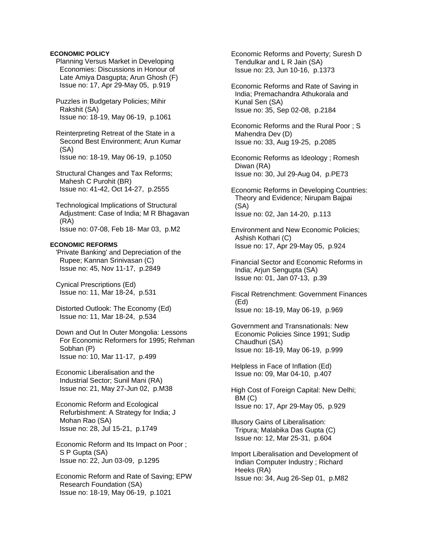## **ECONOMIC POLICY**

- Planning Versus Market in Developing Economies: Discussions in Honour of Late Amiya Dasgupta; Arun Ghosh (F) Issue no: 17, Apr 29-May 05, p.919
- Puzzles in Budgetary Policies; Mihir Rakshit (SA) Issue no: 18-19, May 06-19, p.1061

 Reinterpreting Retreat of the State in a Second Best Environment; Arun Kumar (SA) Issue no: 18-19, May 06-19, p.1050

- Structural Changes and Tax Reforms; Mahesh C Purohit (BR) Issue no: 41-42, Oct 14-27, p.2555
- Technological Implications of Structural Adjustment: Case of India; M R Bhagavan (RA) Issue no: 07-08, Feb 18- Mar 03, p.M2

### **ECONOMIC REFORMS**

 'Private Banking' and Depreciation of the Rupee; Kannan Srinivasan (C) Issue no: 45, Nov 11-17, p.2849

 Cynical Prescriptions (Ed) Issue no: 11, Mar 18-24, p.531

 Distorted Outlook: The Economy (Ed) Issue no: 11, Mar 18-24, p.534

 Down and Out In Outer Mongolia: Lessons For Economic Reformers for 1995; Rehman Sobhan (P) Issue no: 10, Mar 11-17, p.499

 Economic Liberalisation and the Industrial Sector; Sunil Mani (RA) Issue no: 21, May 27-Jun 02, p.M38

 Economic Reform and Ecological Refurbishment: A Strategy for India; J Mohan Rao (SA) Issue no: 28, Jul 15-21, p.1749

 Economic Reform and Its Impact on Poor ; S P Gupta (SA) Issue no: 22, Jun 03-09, p.1295

 Economic Reform and Rate of Saving; EPW Research Foundation (SA) Issue no: 18-19, May 06-19, p.1021

 Economic Reforms and Poverty; Suresh D Tendulkar and L R Jain (SA) Issue no: 23, Jun 10-16, p.1373

 Economic Reforms and Rate of Saving in India; Premachandra Athukorala and Kunal Sen (SA) Issue no: 35, Sep 02-08, p.2184

 Economic Reforms and the Rural Poor ; S Mahendra Dev (D) Issue no: 33, Aug 19-25, p.2085

 Economic Reforms as Ideology ; Romesh Diwan (RA) Issue no: 30, Jul 29-Aug 04, p.PE73

 Economic Reforms in Developing Countries: Theory and Evidence; Nirupam Bajpai (SA) Issue no: 02, Jan 14-20, p.113

 Environment and New Economic Policies; Ashish Kothari (C) Issue no: 17, Apr 29-May 05, p.924

 Financial Sector and Economic Reforms in India; Arjun Sengupta (SA) Issue no: 01, Jan 07-13, p.39

 Fiscal Retrenchment: Government Finances (Ed) Issue no: 18-19, May 06-19, p.969

 Government and Transnationals: New Economic Policies Since 1991; Sudip Chaudhuri (SA) Issue no: 18-19, May 06-19, p.999

 Helpless in Face of Inflation (Ed) Issue no: 09, Mar 04-10, p.407

 High Cost of Foreign Capital: New Delhi; BM (C) Issue no: 17, Apr 29-May 05, p.929

 Illusory Gains of Liberalisation: Tripura; Malabika Das Gupta (C) Issue no: 12, Mar 25-31, p.604

 Import Liberalisation and Development of Indian Computer Industry ; Richard Heeks (RA) Issue no: 34, Aug 26-Sep 01, p.M82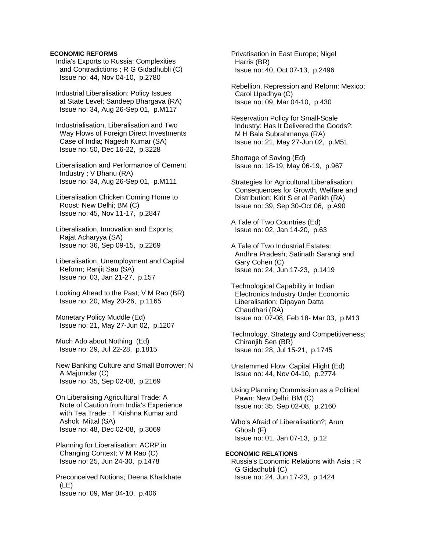### **ECONOMIC REFORMS**

 India's Exports to Russia: Complexities and Contradictions ; R G Gidadhubli (C) Issue no: 44, Nov 04-10, p.2780

 Industrial Liberalisation: Policy Issues at State Level; Sandeep Bhargava (RA) Issue no: 34, Aug 26-Sep 01, p.M117

 Industrialisation, Liberalisation and Two Way Flows of Foreign Direct Investments Case of India; Nagesh Kumar (SA) Issue no: 50, Dec 16-22, p.3228

 Liberalisation and Performance of Cement Industry ; V Bhanu (RA) Issue no: 34, Aug 26-Sep 01, p.M111

- Liberalisation Chicken Coming Home to Roost: New Delhi; BM (C) Issue no: 45, Nov 11-17, p.2847
- Liberalisation, Innovation and Exports; Rajat Acharyya (SA) Issue no: 36, Sep 09-15, p.2269

 Liberalisation, Unemployment and Capital Reform; Ranjit Sau (SA) Issue no: 03, Jan 21-27, p.157

 Looking Ahead to the Past; V M Rao (BR) Issue no: 20, May 20-26, p.1165

 Monetary Policy Muddle (Ed) Issue no: 21, May 27-Jun 02, p.1207

 Much Ado about Nothing (Ed) Issue no: 29, Jul 22-28, p.1815

 New Banking Culture and Small Borrower; N A Majumdar (C) Issue no: 35, Sep 02-08, p.2169

 On Liberalising Agricultural Trade: A Note of Caution from India's Experience with Tea Trade ; T Krishna Kumar and Ashok Mittal (SA) Issue no: 48, Dec 02-08, p.3069

 Planning for Liberalisation: ACRP in Changing Context; V M Rao (C) Issue no: 25, Jun 24-30, p.1478

 Preconceived Notions; Deena Khatkhate (LE) Issue no: 09, Mar 04-10, p.406

 Privatisation in East Europe; Nigel Harris (BR) Issue no: 40, Oct 07-13, p.2496

 Rebellion, Repression and Reform: Mexico; Carol Upadhya (C) Issue no: 09, Mar 04-10, p.430

 Reservation Policy for Small-Scale Industry: Has It Delivered the Goods?; M H Bala Subrahmanya (RA) Issue no: 21, May 27-Jun 02, p.M51

 Shortage of Saving (Ed) Issue no: 18-19, May 06-19, p.967

 Strategies for Agricultural Liberalisation: Consequences for Growth, Welfare and Distribution; Kirit S et al Parikh (RA) Issue no: 39, Sep 30-Oct 06, p.A90

 A Tale of Two Countries (Ed) Issue no: 02, Jan 14-20, p.63

 A Tale of Two Industrial Estates: Andhra Pradesh; Satinath Sarangi and Gary Cohen (C) Issue no: 24, Jun 17-23, p.1419

 Technological Capability in Indian Electronics Industry Under Economic Liberalisation; Dipayan Datta Chaudhari (RA) Issue no: 07-08, Feb 18- Mar 03, p.M13

 Technology, Strategy and Competitiveness; Chiranjib Sen (BR) Issue no: 28, Jul 15-21, p.1745

 Unstemmed Flow: Capital Flight (Ed) Issue no: 44, Nov 04-10, p.2774

 Using Planning Commission as a Political Pawn: New Delhi; BM (C) Issue no: 35, Sep 02-08, p.2160

 Who's Afraid of Liberalisation?; Arun Ghosh (F) Issue no: 01, Jan 07-13, p.12

### **ECONOMIC RELATIONS**

 Russia's Economic Relations with Asia ; R G Gidadhubli (C) Issue no: 24, Jun 17-23, p.1424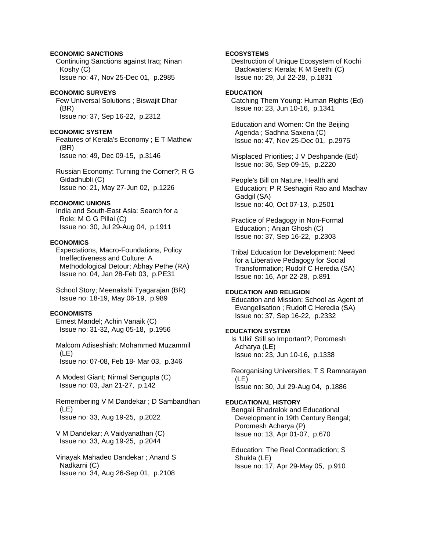### **ECONOMIC SANCTIONS**

 Continuing Sanctions against Iraq; Ninan Koshy (C) Issue no: 47, Nov 25-Dec 01, p.2985

### **ECONOMIC SURVEYS**

 Few Universal Solutions ; Biswajit Dhar (BR) Issue no: 37, Sep 16-22, p.2312

#### **ECONOMIC SYSTEM**

 Features of Kerala's Economy ; E T Mathew (BR) Issue no: 49, Dec 09-15, p.3146

 Russian Economy: Turning the Corner?; R G Gidadhubli (C) Issue no: 21, May 27-Jun 02, p.1226

# **ECONOMIC UNIONS**

 India and South-East Asia: Search for a Role; M G G Pillai (C) Issue no: 30, Jul 29-Aug 04, p.1911

#### **ECONOMICS**

 Expectations, Macro-Foundations, Policy Ineffectiveness and Culture: A Methodological Detour; Abhay Pethe (RA) Issue no: 04, Jan 28-Feb 03, p.PE31

 School Story; Meenakshi Tyagarajan (BR) Issue no: 18-19, May 06-19, p.989

# **ECONOMISTS**

 Ernest Mandel; Achin Vanaik (C) Issue no: 31-32, Aug 05-18, p.1956

 Malcom Adiseshiah; Mohammed Muzammil (LE) Issue no: 07-08, Feb 18- Mar 03, p.346

 A Modest Giant; Nirmal Sengupta (C) Issue no: 03, Jan 21-27, p.142

 Remembering V M Dandekar ; D Sambandhan (LE) Issue no: 33, Aug 19-25, p.2022

 V M Dandekar; A Vaidyanathan (C) Issue no: 33, Aug 19-25, p.2044

 Vinayak Mahadeo Dandekar ; Anand S Nadkarni (C) Issue no: 34, Aug 26-Sep 01, p.2108

### **ECOSYSTEMS**

 Destruction of Unique Ecosystem of Kochi Backwaters: Kerala; K M Seethi (C) Issue no: 29, Jul 22-28, p.1831

# **EDUCATION**

 Catching Them Young: Human Rights (Ed) Issue no: 23, Jun 10-16, p.1341

 Education and Women: On the Beijing Agenda ; Sadhna Saxena (C) Issue no: 47, Nov 25-Dec 01, p.2975

 Misplaced Priorities; J V Deshpande (Ed) Issue no: 36, Sep 09-15, p.2220

 People's Bill on Nature, Health and Education; P R Seshagiri Rao and Madhav Gadgil (SA) Issue no: 40, Oct 07-13, p.2501

 Practice of Pedagogy in Non-Formal Education ; Anjan Ghosh (C) Issue no: 37, Sep 16-22, p.2303

 Tribal Education for Development: Need for a Liberative Pedagogy for Social Transformation; Rudolf C Heredia (SA) Issue no: 16, Apr 22-28, p.891

### **EDUCATION AND RELIGION**

 Education and Mission: School as Agent of Evangelisation ; Rudolf C Heredia (SA) Issue no: 37, Sep 16-22, p.2332

### **EDUCATION SYSTEM**

 Is 'Ulki' Still so Important?; Poromesh Acharya (LE) Issue no: 23, Jun 10-16, p.1338

 Reorganising Universities; T S Ramnarayan (LE) Issue no: 30, Jul 29-Aug 04, p.1886

### **EDUCATIONAL HISTORY**

 Bengali Bhadralok and Educational Development in 19th Century Bengal; Poromesh Acharya (P) Issue no: 13, Apr 01-07, p.670

 Education: The Real Contradiction; S Shukla (LE) Issue no: 17, Apr 29-May 05, p.910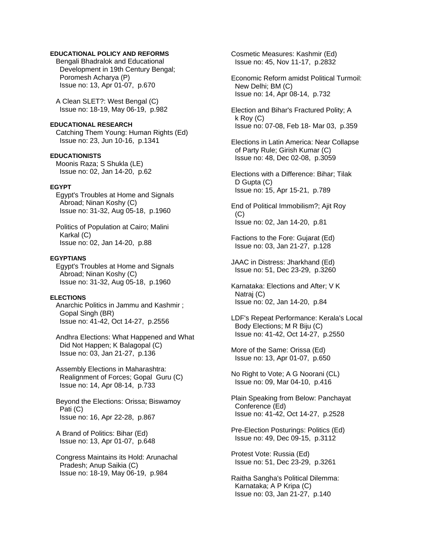# **EDUCATIONAL POLICY AND REFORMS**

 Bengali Bhadralok and Educational Development in 19th Century Bengal; Poromesh Acharya (P) Issue no: 13, Apr 01-07, p.670

 A Clean SLET?: West Bengal (C) Issue no: 18-19, May 06-19, p.982

**EDUCATIONAL RESEARCH**  Catching Them Young: Human Rights (Ed) Issue no: 23, Jun 10-16, p.1341

**EDUCATIONISTS** 

 Moonis Raza; S Shukla (LE) Issue no: 02, Jan 14-20, p.62

### **EGYPT**

 Egypt's Troubles at Home and Signals Abroad; Ninan Koshy (C) Issue no: 31-32, Aug 05-18, p.1960

 Politics of Population at Cairo; Malini Karkal (C) Issue no: 02, Jan 14-20, p.88

#### **EGYPTIANS**

 Egypt's Troubles at Home and Signals Abroad; Ninan Koshy (C) Issue no: 31-32, Aug 05-18, p.1960

# **ELECTIONS**

 Anarchic Politics in Jammu and Kashmir ; Gopal Singh (BR) Issue no: 41-42, Oct 14-27, p.2556

 Andhra Elections: What Happened and What Did Not Happen; K Balagopal (C) Issue no: 03, Jan 21-27, p.136

 Assembly Elections in Maharashtra: Realignment of Forces; Gopal Guru (C) Issue no: 14, Apr 08-14, p.733

 Beyond the Elections: Orissa; Biswamoy Pati (C) Issue no: 16, Apr 22-28, p.867

 A Brand of Politics: Bihar (Ed) Issue no: 13, Apr 01-07, p.648

 Congress Maintains its Hold: Arunachal Pradesh; Anup Saikia (C) Issue no: 18-19, May 06-19, p.984

 Cosmetic Measures: Kashmir (Ed) Issue no: 45, Nov 11-17, p.2832

 Economic Reform amidst Political Turmoil: New Delhi; BM (C) Issue no: 14, Apr 08-14, p.732

 Election and Bihar's Fractured Polity; A k Roy (C) Issue no: 07-08, Feb 18- Mar 03, p.359

 Elections in Latin America: Near Collapse of Party Rule; Girish Kumar (C) Issue no: 48, Dec 02-08, p.3059

 Elections with a Difference: Bihar; Tilak D Gupta (C) Issue no: 15, Apr 15-21, p.789

 End of Political Immobilism?; Ajit Roy (C) Issue no: 02, Jan 14-20, p.81

 Factions to the Fore: Gujarat (Ed) Issue no: 03, Jan 21-27, p.128

 JAAC in Distress: Jharkhand (Ed) Issue no: 51, Dec 23-29, p.3260

 Karnataka: Elections and After; V K Natraj (C) Issue no: 02, Jan 14-20, p.84

 LDF's Repeat Performance: Kerala's Local Body Elections; M R Biju (C) Issue no: 41-42, Oct 14-27, p.2550

 More of the Same: Orissa (Ed) Issue no: 13, Apr 01-07, p.650

 No Right to Vote; A G Noorani (CL) Issue no: 09, Mar 04-10, p.416

 Plain Speaking from Below: Panchayat Conference (Ed) Issue no: 41-42, Oct 14-27, p.2528

 Pre-Election Posturings: Politics (Ed) Issue no: 49, Dec 09-15, p.3112

 Protest Vote: Russia (Ed) Issue no: 51, Dec 23-29, p.3261

 Raitha Sangha's Political Dilemma: Karnataka; A P Kripa (C) Issue no: 03, Jan 21-27, p.140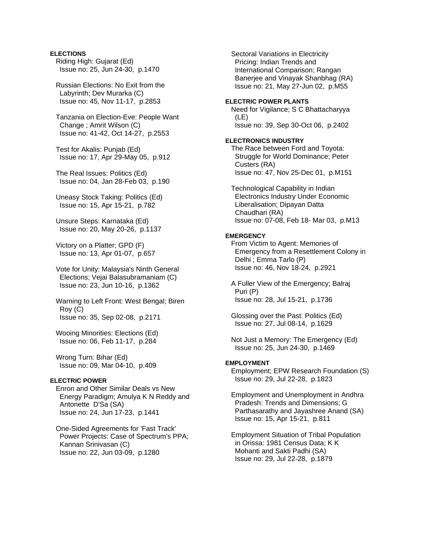### **ELECTIONS**

 Riding High: Gujarat (Ed) Issue no: 25, Jun 24-30, p.1470

 Russian Elections: No Exit from the Labyrinth; Dev Murarka (C) Issue no: 45, Nov 11-17, p.2853

 Tanzania on Election-Eve: People Want Change ; Amrit Wilson (C) Issue no: 41-42, Oct 14-27, p.2553

 Test for Akalis: Punjab (Ed) Issue no: 17, Apr 29-May 05, p.912

 The Real Issues: Politics (Ed) Issue no: 04, Jan 28-Feb 03, p.190

 Uneasy Stock Taking: Politics (Ed) Issue no: 15, Apr 15-21, p.782

 Unsure Steps: Karnataka (Ed) Issue no: 20, May 20-26, p.1137

 Victory on a Platter; GPD (F) Issue no: 13, Apr 01-07, p.657

 Vote for Unity: Malaysia's Ninth General Elections; Vejai Balasubramaniam (C) Issue no: 23, Jun 10-16, p.1362

 Warning to Left Front: West Bengal; Biren Roy (C) Issue no: 35, Sep 02-08, p.2171

 Wooing Minorities: Elections (Ed) Issue no: 06, Feb 11-17, p.284

 Wrong Turn: Bihar (Ed) Issue no: 09, Mar 04-10, p.409

# **ELECTRIC POWER**

 Enron and Other Similar Deals vs New Energy Paradigm; Amulya K N Reddy and Antonette D'Sa (SA) Issue no: 24, Jun 17-23, p.1441

 One-Sided Agreements for 'Fast Track' Power Projects: Case of Spectrum's PPA; Kannan Srinivasan (C) Issue no: 22, Jun 03-09, p.1280

 Sectoral Variations in Electricity Pricing: Indian Trends and International Comparison; Rangan Banerjee and Vinayak Shanbhag (RA) Issue no: 21, May 27-Jun 02, p.M55

# **ELECTRIC POWER PLANTS**

 Need for Vigilance; S C Bhattacharyya (LE) Issue no: 39, Sep 30-Oct 06, p.2402

### **ELECTRONICS INDUSTRY**

 The Race between Ford and Toyota: Struggle for World Dominance; Peter Custers (RA) Issue no: 47, Nov 25-Dec 01, p.M151

 Technological Capability in Indian Electronics Industry Under Economic Liberalisation; Dipayan Datta Chaudhari (RA) Issue no: 07-08, Feb 18- Mar 03, p.M13

#### **EMERGENCY**

 From Victim to Agent: Memories of Emergency from a Resettlement Colony in Delhi ; Emma Tarlo (P) Issue no: 46, Nov 18-24, p.2921

 A Fuller View of the Emergency; Balraj Puri (P) Issue no: 28, Jul 15-21, p.1736

 Glossing over the Past: Politics (Ed) Issue no: 27, Jul 08-14, p.1629

 Not Just a Memory: The Emergency (Ed) Issue no: 25, Jun 24-30, p.1469

# **EMPLOYMENT**

 Employment; EPW Research Foundation (S) Issue no: 29, Jul 22-28, p.1823

 Employment and Unemployment in Andhra Pradesh: Trends and Dimensions; G Parthasarathy and Jayashree Anand (SA) Issue no: 15, Apr 15-21, p.811

 Employment Situation of Tribal Population in Orissa: 1981 Census Data; K K Mohanti and Sakti Padhi (SA) Issue no: 29, Jul 22-28, p.1879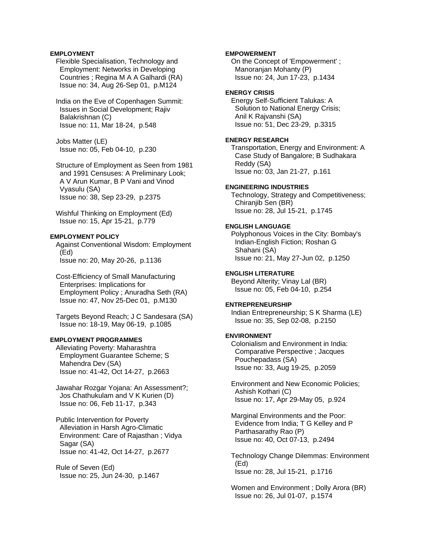### **EMPLOYMENT**

 Flexible Specialisation, Technology and Employment: Networks in Developing Countries ; Regina M A A Galhardi (RA) Issue no: 34, Aug 26-Sep 01, p.M124

 India on the Eve of Copenhagen Summit: Issues in Social Development; Rajiv Balakrishnan (C) Issue no: 11, Mar 18-24, p.548

 Jobs Matter (LE) Issue no: 05, Feb 04-10, p.230

 Structure of Employment as Seen from 1981 and 1991 Censuses: A Preliminary Look; A V Arun Kumar, B P Vani and Vinod Vyasulu (SA) Issue no: 38, Sep 23-29, p.2375

 Wishful Thinking on Employment (Ed) Issue no: 15, Apr 15-21, p.779

### **EMPLOYMENT POLICY**

 Against Conventional Wisdom: Employment (Ed) Issue no: 20, May 20-26, p.1136

 Cost-Efficiency of Small Manufacturing Enterprises: Implications for Employment Policy ; Anuradha Seth (RA) Issue no: 47, Nov 25-Dec 01, p.M130

 Targets Beyond Reach; J C Sandesara (SA) Issue no: 18-19, May 06-19, p.1085

### **EMPLOYMENT PROGRAMMES**

 Alleviating Poverty: Maharashtra Employment Guarantee Scheme; S Mahendra Dev (SA) Issue no: 41-42, Oct 14-27, p.2663

 Jawahar Rozgar Yojana: An Assessment?; Jos Chathukulam and V K Kurien (D) Issue no: 06, Feb 11-17, p.343

 Public Intervention for Poverty Alleviation in Harsh Agro-Climatic Environment: Care of Rajasthan ; Vidya Sagar (SA) Issue no: 41-42, Oct 14-27, p.2677

 Rule of Seven (Ed) Issue no: 25, Jun 24-30, p.1467

#### **EMPOWERMENT**

 On the Concept of 'Empowerment' ; Manoranjan Mohanty (P) Issue no: 24, Jun 17-23, p.1434

# **ENERGY CRISIS**

 Energy Self-Sufficient Talukas: A Solution to National Energy Crisis; Anil K Rajvanshi (SA) Issue no: 51, Dec 23-29, p.3315

# **ENERGY RESEARCH**

 Transportation, Energy and Environment: A Case Study of Bangalore; B Sudhakara Reddy (SA) Issue no: 03, Jan 21-27, p.161

### **ENGINEERING INDUSTRIES**

 Technology, Strategy and Competitiveness; Chiranjib Sen (BR) Issue no: 28, Jul 15-21, p.1745

# **ENGLISH LANGUAGE**

 Polyphonous Voices in the City: Bombay's Indian-English Fiction; Roshan G Shahani (SA) Issue no: 21, May 27-Jun 02, p.1250

**ENGLISH LITERATURE**  Beyond Alterity; Vinay Lal (BR)

# Issue no: 05, Feb 04-10, p.254

### **ENTREPRENEURSHIP**

 Indian Entrepreneurship; S K Sharma (LE) Issue no: 35, Sep 02-08, p.2150

#### **ENVIRONMENT**

 Colonialism and Environment in India: Comparative Perspective ; Jacques Pouchepadass (SA) Issue no: 33, Aug 19-25, p.2059

 Environment and New Economic Policies; Ashish Kothari (C) Issue no: 17, Apr 29-May 05, p.924

 Marginal Environments and the Poor: Evidence from India; T G Kelley and P Parthasarathy Rao (P) Issue no: 40, Oct 07-13, p.2494

 Technology Change Dilemmas: Environment (Ed) Issue no: 28, Jul 15-21, p.1716

 Women and Environment ; Dolly Arora (BR) Issue no: 26, Jul 01-07, p.1574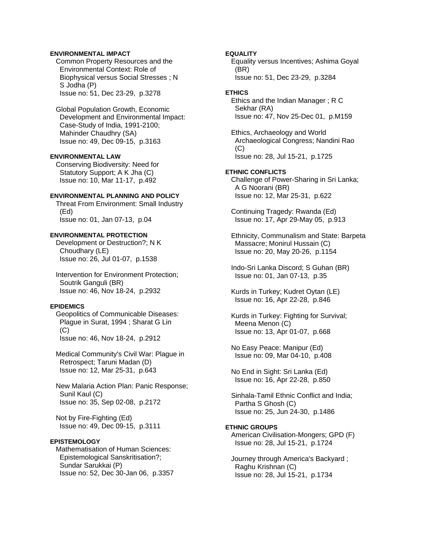### **ENVIRONMENTAL IMPACT**

 Common Property Resources and the Environmental Context: Role of Biophysical versus Social Stresses ; N S Jodha (P) Issue no: 51, Dec 23-29, p.3278

 Global Population Growth, Economic Development and Environmental Impact: Case-Study of India, 1991-2100; Mahinder Chaudhry (SA) Issue no: 49, Dec 09-15, p.3163

# **ENVIRONMENTAL LAW**

 Conserving Biodiversity: Need for Statutory Support; A K Jha (C) Issue no: 10, Mar 11-17, p.492

### **ENVIRONMENTAL PLANNING AND POLICY**

 Threat From Environment: Small Industry (Ed) Issue no: 01, Jan 07-13, p.04

#### **ENVIRONMENTAL PROTECTION**

 Development or Destruction?; N K Choudhary (LE) Issue no: 26, Jul 01-07, p.1538

 Intervention for Environment Protection; Soutrik Ganguli (BR) Issue no: 46, Nov 18-24, p.2932

#### **EPIDEMICS**

 Geopolitics of Communicable Diseases: Plague in Surat, 1994 ; Sharat G Lin  $(C)$ Issue no: 46, Nov 18-24, p.2912

 Medical Community's Civil War: Plague in Retrospect; Taruni Madan (D) Issue no: 12, Mar 25-31, p.643

 New Malaria Action Plan: Panic Response; Sunil Kaul (C) Issue no: 35, Sep 02-08, p.2172

 Not by Fire-Fighting (Ed) Issue no: 49, Dec 09-15, p.3111

### **EPISTEMOLOGY**

 Mathematisation of Human Sciences: Epistemological Sanskritisation?; Sundar Sarukkai (P) Issue no: 52, Dec 30-Jan 06, p.3357

#### **EQUALITY**

 Equality versus Incentives; Ashima Goyal (BR) Issue no: 51, Dec 23-29, p.3284

### **ETHICS**

 Ethics and the Indian Manager ; R C Sekhar (RA) Issue no: 47, Nov 25-Dec 01, p.M159

 Ethics, Archaeology and World Archaeological Congress; Nandini Rao  $(C)$ Issue no: 28, Jul 15-21, p.1725

#### **ETHNIC CONFLICTS**

 Challenge of Power-Sharing in Sri Lanka; A G Noorani (BR) Issue no: 12, Mar 25-31, p.622

 Continuing Tragedy: Rwanda (Ed) Issue no: 17, Apr 29-May 05, p.913

 Ethnicity, Communalism and State: Barpeta Massacre; Monirul Hussain (C) Issue no: 20, May 20-26, p.1154

 Indo-Sri Lanka Discord; S Guhan (BR) Issue no: 01, Jan 07-13, p.35

 Kurds in Turkey; Kudret Oytan (LE) Issue no: 16, Apr 22-28, p.846

 Kurds in Turkey: Fighting for Survival; Meena Menon (C) Issue no: 13, Apr 01-07, p.668

 No Easy Peace: Manipur (Ed) Issue no: 09, Mar 04-10, p.408

 No End in Sight: Sri Lanka (Ed) Issue no: 16, Apr 22-28, p.850

 Sinhala-Tamil Ethnic Conflict and India; Partha S Ghosh (C) Issue no: 25, Jun 24-30, p.1486

# **ETHNIC GROUPS**

 American Civilisation-Mongers; GPD (F) Issue no: 28, Jul 15-21, p.1724

 Journey through America's Backyard ; Raghu Krishnan (C) Issue no: 28, Jul 15-21, p.1734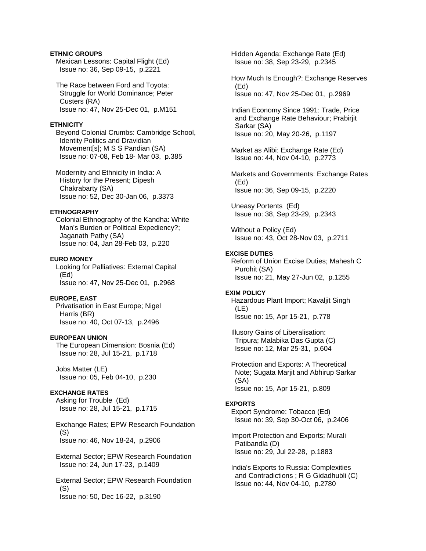# **ETHNIC GROUPS**

 Mexican Lessons: Capital Flight (Ed) Issue no: 36, Sep 09-15, p.2221

 The Race between Ford and Toyota: Struggle for World Dominance; Peter Custers (RA) Issue no: 47, Nov 25-Dec 01, p.M151

#### **ETHNICITY**

 Beyond Colonial Crumbs: Cambridge School, Identity Politics and Dravidian Movement[s]; M S S Pandian (SA) Issue no: 07-08, Feb 18- Mar 03, p.385

 Modernity and Ethnicity in India: A History for the Present; Dipesh Chakrabarty (SA) Issue no: 52, Dec 30-Jan 06, p.3373

# **ETHNOGRAPHY**

 Colonial Ethnography of the Kandha: White Man's Burden or Political Expediency?; Jaganath Pathy (SA) Issue no: 04, Jan 28-Feb 03, p.220

#### **EURO MONEY**

 Looking for Palliatives: External Capital (Ed) Issue no: 47, Nov 25-Dec 01, p.2968

# **EUROPE, EAST**

 Privatisation in East Europe; Nigel Harris (BR) Issue no: 40, Oct 07-13, p.2496

#### **EUROPEAN UNION**

 The European Dimension: Bosnia (Ed) Issue no: 28, Jul 15-21, p.1718

 Jobs Matter (LE) Issue no: 05, Feb 04-10, p.230

### **EXCHANGE RATES**

 Asking for Trouble (Ed) Issue no: 28, Jul 15-21, p.1715

 Exchange Rates; EPW Research Foundation (S) Issue no: 46, Nov 18-24, p.2906

 External Sector; EPW Research Foundation Issue no: 24, Jun 17-23, p.1409

 External Sector; EPW Research Foundation (S) Issue no: 50, Dec 16-22, p.3190

 Hidden Agenda: Exchange Rate (Ed) Issue no: 38, Sep 23-29, p.2345

 How Much Is Enough?: Exchange Reserves (Ed) Issue no: 47, Nov 25-Dec 01, p.2969

 Indian Economy Since 1991: Trade, Price and Exchange Rate Behaviour; Prabirjit Sarkar (SA) Issue no: 20, May 20-26, p.1197

 Market as Alibi: Exchange Rate (Ed) Issue no: 44, Nov 04-10, p.2773

 Markets and Governments: Exchange Rates (Ed) Issue no: 36, Sep 09-15, p.2220

 Uneasy Portents (Ed) Issue no: 38, Sep 23-29, p.2343

 Without a Policy (Ed) Issue no: 43, Oct 28-Nov 03, p.2711

### **EXCISE DUTIES**

 Reform of Union Excise Duties; Mahesh C Purohit (SA) Issue no: 21, May 27-Jun 02, p.1255

#### **EXIM POLICY**

 Hazardous Plant Import; Kavaljit Singh (LE) Issue no: 15, Apr 15-21, p.778

 Illusory Gains of Liberalisation: Tripura; Malabika Das Gupta (C) Issue no: 12, Mar 25-31, p.604

 Protection and Exports: A Theoretical Note; Sugata Marjit and Abhirup Sarkar (SA) Issue no: 15, Apr 15-21, p.809

#### **EXPORTS**

 Export Syndrome: Tobacco (Ed) Issue no: 39, Sep 30-Oct 06, p.2406

 Import Protection and Exports; Murali Patibandla (D) Issue no: 29, Jul 22-28, p.1883

 India's Exports to Russia: Complexities and Contradictions ; R G Gidadhubli (C) Issue no: 44, Nov 04-10, p.2780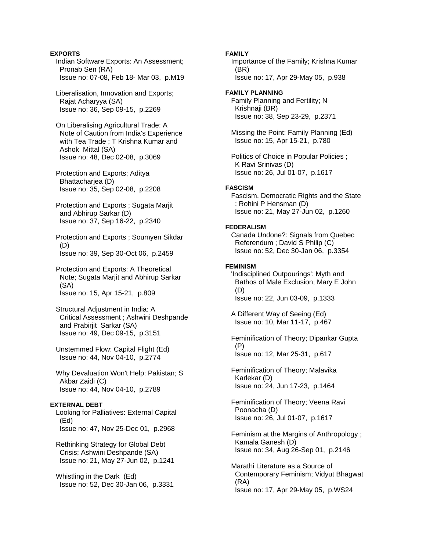### **EXPORTS**

 Indian Software Exports: An Assessment; Pronab Sen (RA) Issue no: 07-08, Feb 18- Mar 03, p.M19

 Liberalisation, Innovation and Exports; Rajat Acharyya (SA) Issue no: 36, Sep 09-15, p.2269

 On Liberalising Agricultural Trade: A Note of Caution from India's Experience with Tea Trade ; T Krishna Kumar and Ashok Mittal (SA) Issue no: 48, Dec 02-08, p.3069

 Protection and Exports; Aditya Bhattacharjea (D) Issue no: 35, Sep 02-08, p.2208

 Protection and Exports ; Sugata Marjit and Abhirup Sarkar (D) Issue no: 37, Sep 16-22, p.2340

 Protection and Exports ; Soumyen Sikdar (D) Issue no: 39, Sep 30-Oct 06, p.2459

 Protection and Exports: A Theoretical Note; Sugata Marjit and Abhirup Sarkar (SA) Issue no: 15, Apr 15-21, p.809

 Structural Adjustment in India: A Critical Assessment ; Ashwini Deshpande and Prabirjit Sarkar (SA) Issue no: 49, Dec 09-15, p.3151

 Unstemmed Flow: Capital Flight (Ed) Issue no: 44, Nov 04-10, p.2774

 Why Devaluation Won't Help: Pakistan; S Akbar Zaidi (C) Issue no: 44, Nov 04-10, p.2789

#### **EXTERNAL DEBT**

 Looking for Palliatives: External Capital (Ed) Issue no: 47, Nov 25-Dec 01, p.2968

 Rethinking Strategy for Global Debt Crisis; Ashwini Deshpande (SA) Issue no: 21, May 27-Jun 02, p.1241

 Whistling in the Dark (Ed) Issue no: 52, Dec 30-Jan 06, p.3331

### **FAMILY**

 Importance of the Family; Krishna Kumar (BR) Issue no: 17, Apr 29-May 05, p.938

#### **FAMILY PLANNING**

 Family Planning and Fertility; N Krishnaji (BR) Issue no: 38, Sep 23-29, p.2371

 Missing the Point: Family Planning (Ed) Issue no: 15, Apr 15-21, p.780

 Politics of Choice in Popular Policies ; K Ravi Srinivas (D) Issue no: 26, Jul 01-07, p.1617

#### **FASCISM**

 Fascism, Democratic Rights and the State ; Rohini P Hensman (D) Issue no: 21, May 27-Jun 02, p.1260

## **FEDERALISM**

 Canada Undone?: Signals from Quebec Referendum ; David S Philip (C) Issue no: 52, Dec 30-Jan 06, p.3354

#### **FEMINISM**

 'Indisciplined Outpourings': Myth and Bathos of Male Exclusion; Mary E John (D) Issue no: 22, Jun 03-09, p.1333

 A Different Way of Seeing (Ed) Issue no: 10, Mar 11-17, p.467

 Feminification of Theory; Dipankar Gupta (P) Issue no: 12, Mar 25-31, p.617

 Feminification of Theory; Malavika Karlekar (D) Issue no: 24, Jun 17-23, p.1464

 Feminification of Theory; Veena Ravi Poonacha (D) Issue no: 26, Jul 01-07, p.1617

 Feminism at the Margins of Anthropology ; Kamala Ganesh (D) Issue no: 34, Aug 26-Sep 01, p.2146

 Marathi Literature as a Source of Contemporary Feminism; Vidyut Bhagwat (RA) Issue no: 17, Apr 29-May 05, p.WS24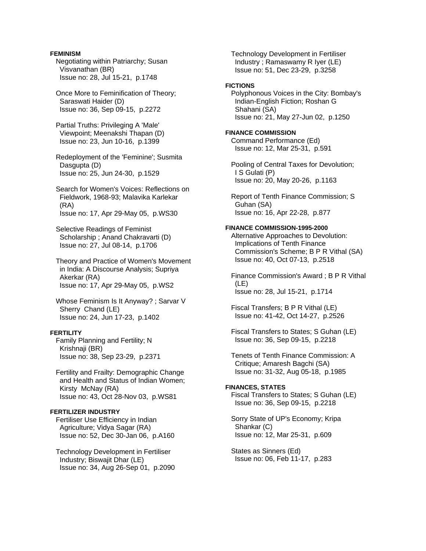### **FEMINISM**

 Negotiating within Patriarchy; Susan Visvanathan (BR) Issue no: 28, Jul 15-21, p.1748

 Once More to Feminification of Theory; Saraswati Haider (D) Issue no: 36, Sep 09-15, p.2272

 Partial Truths: Privileging A 'Male' Viewpoint; Meenakshi Thapan (D) Issue no: 23, Jun 10-16, p.1399

 Redeployment of the 'Feminine'; Susmita Dasgupta (D) Issue no: 25, Jun 24-30, p.1529

 Search for Women's Voices: Reflections on Fieldwork, 1968-93; Malavika Karlekar (RA) Issue no: 17, Apr 29-May 05, p.WS30

 Selective Readings of Feminist Scholarship ; Anand Chakravarti (D) Issue no: 27, Jul 08-14, p.1706

 Theory and Practice of Women's Movement in India: A Discourse Analysis; Supriya Akerkar (RA) Issue no: 17, Apr 29-May 05, p.WS2

 Whose Feminism Is It Anyway? ; Sarvar V Sherry Chand (LE) Issue no: 24, Jun 17-23, p.1402

### **FERTILITY**

 Family Planning and Fertility; N Krishnaji (BR) Issue no: 38, Sep 23-29, p.2371

 Fertility and Frailty: Demographic Change and Health and Status of Indian Women; Kirsty McNay (RA) Issue no: 43, Oct 28-Nov 03, p.WS81

### **FERTILIZER INDUSTRY**

 Fertiliser Use Efficiency in Indian Agriculture; Vidya Sagar (RA) Issue no: 52, Dec 30-Jan 06, p.A160

 Technology Development in Fertiliser Industry; Biswajit Dhar (LE) Issue no: 34, Aug 26-Sep 01, p.2090  Technology Development in Fertiliser Industry ; Ramaswamy R Iyer (LE) Issue no: 51, Dec 23-29, p.3258

#### **FICTIONS**

 Polyphonous Voices in the City: Bombay's Indian-English Fiction; Roshan G Shahani (SA) Issue no: 21, May 27-Jun 02, p.1250

### **FINANCE COMMISSION**

 Command Performance (Ed) Issue no: 12, Mar 25-31, p.591

 Pooling of Central Taxes for Devolution; I S Gulati (P) Issue no: 20, May 20-26, p.1163

 Report of Tenth Finance Commission; S Guhan (SA) Issue no: 16, Apr 22-28, p.877

#### **FINANCE COMMISSION-1995-2000**

 Alternative Approaches to Devolution: Implications of Tenth Finance Commission's Scheme; B P R Vithal (SA) Issue no: 40, Oct 07-13, p.2518

 Finance Commission's Award ; B P R Vithal  $(LE)$ Issue no: 28, Jul 15-21, p.1714

 Fiscal Transfers; B P R Vithal (LE) Issue no: 41-42, Oct 14-27, p.2526

 Fiscal Transfers to States; S Guhan (LE) Issue no: 36, Sep 09-15, p.2218

 Tenets of Tenth Finance Commission: A Critique; Amaresh Bagchi (SA) Issue no: 31-32, Aug 05-18, p.1985

### **FINANCES, STATES**

 Fiscal Transfers to States; S Guhan (LE) Issue no: 36, Sep 09-15, p.2218

 Sorry State of UP's Economy; Kripa Shankar (C) Issue no: 12, Mar 25-31, p.609

 States as Sinners (Ed) Issue no: 06, Feb 11-17, p.283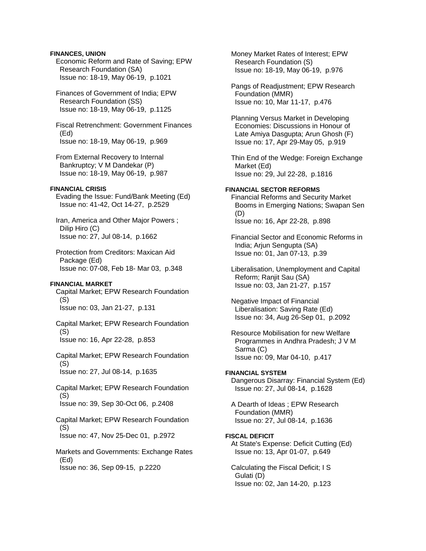### **FINANCES, UNION**

 Economic Reform and Rate of Saving; EPW Research Foundation (SA) Issue no: 18-19, May 06-19, p.1021

 Finances of Government of India; EPW Research Foundation (SS) Issue no: 18-19, May 06-19, p.1125

 Fiscal Retrenchment: Government Finances (Ed) Issue no: 18-19, May 06-19, p.969

 From External Recovery to Internal Bankruptcy; V M Dandekar (P) Issue no: 18-19, May 06-19, p.987

### **FINANCIAL CRISIS**

 Evading the Issue: Fund/Bank Meeting (Ed) Issue no: 41-42, Oct 14-27, p.2529

 Iran, America and Other Major Powers ; Dilip Hiro (C) Issue no: 27, Jul 08-14, p.1662

 Protection from Creditors: Maxican Aid Package (Ed) Issue no: 07-08, Feb 18- Mar 03, p.348

### **FINANCIAL MARKET**

 Capital Market; EPW Research Foundation (S) Issue no: 03, Jan 21-27, p.131

 Capital Market; EPW Research Foundation (S) Issue no: 16, Apr 22-28, p.853

 Capital Market; EPW Research Foundation (S)

Issue no: 27, Jul 08-14, p.1635

 Capital Market; EPW Research Foundation (S) Issue no: 39, Sep 30-Oct 06, p.2408

 Capital Market; EPW Research Foundation (S)

Issue no: 47, Nov 25-Dec 01, p.2972

 Markets and Governments: Exchange Rates (Ed) Issue no: 36, Sep 09-15, p.2220

 Money Market Rates of Interest; EPW Research Foundation (S) Issue no: 18-19, May 06-19, p.976

 Pangs of Readjustment; EPW Research Foundation (MMR) Issue no: 10, Mar 11-17, p.476

 Planning Versus Market in Developing Economies: Discussions in Honour of Late Amiya Dasgupta; Arun Ghosh (F) Issue no: 17, Apr 29-May 05, p.919

 Thin End of the Wedge: Foreign Exchange Market (Ed) Issue no: 29, Jul 22-28, p.1816

#### **FINANCIAL SECTOR REFORMS**

 Financial Reforms and Security Market Booms in Emerging Nations; Swapan Sen (D) Issue no: 16, Apr 22-28, p.898

 Financial Sector and Economic Reforms in India; Arjun Sengupta (SA) Issue no: 01, Jan 07-13, p.39

 Liberalisation, Unemployment and Capital Reform; Ranjit Sau (SA) Issue no: 03, Jan 21-27, p.157

 Negative Impact of Financial Liberalisation: Saving Rate (Ed) Issue no: 34, Aug 26-Sep 01, p.2092

 Resource Mobilisation for new Welfare Programmes in Andhra Pradesh; J V M Sarma (C) Issue no: 09, Mar 04-10, p.417

### **FINANCIAL SYSTEM**

 Dangerous Disarray: Financial System (Ed) Issue no: 27, Jul 08-14, p.1628

 A Dearth of Ideas ; EPW Research Foundation (MMR) Issue no: 27, Jul 08-14, p.1636

# **FISCAL DEFICIT**

 At State's Expense: Deficit Cutting (Ed) Issue no: 13, Apr 01-07, p.649

 Calculating the Fiscal Deficit; I S Gulati (D) Issue no: 02, Jan 14-20, p.123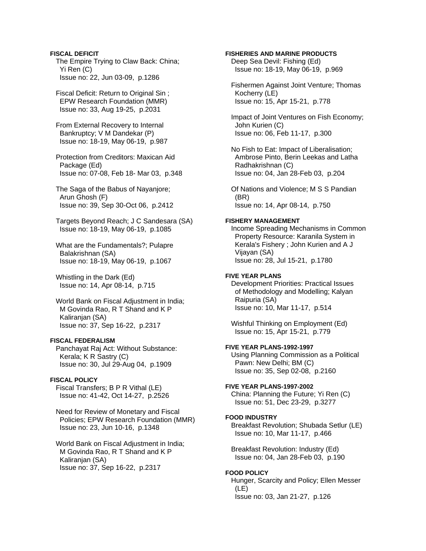# **FISCAL DEFICIT**

 The Empire Trying to Claw Back: China; Yi Ren (C) Issue no: 22, Jun 03-09, p.1286

 Fiscal Deficit: Return to Original Sin ; EPW Research Foundation (MMR) Issue no: 33, Aug 19-25, p.2031

 From External Recovery to Internal Bankruptcy; V M Dandekar (P) Issue no: 18-19, May 06-19, p.987

 Protection from Creditors: Maxican Aid Package (Ed) Issue no: 07-08, Feb 18- Mar 03, p.348

 The Saga of the Babus of Nayanjore; Arun Ghosh (F) Issue no: 39, Sep 30-Oct 06, p.2412

 Targets Beyond Reach; J C Sandesara (SA) Issue no: 18-19, May 06-19, p.1085

 What are the Fundamentals?; Pulapre Balakrishnan (SA) Issue no: 18-19, May 06-19, p.1067

 Whistling in the Dark (Ed) Issue no: 14, Apr 08-14, p.715

 World Bank on Fiscal Adjustment in India; M Govinda Rao, R T Shand and K P Kaliranjan (SA) Issue no: 37, Sep 16-22, p.2317

### **FISCAL FEDERALISM**

 Panchayat Raj Act: Without Substance: Kerala; K R Sastry (C) Issue no: 30, Jul 29-Aug 04, p.1909

### **FISCAL POLICY**

 Fiscal Transfers; B P R Vithal (LE) Issue no: 41-42, Oct 14-27, p.2526

 Need for Review of Monetary and Fiscal Policies; EPW Research Foundation (MMR) Issue no: 23, Jun 10-16, p.1348

 World Bank on Fiscal Adjustment in India; M Govinda Rao, R T Shand and K P Kaliranjan (SA) Issue no: 37, Sep 16-22, p.2317

# **FISHERIES AND MARINE PRODUCTS**

 Deep Sea Devil: Fishing (Ed) Issue no: 18-19, May 06-19, p.969

 Fishermen Against Joint Venture; Thomas Kocherry (LE) Issue no: 15, Apr 15-21, p.778

 Impact of Joint Ventures on Fish Economy; John Kurien (C) Issue no: 06, Feb 11-17, p.300

 No Fish to Eat: Impact of Liberalisation; Ambrose Pinto, Berin Leekas and Latha Radhakrishnan (C) Issue no: 04, Jan 28-Feb 03, p.204

 Of Nations and Violence; M S S Pandian (BR) Issue no: 14, Apr 08-14, p.750

#### **FISHERY MANAGEMENT**

 Income Spreading Mechanisms in Common Property Resource: Karanila System in Kerala's Fishery ; John Kurien and A J Vijayan (SA) Issue no: 28, Jul 15-21, p.1780

## **FIVE YEAR PLANS**

 Development Priorities: Practical Issues of Methodology and Modelling; Kalyan Raipuria (SA) Issue no: 10, Mar 11-17, p.514

 Wishful Thinking on Employment (Ed) Issue no: 15, Apr 15-21, p.779

### **FIVE YEAR PLANS-1992-1997**

 Using Planning Commission as a Political Pawn: New Delhi; BM (C) Issue no: 35, Sep 02-08, p.2160

### **FIVE YEAR PLANS-1997-2002**

 China: Planning the Future; Yi Ren (C) Issue no: 51, Dec 23-29, p.3277

### **FOOD INDUSTRY**

 Breakfast Revolution; Shubada Setlur (LE) Issue no: 10, Mar 11-17, p.466

 Breakfast Revolution: Industry (Ed) Issue no: 04, Jan 28-Feb 03, p.190

### **FOOD POLICY**

 Hunger, Scarcity and Policy; Ellen Messer (LE) Issue no: 03, Jan 21-27, p.126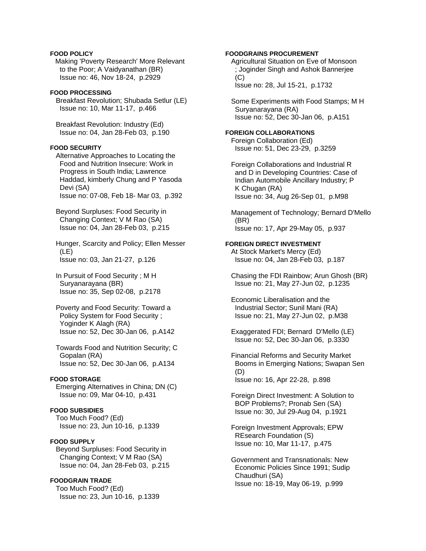### **FOOD POLICY**

Making 'Poverty Research' More Relevant to the Poor; A Vaidyanathan (BR) Issue no: 46, Nov 18-24, p.2929

### **FOOD PROCESSING**

 Breakfast Revolution; Shubada Setlur (LE) Issue no: 10, Mar 11-17, p.466

 Breakfast Revolution: Industry (Ed) Issue no: 04, Jan 28-Feb 03, p.190

#### **FOOD SECURITY**

 Alternative Approaches to Locating the Food and Nutrition Insecure: Work in Progress in South India; Lawrence Haddad, kimberly Chung and P Yasoda Devi (SA) Issue no: 07-08, Feb 18- Mar 03, p.392

 Beyond Surpluses: Food Security in Changing Context; V M Rao (SA) Issue no: 04, Jan 28-Feb 03, p.215

 Hunger, Scarcity and Policy; Ellen Messer (LE) Issue no: 03, Jan 21-27, p.126

 In Pursuit of Food Security ; M H Suryanarayana (BR) Issue no: 35, Sep 02-08, p.2178

 Poverty and Food Security: Toward a Policy System for Food Security ; Yoginder K Alagh (RA) Issue no: 52, Dec 30-Jan 06, p.A142

 Towards Food and Nutrition Security; C Gopalan (RA) Issue no: 52, Dec 30-Jan 06, p.A134

## **FOOD STORAGE**

 Emerging Alternatives in China; DN (C) Issue no: 09, Mar 04-10, p.431

# **FOOD SUBSIDIES**

 Too Much Food? (Ed) Issue no: 23, Jun 10-16, p.1339

# **FOOD SUPPLY**

 Beyond Surpluses: Food Security in Changing Context; V M Rao (SA) Issue no: 04, Jan 28-Feb 03, p.215

### **FOODGRAIN TRADE**

 Too Much Food? (Ed) Issue no: 23, Jun 10-16, p.1339

### **FOODGRAINS PROCUREMENT**

 Agricultural Situation on Eve of Monsoon ; Joginder Singh and Ashok Bannerjee  $(C)$ Issue no: 28, Jul 15-21, p.1732

 Some Experiments with Food Stamps; M H Suryanarayana (RA) Issue no: 52, Dec 30-Jan 06, p.A151

#### **FOREIGN COLLABORATIONS**

 Foreign Collaboration (Ed) Issue no: 51, Dec 23-29, p.3259

 Foreign Collaborations and Industrial R and D in Developing Countries: Case of Indian Automobile Ancillary Industry; P K Chugan (RA) Issue no: 34, Aug 26-Sep 01, p.M98

 Management of Technology; Bernard D'Mello (BR) Issue no: 17, Apr 29-May 05, p.937

#### **FOREIGN DIRECT INVESTMENT**

 At Stock Market's Mercy (Ed) Issue no: 04, Jan 28-Feb 03, p.187

 Chasing the FDI Rainbow; Arun Ghosh (BR) Issue no: 21, May 27-Jun 02, p.1235

 Economic Liberalisation and the Industrial Sector; Sunil Mani (RA) Issue no: 21, May 27-Jun 02, p.M38

 Exaggerated FDI; Bernard D'Mello (LE) Issue no: 52, Dec 30-Jan 06, p.3330

 Financial Reforms and Security Market Booms in Emerging Nations; Swapan Sen (D) Issue no: 16, Apr 22-28, p.898

 Foreign Direct Investment: A Solution to BOP Problems?; Pronab Sen (SA) Issue no: 30, Jul 29-Aug 04, p.1921

 Foreign Investment Approvals; EPW REsearch Foundation (S) Issue no: 10, Mar 11-17, p.475

 Government and Transnationals: New Economic Policies Since 1991; Sudip Chaudhuri (SA) Issue no: 18-19, May 06-19, p.999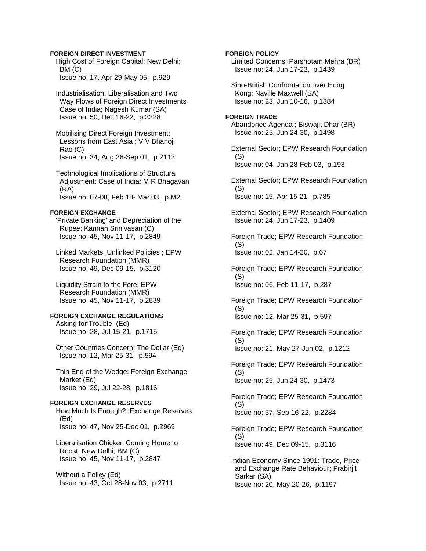### **FOREIGN DIRECT INVESTMENT**

 High Cost of Foreign Capital: New Delhi; BM (C) Issue no: 17, Apr 29-May 05, p.929

 Industrialisation, Liberalisation and Two Way Flows of Foreign Direct Investments Case of India; Nagesh Kumar (SA) Issue no: 50, Dec 16-22, p.3228

 Mobilising Direct Foreign Investment: Lessons from East Asia ; V V Bhanoji Rao (C) Issue no: 34, Aug 26-Sep 01, p.2112

 Technological Implications of Structural Adjustment: Case of India; M R Bhagavan (RA) Issue no: 07-08, Feb 18- Mar 03, p.M2

### **FOREIGN EXCHANGE**

 'Private Banking' and Depreciation of the Rupee; Kannan Srinivasan (C) Issue no: 45, Nov 11-17, p.2849

 Linked Markets, Unlinked Policies ; EPW Research Foundation (MMR) Issue no: 49, Dec 09-15, p.3120

 Liquidity Strain to the Fore; EPW Research Foundation (MMR) Issue no: 45, Nov 11-17, p.2839

### **FOREIGN EXCHANGE REGULATIONS**

 Asking for Trouble (Ed) Issue no: 28, Jul 15-21, p.1715

 Other Countries Concern: The Dollar (Ed) Issue no: 12, Mar 25-31, p.594

 Thin End of the Wedge: Foreign Exchange Market (Ed) Issue no: 29, Jul 22-28, p.1816

#### **FOREIGN EXCHANGE RESERVES**  How Much Is Enough?: Exchange Reserves (Ed)

Issue no: 47, Nov 25-Dec 01, p.2969

 Liberalisation Chicken Coming Home to Roost: New Delhi; BM (C) Issue no: 45, Nov 11-17, p.2847

 Without a Policy (Ed) Issue no: 43, Oct 28-Nov 03, p.2711

### **FOREIGN POLICY**

 Limited Concerns; Parshotam Mehra (BR) Issue no: 24, Jun 17-23, p.1439

 Sino-British Confrontation over Hong Kong; Naville Maxwell (SA) Issue no: 23, Jun 10-16, p.1384

### **FOREIGN TRADE**

 Abandoned Agenda ; Biswajit Dhar (BR) Issue no: 25, Jun 24-30, p.1498

 External Sector; EPW Research Foundation (S) Issue no: 04, Jan 28-Feb 03, p.193

 External Sector; EPW Research Foundation (S) Issue no: 15, Apr 15-21, p.785

 External Sector; EPW Research Foundation Issue no: 24, Jun 17-23, p.1409

 Foreign Trade; EPW Research Foundation (S) Issue no: 02, Jan 14-20, p.67

 Foreign Trade; EPW Research Foundation (S) Issue no: 06, Feb 11-17, p.287

 Foreign Trade; EPW Research Foundation  $(S)$ Issue no: 12, Mar 25-31, p.597

 Foreign Trade; EPW Research Foundation (S) Issue no: 21, May 27-Jun 02, p.1212

 Foreign Trade; EPW Research Foundation (S) Issue no: 25, Jun 24-30, p.1473

 Foreign Trade; EPW Research Foundation (S) Issue no: 37, Sep 16-22, p.2284

 Foreign Trade; EPW Research Foundation (S) Issue no: 49, Dec 09-15, p.3116

 Indian Economy Since 1991: Trade, Price and Exchange Rate Behaviour; Prabirjit Sarkar (SA) Issue no: 20, May 20-26, p.1197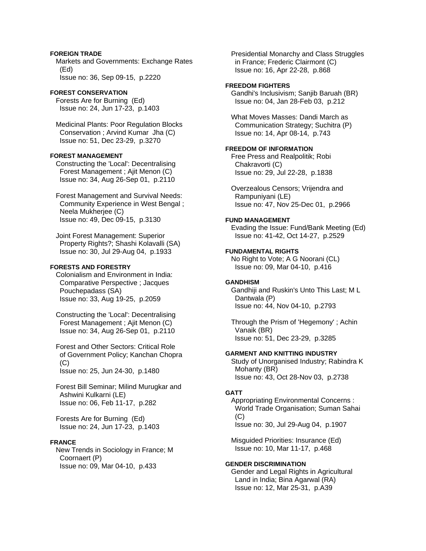# **FOREIGN TRADE**

 Markets and Governments: Exchange Rates (Ed) Issue no: 36, Sep 09-15, p.2220

# **FOREST CONSERVATION**

 Forests Are for Burning (Ed) Issue no: 24, Jun 17-23, p.1403

 Medicinal Plants: Poor Regulation Blocks Conservation ; Arvind Kumar Jha (C) Issue no: 51, Dec 23-29, p.3270

#### **FOREST MANAGEMENT**

 Constructing the 'Local': Decentralising Forest Management ; Ajit Menon (C) Issue no: 34, Aug 26-Sep 01, p.2110

 Forest Management and Survival Needs: Community Experience in West Bengal ; Neela Mukherjee (C) Issue no: 49, Dec 09-15, p.3130

 Joint Forest Management: Superior Property Rights?; Shashi Kolavalli (SA) Issue no: 30, Jul 29-Aug 04, p.1933

# **FORESTS AND FORESTRY**

 Colonialism and Environment in India: Comparative Perspective ; Jacques Pouchepadass (SA) Issue no: 33, Aug 19-25, p.2059

 Constructing the 'Local': Decentralising Forest Management ; Ajit Menon (C) Issue no: 34, Aug 26-Sep 01, p.2110

 Forest and Other Sectors: Critical Role of Government Policy; Kanchan Chopra  $(C)$ Issue no: 25, Jun 24-30, p.1480

 Forest Bill Seminar; Milind Murugkar and Ashwini Kulkarni (LE) Issue no: 06, Feb 11-17, p.282

 Forests Are for Burning (Ed) Issue no: 24, Jun 17-23, p.1403

### **FRANCE**

 New Trends in Sociology in France; M Coornaert (P) Issue no: 09, Mar 04-10, p.433

 Presidential Monarchy and Class Struggles in France; Frederic Clairmont (C) Issue no: 16, Apr 22-28, p.868

### **FREEDOM FIGHTERS**

 Gandhi's Inclusivism; Sanjib Baruah (BR) Issue no: 04, Jan 28-Feb 03, p.212

 What Moves Masses: Dandi March as Communication Strategy; Suchitra (P) Issue no: 14, Apr 08-14, p.743

### **FREEDOM OF INFORMATION**

 Free Press and Realpolitik; Robi Chakravorti (C) Issue no: 29, Jul 22-28, p.1838

 Overzealous Censors; Vrijendra and Rampuniyani (LE) Issue no: 47, Nov 25-Dec 01, p.2966

#### **FUND MANAGEMENT**

 Evading the Issue: Fund/Bank Meeting (Ed) Issue no: 41-42, Oct 14-27, p.2529

#### **FUNDAMENTAL RIGHTS**

 No Right to Vote; A G Noorani (CL) Issue no: 09, Mar 04-10, p.416

### **GANDHISM**

 Gandhiji and Ruskin's Unto This Last; M L Dantwala (P) Issue no: 44, Nov 04-10, p.2793

 Through the Prism of 'Hegemony' ; Achin Vanaik (BR) Issue no: 51, Dec 23-29, p.3285

## **GARMENT AND KNITTING INDUSTRY**

 Study of Unorganised Industry; Rabindra K Mohanty (BR) Issue no: 43, Oct 28-Nov 03, p.2738

#### **GATT**

 Appropriating Environmental Concerns : World Trade Organisation; Suman Sahai (C) Issue no: 30, Jul 29-Aug 04, p.1907

 Misguided Priorities: Insurance (Ed) Issue no: 10, Mar 11-17, p.468

## **GENDER DISCRIMINATION**

 Gender and Legal Rights in Agricultural Land in India; Bina Agarwal (RA) Issue no: 12, Mar 25-31, p.A39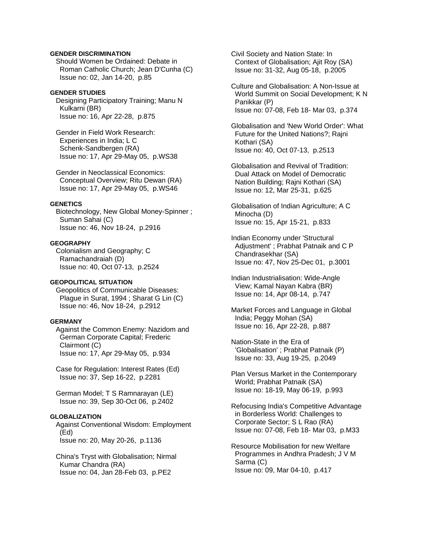### **GENDER DISCRIMINATION**

 Should Women be Ordained: Debate in Roman Catholic Church; Jean D'Cunha (C) Issue no: 02, Jan 14-20, p.85

#### **GENDER STUDIES**

 Designing Participatory Training; Manu N Kulkarni (BR) Issue no: 16, Apr 22-28, p.875

 Gender in Field Work Research: Experiences in India; L C Schenk-Sandbergen (RA) Issue no: 17, Apr 29-May 05, p.WS38

 Gender in Neoclassical Economics: Conceptual Overview; Ritu Dewan (RA) Issue no: 17, Apr 29-May 05, p.WS46

### **GENETICS**

 Biotechnology, New Global Money-Spinner ; Suman Sahai (C) Issue no: 46, Nov 18-24, p.2916

#### **GEOGRAPHY**

 Colonialism and Geography; C Ramachandraiah (D) Issue no: 40, Oct 07-13, p.2524

### **GEOPOLITICAL SITUATION**

 Geopolitics of Communicable Diseases: Plague in Surat, 1994 ; Sharat G Lin (C) Issue no: 46, Nov 18-24, p.2912

### **GERMANY**

 Against the Common Enemy: Nazidom and German Corporate Capital; Frederic Clairmont (C) Issue no: 17, Apr 29-May 05, p.934

 Case for Regulation: Interest Rates (Ed) Issue no: 37, Sep 16-22, p.2281

 German Model; T S Ramnarayan (LE) Issue no: 39, Sep 30-Oct 06, p.2402

# **GLOBALIZATION**

 Against Conventional Wisdom: Employment (Ed) Issue no: 20, May 20-26, p.1136

 China's Tryst with Globalisation; Nirmal Kumar Chandra (RA) Issue no: 04, Jan 28-Feb 03, p.PE2

 Civil Society and Nation State: In Context of Globalisation; Ajit Roy (SA) Issue no: 31-32, Aug 05-18, p.2005

 Culture and Globalisation: A Non-Issue at World Summit on Social Development; K N Panikkar (P) Issue no: 07-08, Feb 18- Mar 03, p.374

 Globalisation and 'New World Order': What Future for the United Nations?; Rajni Kothari (SA) Issue no: 40, Oct 07-13, p.2513

 Globalisation and Revival of Tradition: Dual Attack on Model of Democratic Nation Building; Rajni Kothari (SA) Issue no: 12, Mar 25-31, p.625

 Globalisation of Indian Agriculture; A C Minocha (D) Issue no: 15, Apr 15-21, p.833

 Indian Economy under 'Structural Adjustment' ; Prabhat Patnaik and C P Chandrasekhar (SA) Issue no: 47, Nov 25-Dec 01, p.3001

 Indian Industrialisation: Wide-Angle View; Kamal Nayan Kabra (BR) Issue no: 14, Apr 08-14, p.747

 Market Forces and Language in Global India; Peggy Mohan (SA) Issue no: 16, Apr 22-28, p.887

 Nation-State in the Era of 'Globalisation' ; Prabhat Patnaik (P) Issue no: 33, Aug 19-25, p.2049

 Plan Versus Market in the Contemporary World; Prabhat Patnaik (SA) Issue no: 18-19, May 06-19, p.993

 Refocusing India's Competitive Advantage in Borderless World: Challenges to Corporate Sector; S L Rao (RA) Issue no: 07-08, Feb 18- Mar 03, p.M33

 Resource Mobilisation for new Welfare Programmes in Andhra Pradesh; J V M Sarma (C) Issue no: 09, Mar 04-10, p.417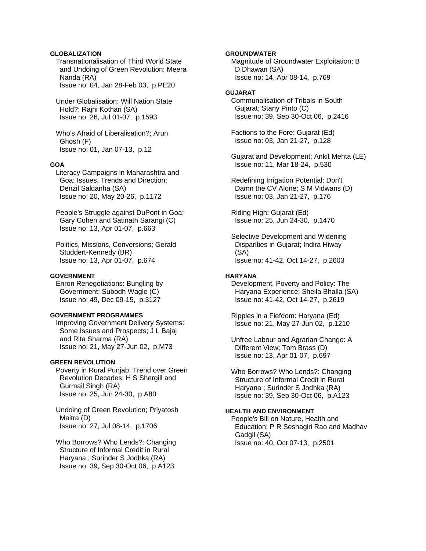### **GLOBALIZATION**

 Transnationalisation of Third World State and Undoing of Green Revolution; Meera Nanda (RA) Issue no: 04, Jan 28-Feb 03, p.PE20

 Under Globalisation: Will Nation State Hold?; Rajni Kothari (SA) Issue no: 26, Jul 01-07, p.1593

 Who's Afraid of Liberalisation?; Arun Ghosh (F) Issue no: 01, Jan 07-13, p.12

#### **GOA**

 Literacy Campaigns in Maharashtra and Goa: Issues, Trends and Direction; Denzil Saldanha (SA) Issue no: 20, May 20-26, p.1172

 People's Struggle against DuPont in Goa; Gary Cohen and Satinath Sarangi (C) Issue no: 13, Apr 01-07, p.663

 Politics, Missions, Conversions; Gerald Studdert-Kennedy (BR) Issue no: 13, Apr 01-07, p.674

#### **GOVERNMENT**

 Enron Renegotiations: Bungling by Government; Subodh Wagle (C) Issue no: 49, Dec 09-15, p.3127

### **GOVERNMENT PROGRAMMES**

 Improving Government Delivery Systems: Some Issues and Prospects; J L Bajaj and Rita Sharma (RA) Issue no: 21, May 27-Jun 02, p.M73

#### **GREEN REVOLUTION**

 Poverty in Rural Punjab: Trend over Green Revolution Decades; H S Shergill and Gurmail Singh (RA) Issue no: 25, Jun 24-30, p.A80

 Undoing of Green Revolution; Priyatosh Maitra (D) Issue no: 27, Jul 08-14, p.1706

 Who Borrows? Who Lends?: Changing Structure of Informal Credit in Rural Haryana ; Surinder S Jodhka (RA) Issue no: 39, Sep 30-Oct 06, p.A123

### **GROUNDWATER**

 Magnitude of Groundwater Exploitation; B D Dhawan (SA) Issue no: 14, Apr 08-14, p.769

# **GUJARAT**

 Communalisation of Tribals in South Gujarat; Stany Pinto (C) Issue no: 39, Sep 30-Oct 06, p.2416

 Factions to the Fore: Gujarat (Ed) Issue no: 03, Jan 21-27, p.128

 Gujarat and Development; Ankit Mehta (LE) Issue no: 11, Mar 18-24, p.530

 Redefining Irrigation Potential: Don't Damn the CV Alone; S M Vidwans (D) Issue no: 03, Jan 21-27, p.176

 Riding High: Gujarat (Ed) Issue no: 25, Jun 24-30, p.1470

 Selective Development and Widening Disparities in Gujarat; Indira Hiway (SA) Issue no: 41-42, Oct 14-27, p.2603

#### **HARYANA**

 Development, Poverty and Policy: The Haryana Experience; Sheila Bhalla (SA) Issue no: 41-42, Oct 14-27, p.2619

 Ripples in a Fiefdom: Haryana (Ed) Issue no: 21, May 27-Jun 02, p.1210

 Unfree Labour and Agrarian Change: A Different View; Tom Brass (D) Issue no: 13, Apr 01-07, p.697

 Who Borrows? Who Lends?: Changing Structure of Informal Credit in Rural Haryana ; Surinder S Jodhka (RA) Issue no: 39, Sep 30-Oct 06, p.A123

### **HEALTH AND ENVIRONMENT**

 People's Bill on Nature, Health and Education; P R Seshagiri Rao and Madhav Gadgil (SA) Issue no: 40, Oct 07-13, p.2501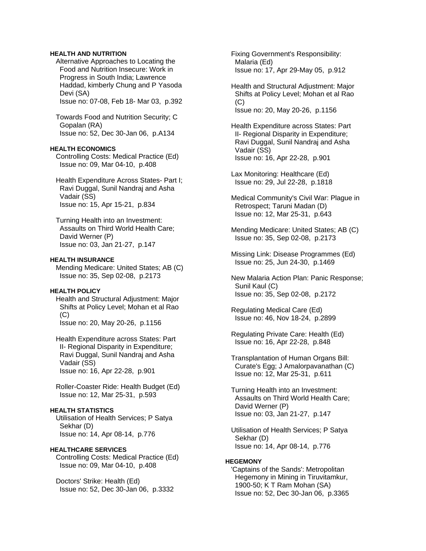### **HEALTH AND NUTRITION**

 Alternative Approaches to Locating the Food and Nutrition Insecure: Work in Progress in South India; Lawrence Haddad, kimberly Chung and P Yasoda Devi (SA) Issue no: 07-08, Feb 18- Mar 03, p.392

 Towards Food and Nutrition Security; C Gopalan (RA) Issue no: 52, Dec 30-Jan 06, p.A134

#### **HEALTH ECONOMICS**

 Controlling Costs: Medical Practice (Ed) Issue no: 09, Mar 04-10, p.408

 Health Expenditure Across States- Part I; Ravi Duggal, Sunil Nandraj and Asha Vadair (SS) Issue no: 15, Apr 15-21, p.834

 Turning Health into an Investment: Assaults on Third World Health Care; David Werner (P) Issue no: 03, Jan 21-27, p.147

### **HEALTH INSURANCE**

 Mending Medicare: United States; AB (C) Issue no: 35, Sep 02-08, p.2173

# **HEALTH POLICY**

 Health and Structural Adjustment: Major Shifts at Policy Level; Mohan et al Rao (C) Issue no: 20, May 20-26, p.1156

 Health Expenditure across States: Part II- Regional Disparity in Expenditure; Ravi Duggal, Sunil Nandraj and Asha Vadair (SS) Issue no: 16, Apr 22-28, p.901

 Roller-Coaster Ride: Health Budget (Ed) Issue no: 12, Mar 25-31, p.593

# **HEALTH STATISTICS**

 Utilisation of Health Services; P Satya Sekhar (D) Issue no: 14, Apr 08-14, p.776

#### **HEALTHCARE SERVICES**

 Controlling Costs: Medical Practice (Ed) Issue no: 09, Mar 04-10, p.408

 Doctors' Strike: Health (Ed) Issue no: 52, Dec 30-Jan 06, p.3332  Fixing Government's Responsibility: Malaria (Ed) Issue no: 17, Apr 29-May 05, p.912

 Health and Structural Adjustment: Major Shifts at Policy Level; Mohan et al Rao  $(C)$ Issue no: 20, May 20-26, p.1156

 Health Expenditure across States: Part II- Regional Disparity in Expenditure; Ravi Duggal, Sunil Nandraj and Asha Vadair (SS) Issue no: 16, Apr 22-28, p.901

 Lax Monitoring: Healthcare (Ed) Issue no: 29, Jul 22-28, p.1818

 Medical Community's Civil War: Plague in Retrospect; Taruni Madan (D) Issue no: 12, Mar 25-31, p.643

 Mending Medicare: United States; AB (C) Issue no: 35, Sep 02-08, p.2173

 Missing Link: Disease Programmes (Ed) Issue no: 25, Jun 24-30, p.1469

 New Malaria Action Plan: Panic Response; Sunil Kaul (C) Issue no: 35, Sep 02-08, p.2172

 Regulating Medical Care (Ed) Issue no: 46, Nov 18-24, p.2899

 Regulating Private Care: Health (Ed) Issue no: 16, Apr 22-28, p.848

 Transplantation of Human Organs Bill: Curate's Egg; J Amalorpavanathan (C) Issue no: 12, Mar 25-31, p.611

 Turning Health into an Investment: Assaults on Third World Health Care; David Werner (P) Issue no: 03, Jan 21-27, p.147

 Utilisation of Health Services; P Satya Sekhar (D) Issue no: 14, Apr 08-14, p.776

#### **HEGEMONY**

 'Captains of the Sands': Metropolitan Hegemony in Mining in Tiruvitamkur, 1900-50; K T Ram Mohan (SA) Issue no: 52, Dec 30-Jan 06, p.3365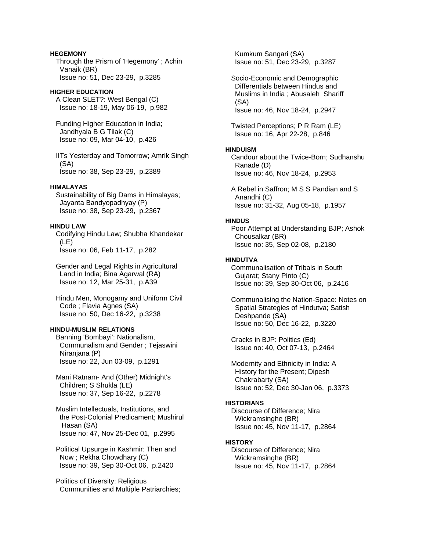# **HEGEMONY**  Through the Prism of 'Hegemony' ; Achin Vanaik (BR)

Issue no: 51, Dec 23-29, p.3285

# **HIGHER EDUCATION**

 A Clean SLET?: West Bengal (C) Issue no: 18-19, May 06-19, p.982

 Funding Higher Education in India; Jandhyala B G Tilak (C) Issue no: 09, Mar 04-10, p.426

 IITs Yesterday and Tomorrow; Amrik Singh (SA) Issue no: 38, Sep 23-29, p.2389

### **HIMALAYAS**

 Sustainability of Big Dams in Himalayas; Jayanta Bandyopadhyay (P) Issue no: 38, Sep 23-29, p.2367

# **HINDU LAW**

 Codifying Hindu Law; Shubha Khandekar (LE) Issue no: 06, Feb 11-17, p.282

 Gender and Legal Rights in Agricultural Land in India; Bina Agarwal (RA) Issue no: 12, Mar 25-31, p.A39

 Hindu Men, Monogamy and Uniform Civil Code ; Flavia Agnes (SA) Issue no: 50, Dec 16-22, p.3238

# **HINDU-MUSLIM RELATIONS**

 Banning 'Bombayi': Nationalism, Communalism and Gender ; Tejaswini Niranjana (P) Issue no: 22, Jun 03-09, p.1291

 Mani Ratnam- And (Other) Midnight's Children; S Shukla (LE) Issue no: 37, Sep 16-22, p.2278

 Muslim Intellectuals, Institutions, and the Post-Colonial Predicament; Mushirul Hasan (SA) Issue no: 47, Nov 25-Dec 01, p.2995

 Political Upsurge in Kashmir: Then and Now ; Rekha Chowdhary (C) Issue no: 39, Sep 30-Oct 06, p.2420

 Politics of Diversity: Religious Communities and Multiple Patriarchies;

 Kumkum Sangari (SA) Issue no: 51, Dec 23-29, p.3287

 Socio-Economic and Demographic Differentials between Hindus and Muslims in India ; Abusaleh Shariff (SA) Issue no: 46, Nov 18-24, p.2947

 Twisted Perceptions; P R Ram (LE) Issue no: 16, Apr 22-28, p.846

### **HINDUISM**

 Candour about the Twice-Born; Sudhanshu Ranade (D) Issue no: 46, Nov 18-24, p.2953

 A Rebel in Saffron; M S S Pandian and S Anandhi (C) Issue no: 31-32, Aug 05-18, p.1957

### **HINDUS**

 Poor Attempt at Understanding BJP; Ashok Chousalkar (BR) Issue no: 35, Sep 02-08, p.2180

# **HINDUTVA**

 Communalisation of Tribals in South Gujarat; Stany Pinto (C) Issue no: 39, Sep 30-Oct 06, p.2416

 Communalising the Nation-Space: Notes on Spatial Strategies of Hindutva; Satish Deshpande (SA) Issue no: 50, Dec 16-22, p.3220

 Cracks in BJP: Politics (Ed) Issue no: 40, Oct 07-13, p.2464

 Modernity and Ethnicity in India: A History for the Present; Dipesh Chakrabarty (SA) Issue no: 52, Dec 30-Jan 06, p.3373

# **HISTORIANS**

 Discourse of Difference; Nira Wickramsinghe (BR) Issue no: 45, Nov 11-17, p.2864

# **HISTORY**

 Discourse of Difference; Nira Wickramsinghe (BR) Issue no: 45, Nov 11-17, p.2864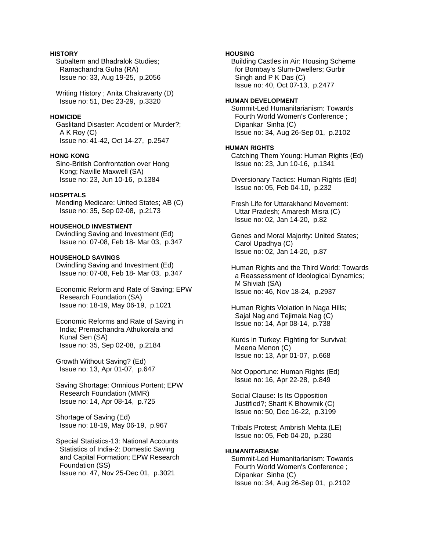# **HISTORY**

 Subaltern and Bhadralok Studies; Ramachandra Guha (RA) Issue no: 33, Aug 19-25, p.2056

 Writing History ; Anita Chakravarty (D) Issue no: 51, Dec 23-29, p.3320

### **HOMICIDE**

 Gaslitand Disaster: Accident or Murder?; A K Roy (C) Issue no: 41-42, Oct 14-27, p.2547

#### **HONG KONG**

 Sino-British Confrontation over Hong Kong; Naville Maxwell (SA) Issue no: 23, Jun 10-16, p.1384

# **HOSPITALS**

 Mending Medicare: United States; AB (C) Issue no: 35, Sep 02-08, p.2173

# **HOUSEHOLD INVESTMENT**

 Dwindling Saving and Investment (Ed) Issue no: 07-08, Feb 18- Mar 03, p.347

## **HOUSEHOLD SAVINGS**

 Dwindling Saving and Investment (Ed) Issue no: 07-08, Feb 18- Mar 03, p.347

 Economic Reform and Rate of Saving; EPW Research Foundation (SA) Issue no: 18-19, May 06-19, p.1021

 Economic Reforms and Rate of Saving in India; Premachandra Athukorala and Kunal Sen (SA) Issue no: 35, Sep 02-08, p.2184

 Growth Without Saving? (Ed) Issue no: 13, Apr 01-07, p.647

 Saving Shortage: Omnious Portent; EPW Research Foundation (MMR) Issue no: 14, Apr 08-14, p.725

 Shortage of Saving (Ed) Issue no: 18-19, May 06-19, p.967

 Special Statistics-13: National Accounts Statistics of India-2: Domestic Saving and Capital Formation; EPW Research Foundation (SS) Issue no: 47, Nov 25-Dec 01, p.3021

### **HOUSING**

 Building Castles in Air: Housing Scheme for Bombay's Slum-Dwellers; Gurbir Singh and P K Das (C) Issue no: 40, Oct 07-13, p.2477

#### **HUMAN DEVELOPMENT**

 Summit-Led Humanitarianism: Towards Fourth World Women's Conference ; Dipankar Sinha (C) Issue no: 34, Aug 26-Sep 01, p.2102

#### **HUMAN RIGHTS**

 Catching Them Young: Human Rights (Ed) Issue no: 23, Jun 10-16, p.1341

 Diversionary Tactics: Human Rights (Ed) Issue no: 05, Feb 04-10, p.232

 Fresh Life for Uttarakhand Movement: Uttar Pradesh; Amaresh Misra (C) Issue no: 02, Jan 14-20, p.82

 Genes and Moral Majority: United States; Carol Upadhya (C) Issue no: 02, Jan 14-20, p.87

 Human Rights and the Third World: Towards a Reassessment of Ideological Dynamics; M Shiviah (SA) Issue no: 46, Nov 18-24, p.2937

 Human Rights Violation in Naga Hills; Sajal Nag and Tejimala Nag (C) Issue no: 14, Apr 08-14, p.738

 Kurds in Turkey: Fighting for Survival; Meena Menon (C) Issue no: 13, Apr 01-07, p.668

 Not Opportune: Human Rights (Ed) Issue no: 16, Apr 22-28, p.849

 Social Clause: Is Its Opposition Justified?; Sharit K Bhowmik (C) Issue no: 50, Dec 16-22, p.3199

 Tribals Protest; Ambrish Mehta (LE) Issue no: 05, Feb 04-20, p.230

#### **HUMANITARIASM**

 Summit-Led Humanitarianism: Towards Fourth World Women's Conference ; Dipankar Sinha (C) Issue no: 34, Aug 26-Sep 01, p.2102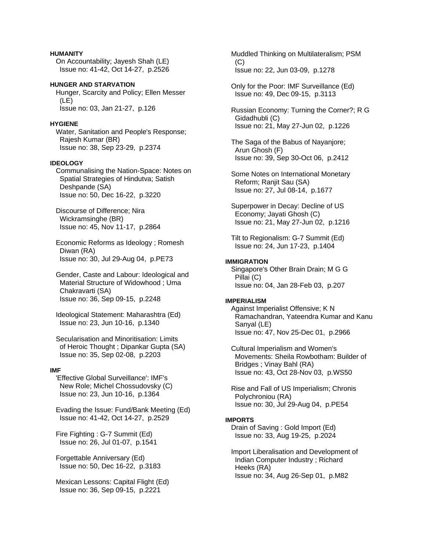### **HUMANITY**

 On Accountability; Jayesh Shah (LE) Issue no: 41-42, Oct 14-27, p.2526

**HUNGER AND STARVATION**  Hunger, Scarcity and Policy; Ellen Messer (LE) Issue no: 03, Jan 21-27, p.126

# **HYGIENE**

 Water, Sanitation and People's Response; Rajesh Kumar (BR) Issue no: 38, Sep 23-29, p.2374

### **IDEOLOGY**

 Communalising the Nation-Space: Notes on Spatial Strategies of Hindutva; Satish Deshpande (SA) Issue no: 50, Dec 16-22, p.3220

 Discourse of Difference; Nira Wickramsinghe (BR) Issue no: 45, Nov 11-17, p.2864

 Economic Reforms as Ideology ; Romesh Diwan (RA) Issue no: 30, Jul 29-Aug 04, p.PE73

 Gender, Caste and Labour: Ideological and Material Structure of Widowhood ; Uma Chakravarti (SA) Issue no: 36, Sep 09-15, p.2248

 Ideological Statement: Maharashtra (Ed) Issue no: 23, Jun 10-16, p.1340

 Secularisation and Minoritisation: Limits of Heroic Thought ; Dipankar Gupta (SA) Issue no: 35, Sep 02-08, p.2203

### **IMF**

 'Effective Global Surveillance': IMF's New Role; Michel Chossudovsky (C) Issue no: 23, Jun 10-16, p.1364

 Evading the Issue: Fund/Bank Meeting (Ed) Issue no: 41-42, Oct 14-27, p.2529

 Fire Fighting : G-7 Summit (Ed) Issue no: 26, Jul 01-07, p.1541

 Forgettable Anniversary (Ed) Issue no: 50, Dec 16-22, p.3183

 Mexican Lessons: Capital Flight (Ed) Issue no: 36, Sep 09-15, p.2221

 Muddled Thinking on Multilateralism; PSM  $(C)$ Issue no: 22, Jun 03-09, p.1278

 Only for the Poor: IMF Surveillance (Ed) Issue no: 49, Dec 09-15, p.3113

 Russian Economy: Turning the Corner?; R G Gidadhubli (C) Issue no: 21, May 27-Jun 02, p.1226

 The Saga of the Babus of Nayanjore; Arun Ghosh (F) Issue no: 39, Sep 30-Oct 06, p.2412

 Some Notes on International Monetary Reform; Ranjit Sau (SA) Issue no: 27, Jul 08-14, p.1677

 Superpower in Decay: Decline of US Economy; Jayati Ghosh (C) Issue no: 21, May 27-Jun 02, p.1216

 Tilt to Regionalism: G-7 Summit (Ed) Issue no: 24, Jun 17-23, p.1404

### **IMMIGRATION**

 Singapore's Other Brain Drain; M G G Pillai (C) Issue no: 04, Jan 28-Feb 03, p.207

### **IMPERIALISM**

 Against Imperialist Offensive; K N Ramachandran, Yateendra Kumar and Kanu Sanyal (LE) Issue no: 47, Nov 25-Dec 01, p.2966

 Cultural Imperialism and Women's Movements: Sheila Rowbotham: Builder of Bridges ; Vinay Bahl (RA) Issue no: 43, Oct 28-Nov 03, p.WS50

 Rise and Fall of US Imperialism; Chronis Polychroniou (RA) Issue no: 30, Jul 29-Aug 04, p.PE54

### **IMPORTS**

 Drain of Saving : Gold Import (Ed) Issue no: 33, Aug 19-25, p.2024

 Import Liberalisation and Development of Indian Computer Industry ; Richard Heeks (RA) Issue no: 34, Aug 26-Sep 01, p.M82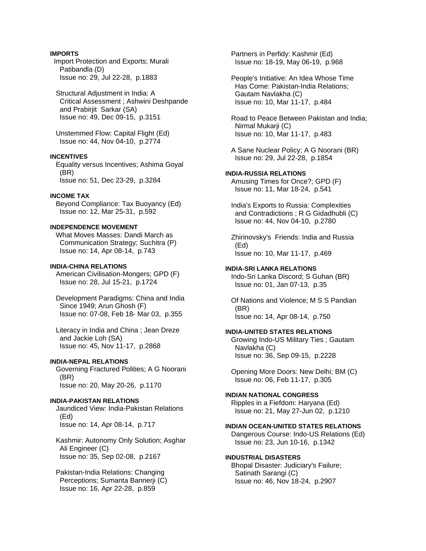# **IMPORTS**

 Import Protection and Exports; Murali Patibandla (D) Issue no: 29, Jul 22-28, p.1883

 Structural Adjustment in India: A Critical Assessment ; Ashwini Deshpande and Prabirjit Sarkar (SA) Issue no: 49, Dec 09-15, p.3151

 Unstemmed Flow: Capital Flight (Ed) Issue no: 44, Nov 04-10, p.2774

# **INCENTIVES**

 Equality versus Incentives; Ashima Goyal (BR) Issue no: 51, Dec 23-29, p.3284

### **INCOME TAX**

 Beyond Compliance: Tax Buoyancy (Ed) Issue no: 12, Mar 25-31, p.592

# **INDEPENDENCE MOVEMENT**

 What Moves Masses: Dandi March as Communication Strategy; Suchitra (P) Issue no: 14, Apr 08-14, p.743

#### **INDIA-CHINA RELATIONS**

 American Civilisation-Mongers; GPD (F) Issue no: 28, Jul 15-21, p.1724

 Development Paradigms: China and India Since 1949; Arun Ghosh (F) Issue no: 07-08, Feb 18- Mar 03, p.355

 Literacy in India and China ; Jean Dreze and Jackie Loh (SA) Issue no: 45, Nov 11-17, p.2868

#### **INDIA-NEPAL RELATIONS**

 Governing Fractured Polities; A G Noorani (BR) Issue no: 20, May 20-26, p.1170

#### **INDIA-PAKISTAN RELATIONS**

 Jaundiced View: India-Pakistan Relations (Ed) Issue no: 14, Apr 08-14, p.717

 Kashmir: Autonomy Only Solution; Asghar Ali Engineer (C) Issue no: 35, Sep 02-08, p.2167

 Pakistan-India Relations: Changing Perceptions; Sumanta Bannerji (C) Issue no: 16, Apr 22-28, p.859

 Partners in Perfidy: Kashmir (Ed) Issue no: 18-19, May 06-19, p.968

 People's Initiative: An Idea Whose Time Has Come: Pakistan-India Relations; Gautam Navlakha (C) Issue no: 10, Mar 11-17, p.484

 Road to Peace Between Pakistan and India; Nirmal Mukarji (C) Issue no: 10, Mar 11-17, p.483

 A Sane Nuclear Policy; A G Noorani (BR) Issue no: 29, Jul 22-28, p.1854

### **INDIA-RUSSIA RELATIONS**

 Amusing Times for Once?; GPD (F) Issue no: 11, Mar 18-24, p.541

 India's Exports to Russia: Complexities and Contradictions ; R G Gidadhubli (C) Issue no: 44, Nov 04-10, p.2780

 Zhirinovsky's Friends: India and Russia (Ed) Issue no: 10, Mar 11-17, p.469

### **INDIA-SRI LANKA RELATIONS**

 Indo-Sri Lanka Discord; S Guhan (BR) Issue no: 01, Jan 07-13, p.35

 Of Nations and Violence; M S S Pandian (BR) Issue no: 14, Apr 08-14, p.750

### **INDIA-UNITED STATES RELATIONS**

 Growing Indo-US Military Ties ; Gautam Navlakha (C) Issue no: 36, Sep 09-15, p.2228

 Opening More Doors: New Delhi; BM (C) Issue no: 06, Feb 11-17, p.305

# **INDIAN NATIONAL CONGRESS**

 Ripples in a Fiefdom: Haryana (Ed) Issue no: 21, May 27-Jun 02, p.1210

# **INDIAN OCEAN-UNITED STATES RELATIONS**

 Dangerous Course: Indo-US Relations (Ed) Issue no: 23, Jun 10-16, p.1342

#### **INDUSTRIAL DISASTERS**

 Bhopal Disaster: Judiciary's Failure; Satinath Sarangi (C) Issue no: 46, Nov 18-24, p.2907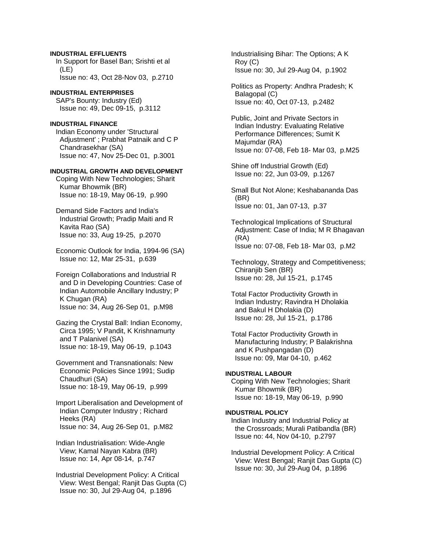# **INDUSTRIAL EFFLUENTS**

 In Support for Basel Ban; Srishti et al (LE) Issue no: 43, Oct 28-Nov 03, p.2710

**INDUSTRIAL ENTERPRISES**  SAP's Bounty: Industry (Ed) Issue no: 49, Dec 09-15, p.3112

# **INDUSTRIAL FINANCE**

 Indian Economy under 'Structural Adjustment' ; Prabhat Patnaik and C P Chandrasekhar (SA) Issue no: 47, Nov 25-Dec 01, p.3001

#### **INDUSTRIAL GROWTH AND DEVELOPMENT**

 Coping With New Technologies; Sharit Kumar Bhowmik (BR) Issue no: 18-19, May 06-19, p.990

 Demand Side Factors and India's Industrial Growth; Pradip Maiti and R Kavita Rao (SA) Issue no: 33, Aug 19-25, p.2070

 Economic Outlook for India, 1994-96 (SA) Issue no: 12, Mar 25-31, p.639

 Foreign Collaborations and Industrial R and D in Developing Countries: Case of Indian Automobile Ancillary Industry; P K Chugan (RA) Issue no: 34, Aug 26-Sep 01, p.M98

 Gazing the Crystal Ball: Indian Economy, Circa 1995; V Pandit, K Krishnamurty and T Palanivel (SA) Issue no: 18-19, May 06-19, p.1043

 Government and Transnationals: New Economic Policies Since 1991; Sudip Chaudhuri (SA) Issue no: 18-19, May 06-19, p.999

 Import Liberalisation and Development of Indian Computer Industry ; Richard Heeks (RA) Issue no: 34, Aug 26-Sep 01, p.M82

 Indian Industrialisation: Wide-Angle View; Kamal Nayan Kabra (BR) Issue no: 14, Apr 08-14, p.747

 Industrial Development Policy: A Critical View: West Bengal; Ranjit Das Gupta (C) Issue no: 30, Jul 29-Aug 04, p.1896

 Industrialising Bihar: The Options; A K Roy (C) Issue no: 30, Jul 29-Aug 04, p.1902

 Politics as Property: Andhra Pradesh; K Balagopal (C) Issue no: 40, Oct 07-13, p.2482

 Public, Joint and Private Sectors in Indian Industry: Evaluating Relative Performance Differences; Sumit K Majumdar (RA) Issue no: 07-08, Feb 18- Mar 03, p.M25

 Shine off Industrial Growth (Ed) Issue no: 22, Jun 03-09, p.1267

 Small But Not Alone; Keshabananda Das (BR) Issue no: 01, Jan 07-13, p.37

 Technological Implications of Structural Adjustment: Case of India; M R Bhagavan (RA) Issue no: 07-08, Feb 18- Mar 03, p.M2

 Technology, Strategy and Competitiveness; Chiranjib Sen (BR) Issue no: 28, Jul 15-21, p.1745

 Total Factor Productivity Growth in Indian Industry; Ravindra H Dholakia and Bakul H Dholakia (D) Issue no: 28, Jul 15-21, p.1786

 Total Factor Productivity Growth in Manufacturing Industry; P Balakrishna and K Pushpangadan (D) Issue no: 09, Mar 04-10, p.462

# **INDUSTRIAL LABOUR**

 Coping With New Technologies; Sharit Kumar Bhowmik (BR) Issue no: 18-19, May 06-19, p.990

## **INDUSTRIAL POLICY**

 Indian Industry and Industrial Policy at the Crossroads; Murali Patibandla (BR) Issue no: 44, Nov 04-10, p.2797

 Industrial Development Policy: A Critical View: West Bengal; Ranjit Das Gupta (C) Issue no: 30, Jul 29-Aug 04, p.1896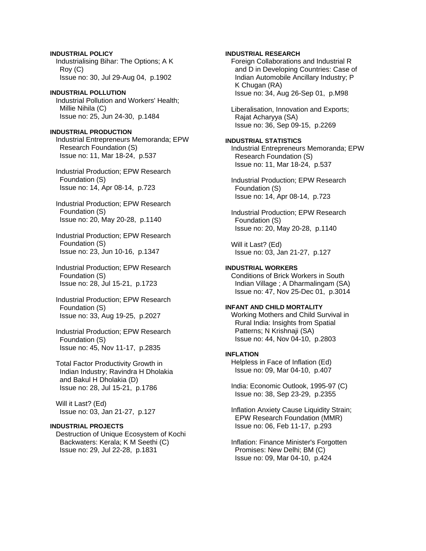**INDUSTRIAL POLICY**  Industrialising Bihar: The Options; A K Roy (C) Issue no: 30, Jul 29-Aug 04, p.1902

**INDUSTRIAL POLLUTION**  Industrial Pollution and Workers' Health; Millie Nihila (C) Issue no: 25, Jun 24-30, p.1484

**INDUSTRIAL PRODUCTION**  Industrial Entrepreneurs Memoranda; EPW Research Foundation (S) Issue no: 11, Mar 18-24, p.537

 Industrial Production; EPW Research Foundation (S) Issue no: 14, Apr 08-14, p.723

 Industrial Production; EPW Research Foundation (S) Issue no: 20, May 20-28, p.1140

 Industrial Production; EPW Research Foundation (S) Issue no: 23, Jun 10-16, p.1347

 Industrial Production; EPW Research Foundation (S) Issue no: 28, Jul 15-21, p.1723

 Industrial Production; EPW Research Foundation (S) Issue no: 33, Aug 19-25, p.2027

 Industrial Production; EPW Research Foundation (S) Issue no: 45, Nov 11-17, p.2835

 Total Factor Productivity Growth in Indian Industry; Ravindra H Dholakia and Bakul H Dholakia (D) Issue no: 28, Jul 15-21, p.1786

 Will it Last? (Ed) Issue no: 03, Jan 21-27, p.127

# **INDUSTRIAL PROJECTS**

 Destruction of Unique Ecosystem of Kochi Backwaters: Kerala; K M Seethi (C) Issue no: 29, Jul 22-28, p.1831

**INDUSTRIAL RESEARCH**  Foreign Collaborations and Industrial R and D in Developing Countries: Case of Indian Automobile Ancillary Industry; P K Chugan (RA) Issue no: 34, Aug 26-Sep 01, p.M98 Liberalisation, Innovation and Exports; Rajat Acharyya (SA) Issue no: 36, Sep 09-15, p.2269

**INDUSTRIAL STATISTICS**  Industrial Entrepreneurs Memoranda; EPW Research Foundation (S) Issue no: 11, Mar 18-24, p.537

 Industrial Production; EPW Research Foundation (S) Issue no: 14, Apr 08-14, p.723

 Industrial Production; EPW Research Foundation (S) Issue no: 20, May 20-28, p.1140

 Will it Last? (Ed) Issue no: 03, Jan 21-27, p.127

### **INDUSTRIAL WORKERS**

 Conditions of Brick Workers in South Indian Village ; A Dharmalingam (SA) Issue no: 47, Nov 25-Dec 01, p.3014

### **INFANT AND CHILD MORTALITY**

 Working Mothers and Child Survival in Rural India: Insights from Spatial Patterns: N Krishnaii (SA) Issue no: 44, Nov 04-10, p.2803

#### **INFLATION**

 Helpless in Face of Inflation (Ed) Issue no: 09, Mar 04-10, p.407

 India: Economic Outlook, 1995-97 (C) Issue no: 38, Sep 23-29, p.2355

 Inflation Anxiety Cause Liquidity Strain; EPW Research Foundation (MMR) Issue no: 06, Feb 11-17, p.293

 Inflation: Finance Minister's Forgotten Promises: New Delhi; BM (C) Issue no: 09, Mar 04-10, p.424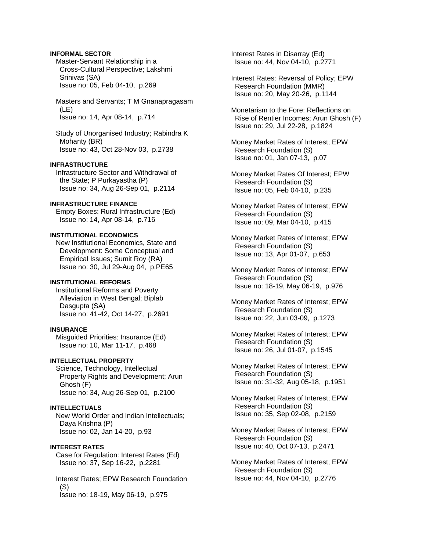# **INFORMAL SECTOR**

 Master-Servant Relationship in a Cross-Cultural Perspective; Lakshmi Srinivas (SA) Issue no: 05, Feb 04-10, p.269

 Masters and Servants; T M Gnanapragasam (LE) Issue no: 14, Apr 08-14, p.714

 Study of Unorganised Industry; Rabindra K Mohanty (BR) Issue no: 43, Oct 28-Nov 03, p.2738

### **INFRASTRUCTURE**

 Infrastructure Sector and Withdrawal of the State; P Purkayastha (P) Issue no: 34, Aug 26-Sep 01, p.2114

#### **INFRASTRUCTURE FINANCE**

 Empty Boxes: Rural Infrastructure (Ed) Issue no: 14, Apr 08-14, p.716

### **INSTITUTIONAL ECONOMICS**

 New Institutional Economics, State and Development: Some Conceptual and Empirical Issues; Sumit Roy (RA) Issue no: 30, Jul 29-Aug 04, p.PE65

### **INSTITUTIONAL REFORMS**

 Institutional Reforms and Poverty Alleviation in West Bengal; Biplab Dasgupta (SA) Issue no: 41-42, Oct 14-27, p.2691

### **INSURANCE**

 Misguided Priorities: Insurance (Ed) Issue no: 10, Mar 11-17, p.468

## **INTELLECTUAL PROPERTY**

 Science, Technology, Intellectual Property Rights and Development; Arun Ghosh (F) Issue no: 34, Aug 26-Sep 01, p.2100

### **INTELLECTUALS**

 New World Order and Indian Intellectuals; Daya Krishna (P) Issue no: 02, Jan 14-20, p.93

# **INTEREST RATES**

 Case for Regulation: Interest Rates (Ed) Issue no: 37, Sep 16-22, p.2281

 Interest Rates; EPW Research Foundation (S) Issue no: 18-19, May 06-19, p.975

 Interest Rates in Disarray (Ed) Issue no: 44, Nov 04-10, p.2771

- Interest Rates: Reversal of Policy; EPW Research Foundation (MMR) Issue no: 20, May 20-26, p.1144
- Monetarism to the Fore: Reflections on Rise of Rentier Incomes; Arun Ghosh (F) Issue no: 29, Jul 22-28, p.1824
- Money Market Rates of Interest; EPW Research Foundation (S) Issue no: 01, Jan 07-13, p.07
- Money Market Rates Of Interest; EPW Research Foundation (S) Issue no: 05, Feb 04-10, p.235
- Money Market Rates of Interest; EPW Research Foundation (S) Issue no: 09, Mar 04-10, p.415
- Money Market Rates of Interest; EPW Research Foundation (S) Issue no: 13, Apr 01-07, p.653
- Money Market Rates of Interest; EPW Research Foundation (S) Issue no: 18-19, May 06-19, p.976
- Money Market Rates of Interest; EPW Research Foundation (S) Issue no: 22, Jun 03-09, p.1273
- Money Market Rates of Interest; EPW Research Foundation (S) Issue no: 26, Jul 01-07, p.1545
- Money Market Rates of Interest; EPW Research Foundation (S) Issue no: 31-32, Aug 05-18, p.1951
- Money Market Rates of Interest; EPW Research Foundation (S) Issue no: 35, Sep 02-08, p.2159
- Money Market Rates of Interest; EPW Research Foundation (S) Issue no: 40, Oct 07-13, p.2471
- Money Market Rates of Interest; EPW Research Foundation (S) Issue no: 44, Nov 04-10, p.2776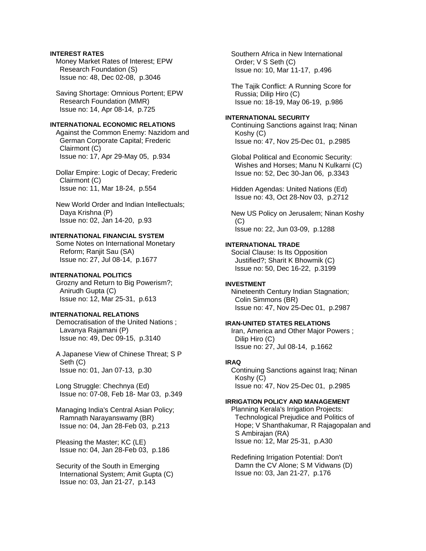### **INTEREST RATES**

 Money Market Rates of Interest; EPW Research Foundation (S) Issue no: 48, Dec 02-08, p.3046

 Saving Shortage: Omnious Portent; EPW Research Foundation (MMR) Issue no: 14, Apr 08-14, p.725

### **INTERNATIONAL ECONOMIC RELATIONS**

 Against the Common Enemy: Nazidom and German Corporate Capital; Frederic Clairmont (C) Issue no: 17, Apr 29-May 05, p.934

 Dollar Empire: Logic of Decay; Frederic Clairmont (C) Issue no: 11, Mar 18-24, p.554

 New World Order and Indian Intellectuals; Daya Krishna (P) Issue no: 02, Jan 14-20, p.93

# **INTERNATIONAL FINANCIAL SYSTEM**

 Some Notes on International Monetary Reform; Ranjit Sau (SA) Issue no: 27, Jul 08-14, p.1677

### **INTERNATIONAL POLITICS**

 Grozny and Return to Big Powerism?; Anirudh Gupta (C) Issue no: 12, Mar 25-31, p.613

# **INTERNATIONAL RELATIONS**

 Democratisation of the United Nations ; Lavanya Rajamani (P) Issue no: 49, Dec 09-15, p.3140

 A Japanese View of Chinese Threat; S P Seth (C) Issue no: 01, Jan 07-13, p.30

 Long Struggle: Chechnya (Ed) Issue no: 07-08, Feb 18- Mar 03, p.349

 Managing India's Central Asian Policy; Ramnath Narayanswamy (BR) Issue no: 04, Jan 28-Feb 03, p.213

 Pleasing the Master; KC (LE) Issue no: 04, Jan 28-Feb 03, p.186

 Security of the South in Emerging International System; Amit Gupta (C) Issue no: 03, Jan 21-27, p.143

 Southern Africa in New International Order; V S Seth (C) Issue no: 10, Mar 11-17, p.496

 The Tajik Conflict: A Running Score for Russia; Dilip Hiro (C) Issue no: 18-19, May 06-19, p.986

### **INTERNATIONAL SECURITY**

 Continuing Sanctions against Iraq; Ninan Koshy (C) Issue no: 47, Nov 25-Dec 01, p.2985

 Global Political and Economic Security: Wishes and Horses; Manu N Kulkarni (C) Issue no: 52, Dec 30-Jan 06, p.3343

 Hidden Agendas: United Nations (Ed) Issue no: 43, Oct 28-Nov 03, p.2712

 New US Policy on Jerusalem; Ninan Koshy (C) Issue no: 22, Jun 03-09, p.1288

# **INTERNATIONAL TRADE**

 Social Clause: Is Its Opposition Justified?; Sharit K Bhowmik (C) Issue no: 50, Dec 16-22, p.3199

## **INVESTMENT**

 Nineteenth Century Indian Stagnation; Colin Simmons (BR) Issue no: 47, Nov 25-Dec 01, p.2987

### **IRAN-UNITED STATES RELATIONS**

 Iran, America and Other Major Powers ; Dilip Hiro (C) Issue no: 27, Jul 08-14, p.1662

### **IRAQ**

 Continuing Sanctions against Iraq; Ninan Koshy (C) Issue no: 47, Nov 25-Dec 01, p.2985

# **IRRIGATION POLICY AND MANAGEMENT**

 Planning Kerala's Irrigation Projects: Technological Prejudice and Politics of Hope; V Shanthakumar, R Rajagopalan and S Ambirajan (RA) Issue no: 12, Mar 25-31, p.A30

 Redefining Irrigation Potential: Don't Damn the CV Alone; S M Vidwans (D) Issue no: 03, Jan 21-27, p.176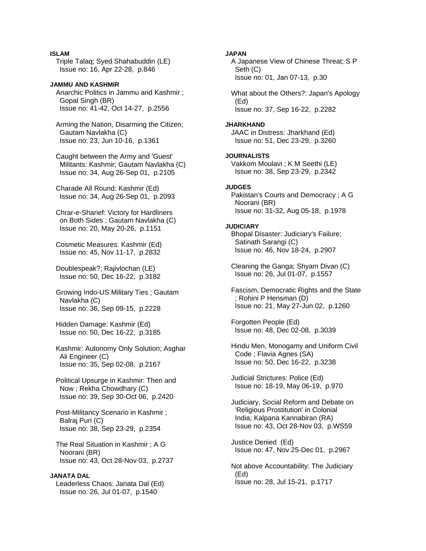### **ISLAM**

 Triple Talaq; Syed Shahabuddin (LE) Issue no: 16, Apr 22-28, p.846

### **JAMMU AND KASHMIR**  Anarchic Politics in Jammu and Kashmir ; Gopal Singh (BR) Issue no: 41-42, Oct 14-27, p.2556

 Arming the Nation, Disarming the Citizen; Gautam Navlakha (C) Issue no: 23, Jun 10-16, p.1361

 Caught between the Army and 'Guest' Militants: Kashmir; Gautam Navlakha (C) Issue no: 34, Aug 26-Sep 01, p.2105

 Charade All Round: Kashmir (Ed) Issue no: 34, Aug 26-Sep 01, p.2093

 Chrar-e-Sharief: Victory for Hardliners on Both Sides ; Gautam Navlakha (C) Issue no: 20, May 20-26, p.1151

 Cosmetic Measures: Kashmir (Ed) Issue no: 45, Nov 11-17, p.2832

 Doublespeak?; Rajivlochan (LE) Issue no: 50, Dec 16-22, p.3182

 Growing Indo-US Military Ties ; Gautam Navlakha (C) Issue no: 36, Sep 09-15, p.2228

 Hidden Damage: Kashmir (Ed) Issue no: 50, Dec 16-22, p.3185

 Kashmir: Autonomy Only Solution; Asghar Ali Engineer (C) Issue no: 35, Sep 02-08, p.2167

 Political Upsurge in Kashmir: Then and Now ; Rekha Chowdhary (C) Issue no: 39, Sep 30-Oct 06, p.2420

 Post-Militancy Scenario in Kashmir ; Balraj Puri (C) Issue no: 38, Sep 23-29, p.2354

 The Real Situation in Kashmir ; A G Noorani (BR) Issue no: 43, Oct 28-Nov 03, p.2737

**JANATA DAL**  Leaderless Chaos: Janata Dal (Ed) Issue no: 26, Jul 01-07, p.1540

**JAPAN**  A Japanese View of Chinese Threat; S P Seth (C) Issue no: 01, Jan 07-13, p.30 What about the Others?: Japan's Apology (Ed) Issue no: 37, Sep 16-22, p.2282 **JHARKHAND**  JAAC in Distress: Jharkhand (Ed) Issue no: 51, Dec 23-29, p.3260 **JOURNALISTS**  Vakkom Moulavi ; K M Seethi (LE) Issue no: 38, Sep 23-29, p.2342 **JUDGES**  Pakistan's Courts and Democracy ; A G Noorani (BR) Issue no: 31-32, Aug 05-18, p.1978 **JUDICIARY**  Bhopal Disaster: Judiciary's Failure; Satinath Sarangi (C) Issue no: 46, Nov 18-24, p.2907 Cleaning the Ganga; Shyam Divan (C) Issue no: 26, Jul 01-07, p.1557 Fascism, Democratic Rights and the State ; Rohini P Hensman (D) Issue no: 21, May 27-Jun 02, p.1260 Forgotten People (Ed) Issue no: 48, Dec 02-08, p.3039 Hindu Men, Monogamy and Uniform Civil Code ; Flavia Agnes (SA) Issue no: 50, Dec 16-22, p.3238

 Judicial Strictures: Police (Ed) Issue no: 18-19, May 06-19, p.970

 Judiciary, Social Reform and Debate on 'Religious Prostitution' in Colonial India; Kalpana Kannabiran (RA) Issue no: 43, Oct 28-Nov 03, p.WS59

 Justice Denied (Ed) Issue no: 47, Nov 25-Dec 01, p.2967

 Not above Accountability: The Judiciary (Ed) Issue no: 28, Jul 15-21, p.1717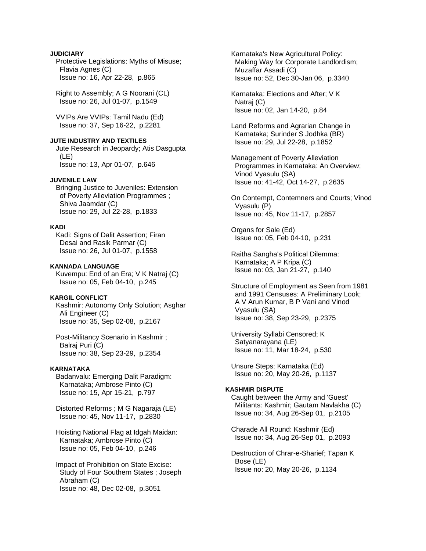## **JUDICIARY**

 Protective Legislations: Myths of Misuse; Flavia Agnes (C) Issue no: 16, Apr 22-28, p.865

 Right to Assembly; A G Noorani (CL) Issue no: 26, Jul 01-07, p.1549

 VVIPs Are VVIPs: Tamil Nadu (Ed) Issue no: 37, Sep 16-22, p.2281

**JUTE INDUSTRY AND TEXTILES**  Jute Research in Jeopardy; Atis Dasgupta (LE)

Issue no: 13, Apr 01-07, p.646

# **JUVENILE LAW**

 Bringing Justice to Juveniles: Extension of Poverty Alleviation Programmes ; Shiva Jaamdar (C) Issue no: 29, Jul 22-28, p.1833

### **KADI**

Kadi: Signs of Dalit Assertion: Firan Desai and Rasik Parmar (C) Issue no: 26, Jul 01-07, p.1558

#### **KANNADA LANGUAGE**

 Kuvempu: End of an Era; V K Natraj (C) Issue no: 05, Feb 04-10, p.245

### **KARGIL CONFLICT**

 Kashmir: Autonomy Only Solution; Asghar Ali Engineer (C) Issue no: 35, Sep 02-08, p.2167

 Post-Militancy Scenario in Kashmir ; Balraj Puri (C) Issue no: 38, Sep 23-29, p.2354

#### **KARNATAKA**

 Badanvalu: Emerging Dalit Paradigm: Karnataka; Ambrose Pinto (C) Issue no: 15, Apr 15-21, p.797

 Distorted Reforms ; M G Nagaraja (LE) Issue no: 45, Nov 11-17, p.2830

 Hoisting National Flag at Idgah Maidan: Karnataka; Ambrose Pinto (C) Issue no: 05, Feb 04-10, p.246

 Impact of Prohibition on State Excise: Study of Four Southern States ; Joseph Abraham (C) Issue no: 48, Dec 02-08, p.3051

 Karnataka's New Agricultural Policy: Making Way for Corporate Landlordism; Muzaffar Assadi (C) Issue no: 52, Dec 30-Jan 06, p.3340

 Karnataka: Elections and After; V K Natraj (C) Issue no: 02, Jan 14-20, p.84

 Land Reforms and Agrarian Change in Karnataka; Surinder S Jodhka (BR) Issue no: 29, Jul 22-28, p.1852

 Management of Poverty Alleviation Programmes in Karnataka: An Overview; Vinod Vyasulu (SA) Issue no: 41-42, Oct 14-27, p.2635

 On Contempt, Contemners and Courts; Vinod Vyasulu (P) Issue no: 45, Nov 11-17, p.2857

 Organs for Sale (Ed) Issue no: 05, Feb 04-10, p.231

 Raitha Sangha's Political Dilemma: Karnataka; A P Kripa (C) Issue no: 03, Jan 21-27, p.140

 Structure of Employment as Seen from 1981 and 1991 Censuses: A Preliminary Look; A V Arun Kumar, B P Vani and Vinod Vyasulu (SA) Issue no: 38, Sep 23-29, p.2375

 University Syllabi Censored; K Satyanarayana (LE) Issue no: 11, Mar 18-24, p.530

 Unsure Steps: Karnataka (Ed) Issue no: 20, May 20-26, p.1137

### **KASHMIR DISPUTE**

 Caught between the Army and 'Guest' Militants: Kashmir; Gautam Navlakha (C) Issue no: 34, Aug 26-Sep 01, p.2105

 Charade All Round: Kashmir (Ed) Issue no: 34, Aug 26-Sep 01, p.2093

 Destruction of Chrar-e-Sharief; Tapan K Bose (LE) Issue no: 20, May 20-26, p.1134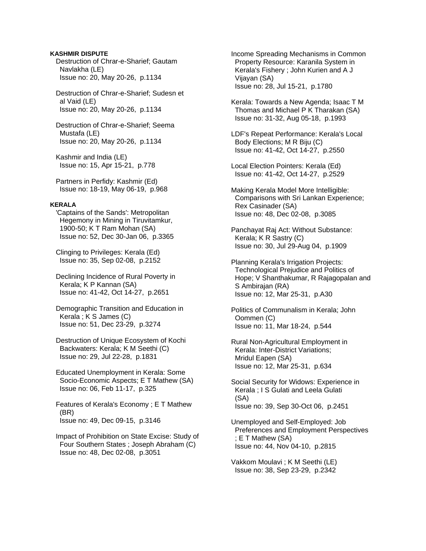### **KASHMIR DISPUTE**

 Destruction of Chrar-e-Sharief; Gautam Navlakha (LE) Issue no: 20, May 20-26, p.1134

 Destruction of Chrar-e-Sharief; Sudesn et al Vaid (LE) Issue no: 20, May 20-26, p.1134

 Destruction of Chrar-e-Sharief; Seema Mustafa (LE) Issue no: 20, May 20-26, p.1134

 Kashmir and India (LE) Issue no: 15, Apr 15-21, p.778

 Partners in Perfidy: Kashmir (Ed) Issue no: 18-19, May 06-19, p.968

#### **KERALA**

 'Captains of the Sands': Metropolitan Hegemony in Mining in Tiruvitamkur, 1900-50; K T Ram Mohan (SA) Issue no: 52, Dec 30-Jan 06, p.3365

 Clinging to Privileges: Kerala (Ed) Issue no: 35, Sep 02-08, p.2152

 Declining Incidence of Rural Poverty in Kerala; K P Kannan (SA) Issue no: 41-42, Oct 14-27, p.2651

 Demographic Transition and Education in Kerala ; K S James (C) Issue no: 51, Dec 23-29, p.3274

 Destruction of Unique Ecosystem of Kochi Backwaters: Kerala; K M Seethi (C) Issue no: 29, Jul 22-28, p.1831

 Educated Unemployment in Kerala: Some Socio-Economic Aspects; E T Mathew (SA) Issue no: 06, Feb 11-17, p.325

 Features of Kerala's Economy ; E T Mathew (BR) Issue no: 49, Dec 09-15, p.3146

 Impact of Prohibition on State Excise: Study of Four Southern States ; Joseph Abraham (C) Issue no: 48, Dec 02-08, p.3051

 Income Spreading Mechanisms in Common Property Resource: Karanila System in Kerala's Fishery ; John Kurien and A J Vijayan (SA) Issue no: 28, Jul 15-21, p.1780

 Kerala: Towards a New Agenda; Isaac T M Thomas and Michael P K Tharakan (SA) Issue no: 31-32, Aug 05-18, p.1993

 LDF's Repeat Performance: Kerala's Local Body Elections; M R Biju (C) Issue no: 41-42, Oct 14-27, p.2550

 Local Election Pointers: Kerala (Ed) Issue no: 41-42, Oct 14-27, p.2529

 Making Kerala Model More Intelligible: Comparisons with Sri Lankan Experience; Rex Casinader (SA) Issue no: 48, Dec 02-08, p.3085

 Panchayat Raj Act: Without Substance: Kerala; K R Sastry (C) Issue no: 30, Jul 29-Aug 04, p.1909

 Planning Kerala's Irrigation Projects: Technological Prejudice and Politics of Hope; V Shanthakumar, R Rajagopalan and S Ambirajan (RA) Issue no: 12, Mar 25-31, p.A30

 Politics of Communalism in Kerala; John Oommen (C) Issue no: 11, Mar 18-24, p.544

 Rural Non-Agricultural Employment in Kerala: Inter-District Variations; Mridul Eapen (SA) Issue no: 12, Mar 25-31, p.634

 Social Security for Widows: Experience in Kerala ; I S Gulati and Leela Gulati (SA) Issue no: 39, Sep 30-Oct 06, p.2451

 Unemployed and Self-Employed: Job Preferences and Employment Perspectives ; E T Mathew (SA) Issue no: 44, Nov 04-10, p.2815

 Vakkom Moulavi ; K M Seethi (LE) Issue no: 38, Sep 23-29, p.2342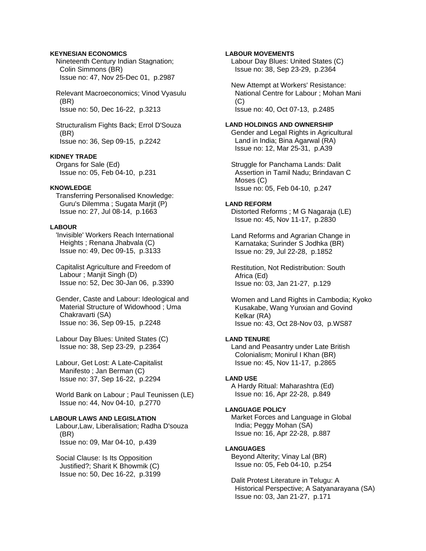### **KEYNESIAN ECONOMICS**

 Nineteenth Century Indian Stagnation; Colin Simmons (BR) Issue no: 47, Nov 25-Dec 01, p.2987

 Relevant Macroeconomics; Vinod Vyasulu (BR) Issue no: 50, Dec 16-22, p.3213

 Structuralism Fights Back; Errol D'Souza (BR) Issue no: 36, Sep 09-15, p.2242

### **KIDNEY TRADE**

 Organs for Sale (Ed) Issue no: 05, Feb 04-10, p.231

#### **KNOWLEDGE**

 Transferring Personalised Knowledge: Guru's Dilemma ; Sugata Marjit (P) Issue no: 27, Jul 08-14, p.1663

# **LABOUR**

 'Invisible' Workers Reach International Heights ; Renana Jhabvala (C) Issue no: 49, Dec 09-15, p.3133

 Capitalist Agriculture and Freedom of Labour ; Manjit Singh (D) Issue no: 52, Dec 30-Jan 06, p.3390

 Gender, Caste and Labour: Ideological and Material Structure of Widowhood ; Uma Chakravarti (SA) Issue no: 36, Sep 09-15, p.2248

 Labour Day Blues: United States (C) Issue no: 38, Sep 23-29, p.2364

 Labour, Get Lost: A Late-Capitalist Manifesto ; Jan Berman (C) Issue no: 37, Sep 16-22, p.2294

 World Bank on Labour ; Paul Teunissen (LE) Issue no: 44, Nov 04-10, p.2770

### **LABOUR LAWS AND LEGISLATION**

 Labour,Law, Liberalisation; Radha D'souza (BR) Issue no: 09, Mar 04-10, p.439

 Social Clause: Is Its Opposition Justified?; Sharit K Bhowmik (C) Issue no: 50, Dec 16-22, p.3199

### **LABOUR MOVEMENTS**

 Labour Day Blues: United States (C) Issue no: 38, Sep 23-29, p.2364

 New Attempt at Workers' Resistance: National Centre for Labour ; Mohan Mani  $(C)$ Issue no: 40, Oct 07-13, p.2485

#### **LAND HOLDINGS AND OWNERSHIP**

 Gender and Legal Rights in Agricultural Land in India; Bina Agarwal (RA) Issue no: 12, Mar 25-31, p.A39

 Struggle for Panchama Lands: Dalit Assertion in Tamil Nadu; Brindavan C Moses (C) Issue no: 05, Feb 04-10, p.247

#### **LAND REFORM**

 Distorted Reforms ; M G Nagaraja (LE) Issue no: 45, Nov 11-17, p.2830

 Land Reforms and Agrarian Change in Karnataka; Surinder S Jodhka (BR) Issue no: 29, Jul 22-28, p.1852

 Restitution, Not Redistribution: South Africa (Ed) Issue no: 03, Jan 21-27, p.129

 Women and Land Rights in Cambodia; Kyoko Kusakabe, Wang Yunxian and Govind Kelkar (RA) Issue no: 43, Oct 28-Nov 03, p.WS87

### **LAND TENURE**

 Land and Peasantry under Late British Colonialism; Monirul I Khan (BR) Issue no: 45, Nov 11-17, p.2865

#### **LAND USE**

 A Hardy Ritual: Maharashtra (Ed) Issue no: 16, Apr 22-28, p.849

### **LANGUAGE POLICY**

 Market Forces and Language in Global India; Peggy Mohan (SA) Issue no: 16, Apr 22-28, p.887

#### **LANGUAGES**

 Beyond Alterity; Vinay Lal (BR) Issue no: 05, Feb 04-10, p.254

 Dalit Protest Literature in Telugu: A Historical Perspective; A Satyanarayana (SA) Issue no: 03, Jan 21-27, p.171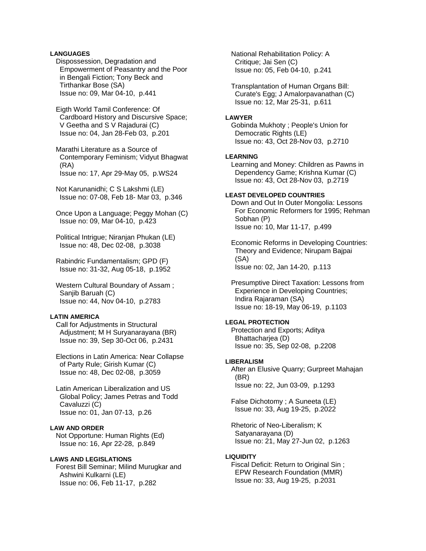## **LANGUAGES**

 Dispossession, Degradation and Empowerment of Peasantry and the Poor in Bengali Fiction; Tony Beck and Tirthankar Bose (SA) Issue no: 09, Mar 04-10, p.441

 Eigth World Tamil Conference: Of Cardboard History and Discursive Space; V Geetha and S V Rajadurai (C) Issue no: 04, Jan 28-Feb 03, p.201

 Marathi Literature as a Source of Contemporary Feminism; Vidyut Bhagwat (RA) Issue no: 17, Apr 29-May 05, p.WS24

 Not Karunanidhi; C S Lakshmi (LE) Issue no: 07-08, Feb 18- Mar 03, p.346

 Once Upon a Language; Peggy Mohan (C) Issue no: 09, Mar 04-10, p.423

 Political Intrigue; Niranjan Phukan (LE) Issue no: 48, Dec 02-08, p.3038

 Rabindric Fundamentalism; GPD (F) Issue no: 31-32, Aug 05-18, p.1952

 Western Cultural Boundary of Assam ; Sanjib Baruah (C) Issue no: 44, Nov 04-10, p.2783

### **LATIN AMERICA**

 Call for Adjustments in Structural Adjustment; M H Suryanarayana (BR) Issue no: 39, Sep 30-Oct 06, p.2431

 Elections in Latin America: Near Collapse of Party Rule; Girish Kumar (C) Issue no: 48, Dec 02-08, p.3059

 Latin American Liberalization and US Global Policy; James Petras and Todd Cavaluzzi (C) Issue no: 01, Jan 07-13, p.26

### **LAW AND ORDER**

 Not Opportune: Human Rights (Ed) Issue no: 16, Apr 22-28, p.849

### **LAWS AND LEGISLATIONS**

 Forest Bill Seminar; Milind Murugkar and Ashwini Kulkarni (LE) Issue no: 06, Feb 11-17, p.282

 National Rehabilitation Policy: A Critique; Jai Sen (C) Issue no: 05, Feb 04-10, p.241

 Transplantation of Human Organs Bill: Curate's Egg; J Amalorpavanathan (C) Issue no: 12, Mar 25-31, p.611

#### **LAWYER**

 Gobinda Mukhoty ; People's Union for Democratic Rights (LE) Issue no: 43, Oct 28-Nov 03, p.2710

### **LEARNING**

 Learning and Money: Children as Pawns in Dependency Game; Krishna Kumar (C) Issue no: 43, Oct 28-Nov 03, p.2719

### **LEAST DEVELOPED COUNTRIES**

 Down and Out In Outer Mongolia: Lessons For Economic Reformers for 1995; Rehman Sobhan (P) Issue no: 10, Mar 11-17, p.499

 Economic Reforms in Developing Countries: Theory and Evidence; Nirupam Bajpai (SA) Issue no: 02, Jan 14-20, p.113

 Presumptive Direct Taxation: Lessons from Experience in Developing Countries; Indira Rajaraman (SA) Issue no: 18-19, May 06-19, p.1103

# **LEGAL PROTECTION**

 Protection and Exports; Aditya Bhattacharjea (D) Issue no: 35, Sep 02-08, p.2208

### **LIBERALISM**

 After an Elusive Quarry; Gurpreet Mahajan (BR) Issue no: 22, Jun 03-09, p.1293

 False Dichotomy ; A Suneeta (LE) Issue no: 33, Aug 19-25, p.2022

 Rhetoric of Neo-Liberalism; K Satyanarayana (D) Issue no: 21, May 27-Jun 02, p.1263

### **LIQUIDITY**

Fiscal Deficit: Return to Original Sin: EPW Research Foundation (MMR) Issue no: 33, Aug 19-25, p.2031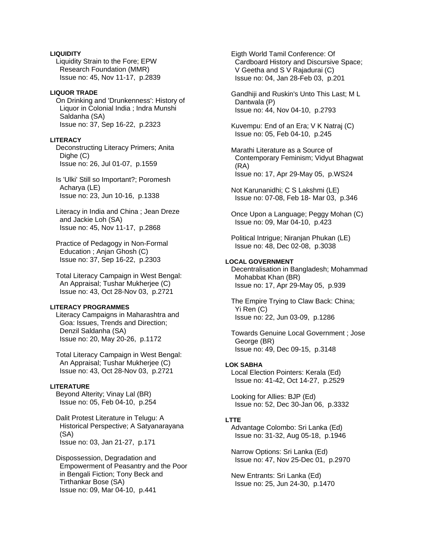### **LIQUIDITY**

 Liquidity Strain to the Fore; EPW Research Foundation (MMR) Issue no: 45, Nov 11-17, p.2839

### **LIQUOR TRADE**

 On Drinking and 'Drunkenness': History of Liquor in Colonial India ; Indra Munshi Saldanha (SA) Issue no: 37, Sep 16-22, p.2323

### **LITERACY**

 Deconstructing Literacy Primers; Anita Dighe (C) Issue no: 26, Jul 01-07, p.1559

 Is 'Ulki' Still so Important?; Poromesh Acharya (LE) Issue no: 23, Jun 10-16, p.1338

 Literacy in India and China ; Jean Dreze and Jackie Loh (SA) Issue no: 45, Nov 11-17, p.2868

 Practice of Pedagogy in Non-Formal Education ; Anjan Ghosh (C) Issue no: 37, Sep 16-22, p.2303

 Total Literacy Campaign in West Bengal: An Appraisal; Tushar Mukherjee (C) Issue no: 43, Oct 28-Nov 03, p.2721

# **LITERACY PROGRAMMES**

 Literacy Campaigns in Maharashtra and Goa: Issues, Trends and Direction; Denzil Saldanha (SA) Issue no: 20, May 20-26, p.1172

 Total Literacy Campaign in West Bengal: An Appraisal; Tushar Mukherjee (C) Issue no: 43, Oct 28-Nov 03, p.2721

### **LITERATURE**

 Beyond Alterity; Vinay Lal (BR) Issue no: 05, Feb 04-10, p.254

 Dalit Protest Literature in Telugu: A Historical Perspective; A Satyanarayana (SA) Issue no: 03, Jan 21-27, p.171

 Dispossession, Degradation and Empowerment of Peasantry and the Poor in Bengali Fiction; Tony Beck and Tirthankar Bose (SA) Issue no: 09, Mar 04-10, p.441

 Eigth World Tamil Conference: Of Cardboard History and Discursive Space; V Geetha and S V Rajadurai (C) Issue no: 04, Jan 28-Feb 03, p.201

 Gandhiji and Ruskin's Unto This Last; M L Dantwala (P) Issue no: 44, Nov 04-10, p.2793

 Kuvempu: End of an Era; V K Natraj (C) Issue no: 05, Feb 04-10, p.245

 Marathi Literature as a Source of Contemporary Feminism; Vidyut Bhagwat (RA) Issue no: 17, Apr 29-May 05, p.WS24

 Not Karunanidhi; C S Lakshmi (LE) Issue no: 07-08, Feb 18- Mar 03, p.346

 Once Upon a Language; Peggy Mohan (C) Issue no: 09, Mar 04-10, p.423

 Political Intrigue; Niranjan Phukan (LE) Issue no: 48, Dec 02-08, p.3038

### **LOCAL GOVERNMENT**

 Decentralisation in Bangladesh; Mohammad Mohabbat Khan (BR) Issue no: 17, Apr 29-May 05, p.939

 The Empire Trying to Claw Back: China; Yi Ren (C) Issue no: 22, Jun 03-09, p.1286

 Towards Genuine Local Government ; Jose George (BR) Issue no: 49, Dec 09-15, p.3148

#### **LOK SABHA**

 Local Election Pointers: Kerala (Ed) Issue no: 41-42, Oct 14-27, p.2529

 Looking for Allies: BJP (Ed) Issue no: 52, Dec 30-Jan 06, p.3332

### **LTTE**

 Advantage Colombo: Sri Lanka (Ed) Issue no: 31-32, Aug 05-18, p.1946

 Narrow Options: Sri Lanka (Ed) Issue no: 47, Nov 25-Dec 01, p.2970

 New Entrants: Sri Lanka (Ed) Issue no: 25, Jun 24-30, p.1470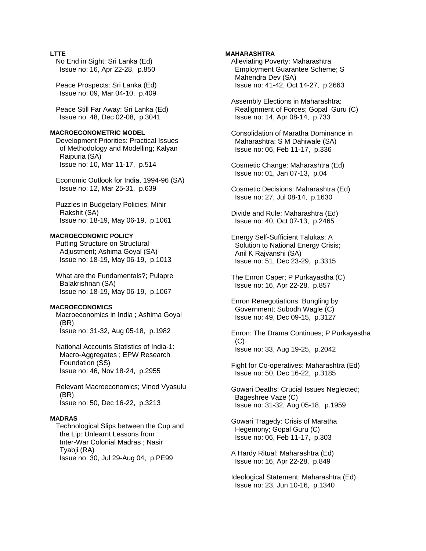# **LTTE**

 No End in Sight: Sri Lanka (Ed) Issue no: 16, Apr 22-28, p.850

 Peace Prospects: Sri Lanka (Ed) Issue no: 09, Mar 04-10, p.409

 Peace Still Far Away: Sri Lanka (Ed) Issue no: 48, Dec 02-08, p.3041

#### **MACROECONOMETRIC MODEL**

 Development Priorities: Practical Issues of Methodology and Modelling; Kalyan Raipuria (SA) Issue no: 10, Mar 11-17, p.514

 Economic Outlook for India, 1994-96 (SA) Issue no: 12, Mar 25-31, p.639

 Puzzles in Budgetary Policies; Mihir Rakshit (SA) Issue no: 18-19, May 06-19, p.1061

### **MACROECONOMIC POLICY**

 Putting Structure on Structural Adjustment; Ashima Goyal (SA) Issue no: 18-19, May 06-19, p.1013

 What are the Fundamentals?; Pulapre Balakrishnan (SA) Issue no: 18-19, May 06-19, p.1067

### **MACROECONOMICS**

 Macroeconomics in India ; Ashima Goyal (BR) Issue no: 31-32, Aug 05-18, p.1982

 National Accounts Statistics of India-1: Macro-Aggregates ; EPW Research Foundation (SS) Issue no: 46, Nov 18-24, p.2955

 Relevant Macroeconomics; Vinod Vyasulu (BR) Issue no: 50, Dec 16-22, p.3213

#### **MADRAS**

 Technological Slips between the Cup and the Lip: Unlearnt Lessons from Inter-War Colonial Madras ; Nasir Tyabji (RA) Issue no: 30, Jul 29-Aug 04, p.PE99

# **MAHARASHTRA**

 Alleviating Poverty: Maharashtra Employment Guarantee Scheme; S Mahendra Dev (SA) Issue no: 41-42, Oct 14-27, p.2663

 Assembly Elections in Maharashtra: Realignment of Forces; Gopal Guru (C) Issue no: 14, Apr 08-14, p.733

 Consolidation of Maratha Dominance in Maharashtra; S M Dahiwale (SA) Issue no: 06, Feb 11-17, p.336

 Cosmetic Change: Maharashtra (Ed) Issue no: 01, Jan 07-13, p.04

 Cosmetic Decisions: Maharashtra (Ed) Issue no: 27, Jul 08-14, p.1630

 Divide and Rule: Maharashtra (Ed) Issue no: 40, Oct 07-13, p.2465

 Energy Self-Sufficient Talukas: A Solution to National Energy Crisis; Anil K Rajvanshi (SA) Issue no: 51, Dec 23-29, p.3315

 The Enron Caper; P Purkayastha (C) Issue no: 16, Apr 22-28, p.857

 Enron Renegotiations: Bungling by Government; Subodh Wagle (C) Issue no: 49, Dec 09-15, p.3127

 Enron: The Drama Continues; P Purkayastha (C) Issue no: 33, Aug 19-25, p.2042

 Fight for Co-operatives: Maharashtra (Ed) Issue no: 50, Dec 16-22, p.3185

 Gowari Deaths: Crucial Issues Neglected; Bageshree Vaze (C) Issue no: 31-32, Aug 05-18, p.1959

 Gowari Tragedy: Crisis of Maratha Hegemony; Gopal Guru (C) Issue no: 06, Feb 11-17, p.303

 A Hardy Ritual: Maharashtra (Ed) Issue no: 16, Apr 22-28, p.849

 Ideological Statement: Maharashtra (Ed) Issue no: 23, Jun 10-16, p.1340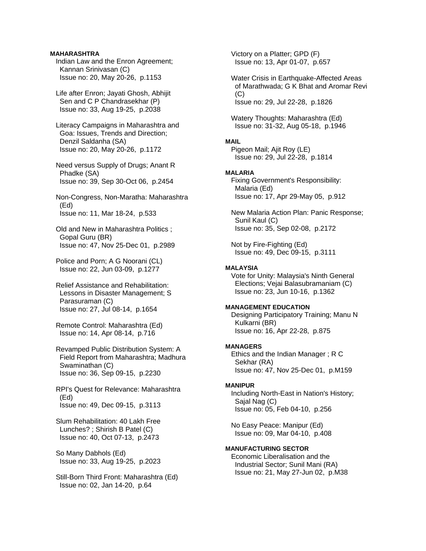### **MAHARASHTRA**

- Indian Law and the Enron Agreement; Kannan Srinivasan (C) Issue no: 20, May 20-26, p.1153
- Life after Enron; Jayati Ghosh, Abhijit Sen and C P Chandrasekhar (P) Issue no: 33, Aug 19-25, p.2038
- Literacy Campaigns in Maharashtra and Goa: Issues, Trends and Direction; Denzil Saldanha (SA) Issue no: 20, May 20-26, p.1172
- Need versus Supply of Drugs; Anant R Phadke (SA) Issue no: 39, Sep 30-Oct 06, p.2454
- Non-Congress, Non-Maratha: Maharashtra (Ed) Issue no: 11, Mar 18-24, p.533
- Old and New in Maharashtra Politics ; Gopal Guru (BR) Issue no: 47, Nov 25-Dec 01, p.2989
- Police and Porn; A G Noorani (CL) Issue no: 22, Jun 03-09, p.1277
- Relief Assistance and Rehabilitation: Lessons in Disaster Management; S Parasuraman (C) Issue no: 27, Jul 08-14, p.1654
- Remote Control: Maharashtra (Ed) Issue no: 14, Apr 08-14, p.716
- Revamped Public Distribution System: A Field Report from Maharashtra; Madhura Swaminathan (C) Issue no: 36, Sep 09-15, p.2230
- RPI's Quest for Relevance: Maharashtra (Ed) Issue no: 49, Dec 09-15, p.3113
- Slum Rehabilitation: 40 Lakh Free Lunches? ; Shirish B Patel (C) Issue no: 40, Oct 07-13, p.2473
- So Many Dabhols (Ed) Issue no: 33, Aug 19-25, p.2023
- Still-Born Third Front: Maharashtra (Ed) Issue no: 02, Jan 14-20, p.64

 Victory on a Platter; GPD (F) Issue no: 13, Apr 01-07, p.657

- Water Crisis in Earthquake-Affected Areas of Marathwada; G K Bhat and Aromar Revi  $(C)$ Issue no: 29, Jul 22-28, p.1826
- Watery Thoughts: Maharashtra (Ed) Issue no: 31-32, Aug 05-18, p.1946

# **MAIL**

 Pigeon Mail; Ajit Roy (LE) Issue no: 29, Jul 22-28, p.1814

### **MALARIA**

 Fixing Government's Responsibility: Malaria (Ed) Issue no: 17, Apr 29-May 05, p.912

 New Malaria Action Plan: Panic Response; Sunil Kaul (C) Issue no: 35, Sep 02-08, p.2172

 Not by Fire-Fighting (Ed) Issue no: 49, Dec 09-15, p.3111

### **MALAYSIA**

 Vote for Unity: Malaysia's Ninth General Elections; Vejai Balasubramaniam (C) Issue no: 23, Jun 10-16, p.1362

### **MANAGEMENT EDUCATION**

 Designing Participatory Training; Manu N Kulkarni (BR) Issue no: 16, Apr 22-28, p.875

# **MANAGERS**

 Ethics and the Indian Manager ; R C Sekhar (RA) Issue no: 47, Nov 25-Dec 01, p.M159

#### **MANIPUR**

 Including North-East in Nation's History; Sajal Nag (C) Issue no: 05, Feb 04-10, p.256

 No Easy Peace: Manipur (Ed) Issue no: 09, Mar 04-10, p.408

# **MANUFACTURING SECTOR**

 Economic Liberalisation and the Industrial Sector; Sunil Mani (RA) Issue no: 21, May 27-Jun 02, p.M38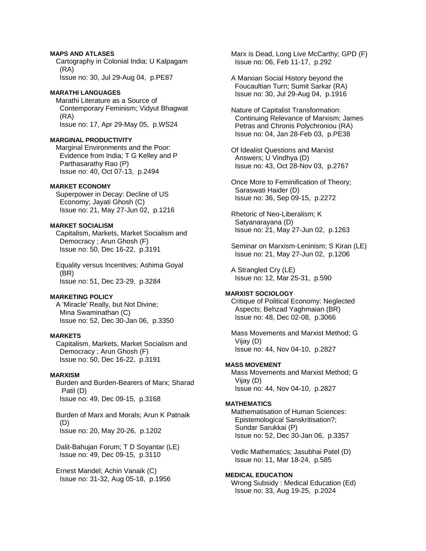### **MAPS AND ATLASES**

 Cartography in Colonial India; U Kalpagam (RA) Issue no: 30, Jul 29-Aug 04, p.PE87

### **MARATHI LANGUAGES**

 Marathi Literature as a Source of Contemporary Feminism; Vidyut Bhagwat (RA) Issue no: 17, Apr 29-May 05, p.WS24

### **MARGINAL PRODUCTIVITY**

 Marginal Environments and the Poor: Evidence from India; T G Kelley and P Parthasarathy Rao (P) Issue no: 40, Oct 07-13, p.2494

#### **MARKET ECONOMY**

 Superpower in Decay: Decline of US Economy; Jayati Ghosh (C) Issue no: 21, May 27-Jun 02, p.1216

# **MARKET SOCIALISM**

 Capitalism, Markets, Market Socialism and Democracy ; Arun Ghosh (F) Issue no: 50, Dec 16-22, p.3191

 Equality versus Incentives; Ashima Goyal (BR) Issue no: 51, Dec 23-29, p.3284

### **MARKETING POLICY**

 A 'Miracle' Really, but Not Divine; Mina Swaminathan (C) Issue no: 52, Dec 30-Jan 06, p.3350

#### **MARKETS**

 Capitalism, Markets, Market Socialism and Democracy ; Arun Ghosh (F) Issue no: 50, Dec 16-22, p.3191

### **MARXISM**

 Burden and Burden-Bearers of Marx; Sharad Patil (D) Issue no: 49, Dec 09-15, p.3168

 Burden of Marx and Morals; Arun K Patnaik (D) Issue no: 20, May 20-26, p.1202

 Dalit-Bahujan Forum; T D Soyantar (LE) Issue no: 49, Dec 09-15, p.3110

 Ernest Mandel; Achin Vanaik (C) Issue no: 31-32, Aug 05-18, p.1956  Marx is Dead, Long Live McCarthy; GPD (F) Issue no: 06, Feb 11-17, p.292

 A Marxian Social History beyond the Foucaultian Turn; Sumit Sarkar (RA) Issue no: 30, Jul 29-Aug 04, p.1916

 Nature of Capitalist Transformation: Continuing Relevance of Marxism; James Petras and Chronis Polychroniou (RA) Issue no: 04, Jan 28-Feb 03, p.PE38

 Of Idealist Questions and Marxist Answers; U Vindhya (D) Issue no: 43, Oct 28-Nov 03, p.2767

 Once More to Feminification of Theory; Saraswati Haider (D) Issue no: 36, Sep 09-15, p.2272

 Rhetoric of Neo-Liberalism; K Satyanarayana (D) Issue no: 21, May 27-Jun 02, p.1263

 Seminar on Marxism-Leninism; S Kiran (LE) Issue no: 21, May 27-Jun 02, p.1206

 A Strangled Cry (LE) Issue no: 12, Mar 25-31, p.590

#### **MARXIST SOCIOLOGY**

 Critique of Political Economy: Neglected Aspects; Behzad Yaghmaian (BR) Issue no: 48, Dec 02-08, p.3066

 Mass Movements and Marxist Method; G Vijay (D) Issue no: 44, Nov 04-10, p.2827

### **MASS MOVEMENT**

 Mass Movements and Marxist Method; G Vijay (D) Issue no: 44, Nov 04-10, p.2827

#### **MATHEMATICS**

 Mathematisation of Human Sciences: Epistemological Sanskritisation?; Sundar Sarukkai (P) Issue no: 52, Dec 30-Jan 06, p.3357

 Vedic Mathematics; Jasubhai Patel (D) Issue no: 11, Mar 18-24, p.585

# **MEDICAL EDUCATION**

 Wrong Subsidy : Medical Education (Ed) Issue no: 33, Aug 19-25, p.2024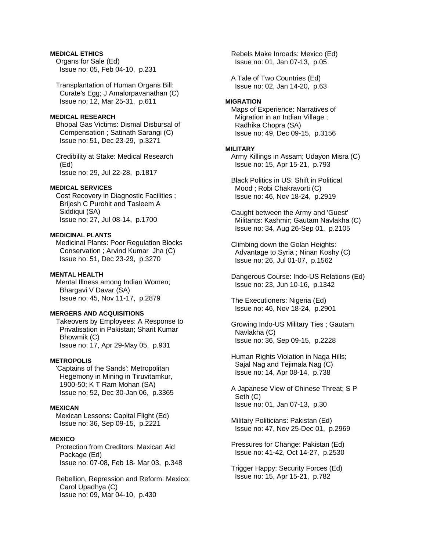## **MEDICAL ETHICS**

 Organs for Sale (Ed) Issue no: 05, Feb 04-10, p.231

 Transplantation of Human Organs Bill: Curate's Egg; J Amalorpavanathan (C) Issue no: 12, Mar 25-31, p.611

#### **MEDICAL RESEARCH**

 Bhopal Gas Victims: Dismal Disbursal of Compensation ; Satinath Sarangi (C) Issue no: 51, Dec 23-29, p.3271

 Credibility at Stake: Medical Research (Ed) Issue no: 29, Jul 22-28, p.1817

#### **MEDICAL SERVICES**

 Cost Recovery in Diagnostic Facilities ; Brijesh C Purohit and Tasleem A Siddiqui (SA) Issue no: 27, Jul 08-14, p.1700

#### **MEDICINAL PLANTS**

 Medicinal Plants: Poor Regulation Blocks Conservation ; Arvind Kumar Jha (C) Issue no: 51, Dec 23-29, p.3270

#### **MENTAL HEALTH**

 Mental Illness among Indian Women; Bhargavi V Davar (SA) Issue no: 45, Nov 11-17, p.2879

### **MERGERS AND ACQUISITIONS**

 Takeovers by Employees: A Response to Privatisation in Pakistan; Sharit Kumar Bhowmik (C) Issue no: 17, Apr 29-May 05, p.931

## **METROPOLIS**

 'Captains of the Sands': Metropolitan Hegemony in Mining in Tiruvitamkur, 1900-50; K T Ram Mohan (SA) Issue no: 52, Dec 30-Jan 06, p.3365

### **MEXICAN**

 Mexican Lessons: Capital Flight (Ed) Issue no: 36, Sep 09-15, p.2221

#### **MEXICO**

 Protection from Creditors: Maxican Aid Package (Ed) Issue no: 07-08, Feb 18- Mar 03, p.348

 Rebellion, Repression and Reform: Mexico; Carol Upadhya (C) Issue no: 09, Mar 04-10, p.430

 Rebels Make Inroads: Mexico (Ed) Issue no: 01, Jan 07-13, p.05

 A Tale of Two Countries (Ed) Issue no: 02, Jan 14-20, p.63

#### **MIGRATION**

 Maps of Experience: Narratives of Migration in an Indian Village ; Radhika Chopra (SA) Issue no: 49, Dec 09-15, p.3156

#### **MILITARY**

 Army Killings in Assam; Udayon Misra (C) Issue no: 15, Apr 15-21, p.793

 Black Politics in US: Shift in Political Mood ; Robi Chakravorti (C) Issue no: 46, Nov 18-24, p.2919

 Caught between the Army and 'Guest' Militants: Kashmir; Gautam Navlakha (C) Issue no: 34, Aug 26-Sep 01, p.2105

 Climbing down the Golan Heights: Advantage to Syria ; Ninan Koshy (C) Issue no: 26, Jul 01-07, p.1562

 Dangerous Course: Indo-US Relations (Ed) Issue no: 23, Jun 10-16, p.1342

 The Executioners: Nigeria (Ed) Issue no: 46, Nov 18-24, p.2901

 Growing Indo-US Military Ties ; Gautam Navlakha (C) Issue no: 36, Sep 09-15, p.2228

 Human Rights Violation in Naga Hills; Sajal Nag and Tejimala Nag (C) Issue no: 14, Apr 08-14, p.738

 A Japanese View of Chinese Threat; S P Seth (C) Issue no: 01, Jan 07-13, p.30

 Military Politicians: Pakistan (Ed) Issue no: 47, Nov 25-Dec 01, p.2969

 Pressures for Change: Pakistan (Ed) Issue no: 41-42, Oct 14-27, p.2530

 Trigger Happy: Security Forces (Ed) Issue no: 15, Apr 15-21, p.782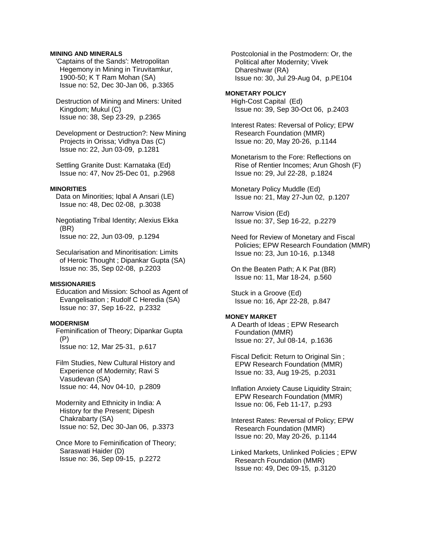### **MINING AND MINERALS**

 'Captains of the Sands': Metropolitan Hegemony in Mining in Tiruvitamkur, 1900-50; K T Ram Mohan (SA) Issue no: 52, Dec 30-Jan 06, p.3365

 Destruction of Mining and Miners: United Kingdom; Mukul (C) Issue no: 38, Sep 23-29, p.2365

 Development or Destruction?: New Mining Projects in Orissa; Vidhya Das (C) Issue no: 22, Jun 03-09, p.1281

 Settling Granite Dust: Karnataka (Ed) Issue no: 47, Nov 25-Dec 01, p.2968

#### **MINORITIES**

 Data on Minorities; Iqbal A Ansari (LE) Issue no: 48, Dec 02-08, p.3038

 Negotiating Tribal Identity; Alexius Ekka (BR) Issue no: 22, Jun 03-09, p.1294

 Secularisation and Minoritisation: Limits of Heroic Thought ; Dipankar Gupta (SA) Issue no: 35, Sep 02-08, p.2203

### **MISSIONARIES**

 Education and Mission: School as Agent of Evangelisation ; Rudolf C Heredia (SA) Issue no: 37, Sep 16-22, p.2332

#### **MODERNISM**

 Feminification of Theory; Dipankar Gupta (P) Issue no: 12, Mar 25-31, p.617

 Film Studies, New Cultural History and Experience of Modernity; Ravi S Vasudevan (SA) Issue no: 44, Nov 04-10, p.2809

 Modernity and Ethnicity in India: A History for the Present; Dipesh Chakrabarty (SA) Issue no: 52, Dec 30-Jan 06, p.3373

 Once More to Feminification of Theory; Saraswati Haider (D) Issue no: 36, Sep 09-15, p.2272

 Postcolonial in the Postmodern: Or, the Political after Modernity; Vivek Dhareshwar (RA) Issue no: 30, Jul 29-Aug 04, p.PE104

**MONETARY POLICY**  High-Cost Capital (Ed) Issue no: 39, Sep 30-Oct 06, p.2403

 Interest Rates: Reversal of Policy; EPW Research Foundation (MMR) Issue no: 20, May 20-26, p.1144

 Monetarism to the Fore: Reflections on Rise of Rentier Incomes; Arun Ghosh (F) Issue no: 29, Jul 22-28, p.1824

 Monetary Policy Muddle (Ed) Issue no: 21, May 27-Jun 02, p.1207

 Narrow Vision (Ed) Issue no: 37, Sep 16-22, p.2279

 Need for Review of Monetary and Fiscal Policies; EPW Research Foundation (MMR) Issue no: 23, Jun 10-16, p.1348

 On the Beaten Path; A K Pat (BR) Issue no: 11, Mar 18-24, p.560

 Stuck in a Groove (Ed) Issue no: 16, Apr 22-28, p.847

#### **MONEY MARKET**

 A Dearth of Ideas ; EPW Research Foundation (MMR) Issue no: 27, Jul 08-14, p.1636

 Fiscal Deficit: Return to Original Sin ; EPW Research Foundation (MMR) Issue no: 33, Aug 19-25, p.2031

 Inflation Anxiety Cause Liquidity Strain; EPW Research Foundation (MMR) Issue no: 06, Feb 11-17, p.293

 Interest Rates: Reversal of Policy; EPW Research Foundation (MMR) Issue no: 20, May 20-26, p.1144

 Linked Markets, Unlinked Policies ; EPW Research Foundation (MMR) Issue no: 49, Dec 09-15, p.3120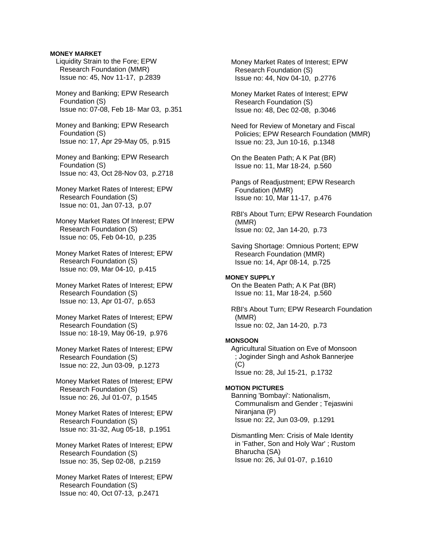#### **MONEY MARKET**

 Liquidity Strain to the Fore; EPW Research Foundation (MMR) Issue no: 45, Nov 11-17, p.2839

 Money and Banking; EPW Research Foundation (S) Issue no: 07-08, Feb 18- Mar 03, p.351

 Money and Banking; EPW Research Foundation (S) Issue no: 17, Apr 29-May 05, p.915

 Money and Banking; EPW Research Foundation (S) Issue no: 43, Oct 28-Nov 03, p.2718

- Money Market Rates of Interest; EPW Research Foundation (S) Issue no: 01, Jan 07-13, p.07
- Money Market Rates Of Interest; EPW Research Foundation (S) Issue no: 05, Feb 04-10, p.235
- Money Market Rates of Interest; EPW Research Foundation (S) Issue no: 09, Mar 04-10, p.415
- Money Market Rates of Interest; EPW Research Foundation (S) Issue no: 13, Apr 01-07, p.653
- Money Market Rates of Interest; EPW Research Foundation (S) Issue no: 18-19, May 06-19, p.976
- Money Market Rates of Interest; EPW Research Foundation (S) Issue no: 22, Jun 03-09, p.1273
- Money Market Rates of Interest; EPW Research Foundation (S) Issue no: 26, Jul 01-07, p.1545
- Money Market Rates of Interest; EPW Research Foundation (S) Issue no: 31-32, Aug 05-18, p.1951
- Money Market Rates of Interest; EPW Research Foundation (S) Issue no: 35, Sep 02-08, p.2159

 Money Market Rates of Interest; EPW Research Foundation (S) Issue no: 40, Oct 07-13, p.2471

 Money Market Rates of Interest; EPW Research Foundation (S) Issue no: 44, Nov 04-10, p.2776

 Money Market Rates of Interest; EPW Research Foundation (S) Issue no: 48, Dec 02-08, p.3046

 Need for Review of Monetary and Fiscal Policies; EPW Research Foundation (MMR) Issue no: 23, Jun 10-16, p.1348

 On the Beaten Path; A K Pat (BR) Issue no: 11, Mar 18-24, p.560

 Pangs of Readjustment; EPW Research Foundation (MMR) Issue no: 10, Mar 11-17, p.476

 RBI's About Turn; EPW Research Foundation (MMR) Issue no: 02, Jan 14-20, p.73

 Saving Shortage: Omnious Portent; EPW Research Foundation (MMR) Issue no: 14, Apr 08-14, p.725

#### **MONEY SUPPLY**

 On the Beaten Path; A K Pat (BR) Issue no: 11, Mar 18-24, p.560

 RBI's About Turn; EPW Research Foundation (MMR) Issue no: 02, Jan 14-20, p.73

# **MONSOON**

 Agricultural Situation on Eve of Monsoon ; Joginder Singh and Ashok Bannerjee (C)

Issue no: 28, Jul 15-21, p.1732

# **MOTION PICTURES**

 Banning 'Bombayi': Nationalism, Communalism and Gender ; Tejaswini Niranjana (P) Issue no: 22, Jun 03-09, p.1291

 Dismantling Men: Crisis of Male Identity in 'Father, Son and Holy War' ; Rustom Bharucha (SA) Issue no: 26, Jul 01-07, p.1610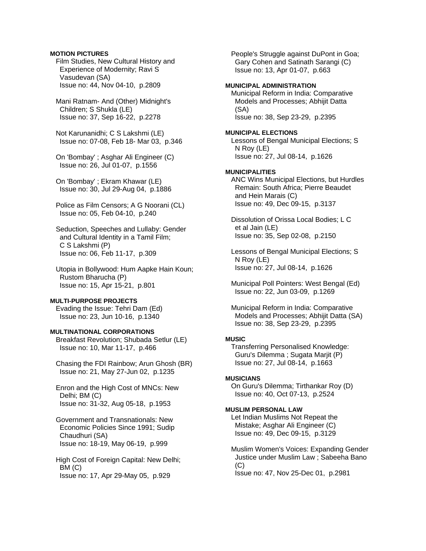### **MOTION PICTURES**

 Film Studies, New Cultural History and Experience of Modernity; Ravi S Vasudevan (SA) Issue no: 44, Nov 04-10, p.2809

 Mani Ratnam- And (Other) Midnight's Children; S Shukla (LE) Issue no: 37, Sep 16-22, p.2278

 Not Karunanidhi; C S Lakshmi (LE) Issue no: 07-08, Feb 18- Mar 03, p.346

 On 'Bombay' ; Asghar Ali Engineer (C) Issue no: 26, Jul 01-07, p.1556

 On 'Bombay' ; Ekram Khawar (LE) Issue no: 30, Jul 29-Aug 04, p.1886

 Police as Film Censors; A G Noorani (CL) Issue no: 05, Feb 04-10, p.240

 Seduction, Speeches and Lullaby: Gender and Cultural Identity in a Tamil Film; C S Lakshmi (P) Issue no: 06, Feb 11-17, p.309

 Utopia in Bollywood: Hum Aapke Hain Koun; Rustom Bharucha (P) Issue no: 15, Apr 15-21, p.801

# **MULTI-PURPOSE PROJECTS**

 Evading the Issue: Tehri Dam (Ed) Issue no: 23, Jun 10-16, p.1340

### **MULTINATIONAL CORPORATIONS**

 Breakfast Revolution; Shubada Setlur (LE) Issue no: 10, Mar 11-17, p.466

 Chasing the FDI Rainbow; Arun Ghosh (BR) Issue no: 21, May 27-Jun 02, p.1235

 Enron and the High Cost of MNCs: New Delhi; BM (C) Issue no: 31-32, Aug 05-18, p.1953

 Government and Transnationals: New Economic Policies Since 1991; Sudip Chaudhuri (SA) Issue no: 18-19, May 06-19, p.999

 High Cost of Foreign Capital: New Delhi; BM (C) Issue no: 17, Apr 29-May 05, p.929

 People's Struggle against DuPont in Goa; Gary Cohen and Satinath Sarangi (C) Issue no: 13, Apr 01-07, p.663

### **MUNICIPAL ADMINISTRATION**

 Municipal Reform in India: Comparative Models and Processes; Abhijit Datta (SA) Issue no: 38, Sep 23-29, p.2395

#### **MUNICIPAL ELECTIONS**

 Lessons of Bengal Municipal Elections; S N Roy (LE) Issue no: 27, Jul 08-14, p.1626

#### **MUNICIPALITIES**

 ANC Wins Municipal Elections, but Hurdles Remain: South Africa; Pierre Beaudet and Hein Marais (C) Issue no: 49, Dec 09-15, p.3137

 Dissolution of Orissa Local Bodies; L C et al Jain (LE) Issue no: 35, Sep 02-08, p.2150

 Lessons of Bengal Municipal Elections; S N Roy (LE) Issue no: 27, Jul 08-14, p.1626

 Municipal Poll Pointers: West Bengal (Ed) Issue no: 22, Jun 03-09, p.1269

 Municipal Reform in India: Comparative Models and Processes; Abhijit Datta (SA) Issue no: 38, Sep 23-29, p.2395

#### **MUSIC**

 Transferring Personalised Knowledge: Guru's Dilemma ; Sugata Marjit (P) Issue no: 27, Jul 08-14, p.1663

#### **MUSICIANS**

 On Guru's Dilemma; Tirthankar Roy (D) Issue no: 40, Oct 07-13, p.2524

### **MUSLIM PERSONAL LAW**

 Let Indian Muslims Not Repeat the Mistake; Asghar Ali Engineer (C) Issue no: 49, Dec 09-15, p.3129

 Muslim Women's Voices: Expanding Gender Justice under Muslim Law ; Sabeeha Bano  $(C)$ Issue no: 47, Nov 25-Dec 01, p.2981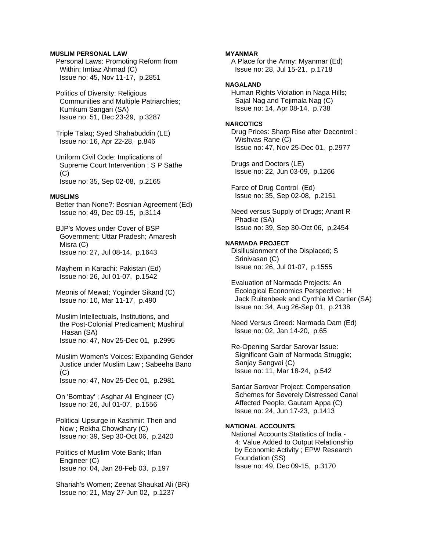### **MUSLIM PERSONAL LAW**

 Personal Laws: Promoting Reform from Within; Imtiaz Ahmad (C) Issue no: 45, Nov 11-17, p.2851

 Politics of Diversity: Religious Communities and Multiple Patriarchies; Kumkum Sangari (SA) Issue no: 51, Dec 23-29, p.3287

 Triple Talaq; Syed Shahabuddin (LE) Issue no: 16, Apr 22-28, p.846

 Uniform Civil Code: Implications of Supreme Court Intervention ; S P Sathe  $(C)$ Issue no: 35, Sep 02-08, p.2165

# **MUSLIMS**

 Better than None?: Bosnian Agreement (Ed) Issue no: 49, Dec 09-15, p.3114

 BJP's Moves under Cover of BSP Government: Uttar Pradesh; Amaresh Misra (C) Issue no: 27, Jul 08-14, p.1643

 Mayhem in Karachi: Pakistan (Ed) Issue no: 26, Jul 01-07, p.1542

 Meonis of Mewat; Yoginder Sikand (C) Issue no: 10, Mar 11-17, p.490

 Muslim Intellectuals, Institutions, and the Post-Colonial Predicament; Mushirul Hasan (SA) Issue no: 47, Nov 25-Dec 01, p.2995

 Muslim Women's Voices: Expanding Gender Justice under Muslim Law ; Sabeeha Bano  $(C)$ Issue no: 47, Nov 25-Dec 01, p.2981

 On 'Bombay' ; Asghar Ali Engineer (C) Issue no: 26, Jul 01-07, p.1556

 Political Upsurge in Kashmir: Then and Now ; Rekha Chowdhary (C) Issue no: 39, Sep 30-Oct 06, p.2420

 Politics of Muslim Vote Bank; Irfan Engineer (C) Issue no: 04, Jan 28-Feb 03, p.197

 Shariah's Women; Zeenat Shaukat Ali (BR) Issue no: 21, May 27-Jun 02, p.1237

#### **MYANMAR**

 A Place for the Army: Myanmar (Ed) Issue no: 28, Jul 15-21, p.1718

### **NAGALAND**

 Human Rights Violation in Naga Hills; Sajal Nag and Tejimala Nag (C) Issue no: 14, Apr 08-14, p.738

#### **NARCOTICS**

 Drug Prices: Sharp Rise after Decontrol ; Wishvas Rane (C) Issue no: 47, Nov 25-Dec 01, p.2977

 Drugs and Doctors (LE) Issue no: 22, Jun 03-09, p.1266

 Farce of Drug Control (Ed) Issue no: 35, Sep 02-08, p.2151

 Need versus Supply of Drugs; Anant R Phadke (SA) Issue no: 39, Sep 30-Oct 06, p.2454

#### **NARMADA PROJECT**

 Disillusionment of the Displaced; S Srinivasan (C) Issue no: 26, Jul 01-07, p.1555

 Evaluation of Narmada Projects: An Ecological Economics Perspective ; H Jack Ruitenbeek and Cynthia M Cartier (SA) Issue no: 34, Aug 26-Sep 01, p.2138

 Need Versus Greed: Narmada Dam (Ed) Issue no: 02, Jan 14-20, p.65

 Re-Opening Sardar Sarovar Issue: Significant Gain of Narmada Struggle; Sanjay Sangvai (C) Issue no: 11, Mar 18-24, p.542

 Sardar Sarovar Project: Compensation Schemes for Severely Distressed Canal Affected People; Gautam Appa (C) Issue no: 24, Jun 17-23, p.1413

#### **NATIONAL ACCOUNTS**

 National Accounts Statistics of India - 4: Value Added to Output Relationship by Economic Activity ; EPW Research Foundation (SS) Issue no: 49, Dec 09-15, p.3170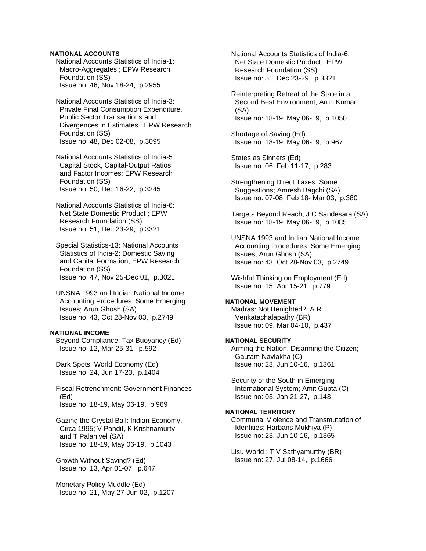### **NATIONAL ACCOUNTS**

 National Accounts Statistics of India-1: Macro-Aggregates ; EPW Research Foundation (SS) Issue no: 46, Nov 18-24, p.2955

 National Accounts Statistics of India-3: Private Final Consumption Expenditure, Public Sector Transactions and Divergences in Estimates ; EPW Research Foundation (SS) Issue no: 48, Dec 02-08, p.3095

 National Accounts Statistics of India-5: Capital Stock, Capital-Output Ratios and Factor Incomes; EPW Research Foundation (SS) Issue no: 50, Dec 16-22, p.3245

 National Accounts Statistics of India-6: Net State Domestic Product ; EPW Research Foundation (SS) Issue no: 51, Dec 23-29, p.3321

 Special Statistics-13: National Accounts Statistics of India-2: Domestic Saving and Capital Formation; EPW Research Foundation (SS) Issue no: 47, Nov 25-Dec 01, p.3021

 UNSNA 1993 and Indian National Income Accounting Procedures: Some Emerging Issues; Arun Ghosh (SA) Issue no: 43, Oct 28-Nov 03, p.2749

### **NATIONAL INCOME**

 Beyond Compliance: Tax Buoyancy (Ed) Issue no: 12, Mar 25-31, p.592

 Dark Spots: World Economy (Ed) Issue no: 24, Jun 17-23, p.1404

 Fiscal Retrenchment: Government Finances (Ed) Issue no: 18-19, May 06-19, p.969

 Gazing the Crystal Ball: Indian Economy, Circa 1995; V Pandit, K Krishnamurty and T Palanivel (SA) Issue no: 18-19, May 06-19, p.1043

 Growth Without Saving? (Ed) Issue no: 13, Apr 01-07, p.647

 Monetary Policy Muddle (Ed) Issue no: 21, May 27-Jun 02, p.1207  National Accounts Statistics of India-6: Net State Domestic Product ; EPW Research Foundation (SS) Issue no: 51, Dec 23-29, p.3321

 Reinterpreting Retreat of the State in a Second Best Environment; Arun Kumar (SA) Issue no: 18-19, May 06-19, p.1050

 Shortage of Saving (Ed) Issue no: 18-19, May 06-19, p.967

 States as Sinners (Ed) Issue no: 06, Feb 11-17, p.283

 Strengthening Direct Taxes: Some Suggestions; Amresh Bagchi (SA) Issue no: 07-08, Feb 18- Mar 03, p.380

 Targets Beyond Reach; J C Sandesara (SA) Issue no: 18-19, May 06-19, p.1085

 UNSNA 1993 and Indian National Income Accounting Procedures: Some Emerging Issues; Arun Ghosh (SA) Issue no: 43, Oct 28-Nov 03, p.2749

 Wishful Thinking on Employment (Ed) Issue no: 15, Apr 15-21, p.779

#### **NATIONAL MOVEMENT**

 Madras: Not Benighted?; A R Venkatachalapathy (BR) Issue no: 09, Mar 04-10, p.437

# **NATIONAL SECURITY**

 Arming the Nation, Disarming the Citizen; Gautam Navlakha (C) Issue no: 23, Jun 10-16, p.1361

 Security of the South in Emerging International System; Amit Gupta (C) Issue no: 03, Jan 21-27, p.143

# **NATIONAL TERRITORY**

 Communal Violence and Transmutation of Identities; Harbans Mukhiya (P) Issue no: 23, Jun 10-16, p.1365

 Lisu World ; T V Sathyamurthy (BR) Issue no: 27, Jul 08-14, p.1666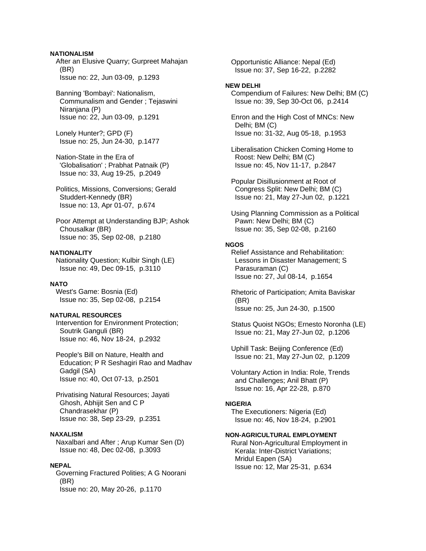### **NATIONALISM**

 After an Elusive Quarry; Gurpreet Mahajan (BR) Issue no: 22, Jun 03-09, p.1293

 Banning 'Bombayi': Nationalism, Communalism and Gender ; Tejaswini Niranjana (P) Issue no: 22, Jun 03-09, p.1291

 Lonely Hunter?; GPD (F) Issue no: 25, Jun 24-30, p.1477

 Nation-State in the Era of 'Globalisation' ; Prabhat Patnaik (P) Issue no: 33, Aug 19-25, p.2049

 Politics, Missions, Conversions; Gerald Studdert-Kennedy (BR) Issue no: 13, Apr 01-07, p.674

 Poor Attempt at Understanding BJP; Ashok Chousalkar (BR) Issue no: 35, Sep 02-08, p.2180

### **NATIONALITY**

 Nationality Question; Kulbir Singh (LE) Issue no: 49, Dec 09-15, p.3110

#### **NATO**

 West's Game: Bosnia (Ed) Issue no: 35, Sep 02-08, p.2154

# **NATURAL RESOURCES**

 Intervention for Environment Protection; Soutrik Ganguli (BR) Issue no: 46, Nov 18-24, p.2932

 People's Bill on Nature, Health and Education; P R Seshagiri Rao and Madhav Gadgil (SA) Issue no: 40, Oct 07-13, p.2501

 Privatising Natural Resources; Jayati Ghosh, Abhijit Sen and C P Chandrasekhar (P) Issue no: 38, Sep 23-29, p.2351

# **NAXALISM**

 Naxalbari and After ; Arup Kumar Sen (D) Issue no: 48, Dec 02-08, p.3093

#### **NEPAL**

 Governing Fractured Polities; A G Noorani (BR) Issue no: 20, May 20-26, p.1170

 Opportunistic Alliance: Nepal (Ed) Issue no: 37, Sep 16-22, p.2282

#### **NEW DELHI**

 Compendium of Failures: New Delhi; BM (C) Issue no: 39, Sep 30-Oct 06, p.2414

 Enron and the High Cost of MNCs: New Delhi; BM (C) Issue no: 31-32, Aug 05-18, p.1953

 Liberalisation Chicken Coming Home to Roost: New Delhi; BM (C) Issue no: 45, Nov 11-17, p.2847

 Popular Disillusionment at Root of Congress Split: New Delhi; BM (C) Issue no: 21, May 27-Jun 02, p.1221

 Using Planning Commission as a Political Pawn: New Delhi; BM (C) Issue no: 35, Sep 02-08, p.2160

# **NGOS**

 Relief Assistance and Rehabilitation: Lessons in Disaster Management; S Parasuraman (C) Issue no: 27, Jul 08-14, p.1654

 Rhetoric of Participation; Amita Baviskar (BR) Issue no: 25, Jun 24-30, p.1500

 Status Quoist NGOs; Ernesto Noronha (LE) Issue no: 21, May 27-Jun 02, p.1206

 Uphill Task: Beijing Conference (Ed) Issue no: 21, May 27-Jun 02, p.1209

 Voluntary Action in India: Role, Trends and Challenges; Anil Bhatt (P) Issue no: 16, Apr 22-28, p.870

#### **NIGERIA**

 The Executioners: Nigeria (Ed) Issue no: 46, Nov 18-24, p.2901

#### **NON-AGRICULTURAL EMPLOYMENT**

 Rural Non-Agricultural Employment in Kerala: Inter-District Variations; Mridul Eapen (SA) Issue no: 12, Mar 25-31, p.634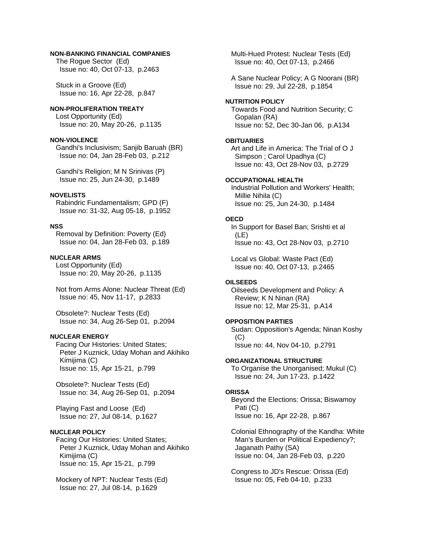# **NON-BANKING FINANCIAL COMPANIES**

 The Rogue Sector (Ed) Issue no: 40, Oct 07-13, p.2463

 Stuck in a Groove (Ed) Issue no: 16, Apr 22-28, p.847

### **NON-PROLIFERATION TREATY**

 Lost Opportunity (Ed) Issue no: 20, May 20-26, p.1135

#### **NON-VIOLENCE**

 Gandhi's Inclusivism; Sanjib Baruah (BR) Issue no: 04, Jan 28-Feb 03, p.212

 Gandhi's Religion; M N Srinivas (P) Issue no: 25, Jun 24-30, p.1489

#### **NOVELISTS**

 Rabindric Fundamentalism; GPD (F) Issue no: 31-32, Aug 05-18, p.1952

# **NSS**

 Removal by Definition: Poverty (Ed) Issue no: 04, Jan 28-Feb 03, p.189

# **NUCLEAR ARMS**

 Lost Opportunity (Ed) Issue no: 20, May 20-26, p.1135

 Not from Arms Alone: Nuclear Threat (Ed) Issue no: 45, Nov 11-17, p.2833

 Obsolete?: Nuclear Tests (Ed) Issue no: 34, Aug 26-Sep 01, p.2094

# **NUCLEAR ENERGY**

 Facing Our Histories: United States; Peter J Kuznick, Uday Mohan and Akihiko Kimijima (C) Issue no: 15, Apr 15-21, p.799

 Obsolete?: Nuclear Tests (Ed) Issue no: 34, Aug 26-Sep 01, p.2094

 Playing Fast and Loose (Ed) Issue no: 27, Jul 08-14, p.1627

# **NUCLEAR POLICY**

 Facing Our Histories: United States; Peter J Kuznick, Uday Mohan and Akihiko Kimijima (C) Issue no: 15, Apr 15-21, p.799

 Mockery of NPT: Nuclear Tests (Ed) Issue no: 27, Jul 08-14, p.1629

 Multi-Hued Protest: Nuclear Tests (Ed) Issue no: 40, Oct 07-13, p.2466

 A Sane Nuclear Policy; A G Noorani (BR) Issue no: 29, Jul 22-28, p.1854

#### **NUTRITION POLICY**

 Towards Food and Nutrition Security; C Gopalan (RA) Issue no: 52, Dec 30-Jan 06, p.A134

### **OBITUARIES**

 Art and Life in America: The Trial of O J Simpson ; Carol Upadhya (C) Issue no: 43, Oct 28-Nov 03, p.2729

### **OCCUPATIONAL HEALTH**

 Industrial Pollution and Workers' Health; Millie Nihila (C) Issue no: 25, Jun 24-30, p.1484

# **OECD**

 In Support for Basel Ban; Srishti et al (LE) Issue no: 43, Oct 28-Nov 03, p.2710

 Local vs Global: Waste Pact (Ed) Issue no: 40, Oct 07-13, p.2465

# **OILSEEDS**

 Oilseeds Development and Policy: A Review; K N Ninan (RA) Issue no: 12, Mar 25-31, p.A14

#### **OPPOSITION PARTIES**

 Sudan: Opposition's Agenda; Ninan Koshy (C) Issue no: 44, Nov 04-10, p.2791

**ORGANIZATIONAL STRUCTURE** 

 To Organise the Unorganised; Mukul (C) Issue no: 24, Jun 17-23, p.1422

#### **ORISSA**

 Beyond the Elections: Orissa; Biswamoy Pati (C) Issue no: 16, Apr 22-28, p.867

 Colonial Ethnography of the Kandha: White Man's Burden or Political Expediency?; Jaganath Pathy (SA) Issue no: 04, Jan 28-Feb 03, p.220

 Congress to JD's Rescue: Orissa (Ed) Issue no: 05, Feb 04-10, p.233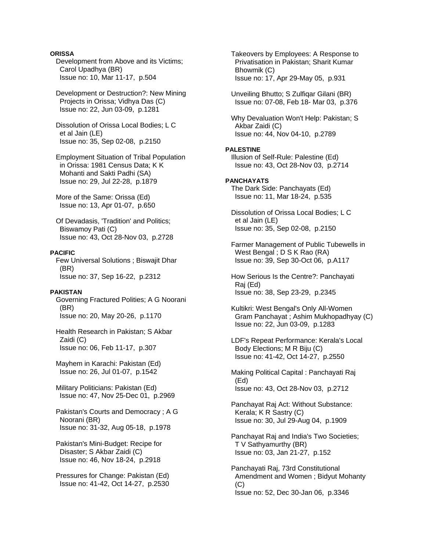### **ORISSA**

 Development from Above and its Victims; Carol Upadhya (BR) Issue no: 10, Mar 11-17, p.504

 Development or Destruction?: New Mining Projects in Orissa; Vidhya Das (C) Issue no: 22, Jun 03-09, p.1281

 Dissolution of Orissa Local Bodies; L C et al Jain (LE) Issue no: 35, Sep 02-08, p.2150

 Employment Situation of Tribal Population in Orissa: 1981 Census Data; K K Mohanti and Sakti Padhi (SA) Issue no: 29, Jul 22-28, p.1879

 More of the Same: Orissa (Ed) Issue no: 13, Apr 01-07, p.650

 Of Devadasis, 'Tradition' and Politics; Biswamoy Pati (C) Issue no: 43, Oct 28-Nov 03, p.2728

#### **PACIFIC**

 Few Universal Solutions ; Biswajit Dhar (BR) Issue no: 37, Sep 16-22, p.2312

#### **PAKISTAN**

 Governing Fractured Polities; A G Noorani (BR) Issue no: 20, May 20-26, p.1170

 Health Research in Pakistan; S Akbar Zaidi (C) Issue no: 06, Feb 11-17, p.307

 Mayhem in Karachi: Pakistan (Ed) Issue no: 26, Jul 01-07, p.1542

 Military Politicians: Pakistan (Ed) Issue no: 47, Nov 25-Dec 01, p.2969

- Pakistan's Courts and Democracy ; A G Noorani (BR) Issue no: 31-32, Aug 05-18, p.1978
- Pakistan's Mini-Budget: Recipe for Disaster; S Akbar Zaidi (C) Issue no: 46, Nov 18-24, p.2918

 Pressures for Change: Pakistan (Ed) Issue no: 41-42, Oct 14-27, p.2530  Takeovers by Employees: A Response to Privatisation in Pakistan; Sharit Kumar Bhowmik (C) Issue no: 17, Apr 29-May 05, p.931

 Unveiling Bhutto; S Zulfiqar Gilani (BR) Issue no: 07-08, Feb 18- Mar 03, p.376

 Why Devaluation Won't Help: Pakistan; S Akbar Zaidi (C) Issue no: 44, Nov 04-10, p.2789

#### **PALESTINE**

 Illusion of Self-Rule: Palestine (Ed) Issue no: 43, Oct 28-Nov 03, p.2714

# **PANCHAYATS**

 The Dark Side: Panchayats (Ed) Issue no: 11, Mar 18-24, p.535

 Dissolution of Orissa Local Bodies; L C et al Jain (LE) Issue no: 35, Sep 02-08, p.2150

 Farmer Management of Public Tubewells in West Bengal ; D S K Rao (RA) Issue no: 39, Sep 30-Oct 06, p.A117

 How Serious Is the Centre?: Panchayati Raj (Ed) Issue no: 38, Sep 23-29, p.2345

 Kultikri: West Bengal's Only All-Women Gram Panchayat ; Ashim Mukhopadhyay (C) Issue no: 22, Jun 03-09, p.1283

 LDF's Repeat Performance: Kerala's Local Body Elections; M R Biju (C) Issue no: 41-42, Oct 14-27, p.2550

 Making Political Capital : Panchayati Raj (Ed) Issue no: 43, Oct 28-Nov 03, p.2712

 Panchayat Raj Act: Without Substance: Kerala; K R Sastry (C) Issue no: 30, Jul 29-Aug 04, p.1909

 Panchayat Raj and India's Two Societies; T V Sathyamurthy (BR) Issue no: 03, Jan 21-27, p.152

 Panchayati Raj, 73rd Constitutional Amendment and Women ; Bidyut Mohanty (C) Issue no: 52, Dec 30-Jan 06, p.3346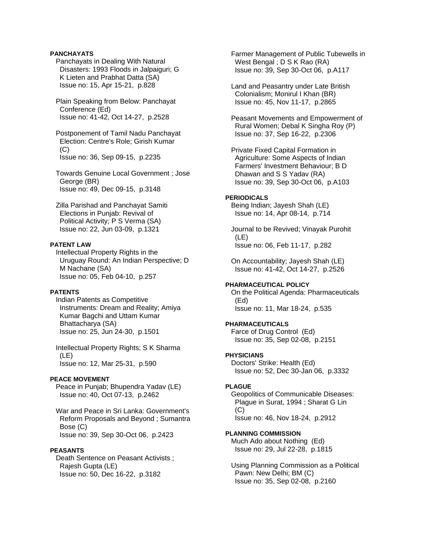### **PANCHAYATS**

 Panchayats in Dealing With Natural Disasters: 1993 Floods in Jalpaiguri; G K Lieten and Prabhat Datta (SA) Issue no: 15, Apr 15-21, p.828

 Plain Speaking from Below: Panchayat Conference (Ed) Issue no: 41-42, Oct 14-27, p.2528

 Postponement of Tamil Nadu Panchayat Election: Centre's Role; Girish Kumar  $(C)$ Issue no: 36, Sep 09-15, p.2235

 Towards Genuine Local Government ; Jose George (BR) Issue no: 49, Dec 09-15, p.3148

 Zilla Parishad and Panchayat Samiti Elections in Punjab: Revival of Political Activity; P S Verma (SA) Issue no: 22, Jun 03-09, p.1321

# **PATENT LAW**

 Intellectual Property Rights in the Uruguay Round: An Indian Perspective; D M Nachane (SA) Issue no: 05, Feb 04-10, p.257

#### **PATENTS**

 Indian Patents as Competitive Instruments: Dream and Reality; Amiya Kumar Bagchi and Uttam Kumar Bhattacharya (SA) Issue no: 25, Jun 24-30, p.1501

 Intellectual Property Rights; S K Sharma (LE) Issue no: 12, Mar 25-31, p.590

### **PEACE MOVEMENT**

 Peace in Punjab; Bhupendra Yadav (LE) Issue no: 40, Oct 07-13, p.2462

 War and Peace in Sri Lanka: Government's Reform Proposals and Beyond ; Sumantra Bose (C) Issue no: 39, Sep 30-Oct 06, p.2423

#### **PEASANTS**

 Death Sentence on Peasant Activists ; Rajesh Gupta (LE) Issue no: 50, Dec 16-22, p.3182

 Farmer Management of Public Tubewells in West Bengal ; D S K Rao (RA) Issue no: 39, Sep 30-Oct 06, p.A117

 Land and Peasantry under Late British Colonialism; Monirul I Khan (BR) Issue no: 45, Nov 11-17, p.2865

 Peasant Movements and Empowerment of Rural Women; Debal K Singha Roy (P) Issue no: 37, Sep 16-22, p.2306

 Private Fixed Capital Formation in Agriculture: Some Aspects of Indian Farmers' Investment Behaviour; B D Dhawan and S S Yadav (RA) Issue no: 39, Sep 30-Oct 06, p.A103

# **PERIODICALS**

 Being Indian; Jayesh Shah (LE) Issue no: 14, Apr 08-14, p.714

 Journal to be Revived; Vinayak Purohit (LE) Issue no: 06, Feb 11-17, p.282

 On Accountability; Jayesh Shah (LE) Issue no: 41-42, Oct 14-27, p.2526

#### **PHARMACEUTICAL POLICY**

 On the Political Agenda: Pharmaceuticals (Ed) Issue no: 11, Mar 18-24, p.535

#### **PHARMACEUTICALS**

 Farce of Drug Control (Ed) Issue no: 35, Sep 02-08, p.2151

#### **PHYSICIANS**

 Doctors' Strike: Health (Ed) Issue no: 52, Dec 30-Jan 06, p.3332

# **PLAGUE**

 Geopolitics of Communicable Diseases: Plague in Surat, 1994 ; Sharat G Lin (C) Issue no: 46, Nov 18-24, p.2912

**PLANNING COMMISSION**  Much Ado about Nothing (Ed) Issue no: 29, Jul 22-28, p.1815

 Using Planning Commission as a Political Pawn: New Delhi; BM (C) Issue no: 35, Sep 02-08, p.2160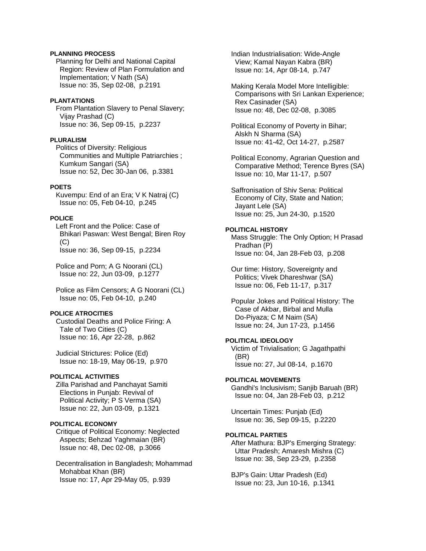### **PLANNING PROCESS**

 Planning for Delhi and National Capital Region: Review of Plan Formulation and Implementation; V Nath (SA) Issue no: 35, Sep 02-08, p.2191

#### **PLANTATIONS**

 From Plantation Slavery to Penal Slavery; Vijay Prashad (C) Issue no: 36, Sep 09-15, p.2237

### **PLURALISM**

 Politics of Diversity: Religious Communities and Multiple Patriarchies ; Kumkum Sangari (SA) Issue no: 52, Dec 30-Jan 06, p.3381

### **POETS**

 Kuvempu: End of an Era; V K Natraj (C) Issue no: 05, Feb 04-10, p.245

#### **POLICE**

 Left Front and the Police: Case of Bhikari Paswan: West Bengal; Biren Roy (C) Issue no: 36, Sep 09-15, p.2234

 Police and Porn; A G Noorani (CL) Issue no: 22, Jun 03-09, p.1277

 Police as Film Censors; A G Noorani (CL) Issue no: 05, Feb 04-10, p.240

### **POLICE ATROCITIES**

 Custodial Deaths and Police Firing: A Tale of Two Cities (C) Issue no: 16, Apr 22-28, p.862

 Judicial Strictures: Police (Ed) Issue no: 18-19, May 06-19, p.970

### **POLITICAL ACTIVITIES**

 Zilla Parishad and Panchayat Samiti Elections in Punjab: Revival of Political Activity; P S Verma (SA) Issue no: 22, Jun 03-09, p.1321

# **POLITICAL ECONOMY**

 Critique of Political Economy: Neglected Aspects; Behzad Yaghmaian (BR) Issue no: 48, Dec 02-08, p.3066

 Decentralisation in Bangladesh; Mohammad Mohabbat Khan (BR) Issue no: 17, Apr 29-May 05, p.939

 Indian Industrialisation: Wide-Angle View; Kamal Nayan Kabra (BR) Issue no: 14, Apr 08-14, p.747

 Making Kerala Model More Intelligible: Comparisons with Sri Lankan Experience; Rex Casinader (SA) Issue no: 48, Dec 02-08, p.3085

 Political Economy of Poverty in Bihar; Alskh N Sharma (SA) Issue no: 41-42, Oct 14-27, p.2587

 Political Economy, Agrarian Question and Comparative Method; Terence Byres (SA) Issue no: 10, Mar 11-17, p.507

 Saffronisation of Shiv Sena: Political Economy of City, State and Nation; Jayant Lele (SA) Issue no: 25, Jun 24-30, p.1520

### **POLITICAL HISTORY**

 Mass Struggle: The Only Option; H Prasad Pradhan (P) Issue no: 04, Jan 28-Feb 03, p.208

 Our time: History, Sovereignty and Politics; Vivek Dhareshwar (SA) Issue no: 06, Feb 11-17, p.317

 Popular Jokes and Political History: The Case of Akbar, Birbal and Mulla Do-Piyaza; C M Naim (SA) Issue no: 24, Jun 17-23, p.1456

# **POLITICAL IDEOLOGY**

 Victim of Trivialisation; G Jagathpathi (BR) Issue no: 27, Jul 08-14, p.1670

#### **POLITICAL MOVEMENTS**

 Gandhi's Inclusivism; Sanjib Baruah (BR) Issue no: 04, Jan 28-Feb 03, p.212

 Uncertain Times: Punjab (Ed) Issue no: 36, Sep 09-15, p.2220

#### **POLITICAL PARTIES**

 After Mathura: BJP's Emerging Strategy: Uttar Pradesh; Amaresh Mishra (C) Issue no: 38, Sep 23-29, p.2358

 BJP's Gain: Uttar Pradesh (Ed) Issue no: 23, Jun 10-16, p.1341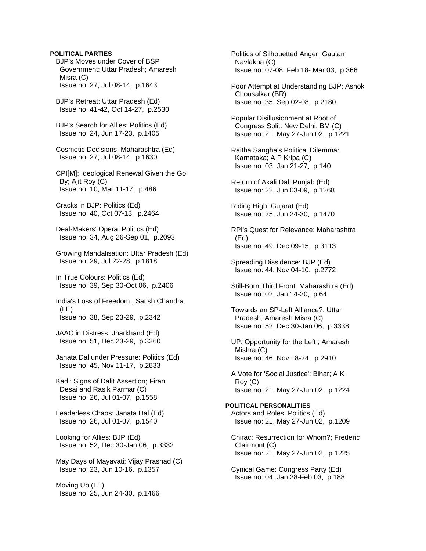### **POLITICAL PARTIES**

 BJP's Moves under Cover of BSP Government: Uttar Pradesh; Amaresh Misra (C) Issue no: 27, Jul 08-14, p.1643

 BJP's Retreat: Uttar Pradesh (Ed) Issue no: 41-42, Oct 14-27, p.2530

 BJP's Search for Allies: Politics (Ed) Issue no: 24, Jun 17-23, p.1405

 Cosmetic Decisions: Maharashtra (Ed) Issue no: 27, Jul 08-14, p.1630

 CPI[M]: Ideological Renewal Given the Go By; Ajit Roy (C) Issue no: 10, Mar 11-17, p.486

 Cracks in BJP: Politics (Ed) Issue no: 40, Oct 07-13, p.2464

 Deal-Makers' Opera: Politics (Ed) Issue no: 34, Aug 26-Sep 01, p.2093

 Growing Mandalisation: Uttar Pradesh (Ed) Issue no: 29, Jul 22-28, p.1818

 In True Colours: Politics (Ed) Issue no: 39, Sep 30-Oct 06, p.2406

 India's Loss of Freedom ; Satish Chandra (LE) Issue no: 38, Sep 23-29, p.2342

 JAAC in Distress: Jharkhand (Ed) Issue no: 51, Dec 23-29, p.3260

 Janata Dal under Pressure: Politics (Ed) Issue no: 45, Nov 11-17, p.2833

 Kadi: Signs of Dalit Assertion; Firan Desai and Rasik Parmar (C) Issue no: 26, Jul 01-07, p.1558

 Leaderless Chaos: Janata Dal (Ed) Issue no: 26, Jul 01-07, p.1540

 Looking for Allies: BJP (Ed) Issue no: 52, Dec 30-Jan 06, p.3332

 May Days of Mayavati; Vijay Prashad (C) Issue no: 23, Jun 10-16, p.1357

 Moving Up (LE) Issue no: 25, Jun 24-30, p.1466  Politics of Silhouetted Anger; Gautam Navlakha (C) Issue no: 07-08, Feb 18- Mar 03, p.366

 Poor Attempt at Understanding BJP; Ashok Chousalkar (BR) Issue no: 35, Sep 02-08, p.2180

 Popular Disillusionment at Root of Congress Split: New Delhi; BM (C) Issue no: 21, May 27-Jun 02, p.1221

 Raitha Sangha's Political Dilemma: Karnataka; A P Kripa (C) Issue no: 03, Jan 21-27, p.140

 Return of Akali Dal: Punjab (Ed) Issue no: 22, Jun 03-09, p.1268

 Riding High: Gujarat (Ed) Issue no: 25, Jun 24-30, p.1470

 RPI's Quest for Relevance: Maharashtra (Ed) Issue no: 49, Dec 09-15, p.3113

 Spreading Dissidence: BJP (Ed) Issue no: 44, Nov 04-10, p.2772

 Still-Born Third Front: Maharashtra (Ed) Issue no: 02, Jan 14-20, p.64

 Towards an SP-Left Alliance?: Uttar Pradesh; Amaresh Misra (C) Issue no: 52, Dec 30-Jan 06, p.3338

 UP: Opportunity for the Left ; Amaresh Mishra (C) Issue no: 46, Nov 18-24, p.2910

 A Vote for 'Social Justice': Bihar; A K Roy (C) Issue no: 21, May 27-Jun 02, p.1224

**POLITICAL PERSONALITIES**  Actors and Roles: Politics (Ed) Issue no: 21, May 27-Jun 02, p.1209

 Chirac: Resurrection for Whom?; Frederic Clairmont (C) Issue no: 21, May 27-Jun 02, p.1225

 Cynical Game: Congress Party (Ed) Issue no: 04, Jan 28-Feb 03, p.188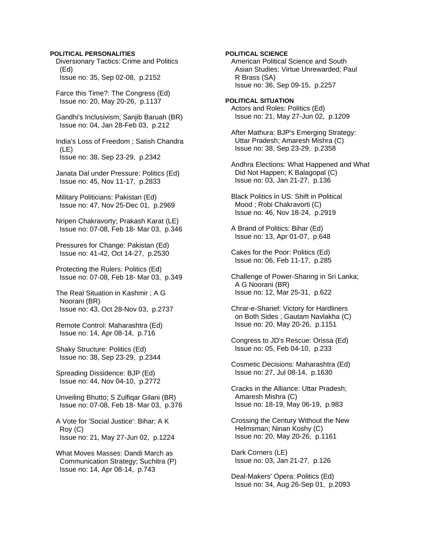### **POLITICAL PERSONALITIES**

 Diversionary Tactics: Crime and Politics (Ed) Issue no: 35, Sep 02-08, p.2152

 Farce this Time?: The Congress (Ed) Issue no: 20, May 20-26, p.1137

 Gandhi's Inclusivism; Sanjib Baruah (BR) Issue no: 04, Jan 28-Feb 03, p.212

 India's Loss of Freedom ; Satish Chandra (LE) Issue no: 38, Sep 23-29, p.2342

 Janata Dal under Pressure: Politics (Ed) Issue no: 45, Nov 11-17, p.2833

 Military Politicians: Pakistan (Ed) Issue no: 47, Nov 25-Dec 01, p.2969

 Nripen Chakravorty; Prakash Karat (LE) Issue no: 07-08, Feb 18- Mar 03, p.346

 Pressures for Change: Pakistan (Ed) Issue no: 41-42, Oct 14-27, p.2530

 Protecting the Rulers: Politics (Ed) Issue no: 07-08, Feb 18- Mar 03, p.349

 The Real Situation in Kashmir ; A G Noorani (BR) Issue no: 43, Oct 28-Nov 03, p.2737

 Remote Control: Maharashtra (Ed) Issue no: 14, Apr 08-14, p.716

 Shaky Structure: Politics (Ed) Issue no: 38, Sep 23-29, p.2344

 Spreading Dissidence: BJP (Ed) Issue no: 44, Nov 04-10, p.2772

 Unveiling Bhutto; S Zulfiqar Gilani (BR) Issue no: 07-08, Feb 18- Mar 03, p.376

 A Vote for 'Social Justice': Bihar; A K Roy (C) Issue no: 21, May 27-Jun 02, p.1224

 What Moves Masses: Dandi March as Communication Strategy; Suchitra (P) Issue no: 14, Apr 08-14, p.743

**POLITICAL SCIENCE**  American Political Science and South Asian Studies: Virtue Unrewarded; Paul R Brass (SA) Issue no: 36, Sep 09-15, p.2257

**POLITICAL SITUATION**  Actors and Roles: Politics (Ed) Issue no: 21, May 27-Jun 02, p.1209

 After Mathura: BJP's Emerging Strategy: Uttar Pradesh; Amaresh Mishra (C) Issue no: 38, Sep 23-29, p.2358

 Andhra Elections: What Happened and What Did Not Happen; K Balagopal (C) Issue no: 03, Jan 21-27, p.136

 Black Politics in US: Shift in Political Mood ; Robi Chakravorti (C) Issue no: 46, Nov 18-24, p.2919

 A Brand of Politics: Bihar (Ed) Issue no: 13, Apr 01-07, p.648

 Cakes for the Poor: Politics (Ed) Issue no: 06, Feb 11-17, p.285

 Challenge of Power-Sharing in Sri Lanka; A G Noorani (BR) Issue no: 12, Mar 25-31, p.622

 Chrar-e-Sharief: Victory for Hardliners on Both Sides ; Gautam Navlakha (C) Issue no: 20, May 20-26, p.1151

 Congress to JD's Rescue: Orissa (Ed) Issue no: 05, Feb 04-10, p.233

 Cosmetic Decisions: Maharashtra (Ed) Issue no: 27, Jul 08-14, p.1630

 Cracks in the Alliance: Uttar Pradesh; Amaresh Mishra (C) Issue no: 18-19, May 06-19, p.983

 Crossing the Century Without the New Helmsman; Ninan Koshy (C) Issue no: 20, May 20-26, p.1161

 Dark Corners (LE) Issue no: 03, Jan 21-27, p.126

 Deal-Makers' Opera: Politics (Ed) Issue no: 34, Aug 26-Sep 01, p.2093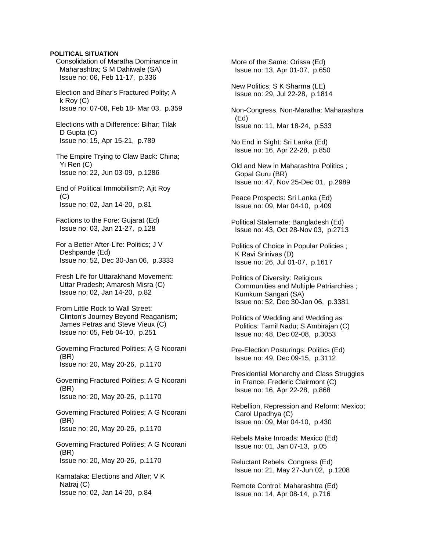#### **POLITICAL SITUATION**

 Consolidation of Maratha Dominance in Maharashtra; S M Dahiwale (SA) Issue no: 06, Feb 11-17, p.336

 Election and Bihar's Fractured Polity; A k Roy (C) Issue no: 07-08, Feb 18- Mar 03, p.359

 Elections with a Difference: Bihar; Tilak D Gupta (C) Issue no: 15, Apr 15-21, p.789

 The Empire Trying to Claw Back: China; Yi Ren (C) Issue no: 22, Jun 03-09, p.1286

 End of Political Immobilism?; Ajit Roy  $(C)$ Issue no: 02, Jan 14-20, p.81

 Factions to the Fore: Gujarat (Ed) Issue no: 03, Jan 21-27, p.128

 For a Better After-Life: Politics; J V Deshpande (Ed) Issue no: 52, Dec 30-Jan 06, p.3333

 Fresh Life for Uttarakhand Movement: Uttar Pradesh; Amaresh Misra (C) Issue no: 02, Jan 14-20, p.82

 From Little Rock to Wall Street: Clinton's Journey Beyond Reaganism; James Petras and Steve Vieux (C) Issue no: 05, Feb 04-10, p.251

 Governing Fractured Polities; A G Noorani (BR) Issue no: 20, May 20-26, p.1170

 Governing Fractured Polities; A G Noorani (BR) Issue no: 20, May 20-26, p.1170

 Governing Fractured Polities; A G Noorani (BR) Issue no: 20, May 20-26, p.1170

 Governing Fractured Polities; A G Noorani (BR) Issue no: 20, May 20-26, p.1170

 Karnataka: Elections and After; V K Natraj (C) Issue no: 02, Jan 14-20, p.84

 More of the Same: Orissa (Ed) Issue no: 13, Apr 01-07, p.650

 New Politics; S K Sharma (LE) Issue no: 29, Jul 22-28, p.1814

 Non-Congress, Non-Maratha: Maharashtra (Ed) Issue no: 11, Mar 18-24, p.533

 No End in Sight: Sri Lanka (Ed) Issue no: 16, Apr 22-28, p.850

 Old and New in Maharashtra Politics ; Gopal Guru (BR) Issue no: 47, Nov 25-Dec 01, p.2989

 Peace Prospects: Sri Lanka (Ed) Issue no: 09, Mar 04-10, p.409

 Political Stalemate: Bangladesh (Ed) Issue no: 43, Oct 28-Nov 03, p.2713

 Politics of Choice in Popular Policies ; K Ravi Srinivas (D) Issue no: 26, Jul 01-07, p.1617

 Politics of Diversity: Religious Communities and Multiple Patriarchies ; Kumkum Sangari (SA) Issue no: 52, Dec 30-Jan 06, p.3381

 Politics of Wedding and Wedding as Politics: Tamil Nadu; S Ambirajan (C) Issue no: 48, Dec 02-08, p.3053

 Pre-Election Posturings: Politics (Ed) Issue no: 49, Dec 09-15, p.3112

 Presidential Monarchy and Class Struggles in France; Frederic Clairmont (C) Issue no: 16, Apr 22-28, p.868

 Rebellion, Repression and Reform: Mexico; Carol Upadhya (C) Issue no: 09, Mar 04-10, p.430

 Rebels Make Inroads: Mexico (Ed) Issue no: 01, Jan 07-13, p.05

 Reluctant Rebels: Congress (Ed) Issue no: 21, May 27-Jun 02, p.1208

 Remote Control: Maharashtra (Ed) Issue no: 14, Apr 08-14, p.716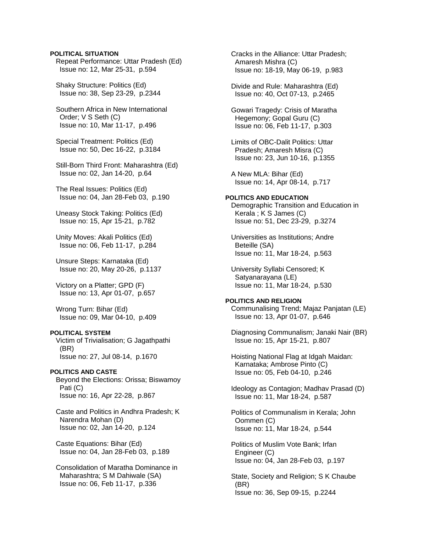### **POLITICAL SITUATION**

 Repeat Performance: Uttar Pradesh (Ed) Issue no: 12, Mar 25-31, p.594

 Shaky Structure: Politics (Ed) Issue no: 38, Sep 23-29, p.2344

 Southern Africa in New International Order; V S Seth (C) Issue no: 10, Mar 11-17, p.496

 Special Treatment: Politics (Ed) Issue no: 50, Dec 16-22, p.3184

 Still-Born Third Front: Maharashtra (Ed) Issue no: 02, Jan 14-20, p.64

 The Real Issues: Politics (Ed) Issue no: 04, Jan 28-Feb 03, p.190

 Uneasy Stock Taking: Politics (Ed) Issue no: 15, Apr 15-21, p.782

 Unity Moves: Akali Politics (Ed) Issue no: 06, Feb 11-17, p.284

 Unsure Steps: Karnataka (Ed) Issue no: 20, May 20-26, p.1137

 Victory on a Platter; GPD (F) Issue no: 13, Apr 01-07, p.657

 Wrong Turn: Bihar (Ed) Issue no: 09, Mar 04-10, p.409

### **POLITICAL SYSTEM**

 Victim of Trivialisation; G Jagathpathi (BR) Issue no: 27, Jul 08-14, p.1670

# **POLITICS AND CASTE**

 Beyond the Elections: Orissa; Biswamoy Pati (C) Issue no: 16, Apr 22-28, p.867

 Caste and Politics in Andhra Pradesh; K Narendra Mohan (D) Issue no: 02, Jan 14-20, p.124

 Caste Equations: Bihar (Ed) Issue no: 04, Jan 28-Feb 03, p.189

 Consolidation of Maratha Dominance in Maharashtra; S M Dahiwale (SA) Issue no: 06, Feb 11-17, p.336

 Cracks in the Alliance: Uttar Pradesh; Amaresh Mishra (C) Issue no: 18-19, May 06-19, p.983

 Divide and Rule: Maharashtra (Ed) Issue no: 40, Oct 07-13, p.2465

 Gowari Tragedy: Crisis of Maratha Hegemony; Gopal Guru (C) Issue no: 06, Feb 11-17, p.303

 Limits of OBC-Dalit Politics: Uttar Pradesh; Amaresh Misra (C) Issue no: 23, Jun 10-16, p.1355

 A New MLA: Bihar (Ed) Issue no: 14, Apr 08-14, p.717

# **POLITICS AND EDUCATION**

 Demographic Transition and Education in Kerala ; K S James (C) Issue no: 51, Dec 23-29, p.3274

 Universities as Institutions; Andre Beteille (SA) Issue no: 11, Mar 18-24, p.563

 University Syllabi Censored; K Satyanarayana (LE) Issue no: 11, Mar 18-24, p.530

**POLITICS AND RELIGION**  Communalising Trend; Majaz Panjatan (LE) Issue no: 13, Apr 01-07, p.646

 Diagnosing Communalism; Janaki Nair (BR) Issue no: 15, Apr 15-21, p.807

 Hoisting National Flag at Idgah Maidan: Karnataka; Ambrose Pinto (C) Issue no: 05, Feb 04-10, p.246

 Ideology as Contagion; Madhav Prasad (D) Issue no: 11, Mar 18-24, p.587

 Politics of Communalism in Kerala; John Oommen (C) Issue no: 11, Mar 18-24, p.544

 Politics of Muslim Vote Bank; Irfan Engineer (C) Issue no: 04, Jan 28-Feb 03, p.197

 State, Society and Religion; S K Chaube (BR) Issue no: 36, Sep 09-15, p.2244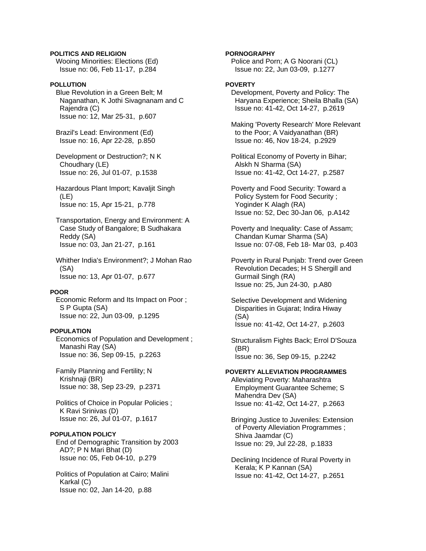# **POLITICS AND RELIGION**

 Wooing Minorities: Elections (Ed) Issue no: 06, Feb 11-17, p.284

# **POLLUTION**

 Blue Revolution in a Green Belt; M Naganathan, K Jothi Sivagnanam and C Rajendra (C) Issue no: 12, Mar 25-31, p.607

 Brazil's Lead: Environment (Ed) Issue no: 16, Apr 22-28, p.850

 Development or Destruction?; N K Choudhary (LE) Issue no: 26, Jul 01-07, p.1538

 Hazardous Plant Import; Kavaljit Singh (LE) Issue no: 15, Apr 15-21, p.778

 Transportation, Energy and Environment: A Case Study of Bangalore; B Sudhakara Reddy (SA) Issue no: 03, Jan 21-27, p.161

 Whither India's Environment?; J Mohan Rao (SA) Issue no: 13, Apr 01-07, p.677

# **POOR**

 Economic Reform and Its Impact on Poor ; S P Gupta (SA) Issue no: 22, Jun 03-09, p.1295

#### **POPULATION**

 Economics of Population and Development ; Manashi Ray (SA) Issue no: 36, Sep 09-15, p.2263

 Family Planning and Fertility; N Krishnaji (BR) Issue no: 38, Sep 23-29, p.2371

 Politics of Choice in Popular Policies ; K Ravi Srinivas (D) Issue no: 26, Jul 01-07, p.1617

# **POPULATION POLICY**

 End of Demographic Transition by 2003 AD?; P N Mari Bhat (D) Issue no: 05, Feb 04-10, p.279

 Politics of Population at Cairo; Malini Karkal (C) Issue no: 02, Jan 14-20, p.88

### **PORNOGRAPHY**

 Police and Porn; A G Noorani (CL) Issue no: 22, Jun 03-09, p.1277

# **POVERTY**

 Development, Poverty and Policy: The Haryana Experience; Sheila Bhalla (SA) Issue no: 41-42, Oct 14-27, p.2619

 Making 'Poverty Research' More Relevant to the Poor; A Vaidyanathan (BR) Issue no: 46, Nov 18-24, p.2929

 Political Economy of Poverty in Bihar; Alskh N Sharma (SA) Issue no: 41-42, Oct 14-27, p.2587

 Poverty and Food Security: Toward a Policy System for Food Security ; Yoginder K Alagh (RA) Issue no: 52, Dec 30-Jan 06, p.A142

 Poverty and Inequality: Case of Assam; Chandan Kumar Sharma (SA) Issue no: 07-08, Feb 18- Mar 03, p.403

 Poverty in Rural Punjab: Trend over Green Revolution Decades; H S Shergill and Gurmail Singh (RA) Issue no: 25, Jun 24-30, p.A80

 Selective Development and Widening Disparities in Gujarat; Indira Hiway (SA) Issue no: 41-42, Oct 14-27, p.2603

 Structuralism Fights Back; Errol D'Souza (BR) Issue no: 36, Sep 09-15, p.2242

# **POVERTY ALLEVIATION PROGRAMMES**

 Alleviating Poverty: Maharashtra Employment Guarantee Scheme; S Mahendra Dev (SA) Issue no: 41-42, Oct 14-27, p.2663

 Bringing Justice to Juveniles: Extension of Poverty Alleviation Programmes ; Shiva Jaamdar (C) Issue no: 29, Jul 22-28, p.1833

 Declining Incidence of Rural Poverty in Kerala; K P Kannan (SA) Issue no: 41-42, Oct 14-27, p.2651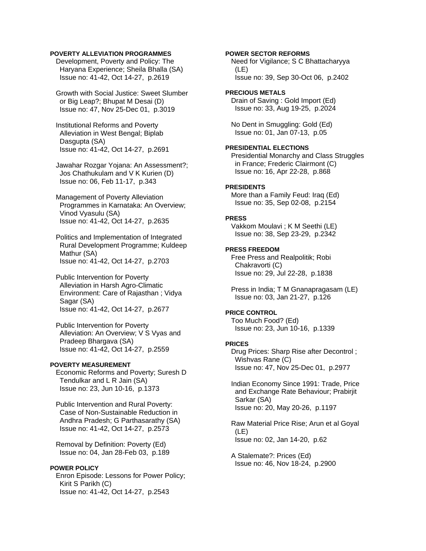### **POVERTY ALLEVIATION PROGRAMMES**

 Development, Poverty and Policy: The Haryana Experience; Sheila Bhalla (SA) Issue no: 41-42, Oct 14-27, p.2619

 Growth with Social Justice: Sweet Slumber or Big Leap?; Bhupat M Desai (D) Issue no: 47, Nov 25-Dec 01, p.3019

 Institutional Reforms and Poverty Alleviation in West Bengal; Biplab Dasgupta (SA) Issue no: 41-42, Oct 14-27, p.2691

 Jawahar Rozgar Yojana: An Assessment?; Jos Chathukulam and V K Kurien (D) Issue no: 06, Feb 11-17, p.343

 Management of Poverty Alleviation Programmes in Karnataka: An Overview; Vinod Vyasulu (SA) Issue no: 41-42, Oct 14-27, p.2635

 Politics and Implementation of Integrated Rural Development Programme; Kuldeep Mathur (SA) Issue no: 41-42, Oct 14-27, p.2703

 Public Intervention for Poverty Alleviation in Harsh Agro-Climatic Environment: Care of Rajasthan ; Vidya Sagar (SA) Issue no: 41-42, Oct 14-27, p.2677

 Public Intervention for Poverty Alleviation: An Overview; V S Vyas and Pradeep Bhargava (SA) Issue no: 41-42, Oct 14-27, p.2559

# **POVERTY MEASUREMENT**

 Economic Reforms and Poverty; Suresh D Tendulkar and L R Jain (SA) Issue no: 23, Jun 10-16, p.1373

 Public Intervention and Rural Poverty: Case of Non-Sustainable Reduction in Andhra Pradesh; G Parthasarathy (SA) Issue no: 41-42, Oct 14-27, p.2573

 Removal by Definition: Poverty (Ed) Issue no: 04, Jan 28-Feb 03, p.189

# **POWER POLICY**

 Enron Episode: Lessons for Power Policy; Kirit S Parikh (C) Issue no: 41-42, Oct 14-27, p.2543

### **POWER SECTOR REFORMS**

 Need for Vigilance; S C Bhattacharyya (LE) Issue no: 39, Sep 30-Oct 06, p.2402

### **PRECIOUS METALS**

 Drain of Saving : Gold Import (Ed) Issue no: 33, Aug 19-25, p.2024

 No Dent in Smuggling: Gold (Ed) Issue no: 01, Jan 07-13, p.05

### **PRESIDENTIAL ELECTIONS**

 Presidential Monarchy and Class Struggles in France; Frederic Clairmont (C) Issue no: 16, Apr 22-28, p.868

### **PRESIDENTS**

 More than a Family Feud: Iraq (Ed) Issue no: 35, Sep 02-08, p.2154

#### **PRESS**

 Vakkom Moulavi ; K M Seethi (LE) Issue no: 38, Sep 23-29, p.2342

#### **PRESS FREEDOM**

 Free Press and Realpolitik; Robi Chakravorti (C) Issue no: 29, Jul 22-28, p.1838

 Press in India; T M Gnanapragasam (LE) Issue no: 03, Jan 21-27, p.126

# **PRICE CONTROL**

 Too Much Food? (Ed) Issue no: 23, Jun 10-16, p.1339

# **PRICES**

 Drug Prices: Sharp Rise after Decontrol ; Wishvas Rane (C) Issue no: 47, Nov 25-Dec 01, p.2977

 Indian Economy Since 1991: Trade, Price and Exchange Rate Behaviour; Prabirjit Sarkar (SA) Issue no: 20, May 20-26, p.1197

 Raw Material Price Rise; Arun et al Goyal (LE) Issue no: 02, Jan 14-20, p.62

 A Stalemate?: Prices (Ed) Issue no: 46, Nov 18-24, p.2900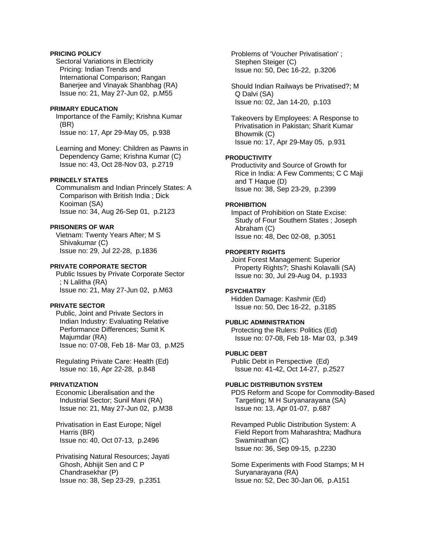# **PRICING POLICY**

 Sectoral Variations in Electricity Pricing: Indian Trends and International Comparison; Rangan Banerjee and Vinayak Shanbhag (RA) Issue no: 21, May 27-Jun 02, p.M55

# **PRIMARY EDUCATION**

 Importance of the Family; Krishna Kumar (BR) Issue no: 17, Apr 29-May 05, p.938

 Learning and Money: Children as Pawns in Dependency Game; Krishna Kumar (C) Issue no: 43, Oct 28-Nov 03, p.2719

# **PRINCELY STATES**

 Communalism and Indian Princely States: A Comparison with British India ; Dick Kooiman (SA) Issue no: 34, Aug 26-Sep 01, p.2123

# **PRISONERS OF WAR**

 Vietnam: Twenty Years After; M S Shivakumar (C) Issue no: 29, Jul 22-28, p.1836

#### **PRIVATE CORPORATE SECTOR**

 Public Issues by Private Corporate Sector ; N Lalitha (RA) Issue no: 21, May 27-Jun 02, p.M63

### **PRIVATE SECTOR**

 Public, Joint and Private Sectors in Indian Industry: Evaluating Relative Performance Differences; Sumit K Majumdar (RA) Issue no: 07-08, Feb 18- Mar 03, p.M25

 Regulating Private Care: Health (Ed) Issue no: 16, Apr 22-28, p.848

# **PRIVATIZATION**

 Economic Liberalisation and the Industrial Sector; Sunil Mani (RA) Issue no: 21, May 27-Jun 02, p.M38

 Privatisation in East Europe; Nigel Harris (BR) Issue no: 40, Oct 07-13, p.2496

 Privatising Natural Resources; Jayati Ghosh, Abhijit Sen and C P Chandrasekhar (P) Issue no: 38, Sep 23-29, p.2351

 Problems of 'Voucher Privatisation' ; Stephen Steiger (C) Issue no: 50, Dec 16-22, p.3206

 Should Indian Railways be Privatised?; M Q Dalvi (SA) Issue no: 02, Jan 14-20, p.103

 Takeovers by Employees: A Response to Privatisation in Pakistan; Sharit Kumar Bhowmik (C) Issue no: 17, Apr 29-May 05, p.931

### **PRODUCTIVITY**

 Productivity and Source of Growth for Rice in India: A Few Comments; C C Maji and T Haque (D) Issue no: 38, Sep 23-29, p.2399

#### **PROHIBITION**

 Impact of Prohibition on State Excise: Study of Four Southern States ; Joseph Abraham (C) Issue no: 48, Dec 02-08, p.3051

### **PROPERTY RIGHTS**

 Joint Forest Management: Superior Property Rights?; Shashi Kolavalli (SA) Issue no: 30, Jul 29-Aug 04, p.1933

# **PSYCHIATRY**

 Hidden Damage: Kashmir (Ed) Issue no: 50, Dec 16-22, p.3185

# **PUBLIC ADMINISTRATION**

 Protecting the Rulers: Politics (Ed) Issue no: 07-08, Feb 18- Mar 03, p.349

# **PUBLIC DEBT**

 Public Debt in Perspective (Ed) Issue no: 41-42, Oct 14-27, p.2527

### **PUBLIC DISTRIBUTION SYSTEM**

 PDS Reform and Scope for Commodity-Based Targeting; M H Suryanarayana (SA) Issue no: 13, Apr 01-07, p.687

 Revamped Public Distribution System: A Field Report from Maharashtra; Madhura Swaminathan (C) Issue no: 36, Sep 09-15, p.2230

 Some Experiments with Food Stamps; M H Suryanarayana (RA) Issue no: 52, Dec 30-Jan 06, p.A151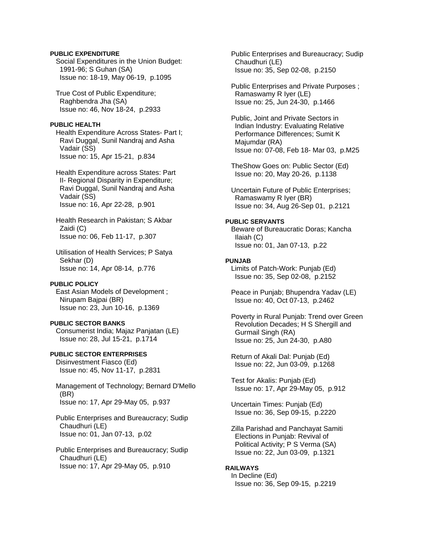### **PUBLIC EXPENDITURE**

 Social Expenditures in the Union Budget: 1991-96; S Guhan (SA) Issue no: 18-19, May 06-19, p.1095

 True Cost of Public Expenditure; Raghbendra Jha (SA) Issue no: 46, Nov 18-24, p.2933

#### **PUBLIC HEALTH**

 Health Expenditure Across States- Part I; Ravi Duggal, Sunil Nandraj and Asha Vadair (SS) Issue no: 15, Apr 15-21, p.834

 Health Expenditure across States: Part II- Regional Disparity in Expenditure; Ravi Duggal, Sunil Nandraj and Asha Vadair (SS) Issue no: 16, Apr 22-28, p.901

 Health Research in Pakistan; S Akbar Zaidi (C) Issue no: 06, Feb 11-17, p.307

 Utilisation of Health Services; P Satya Sekhar (D) Issue no: 14, Apr 08-14, p.776

### **PUBLIC POLICY**

 East Asian Models of Development ; Nirupam Bajpai (BR) Issue no: 23, Jun 10-16, p.1369

#### **PUBLIC SECTOR BANKS**

 Consumerist India; Majaz Panjatan (LE) Issue no: 28, Jul 15-21, p.1714

**PUBLIC SECTOR ENTERPRISES**  Disinvestment Fiasco (Ed) Issue no: 45, Nov 11-17, p.2831

 Management of Technology; Bernard D'Mello (BR) Issue no: 17, Apr 29-May 05, p.937

 Public Enterprises and Bureaucracy; Sudip Chaudhuri (LE) Issue no: 01, Jan 07-13, p.02

 Public Enterprises and Bureaucracy; Sudip Chaudhuri (LE) Issue no: 17, Apr 29-May 05, p.910

 Public Enterprises and Bureaucracy; Sudip Chaudhuri (LE) Issue no: 35, Sep 02-08, p.2150

 Public Enterprises and Private Purposes ; Ramaswamy R Iyer (LE) Issue no: 25, Jun 24-30, p.1466

 Public, Joint and Private Sectors in Indian Industry: Evaluating Relative Performance Differences; Sumit K Majumdar (RA) Issue no: 07-08, Feb 18- Mar 03, p.M25

 TheShow Goes on: Public Sector (Ed) Issue no: 20, May 20-26, p.1138

 Uncertain Future of Public Enterprises; Ramaswamy R Iyer (BR) Issue no: 34, Aug 26-Sep 01, p.2121

### **PUBLIC SERVANTS**

 Beware of Bureaucratic Doras; Kancha Ilaiah (C) Issue no: 01, Jan 07-13, p.22

#### **PUNJAB**

 Limits of Patch-Work: Punjab (Ed) Issue no: 35, Sep 02-08, p.2152

 Peace in Punjab; Bhupendra Yadav (LE) Issue no: 40, Oct 07-13, p.2462

 Poverty in Rural Punjab: Trend over Green Revolution Decades; H S Shergill and Gurmail Singh (RA) Issue no: 25, Jun 24-30, p.A80

 Return of Akali Dal: Punjab (Ed) Issue no: 22, Jun 03-09, p.1268

 Test for Akalis: Punjab (Ed) Issue no: 17, Apr 29-May 05, p.912

 Uncertain Times: Punjab (Ed) Issue no: 36, Sep 09-15, p.2220

 Zilla Parishad and Panchayat Samiti Elections in Punjab: Revival of Political Activity; P S Verma (SA) Issue no: 22, Jun 03-09, p.1321

#### **RAILWAYS**

 In Decline (Ed) Issue no: 36, Sep 09-15, p.2219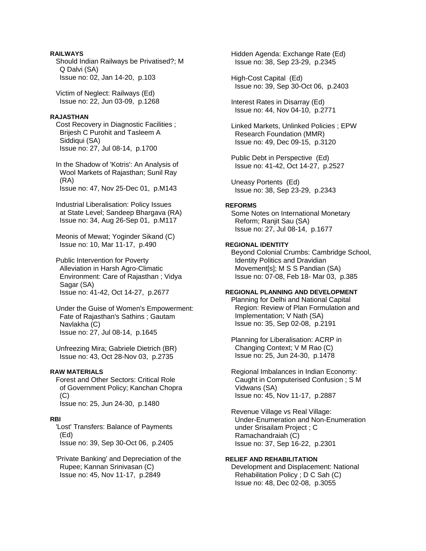# **RAILWAYS**

 Should Indian Railways be Privatised?; M Q Dalvi (SA) Issue no: 02, Jan 14-20, p.103

 Victim of Neglect: Railways (Ed) Issue no: 22, Jun 03-09, p.1268

# **RAJASTHAN**

 Cost Recovery in Diagnostic Facilities ; Brijesh C Purohit and Tasleem A Siddiqui (SA) Issue no: 27, Jul 08-14, p.1700

 In the Shadow of 'Kotris': An Analysis of Wool Markets of Rajasthan; Sunil Ray (RA) Issue no: 47, Nov 25-Dec 01, p.M143

 Industrial Liberalisation: Policy Issues at State Level; Sandeep Bhargava (RA) Issue no: 34, Aug 26-Sep 01, p.M117

 Meonis of Mewat; Yoginder Sikand (C) Issue no: 10, Mar 11-17, p.490

 Public Intervention for Poverty Alleviation in Harsh Agro-Climatic Environment: Care of Rajasthan ; Vidya Sagar (SA) Issue no: 41-42, Oct 14-27, p.2677

 Under the Guise of Women's Empowerment: Fate of Rajasthan's Sathins ; Gautam Navlakha (C) Issue no: 27, Jul 08-14, p.1645

 Unfreezing Mira; Gabriele Dietrich (BR) Issue no: 43, Oct 28-Nov 03, p.2735

# **RAW MATERIALS**

 Forest and Other Sectors: Critical Role of Government Policy; Kanchan Chopra (C) Issue no: 25, Jun 24-30, p.1480

#### **RBI**

 'Lost' Transfers: Balance of Payments (Ed) Issue no: 39, Sep 30-Oct 06, p.2405

 'Private Banking' and Depreciation of the Rupee; Kannan Srinivasan (C) Issue no: 45, Nov 11-17, p.2849

 Hidden Agenda: Exchange Rate (Ed) Issue no: 38, Sep 23-29, p.2345

 High-Cost Capital (Ed) Issue no: 39, Sep 30-Oct 06, p.2403

 Interest Rates in Disarray (Ed) Issue no: 44, Nov 04-10, p.2771

 Linked Markets, Unlinked Policies ; EPW Research Foundation (MMR) Issue no: 49, Dec 09-15, p.3120

 Public Debt in Perspective (Ed) Issue no: 41-42, Oct 14-27, p.2527

 Uneasy Portents (Ed) Issue no: 38, Sep 23-29, p.2343

#### **REFORMS**

 Some Notes on International Monetary Reform; Ranjit Sau (SA) Issue no: 27, Jul 08-14, p.1677

# **REGIONAL IDENTITY**

 Beyond Colonial Crumbs: Cambridge School, Identity Politics and Dravidian Movement[s]; M S S Pandian (SA) Issue no: 07-08, Feb 18- Mar 03, p.385

# **REGIONAL PLANNING AND DEVELOPMENT**

 Planning for Delhi and National Capital Region: Review of Plan Formulation and Implementation; V Nath (SA) Issue no: 35, Sep 02-08, p.2191

 Planning for Liberalisation: ACRP in Changing Context; V M Rao (C) Issue no: 25, Jun 24-30, p.1478

 Regional Imbalances in Indian Economy: Caught in Computerised Confusion ; S M Vidwans (SA) Issue no: 45, Nov 11-17, p.2887

 Revenue Village vs Real Village: Under-Enumeration and Non-Enumeration under Srisailam Project ; C Ramachandraiah (C) Issue no: 37, Sep 16-22, p.2301

### **RELIEF AND REHABILITATION**  Development and Displacement: National Rehabilitation Policy ; D C Sah (C) Issue no: 48, Dec 02-08, p.3055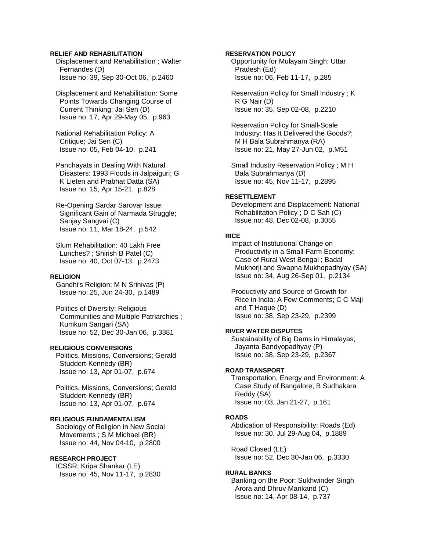### **RELIEF AND REHABILITATION**

 Displacement and Rehabilitation ; Walter Fernandes (D) Issue no: 39, Sep 30-Oct 06, p.2460

 Displacement and Rehabilitation: Some Points Towards Changing Course of Current Thinking; Jai Sen (D) Issue no: 17, Apr 29-May 05, p.963

 National Rehabilitation Policy: A Critique; Jai Sen (C) Issue no: 05, Feb 04-10, p.241

 Panchayats in Dealing With Natural Disasters: 1993 Floods in Jalpaiguri; G K Lieten and Prabhat Datta (SA) Issue no: 15, Apr 15-21, p.828

 Re-Opening Sardar Sarovar Issue: Significant Gain of Narmada Struggle; Sanjay Sangvai (C) Issue no: 11, Mar 18-24, p.542

 Slum Rehabilitation: 40 Lakh Free Lunches? ; Shirish B Patel (C) Issue no: 40, Oct 07-13, p.2473

#### **RELIGION**

 Gandhi's Religion; M N Srinivas (P) Issue no: 25, Jun 24-30, p.1489

 Politics of Diversity: Religious Communities and Multiple Patriarchies ; Kumkum Sangari (SA) Issue no: 52, Dec 30-Jan 06, p.3381

# **RELIGIOUS CONVERSIONS**

 Politics, Missions, Conversions; Gerald Studdert-Kennedy (BR) Issue no: 13, Apr 01-07, p.674

 Politics, Missions, Conversions; Gerald Studdert-Kennedy (BR) Issue no: 13, Apr 01-07, p.674

# **RELIGIOUS FUNDAMENTALISM**

 Sociology of Religion in New Social Movements ; S M Michael (BR) Issue no: 44, Nov 04-10, p.2800

### **RESEARCH PROJECT**

 ICSSR; Kripa Shankar (LE) Issue no: 45, Nov 11-17, p.2830

### **RESERVATION POLICY**

 Opportunity for Mulayam Singh: Uttar Pradesh (Ed) Issue no: 06, Feb 11-17, p.285

 Reservation Policy for Small Industry ; K R G Nair (D) Issue no: 35, Sep 02-08, p.2210

 Reservation Policy for Small-Scale Industry: Has It Delivered the Goods?; M H Bala Subrahmanya (RA) Issue no: 21, May 27-Jun 02, p.M51

 Small Industry Reservation Policy ; M H Bala Subrahmanya (D) Issue no: 45, Nov 11-17, p.2895

# **RESETTLEMENT**

 Development and Displacement: National Rehabilitation Policy ; D C Sah (C) Issue no: 48, Dec 02-08, p.3055

#### **RICE**

 Impact of Institutional Change on Productivity in a Small-Farm Economy: Case of Rural West Bengal ; Badal Mukherji and Swapna Mukhopadhyay (SA) Issue no: 34, Aug 26-Sep 01, p.2134

 Productivity and Source of Growth for Rice in India: A Few Comments; C C Maji and T Haque (D) Issue no: 38, Sep 23-29, p.2399

#### **RIVER WATER DISPUTES**

 Sustainability of Big Dams in Himalayas; Jayanta Bandyopadhyay (P) Issue no: 38, Sep 23-29, p.2367

#### **ROAD TRANSPORT**

 Transportation, Energy and Environment: A Case Study of Bangalore; B Sudhakara Reddy (SA) Issue no: 03, Jan 21-27, p.161

#### **ROADS**

 Abdication of Responsibility: Roads (Ed) Issue no: 30, Jul 29-Aug 04, p.1889

 Road Closed (LE) Issue no: 52, Dec 30-Jan 06, p.3330

### **RURAL BANKS**

 Banking on the Poor; Sukhwinder Singh Arora and Dhruv Mankand (C) Issue no: 14, Apr 08-14, p.737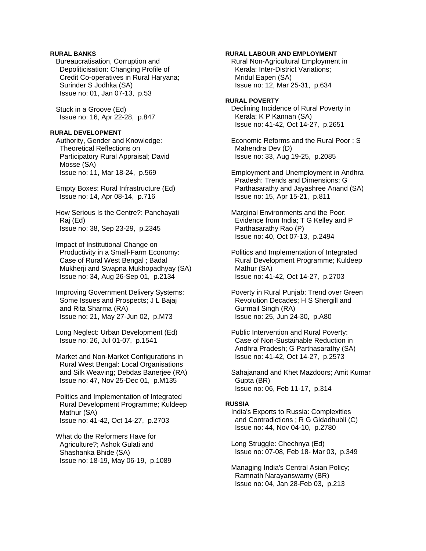# **RURAL BANKS**

 Bureaucratisation, Corruption and Depoliticisation: Changing Profile of Credit Co-operatives in Rural Haryana; Surinder S Jodhka (SA) Issue no: 01, Jan 07-13, p.53

 Stuck in a Groove (Ed) Issue no: 16, Apr 22-28, p.847

#### **RURAL DEVELOPMENT**

 Authority, Gender and Knowledge: Theoretical Reflections on Participatory Rural Appraisal; David Mosse (SA) Issue no: 11, Mar 18-24, p.569

 Empty Boxes: Rural Infrastructure (Ed) Issue no: 14, Apr 08-14, p.716

 How Serious Is the Centre?: Panchayati Raj (Ed) Issue no: 38, Sep 23-29, p.2345

 Impact of Institutional Change on Productivity in a Small-Farm Economy: Case of Rural West Bengal ; Badal Mukherji and Swapna Mukhopadhyay (SA) Issue no: 34, Aug 26-Sep 01, p.2134

 Improving Government Delivery Systems: Some Issues and Prospects; J L Bajaj and Rita Sharma (RA) Issue no: 21, May 27-Jun 02, p.M73

 Long Neglect: Urban Development (Ed) Issue no: 26, Jul 01-07, p.1541

 Market and Non-Market Configurations in Rural West Bengal: Local Organisations and Silk Weaving; Debdas Banerjee (RA) Issue no: 47, Nov 25-Dec 01, p.M135

 Politics and Implementation of Integrated Rural Development Programme; Kuldeep Mathur (SA) Issue no: 41-42, Oct 14-27, p.2703

 What do the Reformers Have for Agriculture?; Ashok Gulati and Shashanka Bhide (SA) Issue no: 18-19, May 06-19, p.1089

### **RURAL LABOUR AND EMPLOYMENT**

 Rural Non-Agricultural Employment in Kerala: Inter-District Variations; Mridul Eapen (SA) Issue no: 12, Mar 25-31, p.634

#### **RURAL POVERTY**

 Declining Incidence of Rural Poverty in Kerala; K P Kannan (SA) Issue no: 41-42, Oct 14-27, p.2651

 Economic Reforms and the Rural Poor ; S Mahendra Dev (D) Issue no: 33, Aug 19-25, p.2085

 Employment and Unemployment in Andhra Pradesh: Trends and Dimensions; G Parthasarathy and Jayashree Anand (SA) Issue no: 15, Apr 15-21, p.811

 Marginal Environments and the Poor: Evidence from India; T G Kelley and P Parthasarathy Rao (P) Issue no: 40, Oct 07-13, p.2494

 Politics and Implementation of Integrated Rural Development Programme; Kuldeep Mathur (SA) Issue no: 41-42, Oct 14-27, p.2703

 Poverty in Rural Punjab: Trend over Green Revolution Decades; H S Shergill and Gurmail Singh (RA) Issue no: 25, Jun 24-30, p.A80

 Public Intervention and Rural Poverty: Case of Non-Sustainable Reduction in Andhra Pradesh; G Parthasarathy (SA) Issue no: 41-42, Oct 14-27, p.2573

 Sahajanand and Khet Mazdoors; Amit Kumar Gupta (BR) Issue no: 06, Feb 11-17, p.314

#### **RUSSIA**

 India's Exports to Russia: Complexities and Contradictions ; R G Gidadhubli (C) Issue no: 44, Nov 04-10, p.2780

 Long Struggle: Chechnya (Ed) Issue no: 07-08, Feb 18- Mar 03, p.349

 Managing India's Central Asian Policy; Ramnath Narayanswamy (BR) Issue no: 04, Jan 28-Feb 03, p.213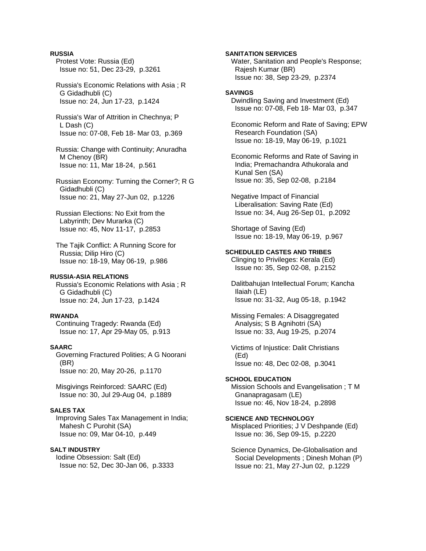### **RUSSIA**

 Protest Vote: Russia (Ed) Issue no: 51, Dec 23-29, p.3261

 Russia's Economic Relations with Asia ; R G Gidadhubli (C) Issue no: 24, Jun 17-23, p.1424

 Russia's War of Attrition in Chechnya; P L Dash (C) Issue no: 07-08, Feb 18- Mar 03, p.369

 Russia: Change with Continuity; Anuradha M Chenoy (BR) Issue no: 11, Mar 18-24, p.561

 Russian Economy: Turning the Corner?; R G Gidadhubli (C) Issue no: 21, May 27-Jun 02, p.1226

 Russian Elections: No Exit from the Labyrinth; Dev Murarka (C) Issue no: 45, Nov 11-17, p.2853

 The Tajik Conflict: A Running Score for Russia; Dilip Hiro (C) Issue no: 18-19, May 06-19, p.986

#### **RUSSIA-ASIA RELATIONS**

 Russia's Economic Relations with Asia ; R G Gidadhubli (C) Issue no: 24, Jun 17-23, p.1424

#### **RWANDA**

 Continuing Tragedy: Rwanda (Ed) Issue no: 17, Apr 29-May 05, p.913

#### **SAARC**

 Governing Fractured Polities; A G Noorani (BR) Issue no: 20, May 20-26, p.1170

 Misgivings Reinforced: SAARC (Ed) Issue no: 30, Jul 29-Aug 04, p.1889

### **SALES TAX**

 Improving Sales Tax Management in India; Mahesh C Purohit (SA) Issue no: 09, Mar 04-10, p.449

#### **SALT INDUSTRY**

 Iodine Obsession: Salt (Ed) Issue no: 52, Dec 30-Jan 06, p.3333 **SANITATION SERVICES** 

 Water, Sanitation and People's Response; Rajesh Kumar (BR) Issue no: 38, Sep 23-29, p.2374

# **SAVINGS**

 Dwindling Saving and Investment (Ed) Issue no: 07-08, Feb 18- Mar 03, p.347

 Economic Reform and Rate of Saving; EPW Research Foundation (SA) Issue no: 18-19, May 06-19, p.1021

 Economic Reforms and Rate of Saving in India; Premachandra Athukorala and Kunal Sen (SA) Issue no: 35, Sep 02-08, p.2184

 Negative Impact of Financial Liberalisation: Saving Rate (Ed) Issue no: 34, Aug 26-Sep 01, p.2092

 Shortage of Saving (Ed) Issue no: 18-19, May 06-19, p.967

#### **SCHEDULED CASTES AND TRIBES**

 Clinging to Privileges: Kerala (Ed) Issue no: 35, Sep 02-08, p.2152

 Dalitbahujan Intellectual Forum; Kancha Ilaiah (LE) Issue no: 31-32, Aug 05-18, p.1942

 Missing Females: A Disaggregated Analysis; S B Agnihotri (SA) Issue no: 33, Aug 19-25, p.2074

 Victims of Injustice: Dalit Christians (Ed) Issue no: 48, Dec 02-08, p.3041

# **SCHOOL EDUCATION**

 Mission Schools and Evangelisation ; T M Gnanapragasam (LE) Issue no: 46, Nov 18-24, p.2898

# **SCIENCE AND TECHNOLOGY**

 Misplaced Priorities; J V Deshpande (Ed) Issue no: 36, Sep 09-15, p.2220

 Science Dynamics, De-Globalisation and Social Developments ; Dinesh Mohan (P) Issue no: 21, May 27-Jun 02, p.1229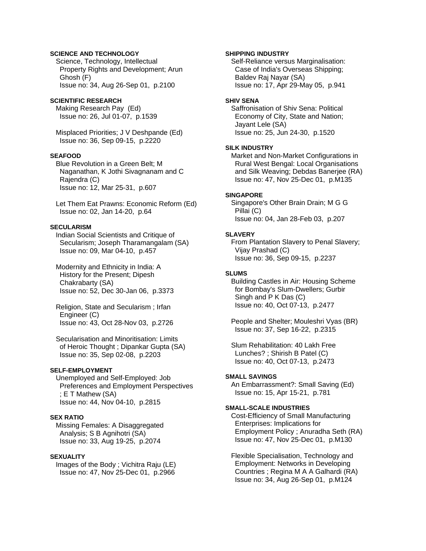# **SCIENCE AND TECHNOLOGY**

 Science, Technology, Intellectual Property Rights and Development; Arun Ghosh (F) Issue no: 34, Aug 26-Sep 01, p.2100

#### **SCIENTIFIC RESEARCH**

 Making Research Pay (Ed) Issue no: 26, Jul 01-07, p.1539

 Misplaced Priorities; J V Deshpande (Ed) Issue no: 36, Sep 09-15, p.2220

# **SEAFOOD**

 Blue Revolution in a Green Belt; M Naganathan, K Jothi Sivagnanam and C Rajendra (C) Issue no: 12, Mar 25-31, p.607

 Let Them Eat Prawns: Economic Reform (Ed) Issue no: 02, Jan 14-20, p.64

# **SECULARISM**

 Indian Social Scientists and Critique of Secularism; Joseph Tharamangalam (SA) Issue no: 09, Mar 04-10, p.457

 Modernity and Ethnicity in India: A History for the Present; Dipesh Chakrabarty (SA) Issue no: 52, Dec 30-Jan 06, p.3373

 Religion, State and Secularism ; Irfan Engineer (C) Issue no: 43, Oct 28-Nov 03, p.2726

 Secularisation and Minoritisation: Limits of Heroic Thought ; Dipankar Gupta (SA) Issue no: 35, Sep 02-08, p.2203

#### **SELF-EMPLOYMENT**

 Unemployed and Self-Employed: Job Preferences and Employment Perspectives ; E T Mathew (SA) Issue no: 44, Nov 04-10, p.2815

# **SEX RATIO**

 Missing Females: A Disaggregated Analysis; S B Agnihotri (SA) Issue no: 33, Aug 19-25, p.2074

### **SEXUALITY**

 Images of the Body ; Vichitra Raju (LE) Issue no: 47, Nov 25-Dec 01, p.2966

#### **SHIPPING INDUSTRY**

 Self-Reliance versus Marginalisation: Case of India's Overseas Shipping; Baldev Raj Nayar (SA) Issue no: 17, Apr 29-May 05, p.941

#### **SHIV SENA**

 Saffronisation of Shiv Sena: Political Economy of City, State and Nation; Jayant Lele (SA) Issue no: 25, Jun 24-30, p.1520

#### **SILK INDUSTRY**

 Market and Non-Market Configurations in Rural West Bengal: Local Organisations and Silk Weaving; Debdas Banerjee (RA) Issue no: 47, Nov 25-Dec 01, p.M135

#### **SINGAPORE**

 Singapore's Other Brain Drain; M G G Pillai (C) Issue no: 04, Jan 28-Feb 03, p.207

#### **SLAVERY**

 From Plantation Slavery to Penal Slavery; Vijay Prashad (C) Issue no: 36, Sep 09-15, p.2237

#### **SLUMS**

 Building Castles in Air: Housing Scheme for Bombay's Slum-Dwellers; Gurbir Singh and P K Das (C) Issue no: 40, Oct 07-13, p.2477

 People and Shelter; Mouleshri Vyas (BR) Issue no: 37, Sep 16-22, p.2315

 Slum Rehabilitation: 40 Lakh Free Lunches? ; Shirish B Patel (C) Issue no: 40, Oct 07-13, p.2473

#### **SMALL SAVINGS**

 An Embarrassment?: Small Saving (Ed) Issue no: 15, Apr 15-21, p.781

#### **SMALL-SCALE INDUSTRIES**

 Cost-Efficiency of Small Manufacturing Enterprises: Implications for Employment Policy ; Anuradha Seth (RA) Issue no: 47, Nov 25-Dec 01, p.M130

 Flexible Specialisation, Technology and Employment: Networks in Developing Countries ; Regina M A A Galhardi (RA) Issue no: 34, Aug 26-Sep 01, p.M124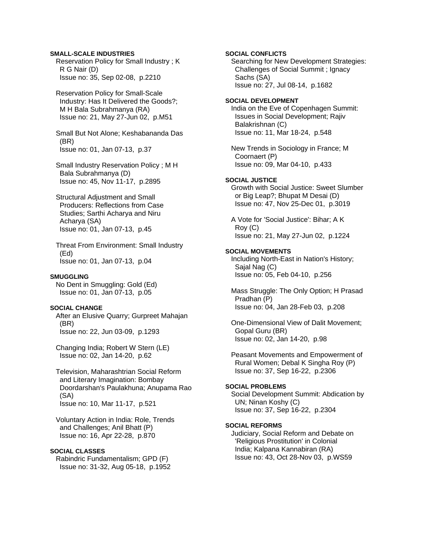#### **SMALL-SCALE INDUSTRIES**

 Reservation Policy for Small Industry ; K R G Nair (D) Issue no: 35, Sep 02-08, p.2210

 Reservation Policy for Small-Scale Industry: Has It Delivered the Goods?; M H Bala Subrahmanya (RA) Issue no: 21, May 27-Jun 02, p.M51

 Small But Not Alone; Keshabananda Das (BR) Issue no: 01, Jan 07-13, p.37

 Small Industry Reservation Policy ; M H Bala Subrahmanya (D) Issue no: 45, Nov 11-17, p.2895

 Structural Adjustment and Small Producers: Reflections from Case Studies; Sarthi Acharya and Niru Acharya (SA) Issue no: 01, Jan 07-13, p.45

 Threat From Environment: Small Industry (Ed) Issue no: 01, Jan 07-13, p.04

#### **SMUGGLING**

 No Dent in Smuggling: Gold (Ed) Issue no: 01, Jan 07-13, p.05

#### **SOCIAL CHANGE**

 After an Elusive Quarry; Gurpreet Mahajan (BR) Issue no: 22, Jun 03-09, p.1293

 Changing India; Robert W Stern (LE) Issue no: 02, Jan 14-20, p.62

 Television, Maharashtrian Social Reform and Literary Imagination: Bombay Doordarshan's Paulakhuna; Anupama Rao (SA) Issue no: 10, Mar 11-17, p.521

 Voluntary Action in India: Role, Trends and Challenges; Anil Bhatt (P) Issue no: 16, Apr 22-28, p.870

# **SOCIAL CLASSES**

 Rabindric Fundamentalism; GPD (F) Issue no: 31-32, Aug 05-18, p.1952 **SOCIAL CONFLICTS**  Searching for New Development Strategies: Challenges of Social Summit ; Ignacy Sachs (SA) Issue no: 27, Jul 08-14, p.1682 **SOCIAL DEVELOPMENT**  India on the Eve of Copenhagen Summit: Issues in Social Development; Rajiv Balakrishnan (C) Issue no: 11, Mar 18-24, p.548 New Trends in Sociology in France; M Coornaert (P) Issue no: 09, Mar 04-10, p.433 **SOCIAL JUSTICE**  Growth with Social Justice: Sweet Slumber or Big Leap?; Bhupat M Desai (D) Issue no: 47, Nov 25-Dec 01, p.3019 A Vote for 'Social Justice': Bihar; A K Roy (C) Issue no: 21, May 27-Jun 02, p.1224 **SOCIAL MOVEMENTS**  Including North-East in Nation's History; Sajal Nag (C) Issue no: 05, Feb 04-10, p.256 Mass Struggle: The Only Option; H Prasad Pradhan (P) Issue no: 04, Jan 28-Feb 03, p.208 One-Dimensional View of Dalit Movement; Gopal Guru (BR) Issue no: 02, Jan 14-20, p.98 Peasant Movements and Empowerment of Rural Women; Debal K Singha Roy (P) Issue no: 37, Sep 16-22, p.2306 **SOCIAL PROBLEMS**  Social Development Summit: Abdication by UN; Ninan Koshy (C) Issue no: 37, Sep 16-22, p.2304 **SOCIAL REFORMS** 

 Judiciary, Social Reform and Debate on 'Religious Prostitution' in Colonial India; Kalpana Kannabiran (RA) Issue no: 43, Oct 28-Nov 03, p.WS59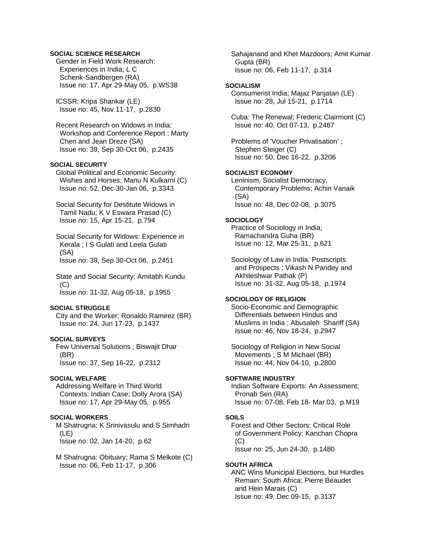### **SOCIAL SCIENCE RESEARCH**

 Gender in Field Work Research: Experiences in India; L C Schenk-Sandbergen (RA) Issue no: 17, Apr 29-May 05, p.WS38

 ICSSR; Kripa Shankar (LE) Issue no: 45, Nov 11-17, p.2830

 Recent Research on Widows in India: Workshop and Conference Report ; Marty Chen and Jean Dreze (SA) Issue no: 39, Sep 30-Oct 06, p.2435

### **SOCIAL SECURITY**

 Global Political and Economic Security: Wishes and Horses; Manu N Kulkarni (C) Issue no: 52, Dec 30-Jan 06, p.3343

 Social Security for Destitute Widows in Tamil Nadu; K V Eswara Prasad (C) Issue no: 15, Apr 15-21, p.794

 Social Security for Widows: Experience in Kerala ; I S Gulati and Leela Gulati (SA) Issue no: 39, Sep 30-Oct 06, p.2451

 State and Social Security; Amitabh Kundu  $(C)$ Issue no: 31-32, Aug 05-18, p.1955

#### **SOCIAL STRUGGLE**

 City and the Worker; Ronaldo Ramirez (BR) Issue no: 24, Jun 17-23, p.1437

#### **SOCIAL SURVEYS**

 Few Universal Solutions ; Biswajit Dhar (BR) Issue no: 37, Sep 16-22, p.2312

### **SOCIAL WELFARE**

 Addressing Welfare in Third World Contexts: Indian Case; Dolly Arora (SA) Issue no: 17, Apr 29-May 05, p.955

# **SOCIAL WORKERS**

 M Shatrugna; K Srinivasulu and S Simhadri (LE) Issue no: 02, Jan 14-20, p.62

 M Shatrugna: Obituary; Rama S Melkote (C) Issue no: 06, Feb 11-17, p.306

 Sahajanand and Khet Mazdoors; Amit Kumar Gupta (BR) Issue no: 06, Feb 11-17, p.314

#### **SOCIALISM**

 Consumerist India; Majaz Panjatan (LE) Issue no: 28, Jul 15-21, p.1714

 Cuba: The Renewal; Frederic Clairmont (C) Issue no: 40, Oct 07-13, p.2487

 Problems of 'Voucher Privatisation' ; Stephen Steiger (C) Issue no: 50, Dec 16-22, p.3206

### **SOCIALIST ECONOMY**

 Leninism, Socialist Democracy, Contemporary Problems; Achin Vanaik (SA) Issue no: 48, Dec 02-08, p.3075

#### **SOCIOLOGY**

 Practice of Sociology in India; Ramachandra Guha (BR) Issue no: 12, Mar 25-31, p.621

 Sociology of Law in India: Postscripts and Prospects ; Vikash N Pandey and Akhileshwar Pathak (P) Issue no: 31-32, Aug 05-18, p.1974

### **SOCIOLOGY OF RELIGION**

 Socio-Economic and Demographic Differentials between Hindus and Muslims in India ; Abusaleh Shariff (SA) Issue no: 46, Nov 18-24, p.2947

 Sociology of Religion in New Social Movements ; S M Michael (BR) Issue no: 44, Nov 04-10, p.2800

### **SOFTWARE INDUSTRY**

 Indian Software Exports: An Assessment; Pronab Sen (RA) Issue no: 07-08, Feb 18- Mar 03, p.M19

### **SOILS**

 Forest and Other Sectors: Critical Role of Government Policy; Kanchan Chopra  $(C)$ Issue no: 25, Jun 24-30, p.1480

#### **SOUTH AFRICA**

 ANC Wins Municipal Elections, but Hurdles Remain: South Africa; Pierre Beaudet and Hein Marais (C) Issue no: 49, Dec 09-15, p.3137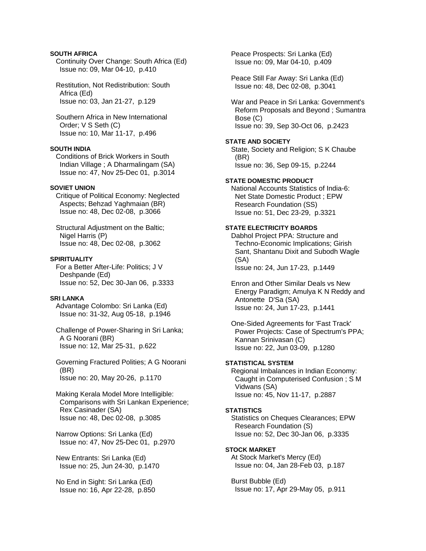### **SOUTH AFRICA**

 Continuity Over Change: South Africa (Ed) Issue no: 09, Mar 04-10, p.410

 Restitution, Not Redistribution: South Africa (Ed) Issue no: 03, Jan 21-27, p.129

 Southern Africa in New International Order; V S Seth (C) Issue no: 10, Mar 11-17, p.496

# **SOUTH INDIA**

 Conditions of Brick Workers in South Indian Village ; A Dharmalingam (SA) Issue no: 47, Nov 25-Dec 01, p.3014

### **SOVIET UNION**

 Critique of Political Economy: Neglected Aspects; Behzad Yaghmaian (BR) Issue no: 48, Dec 02-08, p.3066

 Structural Adjustment on the Baltic; Nigel Harris (P) Issue no: 48, Dec 02-08, p.3062

#### **SPIRITUALITY**

 For a Better After-Life: Politics; J V Deshpande (Ed) Issue no: 52, Dec 30-Jan 06, p.3333

# **SRI LANKA**

 Advantage Colombo: Sri Lanka (Ed) Issue no: 31-32, Aug 05-18, p.1946

 Challenge of Power-Sharing in Sri Lanka; A G Noorani (BR) Issue no: 12, Mar 25-31, p.622

 Governing Fractured Polities; A G Noorani (BR) Issue no: 20, May 20-26, p.1170

 Making Kerala Model More Intelligible: Comparisons with Sri Lankan Experience; Rex Casinader (SA) Issue no: 48, Dec 02-08, p.3085

 Narrow Options: Sri Lanka (Ed) Issue no: 47, Nov 25-Dec 01, p.2970

 New Entrants: Sri Lanka (Ed) Issue no: 25, Jun 24-30, p.1470

 No End in Sight: Sri Lanka (Ed) Issue no: 16, Apr 22-28, p.850  Peace Prospects: Sri Lanka (Ed) Issue no: 09, Mar 04-10, p.409

 Peace Still Far Away: Sri Lanka (Ed) Issue no: 48, Dec 02-08, p.3041

 War and Peace in Sri Lanka: Government's Reform Proposals and Beyond ; Sumantra Bose (C) Issue no: 39, Sep 30-Oct 06, p.2423

# **STATE AND SOCIETY**

 State, Society and Religion; S K Chaube (BR) Issue no: 36, Sep 09-15, p.2244

#### **STATE DOMESTIC PRODUCT**

 National Accounts Statistics of India-6: Net State Domestic Product ; EPW Research Foundation (SS) Issue no: 51, Dec 23-29, p.3321

# **STATE ELECTRICITY BOARDS**

 Dabhol Project PPA: Structure and Techno-Economic Implications; Girish Sant, Shantanu Dixit and Subodh Wagle (SA)

Issue no: 24, Jun 17-23, p.1449

 Enron and Other Similar Deals vs New Energy Paradigm; Amulya K N Reddy and Antonette D'Sa (SA) Issue no: 24, Jun 17-23, p.1441

 One-Sided Agreements for 'Fast Track' Power Projects: Case of Spectrum's PPA; Kannan Srinivasan (C) Issue no: 22, Jun 03-09, p.1280

### **STATISTICAL SYSTEM**

 Regional Imbalances in Indian Economy: Caught in Computerised Confusion ; S M Vidwans (SA) Issue no: 45, Nov 11-17, p.2887

#### **STATISTICS**

 Statistics on Cheques Clearances; EPW Research Foundation (S) Issue no: 52, Dec 30-Jan 06, p.3335

#### **STOCK MARKET**

 At Stock Market's Mercy (Ed) Issue no: 04, Jan 28-Feb 03, p.187

 Burst Bubble (Ed) Issue no: 17, Apr 29-May 05, p.911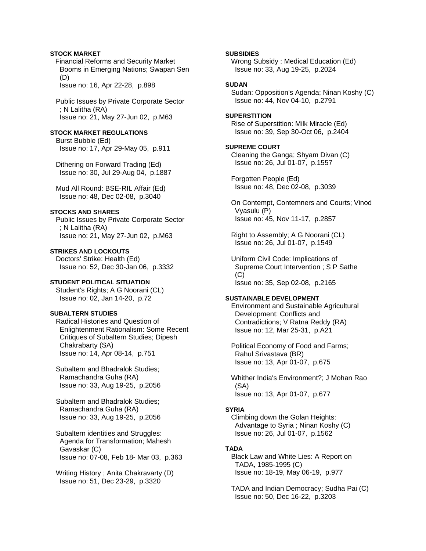# **STOCK MARKET**

Financial Reforms and Security Market Booms in Emerging Nations; Swapan Sen (D)

Issue no: 16, Apr 22-28, p.898

 Public Issues by Private Corporate Sector ; N Lalitha (RA) Issue no: 21, May 27-Jun 02, p.M63

# **STOCK MARKET REGULATIONS**

 Burst Bubble (Ed) Issue no: 17, Apr 29-May 05, p.911

 Dithering on Forward Trading (Ed) Issue no: 30, Jul 29-Aug 04, p.1887

 Mud All Round: BSE-RIL Affair (Ed) Issue no: 48, Dec 02-08, p.3040

# **STOCKS AND SHARES**

 Public Issues by Private Corporate Sector ; N Lalitha (RA) Issue no: 21, May 27-Jun 02, p.M63

**STRIKES AND LOCKOUTS**  Doctors' Strike: Health (Ed) Issue no: 52, Dec 30-Jan 06, p.3332

# **STUDENT POLITICAL SITUATION**

 Student's Rights; A G Noorani (CL) Issue no: 02, Jan 14-20, p.72

### **SUBALTERN STUDIES**

 Radical Histories and Question of Enlightenment Rationalism: Some Recent Critiques of Subaltern Studies; Dipesh Chakrabarty (SA) Issue no: 14, Apr 08-14, p.751

 Subaltern and Bhadralok Studies; Ramachandra Guha (RA) Issue no: 33, Aug 19-25, p.2056

 Subaltern and Bhadralok Studies; Ramachandra Guha (RA) Issue no: 33, Aug 19-25, p.2056

 Subaltern identities and Struggles: Agenda for Transformation; Mahesh Gavaskar (C) Issue no: 07-08, Feb 18- Mar 03, p.363

 Writing History ; Anita Chakravarty (D) Issue no: 51, Dec 23-29, p.3320

**SUBSIDIES** 

 Wrong Subsidy : Medical Education (Ed) Issue no: 33, Aug 19-25, p.2024

### **SUDAN**

 Sudan: Opposition's Agenda; Ninan Koshy (C) Issue no: 44, Nov 04-10, p.2791

# **SUPERSTITION**

 Rise of Superstition: Milk Miracle (Ed) Issue no: 39, Sep 30-Oct 06, p.2404

#### **SUPREME COURT**

 Cleaning the Ganga; Shyam Divan (C) Issue no: 26, Jul 01-07, p.1557

 Forgotten People (Ed) Issue no: 48, Dec 02-08, p.3039

 On Contempt, Contemners and Courts; Vinod Vyasulu (P) Issue no: 45, Nov 11-17, p.2857

 Right to Assembly; A G Noorani (CL) Issue no: 26, Jul 01-07, p.1549

 Uniform Civil Code: Implications of Supreme Court Intervention ; S P Sathe (C) Issue no: 35, Sep 02-08, p.2165

#### **SUSTAINABLE DEVELOPMENT**

 Environment and Sustainable Agricultural Development: Conflicts and Contradictions; V Ratna Reddy (RA) Issue no: 12, Mar 25-31, p.A21

 Political Economy of Food and Farms; Rahul Srivastava (BR) Issue no: 13, Apr 01-07, p.675

 Whither India's Environment?; J Mohan Rao (SA) Issue no: 13, Apr 01-07, p.677

#### **SYRIA**

 Climbing down the Golan Heights: Advantage to Syria ; Ninan Koshy (C) Issue no: 26, Jul 01-07, p.1562

# **TADA**

 Black Law and White Lies: A Report on TADA, 1985-1995 (C) Issue no: 18-19, May 06-19, p.977

 TADA and Indian Democracy; Sudha Pai (C) Issue no: 50, Dec 16-22, p.3203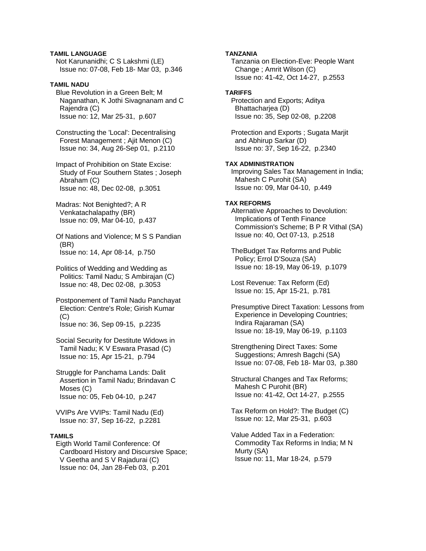# **TAMIL LANGUAGE**

 Not Karunanidhi; C S Lakshmi (LE) Issue no: 07-08, Feb 18- Mar 03, p.346

# **TAMIL NADU**

 Blue Revolution in a Green Belt; M Naganathan, K Jothi Sivagnanam and C Rajendra (C) Issue no: 12, Mar 25-31, p.607

 Constructing the 'Local': Decentralising Forest Management ; Ajit Menon (C) Issue no: 34, Aug 26-Sep 01, p.2110

 Impact of Prohibition on State Excise: Study of Four Southern States ; Joseph Abraham (C) Issue no: 48, Dec 02-08, p.3051

 Madras: Not Benighted?; A R Venkatachalapathy (BR) Issue no: 09, Mar 04-10, p.437

 Of Nations and Violence; M S S Pandian (BR) Issue no: 14, Apr 08-14, p.750

 Politics of Wedding and Wedding as Politics: Tamil Nadu; S Ambirajan (C) Issue no: 48, Dec 02-08, p.3053

 Postponement of Tamil Nadu Panchayat Election: Centre's Role; Girish Kumar  $(C)$ Issue no: 36, Sep 09-15, p.2235

 Social Security for Destitute Widows in Tamil Nadu; K V Eswara Prasad (C) Issue no: 15, Apr 15-21, p.794

 Struggle for Panchama Lands: Dalit Assertion in Tamil Nadu; Brindavan C Moses (C) Issue no: 05, Feb 04-10, p.247

 VVIPs Are VVIPs: Tamil Nadu (Ed) Issue no: 37, Sep 16-22, p.2281

### **TAMILS**

 Eigth World Tamil Conference: Of Cardboard History and Discursive Space; V Geetha and S V Rajadurai (C) Issue no: 04, Jan 28-Feb 03, p.201

#### **TANZANIA**

 Tanzania on Election-Eve: People Want Change ; Amrit Wilson (C) Issue no: 41-42, Oct 14-27, p.2553

# **TARIFFS**

 Protection and Exports; Aditya Bhattacharjea (D) Issue no: 35, Sep 02-08, p.2208

 Protection and Exports ; Sugata Marjit and Abhirup Sarkar (D) Issue no: 37, Sep 16-22, p.2340

# **TAX ADMINISTRATION**

 Improving Sales Tax Management in India; Mahesh C Purohit (SA) Issue no: 09, Mar 04-10, p.449

# **TAX REFORMS**

 Alternative Approaches to Devolution: Implications of Tenth Finance Commission's Scheme; B P R Vithal (SA) Issue no: 40, Oct 07-13, p.2518

 TheBudget Tax Reforms and Public Policy; Errol D'Souza (SA) Issue no: 18-19, May 06-19, p.1079

 Lost Revenue: Tax Reform (Ed) Issue no: 15, Apr 15-21, p.781

 Presumptive Direct Taxation: Lessons from Experience in Developing Countries; Indira Rajaraman (SA) Issue no: 18-19, May 06-19, p.1103

 Strengthening Direct Taxes: Some Suggestions; Amresh Bagchi (SA) Issue no: 07-08, Feb 18- Mar 03, p.380

 Structural Changes and Tax Reforms; Mahesh C Purohit (BR) Issue no: 41-42, Oct 14-27, p.2555

 Tax Reform on Hold?: The Budget (C) Issue no: 12, Mar 25-31, p.603

 Value Added Tax in a Federation: Commodity Tax Reforms in India; M N Murty (SA) Issue no: 11, Mar 18-24, p.579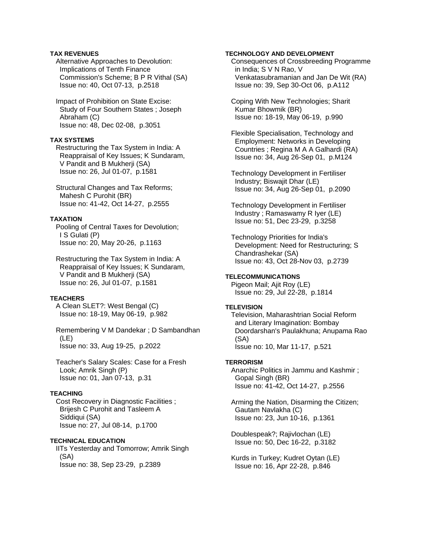### **TAX REVENUES**

 Alternative Approaches to Devolution: Implications of Tenth Finance Commission's Scheme; B P R Vithal (SA) Issue no: 40, Oct 07-13, p.2518

 Impact of Prohibition on State Excise: Study of Four Southern States ; Joseph Abraham (C) Issue no: 48, Dec 02-08, p.3051

#### **TAX SYSTEMS**

 Restructuring the Tax System in India: A Reappraisal of Key Issues; K Sundaram, V Pandit and B Mukherji (SA) Issue no: 26, Jul 01-07, p.1581

 Structural Changes and Tax Reforms; Mahesh C Purohit (BR) Issue no: 41-42, Oct 14-27, p.2555

### **TAXATION**

 Pooling of Central Taxes for Devolution; I S Gulati (P) Issue no: 20, May 20-26, p.1163

 Restructuring the Tax System in India: A Reappraisal of Key Issues; K Sundaram, V Pandit and B Mukherji (SA) Issue no: 26, Jul 01-07, p.1581

### **TEACHERS**

 A Clean SLET?: West Bengal (C) Issue no: 18-19, May 06-19, p.982

 Remembering V M Dandekar ; D Sambandhan (LE) Issue no: 33, Aug 19-25, p.2022

 Teacher's Salary Scales: Case for a Fresh Look; Amrik Singh (P) Issue no: 01, Jan 07-13, p.31

### **TEACHING**

 Cost Recovery in Diagnostic Facilities ; Brijesh C Purohit and Tasleem A Siddiqui (SA) Issue no: 27, Jul 08-14, p.1700

#### **TECHNICAL EDUCATION**

 IITs Yesterday and Tomorrow; Amrik Singh (SA) Issue no: 38, Sep 23-29, p.2389

#### **TECHNOLOGY AND DEVELOPMENT**

 Consequences of Crossbreeding Programme in India; S V N Rao, V Venkatasubramanian and Jan De Wit (RA) Issue no: 39, Sep 30-Oct 06, p.A112

 Coping With New Technologies; Sharit Kumar Bhowmik (BR) Issue no: 18-19, May 06-19, p.990

 Flexible Specialisation, Technology and Employment: Networks in Developing Countries ; Regina M A A Galhardi (RA) Issue no: 34, Aug 26-Sep 01, p.M124

 Technology Development in Fertiliser Industry; Biswajit Dhar (LE) Issue no: 34, Aug 26-Sep 01, p.2090

 Technology Development in Fertiliser Industry ; Ramaswamy R Iyer (LE) Issue no: 51, Dec 23-29, p.3258

 Technology Priorities for India's Development: Need for Restructuring; S Chandrashekar (SA) Issue no: 43, Oct 28-Nov 03, p.2739

**TELECOMMUNICATIONS**  Pigeon Mail; Ajit Roy (LE) Issue no: 29, Jul 22-28, p.1814

#### **TELEVISION**

 Television, Maharashtrian Social Reform and Literary Imagination: Bombay Doordarshan's Paulakhuna; Anupama Rao (SA) Issue no: 10, Mar 11-17, p.521

#### **TERRORISM**

 Anarchic Politics in Jammu and Kashmir ; Gopal Singh (BR) Issue no: 41-42, Oct 14-27, p.2556

 Arming the Nation, Disarming the Citizen; Gautam Navlakha (C) Issue no: 23, Jun 10-16, p.1361

 Doublespeak?; Rajivlochan (LE) Issue no: 50, Dec 16-22, p.3182

 Kurds in Turkey; Kudret Oytan (LE) Issue no: 16, Apr 22-28, p.846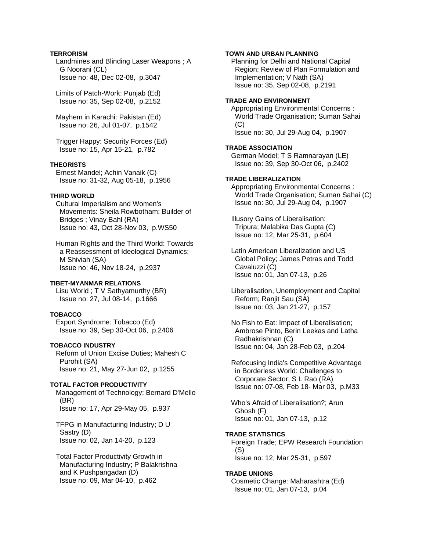# **TERRORISM**

 Landmines and Blinding Laser Weapons ; A G Noorani (CL) Issue no: 48, Dec 02-08, p.3047

 Limits of Patch-Work: Punjab (Ed) Issue no: 35, Sep 02-08, p.2152

 Mayhem in Karachi: Pakistan (Ed) Issue no: 26, Jul 01-07, p.1542

 Trigger Happy: Security Forces (Ed) Issue no: 15, Apr 15-21, p.782

### **THEORISTS**

 Ernest Mandel; Achin Vanaik (C) Issue no: 31-32, Aug 05-18, p.1956

### **THIRD WORLD**

 Cultural Imperialism and Women's Movements: Sheila Rowbotham: Builder of Bridges ; Vinay Bahl (RA) Issue no: 43, Oct 28-Nov 03, p.WS50

 Human Rights and the Third World: Towards a Reassessment of Ideological Dynamics; M Shiviah (SA) Issue no: 46, Nov 18-24, p.2937

### **TIBET-MYANMAR RELATIONS**

 Lisu World ; T V Sathyamurthy (BR) Issue no: 27, Jul 08-14, p.1666

### **TOBACCO**

 Export Syndrome: Tobacco (Ed) Issue no: 39, Sep 30-Oct 06, p.2406

#### **TOBACCO INDUSTRY**

 Reform of Union Excise Duties; Mahesh C Purohit (SA) Issue no: 21, May 27-Jun 02, p.1255

### **TOTAL FACTOR PRODUCTIVITY**

 Management of Technology; Bernard D'Mello (BR) Issue no: 17, Apr 29-May 05, p.937

 TFPG in Manufacturing Industry; D U Sastry (D) Issue no: 02, Jan 14-20, p.123

 Total Factor Productivity Growth in Manufacturing Industry; P Balakrishna and K Pushpangadan (D) Issue no: 09, Mar 04-10, p.462

### **TOWN AND URBAN PLANNING**

 Planning for Delhi and National Capital Region: Review of Plan Formulation and Implementation; V Nath (SA) Issue no: 35, Sep 02-08, p.2191

#### **TRADE AND ENVIRONMENT**

 Appropriating Environmental Concerns : World Trade Organisation; Suman Sahai  $(C)$ Issue no: 30, Jul 29-Aug 04, p.1907

#### **TRADE ASSOCIATION**

 German Model; T S Ramnarayan (LE) Issue no: 39, Sep 30-Oct 06, p.2402

### **TRADE LIBERALIZATION**

 Appropriating Environmental Concerns : World Trade Organisation; Suman Sahai (C) Issue no: 30, Jul 29-Aug 04, p.1907

 Illusory Gains of Liberalisation: Tripura; Malabika Das Gupta (C) Issue no: 12, Mar 25-31, p.604

 Latin American Liberalization and US Global Policy; James Petras and Todd Cavaluzzi (C) Issue no: 01, Jan 07-13, p.26

 Liberalisation, Unemployment and Capital Reform; Ranjit Sau (SA) Issue no: 03, Jan 21-27, p.157

 No Fish to Eat: Impact of Liberalisation; Ambrose Pinto, Berin Leekas and Latha Radhakrishnan (C) Issue no: 04, Jan 28-Feb 03, p.204

 Refocusing India's Competitive Advantage in Borderless World: Challenges to Corporate Sector; S L Rao (RA) Issue no: 07-08, Feb 18- Mar 03, p.M33

 Who's Afraid of Liberalisation?; Arun Ghosh (F) Issue no: 01, Jan 07-13, p.12

#### **TRADE STATISTICS**

 Foreign Trade; EPW Research Foundation (S) Issue no: 12, Mar 25-31, p.597

#### **TRADE UNIONS**

 Cosmetic Change: Maharashtra (Ed) Issue no: 01, Jan 07-13, p.04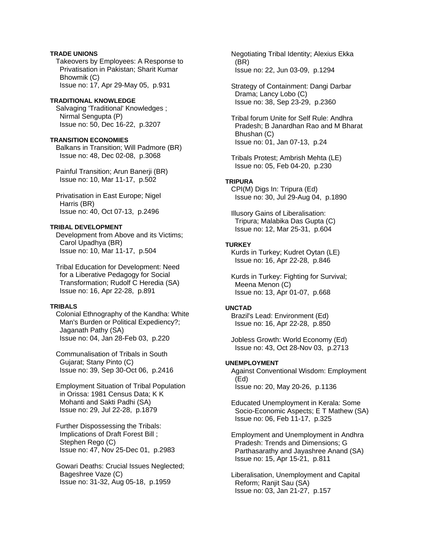### **TRADE UNIONS**

 Takeovers by Employees: A Response to Privatisation in Pakistan; Sharit Kumar Bhowmik (C) Issue no: 17, Apr 29-May 05, p.931

#### **TRADITIONAL KNOWLEDGE**

 Salvaging 'Traditional' Knowledges ; Nirmal Sengupta (P) Issue no: 50, Dec 16-22, p.3207

### **TRANSITION ECONOMIES**

 Balkans in Transition; Will Padmore (BR) Issue no: 48, Dec 02-08, p.3068

 Painful Transition; Arun Banerji (BR) Issue no: 10, Mar 11-17, p.502

 Privatisation in East Europe; Nigel Harris (BR) Issue no: 40, Oct 07-13, p.2496

# **TRIBAL DEVELOPMENT**

 Development from Above and its Victims; Carol Upadhya (BR) Issue no: 10, Mar 11-17, p.504

 Tribal Education for Development: Need for a Liberative Pedagogy for Social Transformation; Rudolf C Heredia (SA) Issue no: 16, Apr 22-28, p.891

#### **TRIBALS**

 Colonial Ethnography of the Kandha: White Man's Burden or Political Expediency?; Jaganath Pathy (SA) Issue no: 04, Jan 28-Feb 03, p.220

 Communalisation of Tribals in South Gujarat; Stany Pinto (C) Issue no: 39, Sep 30-Oct 06, p.2416

 Employment Situation of Tribal Population in Orissa: 1981 Census Data; K K Mohanti and Sakti Padhi (SA) Issue no: 29, Jul 22-28, p.1879

 Further Dispossessing the Tribals: Implications of Draft Forest Bill ; Stephen Rego (C) Issue no: 47, Nov 25-Dec 01, p.2983

 Gowari Deaths: Crucial Issues Neglected; Bageshree Vaze (C) Issue no: 31-32, Aug 05-18, p.1959

 Negotiating Tribal Identity; Alexius Ekka (BR) Issue no: 22, Jun 03-09, p.1294

 Strategy of Containment: Dangi Darbar Drama; Lancy Lobo (C) Issue no: 38, Sep 23-29, p.2360

 Tribal forum Unite for Self Rule: Andhra Pradesh; B Janardhan Rao and M Bharat Bhushan (C) Issue no: 01, Jan 07-13, p.24

 Tribals Protest; Ambrish Mehta (LE) Issue no: 05, Feb 04-20, p.230

#### **TRIPURA**

 CPI(M) Digs In: Tripura (Ed) Issue no: 30, Jul 29-Aug 04, p.1890

 Illusory Gains of Liberalisation: Tripura; Malabika Das Gupta (C) Issue no: 12, Mar 25-31, p.604

# **TURKEY**

 Kurds in Turkey; Kudret Oytan (LE) Issue no: 16, Apr 22-28, p.846

 Kurds in Turkey: Fighting for Survival; Meena Menon (C) Issue no: 13, Apr 01-07, p.668

#### **UNCTAD**

 Brazil's Lead: Environment (Ed) Issue no: 16, Apr 22-28, p.850

 Jobless Growth: World Economy (Ed) Issue no: 43, Oct 28-Nov 03, p.2713

# **UNEMPLOYMENT**

 Against Conventional Wisdom: Employment (Ed) Issue no: 20, May 20-26, p.1136

 Educated Unemployment in Kerala: Some Socio-Economic Aspects; E T Mathew (SA) Issue no: 06, Feb 11-17, p.325

 Employment and Unemployment in Andhra Pradesh: Trends and Dimensions; G Parthasarathy and Jayashree Anand (SA) Issue no: 15, Apr 15-21, p.811

 Liberalisation, Unemployment and Capital Reform; Ranjit Sau (SA) Issue no: 03, Jan 21-27, p.157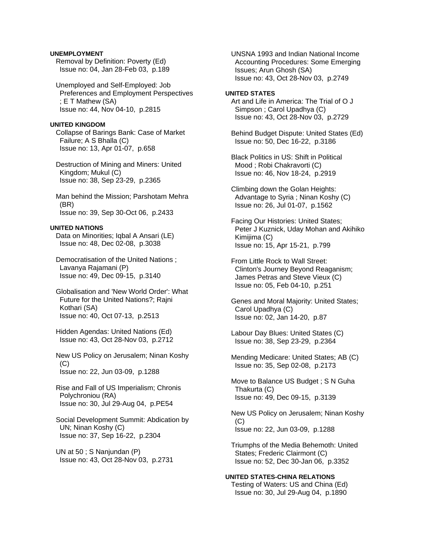### **UNEMPLOYMENT**

 Removal by Definition: Poverty (Ed) Issue no: 04, Jan 28-Feb 03, p.189

 Unemployed and Self-Employed: Job Preferences and Employment Perspectives ; E T Mathew (SA) Issue no: 44, Nov 04-10, p.2815

#### **UNITED KINGDOM**

 Collapse of Barings Bank: Case of Market Failure; A S Bhalla (C) Issue no: 13, Apr 01-07, p.658

 Destruction of Mining and Miners: United Kingdom; Mukul (C) Issue no: 38, Sep 23-29, p.2365

 Man behind the Mission; Parshotam Mehra (BR) Issue no: 39, Sep 30-Oct 06, p.2433

#### **UNITED NATIONS**

 Data on Minorities; Iqbal A Ansari (LE) Issue no: 48, Dec 02-08, p.3038

 Democratisation of the United Nations ; Lavanya Rajamani (P) Issue no: 49, Dec 09-15, p.3140

 Globalisation and 'New World Order': What Future for the United Nations?; Rajni Kothari (SA) Issue no: 40, Oct 07-13, p.2513

 Hidden Agendas: United Nations (Ed) Issue no: 43, Oct 28-Nov 03, p.2712

 New US Policy on Jerusalem; Ninan Koshy (C) Issue no: 22, Jun 03-09, p.1288

 Rise and Fall of US Imperialism; Chronis Polychroniou (RA) Issue no: 30, Jul 29-Aug 04, p.PE54

 Social Development Summit: Abdication by UN; Ninan Koshy (C) Issue no: 37, Sep 16-22, p.2304

 UN at 50 ; S Nanjundan (P) Issue no: 43, Oct 28-Nov 03, p.2731  UNSNA 1993 and Indian National Income Accounting Procedures: Some Emerging Issues; Arun Ghosh (SA) Issue no: 43, Oct 28-Nov 03, p.2749

#### **UNITED STATES**

 Art and Life in America: The Trial of O J Simpson ; Carol Upadhya (C) Issue no: 43, Oct 28-Nov 03, p.2729

 Behind Budget Dispute: United States (Ed) Issue no: 50, Dec 16-22, p.3186

 Black Politics in US: Shift in Political Mood ; Robi Chakravorti (C) Issue no: 46, Nov 18-24, p.2919

 Climbing down the Golan Heights: Advantage to Syria ; Ninan Koshy (C) Issue no: 26, Jul 01-07, p.1562

 Facing Our Histories: United States; Peter J Kuznick, Uday Mohan and Akihiko Kimijima (C) Issue no: 15, Apr 15-21, p.799

 From Little Rock to Wall Street: Clinton's Journey Beyond Reaganism; James Petras and Steve Vieux (C) Issue no: 05, Feb 04-10, p.251

 Genes and Moral Majority: United States; Carol Upadhya (C) Issue no: 02, Jan 14-20, p.87

 Labour Day Blues: United States (C) Issue no: 38, Sep 23-29, p.2364

 Mending Medicare: United States; AB (C) Issue no: 35, Sep 02-08, p.2173

 Move to Balance US Budget ; S N Guha Thakurta (C) Issue no: 49, Dec 09-15, p.3139

 New US Policy on Jerusalem; Ninan Koshy (C) Issue no: 22, Jun 03-09, p.1288

 Triumphs of the Media Behemoth: United States; Frederic Clairmont (C) Issue no: 52, Dec 30-Jan 06, p.3352

**UNITED STATES-CHINA RELATIONS**  Testing of Waters: US and China (Ed) Issue no: 30, Jul 29-Aug 04, p.1890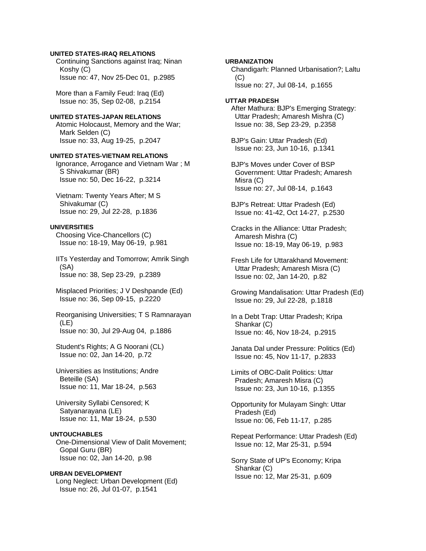### **UNITED STATES-IRAQ RELATIONS**

 Continuing Sanctions against Iraq; Ninan Koshy (C) Issue no: 47, Nov 25-Dec 01, p.2985

 More than a Family Feud: Iraq (Ed) Issue no: 35, Sep 02-08, p.2154

# **UNITED STATES-JAPAN RELATIONS**

 Atomic Holocaust, Memory and the War; Mark Selden (C) Issue no: 33, Aug 19-25, p.2047

#### **UNITED STATES-VIETNAM RELATIONS**

 Ignorance, Arrogance and Vietnam War ; M S Shivakumar (BR) Issue no: 50, Dec 16-22, p.3214

 Vietnam: Twenty Years After; M S Shivakumar (C) Issue no: 29, Jul 22-28, p.1836

# **UNIVERSITIES**

 Choosing Vice-Chancellors (C) Issue no: 18-19, May 06-19, p.981

 IITs Yesterday and Tomorrow; Amrik Singh (SA) Issue no: 38, Sep 23-29, p.2389

 Misplaced Priorities; J V Deshpande (Ed) Issue no: 36, Sep 09-15, p.2220

 Reorganising Universities; T S Ramnarayan (LE) Issue no: 30, Jul 29-Aug 04, p.1886

 Student's Rights; A G Noorani (CL) Issue no: 02, Jan 14-20, p.72

 Universities as Institutions; Andre Beteille (SA) Issue no: 11, Mar 18-24, p.563

 University Syllabi Censored; K Satyanarayana (LE) Issue no: 11, Mar 18-24, p.530

### **UNTOUCHABLES**

 One-Dimensional View of Dalit Movement; Gopal Guru (BR) Issue no: 02, Jan 14-20, p.98

# **URBAN DEVELOPMENT**

 Long Neglect: Urban Development (Ed) Issue no: 26, Jul 01-07, p.1541

**URBANIZATION**  Chandigarh: Planned Urbanisation?; Laltu (C) Issue no: 27, Jul 08-14, p.1655

#### **UTTAR PRADESH**  After Mathura: BJP's Emerging Strategy: Uttar Pradesh; Amaresh Mishra (C) Issue no: 38, Sep 23-29, p.2358

 BJP's Gain: Uttar Pradesh (Ed) Issue no: 23, Jun 10-16, p.1341

 BJP's Moves under Cover of BSP Government: Uttar Pradesh; Amaresh Misra (C) Issue no: 27, Jul 08-14, p.1643

 BJP's Retreat: Uttar Pradesh (Ed) Issue no: 41-42, Oct 14-27, p.2530

 Cracks in the Alliance: Uttar Pradesh; Amaresh Mishra (C) Issue no: 18-19, May 06-19, p.983

 Fresh Life for Uttarakhand Movement: Uttar Pradesh; Amaresh Misra (C) Issue no: 02, Jan 14-20, p.82

 Growing Mandalisation: Uttar Pradesh (Ed) Issue no: 29, Jul 22-28, p.1818

 In a Debt Trap: Uttar Pradesh; Kripa Shankar (C) Issue no: 46, Nov 18-24, p.2915

 Janata Dal under Pressure: Politics (Ed) Issue no: 45, Nov 11-17, p.2833

 Limits of OBC-Dalit Politics: Uttar Pradesh; Amaresh Misra (C) Issue no: 23, Jun 10-16, p.1355

 Opportunity for Mulayam Singh: Uttar Pradesh (Ed) Issue no: 06, Feb 11-17, p.285

 Repeat Performance: Uttar Pradesh (Ed) Issue no: 12, Mar 25-31, p.594

 Sorry State of UP's Economy; Kripa Shankar (C) Issue no: 12, Mar 25-31, p.609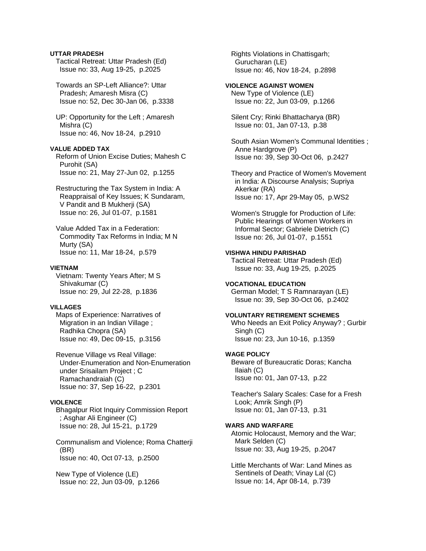### **UTTAR PRADESH**

 Tactical Retreat: Uttar Pradesh (Ed) Issue no: 33, Aug 19-25, p.2025

 Towards an SP-Left Alliance?: Uttar Pradesh; Amaresh Misra (C) Issue no: 52, Dec 30-Jan 06, p.3338

 UP: Opportunity for the Left ; Amaresh Mishra (C) Issue no: 46, Nov 18-24, p.2910

### **VALUE ADDED TAX**

 Reform of Union Excise Duties; Mahesh C Purohit (SA) Issue no: 21, May 27-Jun 02, p.1255

 Restructuring the Tax System in India: A Reappraisal of Key Issues; K Sundaram, V Pandit and B Mukherji (SA) Issue no: 26, Jul 01-07, p.1581

 Value Added Tax in a Federation: Commodity Tax Reforms in India; M N Murty (SA) Issue no: 11, Mar 18-24, p.579

#### **VIETNAM**

 Vietnam: Twenty Years After; M S Shivakumar (C) Issue no: 29, Jul 22-28, p.1836

### **VILLAGES**

 Maps of Experience: Narratives of Migration in an Indian Village ; Radhika Chopra (SA) Issue no: 49, Dec 09-15, p.3156

 Revenue Village vs Real Village: Under-Enumeration and Non-Enumeration under Srisailam Project ; C Ramachandraiah (C) Issue no: 37, Sep 16-22, p.2301

### **VIOLENCE**

 Bhagalpur Riot Inquiry Commission Report ; Asghar Ali Engineer (C) Issue no: 28, Jul 15-21, p.1729

 Communalism and Violence; Roma Chatterji (BR) Issue no: 40, Oct 07-13, p.2500

 New Type of Violence (LE) Issue no: 22, Jun 03-09, p.1266  Rights Violations in Chattisgarh; Gurucharan (LE) Issue no: 46, Nov 18-24, p.2898

# **VIOLENCE AGAINST WOMEN**

 New Type of Violence (LE) Issue no: 22, Jun 03-09, p.1266

 Silent Cry; Rinki Bhattacharya (BR) Issue no: 01, Jan 07-13, p.38

 South Asian Women's Communal Identities ; Anne Hardgrove (P) Issue no: 39, Sep 30-Oct 06, p.2427

 Theory and Practice of Women's Movement in India: A Discourse Analysis; Supriya Akerkar (RA) Issue no: 17, Apr 29-May 05, p.WS2

 Women's Struggle for Production of Life: Public Hearings of Women Workers in Informal Sector; Gabriele Dietrich (C) Issue no: 26, Jul 01-07, p.1551

**VISHWA HINDU PARISHAD**  Tactical Retreat: Uttar Pradesh (Ed) Issue no: 33, Aug 19-25, p.2025

#### **VOCATIONAL EDUCATION**

 German Model; T S Ramnarayan (LE) Issue no: 39, Sep 30-Oct 06, p.2402

# **VOLUNTARY RETIREMENT SCHEMES**

 Who Needs an Exit Policy Anyway? ; Gurbir Singh (C) Issue no: 23, Jun 10-16, p.1359

#### **WAGE POLICY**

 Beware of Bureaucratic Doras; Kancha Ilaiah (C) Issue no: 01, Jan 07-13, p.22

 Teacher's Salary Scales: Case for a Fresh Look; Amrik Singh (P) Issue no: 01, Jan 07-13, p.31

# **WARS AND WARFARE**

 Atomic Holocaust, Memory and the War; Mark Selden (C) Issue no: 33, Aug 19-25, p.2047

 Little Merchants of War: Land Mines as Sentinels of Death; Vinay Lal (C) Issue no: 14, Apr 08-14, p.739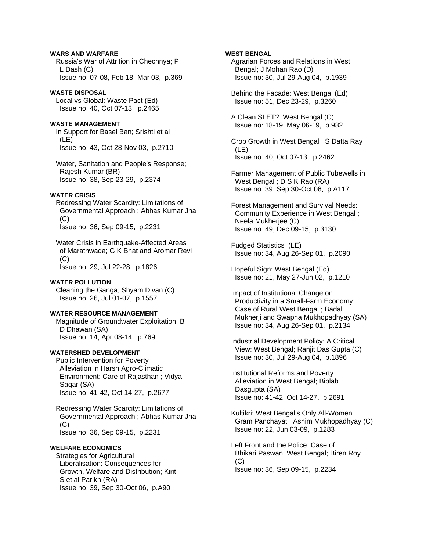### **WARS AND WARFARE**

 Russia's War of Attrition in Chechnya; P L Dash (C) Issue no: 07-08, Feb 18- Mar 03, p.369

#### **WASTE DISPOSAL**

 Local vs Global: Waste Pact (Ed) Issue no: 40, Oct 07-13, p.2465

# **WASTE MANAGEMENT**

 In Support for Basel Ban; Srishti et al (LE) Issue no: 43, Oct 28-Nov 03, p.2710

 Water, Sanitation and People's Response; Rajesh Kumar (BR) Issue no: 38, Sep 23-29, p.2374

### **WATER CRISIS**

 Redressing Water Scarcity: Limitations of Governmental Approach ; Abhas Kumar Jha (C) Issue no: 36, Sep 09-15, p.2231

 Water Crisis in Earthquake-Affected Areas of Marathwada; G K Bhat and Aromar Revi  $(C)$ Issue no: 29, Jul 22-28, p.1826

#### **WATER POLLUTION**

 Cleaning the Ganga; Shyam Divan (C) Issue no: 26, Jul 01-07, p.1557

### **WATER RESOURCE MANAGEMENT**

 Magnitude of Groundwater Exploitation; B D Dhawan (SA) Issue no: 14, Apr 08-14, p.769

# **WATERSHED DEVELOPMENT**

 Public Intervention for Poverty Alleviation in Harsh Agro-Climatic Environment: Care of Rajasthan ; Vidya Sagar (SA) Issue no: 41-42, Oct 14-27, p.2677

 Redressing Water Scarcity: Limitations of Governmental Approach ; Abhas Kumar Jha (C) Issue no: 36, Sep 09-15, p.2231

# **WELFARE ECONOMICS**

 Strategies for Agricultural Liberalisation: Consequences for Growth, Welfare and Distribution; Kirit S et al Parikh (RA) Issue no: 39, Sep 30-Oct 06, p.A90

### **WEST BENGAL**

 Agrarian Forces and Relations in West Bengal; J Mohan Rao (D) Issue no: 30, Jul 29-Aug 04, p.1939

 Behind the Facade: West Bengal (Ed) Issue no: 51, Dec 23-29, p.3260

 A Clean SLET?: West Bengal (C) Issue no: 18-19, May 06-19, p.982

 Crop Growth in West Bengal ; S Datta Ray (LE) Issue no: 40, Oct 07-13, p.2462

 Farmer Management of Public Tubewells in West Bengal ; D S K Rao (RA) Issue no: 39, Sep 30-Oct 06, p.A117

 Forest Management and Survival Needs: Community Experience in West Bengal ; Neela Mukherjee (C) Issue no: 49, Dec 09-15, p.3130

 Fudged Statistics (LE) Issue no: 34, Aug 26-Sep 01, p.2090

 Hopeful Sign: West Bengal (Ed) Issue no: 21, May 27-Jun 02, p.1210

 Impact of Institutional Change on Productivity in a Small-Farm Economy: Case of Rural West Bengal ; Badal Mukherji and Swapna Mukhopadhyay (SA) Issue no: 34, Aug 26-Sep 01, p.2134

 Industrial Development Policy: A Critical View: West Bengal; Ranjit Das Gupta (C) Issue no: 30, Jul 29-Aug 04, p.1896

 Institutional Reforms and Poverty Alleviation in West Bengal; Biplab Dasgupta (SA) Issue no: 41-42, Oct 14-27, p.2691

 Kultikri: West Bengal's Only All-Women Gram Panchayat ; Ashim Mukhopadhyay (C) Issue no: 22, Jun 03-09, p.1283

 Left Front and the Police: Case of Bhikari Paswan: West Bengal; Biren Roy (C) Issue no: 36, Sep 09-15, p.2234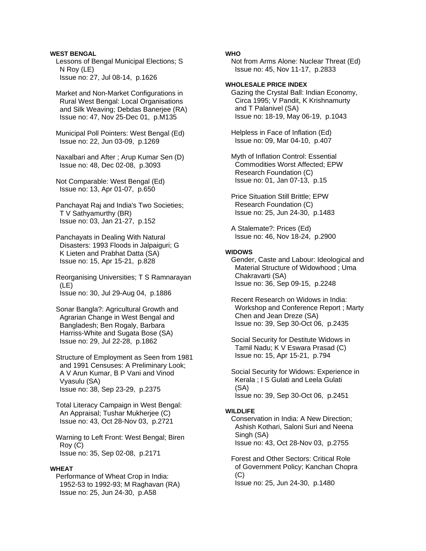# **WEST BENGAL**

 Lessons of Bengal Municipal Elections; S N Roy (LE) Issue no: 27, Jul 08-14, p.1626

 Market and Non-Market Configurations in Rural West Bengal: Local Organisations and Silk Weaving; Debdas Banerjee (RA) Issue no: 47, Nov 25-Dec 01, p.M135

 Municipal Poll Pointers: West Bengal (Ed) Issue no: 22, Jun 03-09, p.1269

 Naxalbari and After ; Arup Kumar Sen (D) Issue no: 48, Dec 02-08, p.3093

 Not Comparable: West Bengal (Ed) Issue no: 13, Apr 01-07, p.650

 Panchayat Raj and India's Two Societies; T V Sathyamurthy (BR) Issue no: 03, Jan 21-27, p.152

 Panchayats in Dealing With Natural Disasters: 1993 Floods in Jalpaiguri; G K Lieten and Prabhat Datta (SA) Issue no: 15, Apr 15-21, p.828

 Reorganising Universities; T S Ramnarayan (LE) Issue no: 30, Jul 29-Aug 04, p.1886

 Sonar Bangla?: Agricultural Growth and Agrarian Change in West Bengal and Bangladesh; Ben Rogaly, Barbara Harriss-White and Sugata Bose (SA) Issue no: 29, Jul 22-28, p.1862

 Structure of Employment as Seen from 1981 and 1991 Censuses: A Preliminary Look; A V Arun Kumar, B P Vani and Vinod Vyasulu (SA) Issue no: 38, Sep 23-29, p.2375

 Total Literacy Campaign in West Bengal: An Appraisal; Tushar Mukherjee (C) Issue no: 43, Oct 28-Nov 03, p.2721

 Warning to Left Front: West Bengal; Biren Roy (C) Issue no: 35, Sep 02-08, p.2171

#### **WHEAT**

 Performance of Wheat Crop in India: 1952-53 to 1992-93; M Raghavan (RA) Issue no: 25, Jun 24-30, p.A58

### **WHO**

 Not from Arms Alone: Nuclear Threat (Ed) Issue no: 45, Nov 11-17, p.2833

# **WHOLESALE PRICE INDEX**

 Gazing the Crystal Ball: Indian Economy, Circa 1995; V Pandit, K Krishnamurty and T Palanivel (SA) Issue no: 18-19, May 06-19, p.1043

 Helpless in Face of Inflation (Ed) Issue no: 09, Mar 04-10, p.407

 Myth of Inflation Control: Essential Commodities Worst Affected; EPW Research Foundation (C) Issue no: 01, Jan 07-13, p.15

 Price Situation Still Brittle; EPW Research Foundation (C) Issue no: 25, Jun 24-30, p.1483

 A Stalemate?: Prices (Ed) Issue no: 46, Nov 18-24, p.2900

### **WIDOWS**

 Gender, Caste and Labour: Ideological and Material Structure of Widowhood ; Uma Chakravarti (SA) Issue no: 36, Sep 09-15, p.2248

 Recent Research on Widows in India: Workshop and Conference Report ; Marty Chen and Jean Dreze (SA) Issue no: 39, Sep 30-Oct 06, p.2435

 Social Security for Destitute Widows in Tamil Nadu; K V Eswara Prasad (C) Issue no: 15, Apr 15-21, p.794

 Social Security for Widows: Experience in Kerala ; I S Gulati and Leela Gulati (SA) Issue no: 39, Sep 30-Oct 06, p.2451

#### **WILDLIFE**

 Conservation in India: A New Direction; Ashish Kothari, Saloni Suri and Neena Singh (SA) Issue no: 43, Oct 28-Nov 03, p.2755

 Forest and Other Sectors: Critical Role of Government Policy; Kanchan Chopra  $(C)$ 

Issue no: 25, Jun 24-30, p.1480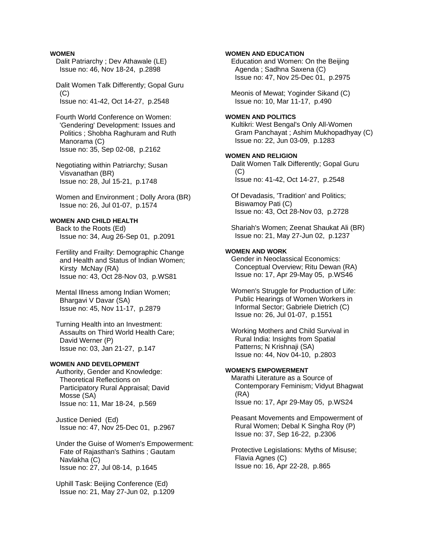#### **WOMEN**

 Dalit Patriarchy ; Dev Athawale (LE) Issue no: 46, Nov 18-24, p.2898

 Dalit Women Talk Differently; Gopal Guru  $(C)$ Issue no: 41-42, Oct 14-27, p.2548

- Fourth World Conference on Women: 'Gendering' Development: Issues and Politics ; Shobha Raghuram and Ruth Manorama (C) Issue no: 35, Sep 02-08, p.2162
- Negotiating within Patriarchy; Susan Visvanathan (BR) Issue no: 28, Jul 15-21, p.1748
- Women and Environment ; Dolly Arora (BR) Issue no: 26, Jul 01-07, p.1574

### **WOMEN AND CHILD HEALTH**

 Back to the Roots (Ed) Issue no: 34, Aug 26-Sep 01, p.2091

- Fertility and Frailty: Demographic Change and Health and Status of Indian Women; Kirsty McNay (RA) Issue no: 43, Oct 28-Nov 03, p.WS81
- Mental Illness among Indian Women; Bhargavi V Davar (SA) Issue no: 45, Nov 11-17, p.2879
- Turning Health into an Investment: Assaults on Third World Health Care; David Werner (P) Issue no: 03, Jan 21-27, p.147

### **WOMEN AND DEVELOPMENT**

 Authority, Gender and Knowledge: Theoretical Reflections on Participatory Rural Appraisal; David Mosse (SA) Issue no: 11, Mar 18-24, p.569

 Justice Denied (Ed) Issue no: 47, Nov 25-Dec 01, p.2967

# Under the Guise of Women's Empowerment: Fate of Rajasthan's Sathins ; Gautam Navlakha (C) Issue no: 27, Jul 08-14, p.1645

 Uphill Task: Beijing Conference (Ed) Issue no: 21, May 27-Jun 02, p.1209

 Education and Women: On the Beijing Agenda ; Sadhna Saxena (C) Issue no: 47, Nov 25-Dec 01, p.2975 Meonis of Mewat; Yoginder Sikand (C) Issue no: 10, Mar 11-17, p.490 **WOMEN AND POLITICS**  Kultikri: West Bengal's Only All-Women Gram Panchayat ; Ashim Mukhopadhyay (C) Issue no: 22, Jun 03-09, p.1283 **WOMEN AND RELIGION**  Dalit Women Talk Differently; Gopal Guru (C) Issue no: 41-42, Oct 14-27, p.2548 Of Devadasis, 'Tradition' and Politics; Biswamoy Pati (C) Issue no: 43, Oct 28-Nov 03, p.2728 Shariah's Women; Zeenat Shaukat Ali (BR) Issue no: 21, May 27-Jun 02, p.1237 **WOMEN AND WORK**  Gender in Neoclassical Economics: Conceptual Overview; Ritu Dewan (RA) Issue no: 17, Apr 29-May 05, p.WS46 Women's Struggle for Production of Life: Public Hearings of Women Workers in Informal Sector; Gabriele Dietrich (C) Issue no: 26, Jul 01-07, p.1551

**WOMEN AND EDUCATION** 

 Working Mothers and Child Survival in Rural India: Insights from Spatial Patterns; N Krishnaji (SA) Issue no: 44, Nov 04-10, p.2803

# **WOMEN'S EMPOWERMENT**

 Marathi Literature as a Source of Contemporary Feminism; Vidyut Bhagwat (RA) Issue no: 17, Apr 29-May 05, p.WS24

 Peasant Movements and Empowerment of Rural Women; Debal K Singha Roy (P) Issue no: 37, Sep 16-22, p.2306

 Protective Legislations: Myths of Misuse; Flavia Agnes (C) Issue no: 16, Apr 22-28, p.865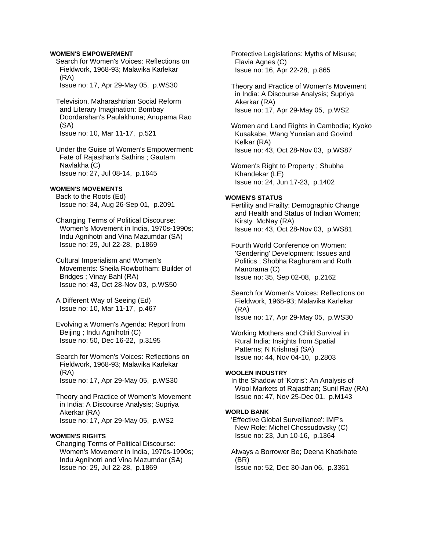## **WOMEN'S EMPOWERMENT**

 Search for Women's Voices: Reflections on Fieldwork, 1968-93; Malavika Karlekar (RA)

Issue no: 17, Apr 29-May 05, p.WS30

 Television, Maharashtrian Social Reform and Literary Imagination: Bombay Doordarshan's Paulakhuna; Anupama Rao (SA) Issue no: 10, Mar 11-17, p.521

 Under the Guise of Women's Empowerment: Fate of Rajasthan's Sathins ; Gautam Navlakha (C) Issue no: 27, Jul 08-14, p.1645

#### **WOMEN'S MOVEMENTS**

 Back to the Roots (Ed) Issue no: 34, Aug 26-Sep 01, p.2091

 Changing Terms of Political Discourse: Women's Movement in India, 1970s-1990s; Indu Agnihotri and Vina Mazumdar (SA) Issue no: 29, Jul 22-28, p.1869

 Cultural Imperialism and Women's Movements: Sheila Rowbotham: Builder of Bridges ; Vinay Bahl (RA) Issue no: 43, Oct 28-Nov 03, p.WS50

 A Different Way of Seeing (Ed) Issue no: 10, Mar 11-17, p.467

- Evolving a Women's Agenda: Report from Beijing ; Indu Agnihotri (C) Issue no: 50, Dec 16-22, p.3195
- Search for Women's Voices: Reflections on Fieldwork, 1968-93; Malavika Karlekar (RA) Issue no: 17, Apr 29-May 05, p.WS30

 Theory and Practice of Women's Movement in India: A Discourse Analysis; Supriya Akerkar (RA) Issue no: 17, Apr 29-May 05, p.WS2

## **WOMEN'S RIGHTS**

 Changing Terms of Political Discourse: Women's Movement in India, 1970s-1990s; Indu Agnihotri and Vina Mazumdar (SA) Issue no: 29, Jul 22-28, p.1869

 Protective Legislations: Myths of Misuse; Flavia Agnes (C) Issue no: 16, Apr 22-28, p.865

 Theory and Practice of Women's Movement in India: A Discourse Analysis; Supriya Akerkar (RA) Issue no: 17, Apr 29-May 05, p.WS2

 Women and Land Rights in Cambodia; Kyoko Kusakabe, Wang Yunxian and Govind Kelkar (RA) Issue no: 43, Oct 28-Nov 03, p.WS87

 Women's Right to Property ; Shubha Khandekar (LE) Issue no: 24, Jun 17-23, p.1402

## **WOMEN'S STATUS**

 Fertility and Frailty: Demographic Change and Health and Status of Indian Women; Kirsty McNay (RA) Issue no: 43, Oct 28-Nov 03, p.WS81

 Fourth World Conference on Women: 'Gendering' Development: Issues and Politics ; Shobha Raghuram and Ruth Manorama (C) Issue no: 35, Sep 02-08, p.2162

 Search for Women's Voices: Reflections on Fieldwork, 1968-93; Malavika Karlekar (RA) Issue no: 17, Apr 29-May 05, p.WS30

 Working Mothers and Child Survival in Rural India: Insights from Spatial Patterns; N Krishnaji (SA) Issue no: 44, Nov 04-10, p.2803

#### **WOOLEN INDUSTRY**

 In the Shadow of 'Kotris': An Analysis of Wool Markets of Rajasthan; Sunil Ray (RA) Issue no: 47, Nov 25-Dec 01, p.M143

#### **WORLD BANK**

 'Effective Global Surveillance': IMF's New Role; Michel Chossudovsky (C) Issue no: 23, Jun 10-16, p.1364

 Always a Borrower Be; Deena Khatkhate (BR) Issue no: 52, Dec 30-Jan 06, p.3361